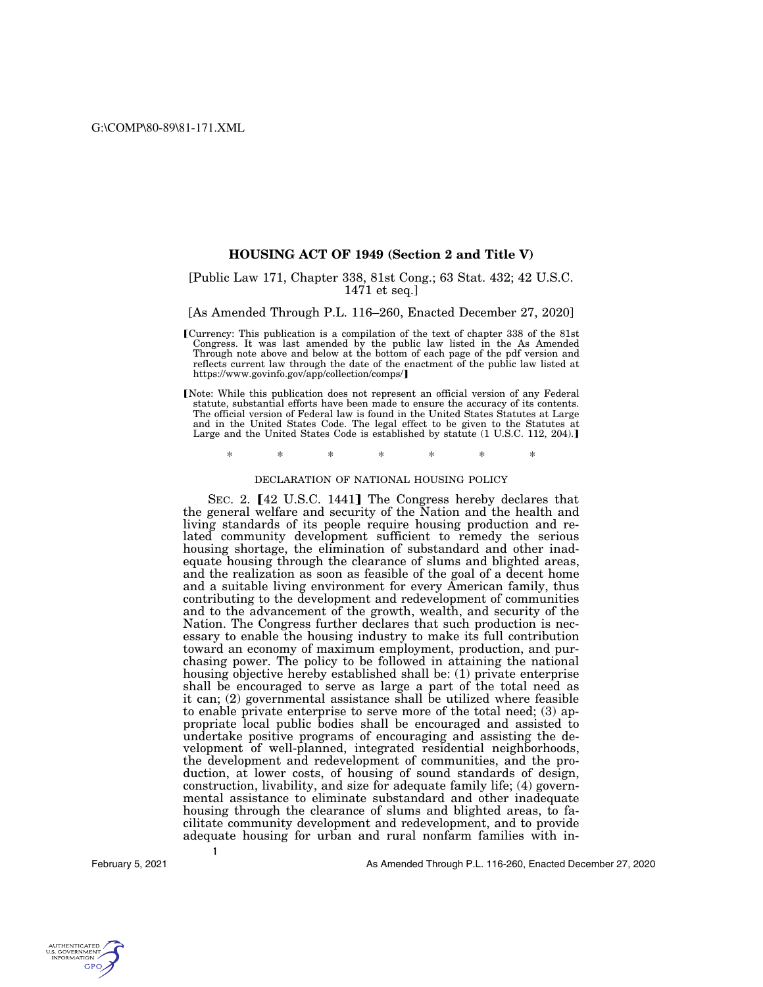# **HOUSING ACT OF 1949 (Section 2 and Title V)**

# [Public Law 171, Chapter 338, 81st Cong.; 63 Stat. 432; 42 U.S.C. 1471 et seq.]

# [As Amended Through P.L. 116–260, Enacted December 27, 2020]

- øCurrency: This publication is a compilation of the text of chapter 338 of the 81st Congress. It was last amended by the public law listed in the As Amended Through note above and below at the bottom of each page of the pdf version and reflects current law through the date of the enactment of the public law listed at https://www.govinfo.gov/app/collection/comps/]
- Note: While this publication does not represent an official version of any Federal statute, substantial efforts have been made to ensure the accuracy of its contents. The official version of Federal law is found in the United States Statutes at Large and in the United States Code. The legal effect to be given to the Statutes at Large and the United States Code is established by statute (1 U.S.C. 112, 204).]

\* \* \* \* \* \* \*

### DECLARATION OF NATIONAL HOUSING POLICY

SEC. 2. [42 U.S.C. 1441] The Congress hereby declares that the general welfare and security of the Nation and the health and living standards of its people require housing production and related community development sufficient to remedy the serious housing shortage, the elimination of substandard and other inadequate housing through the clearance of slums and blighted areas, and the realization as soon as feasible of the goal of a decent home and a suitable living environment for every American family, thus contributing to the development and redevelopment of communities and to the advancement of the growth, wealth, and security of the Nation. The Congress further declares that such production is necessary to enable the housing industry to make its full contribution toward an economy of maximum employment, production, and purchasing power. The policy to be followed in attaining the national housing objective hereby established shall be: (1) private enterprise shall be encouraged to serve as large a part of the total need as it can; (2) governmental assistance shall be utilized where feasible to enable private enterprise to serve more of the total need; (3) appropriate local public bodies shall be encouraged and assisted to undertake positive programs of encouraging and assisting the development of well-planned, integrated residential neighborhoods, the development and redevelopment of communities, and the production, at lower costs, of housing of sound standards of design, construction, livability, and size for adequate family life; (4) governmental assistance to eliminate substandard and other inadequate housing through the clearance of slums and blighted areas, to facilitate community development and redevelopment, and to provide adequate housing for urban and rural nonfarm families with in-

**1** 

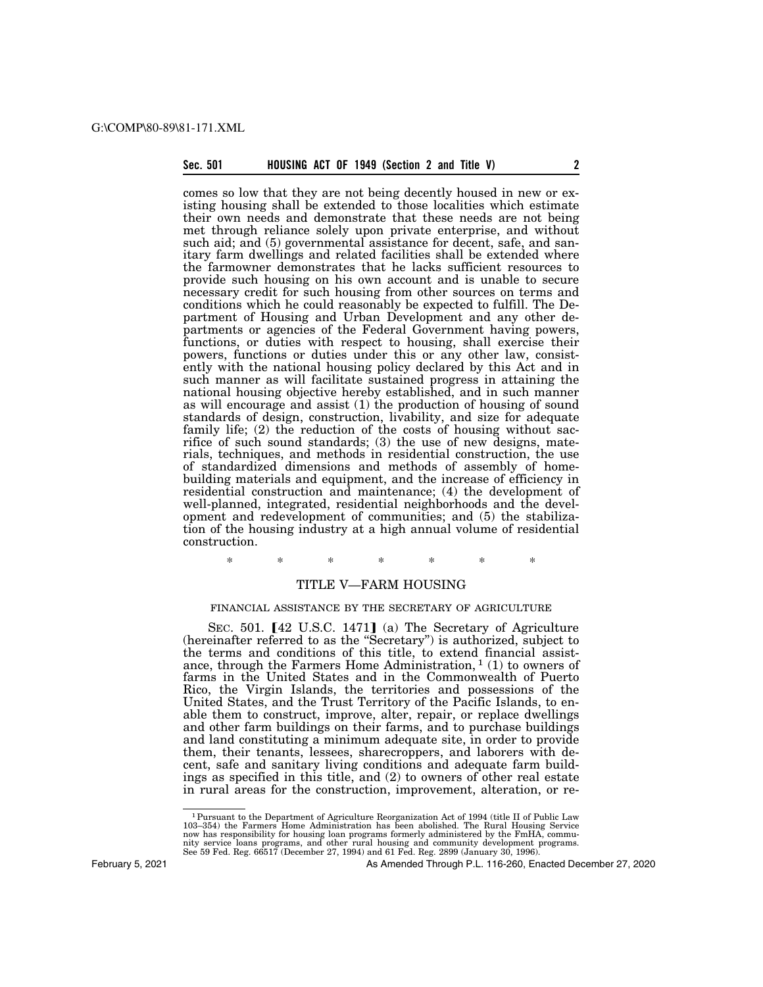# **Sec. 501 HOUSING ACT OF 1949 (Section 2 and Title V) 2**

comes so low that they are not being decently housed in new or existing housing shall be extended to those localities which estimate their own needs and demonstrate that these needs are not being met through reliance solely upon private enterprise, and without such aid; and (5) governmental assistance for decent, safe, and sanitary farm dwellings and related facilities shall be extended where the farmowner demonstrates that he lacks sufficient resources to provide such housing on his own account and is unable to secure necessary credit for such housing from other sources on terms and conditions which he could reasonably be expected to fulfill. The Department of Housing and Urban Development and any other departments or agencies of the Federal Government having powers, functions, or duties with respect to housing, shall exercise their powers, functions or duties under this or any other law, consistently with the national housing policy declared by this Act and in such manner as will facilitate sustained progress in attaining the national housing objective hereby established, and in such manner as will encourage and assist (1) the production of housing of sound standards of design, construction, livability, and size for adequate family life; (2) the reduction of the costs of housing without sacrifice of such sound standards; (3) the use of new designs, materials, techniques, and methods in residential construction, the use of standardized dimensions and methods of assembly of homebuilding materials and equipment, and the increase of efficiency in residential construction and maintenance; (4) the development of well-planned, integrated, residential neighborhoods and the development and redevelopment of communities; and (5) the stabilization of the housing industry at a high annual volume of residential construction.

\* \* \* \* \* \* \*

# TITLE V—FARM HOUSING

# FINANCIAL ASSISTANCE BY THE SECRETARY OF AGRICULTURE

SEC. 501.  $[42 \text{ U.S.C. } 1471]$  (a) The Secretary of Agriculture (hereinafter referred to as the ''Secretary'') is authorized, subject to the terms and conditions of this title, to extend financial assistance, through the Farmers Home Administration,  $1(1)$  to owners of farms in the United States and in the Commonwealth of Puerto Rico, the Virgin Islands, the territories and possessions of the United States, and the Trust Territory of the Pacific Islands, to enable them to construct, improve, alter, repair, or replace dwellings and other farm buildings on their farms, and to purchase buildings and land constituting a minimum adequate site, in order to provide them, their tenants, lessees, sharecroppers, and laborers with decent, safe and sanitary living conditions and adequate farm buildings as specified in this title, and (2) to owners of other real estate in rural areas for the construction, improvement, alteration, or re-

February 5, 2021

<sup>1</sup>Pursuant to the Department of Agriculture Reorganization Act of 1994 (title II of Public Law 103–354) the Farmers Home Administration has been abolished. The Rural Housing Service now has responsibility for housing loan programs formerly administered by the FmHA, commu-<br>nity service loans programs, and other rural housing and community development programs.<br>See 59 Fed. Reg. 66517 (December 27, 1994)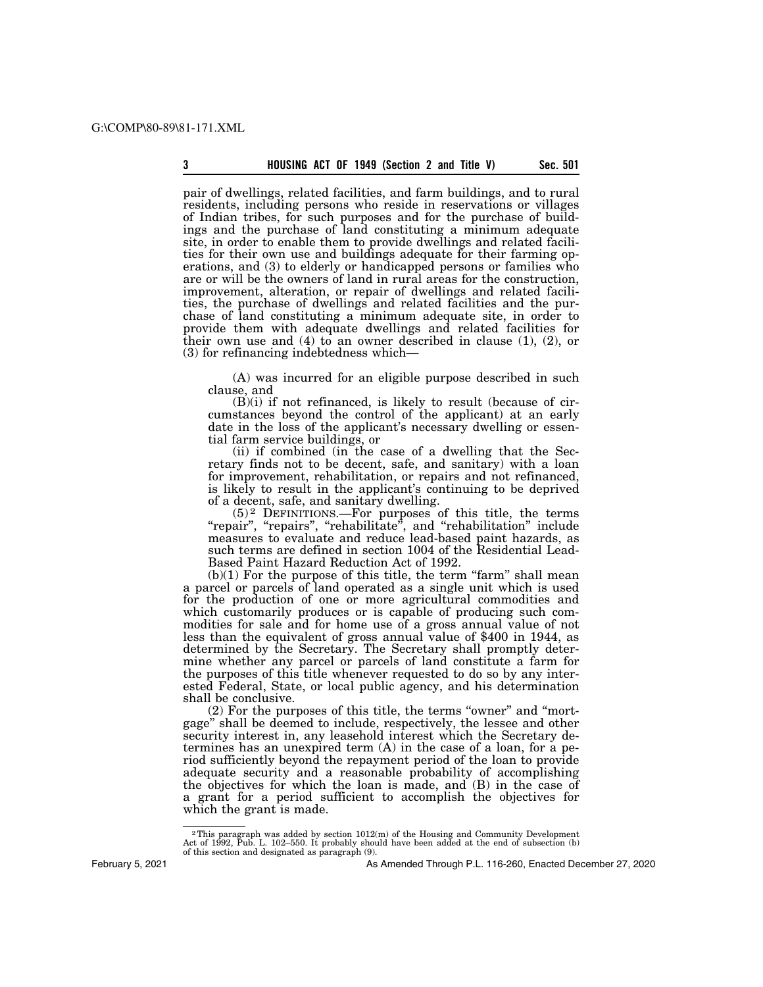pair of dwellings, related facilities, and farm buildings, and to rural residents, including persons who reside in reservations or villages of Indian tribes, for such purposes and for the purchase of buildings and the purchase of land constituting a minimum adequate site, in order to enable them to provide dwellings and related facilities for their own use and buildings adequate for their farming operations, and (3) to elderly or handicapped persons or families who are or will be the owners of land in rural areas for the construction, improvement, alteration, or repair of dwellings and related facilities, the purchase of dwellings and related facilities and the purchase of land constituting a minimum adequate site, in order to provide them with adequate dwellings and related facilities for their own use and  $(4)$  to an owner described in clause  $(1)$ ,  $(2)$ , or (3) for refinancing indebtedness which—

(A) was incurred for an eligible purpose described in such clause, and

(B)(i) if not refinanced, is likely to result (because of circumstances beyond the control of the applicant) at an early date in the loss of the applicant's necessary dwelling or essential farm service buildings, or

(ii) if combined (in the case of a dwelling that the Secretary finds not to be decent, safe, and sanitary) with a loan for improvement, rehabilitation, or repairs and not refinanced, is likely to result in the applicant's continuing to be deprived of a decent, safe, and sanitary dwelling.

 $(5)^2$  DEFINITIONS.—For purposes of this title, the terms "repair", "repairs", "rehabilitate", and "rehabilitation" include measures to evaluate and reduce lead-based paint hazards, as such terms are defined in section 1004 of the Residential Lead-Based Paint Hazard Reduction Act of 1992.

 $(b)(1)$  For the purpose of this title, the term "farm" shall mean a parcel or parcels of land operated as a single unit which is used for the production of one or more agricultural commodities and which customarily produces or is capable of producing such commodities for sale and for home use of a gross annual value of not less than the equivalent of gross annual value of \$400 in 1944, as determined by the Secretary. The Secretary shall promptly determine whether any parcel or parcels of land constitute a farm for the purposes of this title whenever requested to do so by any interested Federal, State, or local public agency, and his determination shall be conclusive.

(2) For the purposes of this title, the terms "owner" and "mortgage'' shall be deemed to include, respectively, the lessee and other security interest in, any leasehold interest which the Secretary determines has an unexpired term (A) in the case of a loan, for a period sufficiently beyond the repayment period of the loan to provide adequate security and a reasonable probability of accomplishing the objectives for which the loan is made, and (B) in the case of a grant for a period sufficient to accomplish the objectives for which the grant is made.

<sup>&</sup>lt;sup>2</sup>This paragraph was added by section  $1012(m)$  of the Housing and Community Development Act of 1992, Pub. L. 102–550. It probably should have been added at the end of subsection (b) of this section and designated as paragraph (9).

As Amended Through P.L. 116-260, Enacted December 27, 2020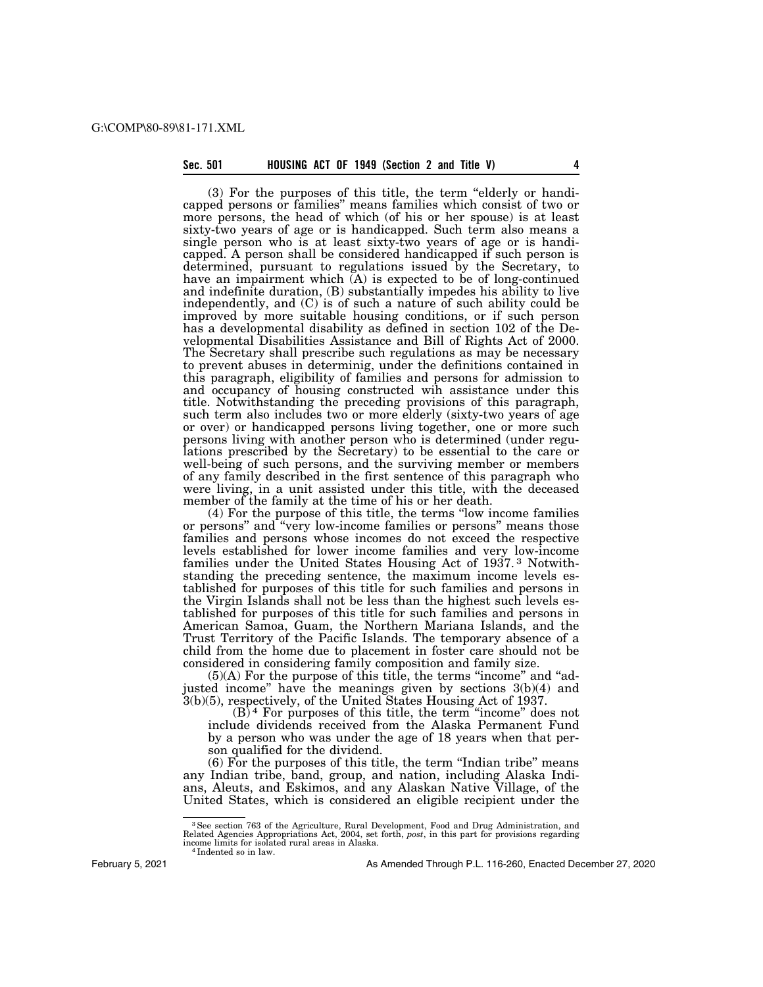# **Sec. 501 HOUSING ACT OF 1949 (Section 2 and Title V) 4**

(3) For the purposes of this title, the term ''elderly or handicapped persons or families'' means families which consist of two or more persons, the head of which (of his or her spouse) is at least sixty-two years of age or is handicapped. Such term also means a single person who is at least sixty-two years of age or is handicapped. A person shall be considered handicapped if such person is determined, pursuant to regulations issued by the Secretary, to have an impairment which  $(A)$  is expected to be of long-continued and indefinite duration, (B) substantially impedes his ability to live independently, and  $(C)$  is of such a nature of such ability could be improved by more suitable housing conditions, or if such person has a developmental disability as defined in section 102 of the Developmental Disabilities Assistance and Bill of Rights Act of 2000. The Secretary shall prescribe such regulations as may be necessary to prevent abuses in determinig, under the definitions contained in this paragraph, eligibility of families and persons for admission to and occupancy of housing constructed wih assistance under this title. Notwithstanding the preceding provisions of this paragraph, such term also includes two or more elderly (sixty-two years of age or over) or handicapped persons living together, one or more such persons living with another person who is determined (under regulations prescribed by the Secretary) to be essential to the care or well-being of such persons, and the surviving member or members of any family described in the first sentence of this paragraph who were living, in a unit assisted under this title, with the deceased member of the family at the time of his or her death.

(4) For the purpose of this title, the terms ''low income families or persons'' and ''very low-income families or persons'' means those families and persons whose incomes do not exceed the respective levels established for lower income families and very low-income families under the United States Housing Act of 1937.<sup>3</sup> Notwithstanding the preceding sentence, the maximum income levels established for purposes of this title for such families and persons in the Virgin Islands shall not be less than the highest such levels established for purposes of this title for such families and persons in American Samoa, Guam, the Northern Mariana Islands, and the Trust Territory of the Pacific Islands. The temporary absence of a child from the home due to placement in foster care should not be considered in considering family composition and family size.

 $(5)(A)$  For the purpose of this title, the terms "income" and "adjusted income" have the meanings given by sections 3(b)(4) and 3(b)(5), respectively, of the United States Housing Act of 1937.

 $(B)^4$  For purposes of this title, the term "income" does not include dividends received from the Alaska Permanent Fund by a person who was under the age of 18 years when that person qualified for the dividend.

 $(6)$  For the purposes of this title, the term "Indian tribe" means any Indian tribe, band, group, and nation, including Alaska Indians, Aleuts, and Eskimos, and any Alaskan Native Village, of the United States, which is considered an eligible recipient under the

<sup>&</sup>lt;sup>3</sup> See section 763 of the Agriculture, Rural Development, Food and Drug Administration, and Related Agencies Appropriations Act, 2004, set forth, *post*, in this part for provisions regarding income limits for isolated r

As Amended Through P.L. 116-260, Enacted December 27, 2020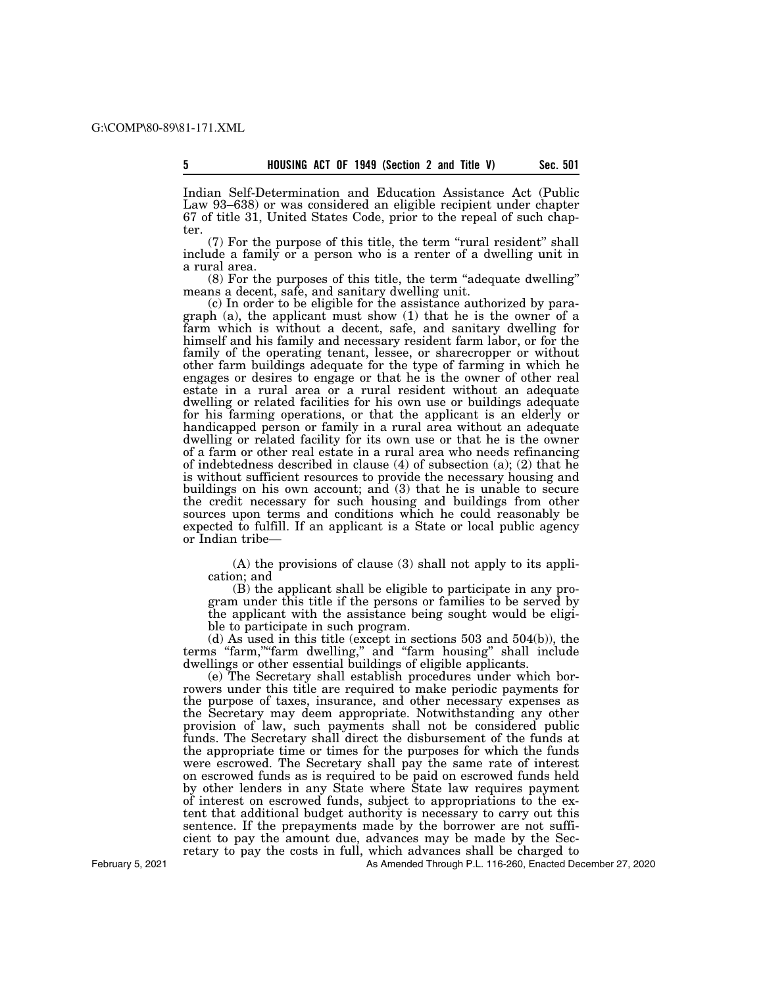Indian Self-Determination and Education Assistance Act (Public Law 93–638) or was considered an eligible recipient under chapter 67 of title 31, United States Code, prior to the repeal of such chapter.

(7) For the purpose of this title, the term "rural resident" shall include a family or a person who is a renter of a dwelling unit in a rural area.

(8) For the purposes of this title, the term ''adequate dwelling'' means a decent, safe, and sanitary dwelling unit.

(c) In order to be eligible for the assistance authorized by paragraph (a), the applicant must show (1) that he is the owner of a farm which is without a decent, safe, and sanitary dwelling for himself and his family and necessary resident farm labor, or for the family of the operating tenant, lessee, or sharecropper or without other farm buildings adequate for the type of farming in which he engages or desires to engage or that he is the owner of other real estate in a rural area or a rural resident without an adequate dwelling or related facilities for his own use or buildings adequate for his farming operations, or that the applicant is an elderly or handicapped person or family in a rural area without an adequate dwelling or related facility for its own use or that he is the owner of a farm or other real estate in a rural area who needs refinancing of indebtedness described in clause (4) of subsection (a); (2) that he is without sufficient resources to provide the necessary housing and buildings on his own account; and (3) that he is unable to secure the credit necessary for such housing and buildings from other sources upon terms and conditions which he could reasonably be expected to fulfill. If an applicant is a State or local public agency or Indian tribe—

(A) the provisions of clause (3) shall not apply to its application; and

(B) the applicant shall be eligible to participate in any program under this title if the persons or families to be served by the applicant with the assistance being sought would be eligible to participate in such program.

(d) As used in this title (except in sections 503 and 504(b)), the terms ''farm,''''farm dwelling,'' and ''farm housing'' shall include dwellings or other essential buildings of eligible applicants.

(e) The Secretary shall establish procedures under which borrowers under this title are required to make periodic payments for the purpose of taxes, insurance, and other necessary expenses as the Secretary may deem appropriate. Notwithstanding any other provision of law, such payments shall not be considered public funds. The Secretary shall direct the disbursement of the funds at the appropriate time or times for the purposes for which the funds were escrowed. The Secretary shall pay the same rate of interest on escrowed funds as is required to be paid on escrowed funds held by other lenders in any State where State law requires payment of interest on escrowed funds, subject to appropriations to the extent that additional budget authority is necessary to carry out this sentence. If the prepayments made by the borrower are not sufficient to pay the amount due, advances may be made by the Secretary to pay the costs in full, which advances shall be charged to

As Amended Through P.L. 116-260, Enacted December 27, 2020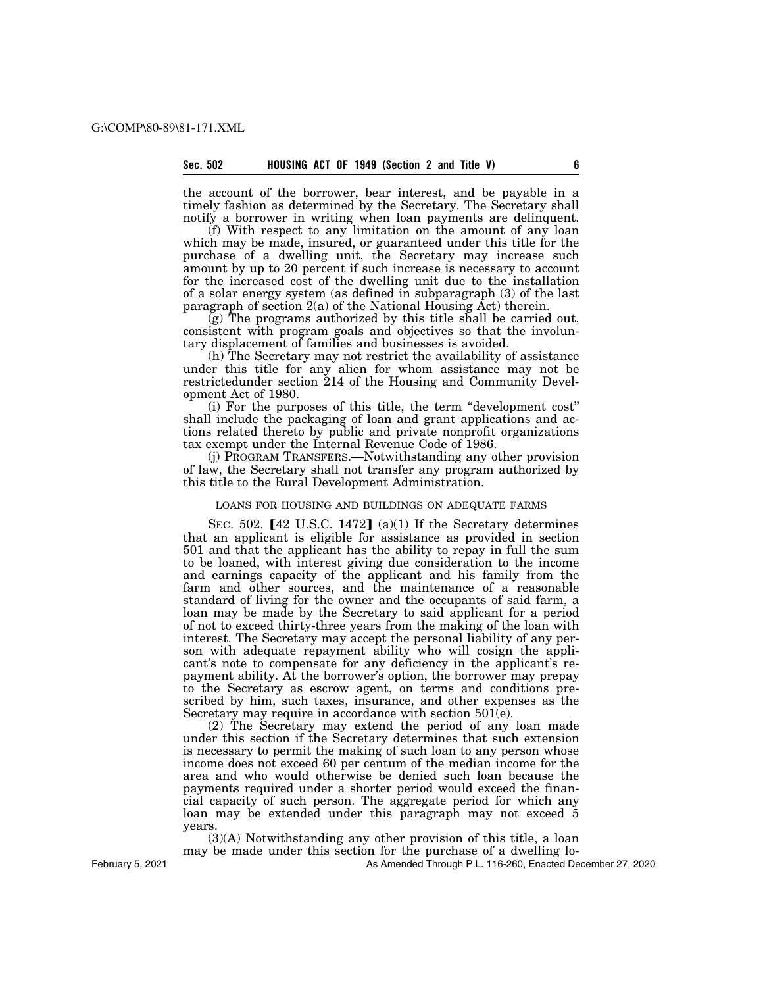the account of the borrower, bear interest, and be payable in a timely fashion as determined by the Secretary. The Secretary shall notify a borrower in writing when loan payments are delinquent.

(f) With respect to any limitation on the amount of any loan which may be made, insured, or guaranteed under this title for the purchase of a dwelling unit, the Secretary may increase such amount by up to 20 percent if such increase is necessary to account for the increased cost of the dwelling unit due to the installation of a solar energy system (as defined in subparagraph (3) of the last paragraph of section  $2(a)$  of the National Housing  $\overline{A}$ ct) therein.

(g) The programs authorized by this title shall be carried out, consistent with program goals and objectives so that the involuntary displacement of families and businesses is avoided.

(h) The Secretary may not restrict the availability of assistance under this title for any alien for whom assistance may not be restrictedunder section 214 of the Housing and Community Development Act of 1980.

(i) For the purposes of this title, the term ''development cost'' shall include the packaging of loan and grant applications and actions related thereto by public and private nonprofit organizations tax exempt under the Internal Revenue Code of 1986.

(j) PROGRAM TRANSFERS.—Notwithstanding any other provision of law, the Secretary shall not transfer any program authorized by this title to the Rural Development Administration.

# LOANS FOR HOUSING AND BUILDINGS ON ADEQUATE FARMS

SEC. 502.  $[42 \text{ U.S.C. } 1472]$  (a)(1) If the Secretary determines that an applicant is eligible for assistance as provided in section 501 and that the applicant has the ability to repay in full the sum to be loaned, with interest giving due consideration to the income and earnings capacity of the applicant and his family from the farm and other sources, and the maintenance of a reasonable standard of living for the owner and the occupants of said farm, a loan may be made by the Secretary to said applicant for a period of not to exceed thirty-three years from the making of the loan with interest. The Secretary may accept the personal liability of any person with adequate repayment ability who will cosign the applicant's note to compensate for any deficiency in the applicant's repayment ability. At the borrower's option, the borrower may prepay to the Secretary as escrow agent, on terms and conditions prescribed by him, such taxes, insurance, and other expenses as the Secretary may require in accordance with section 501(e).

(2) The Secretary may extend the period of any loan made under this section if the Secretary determines that such extension is necessary to permit the making of such loan to any person whose income does not exceed 60 per centum of the median income for the area and who would otherwise be denied such loan because the payments required under a shorter period would exceed the financial capacity of such person. The aggregate period for which any loan may be extended under this paragraph may not exceed 5 years.

(3)(A) Notwithstanding any other provision of this title, a loan may be made under this section for the purchase of a dwelling lo-

As Amended Through P.L. 116-260, Enacted December 27, 2020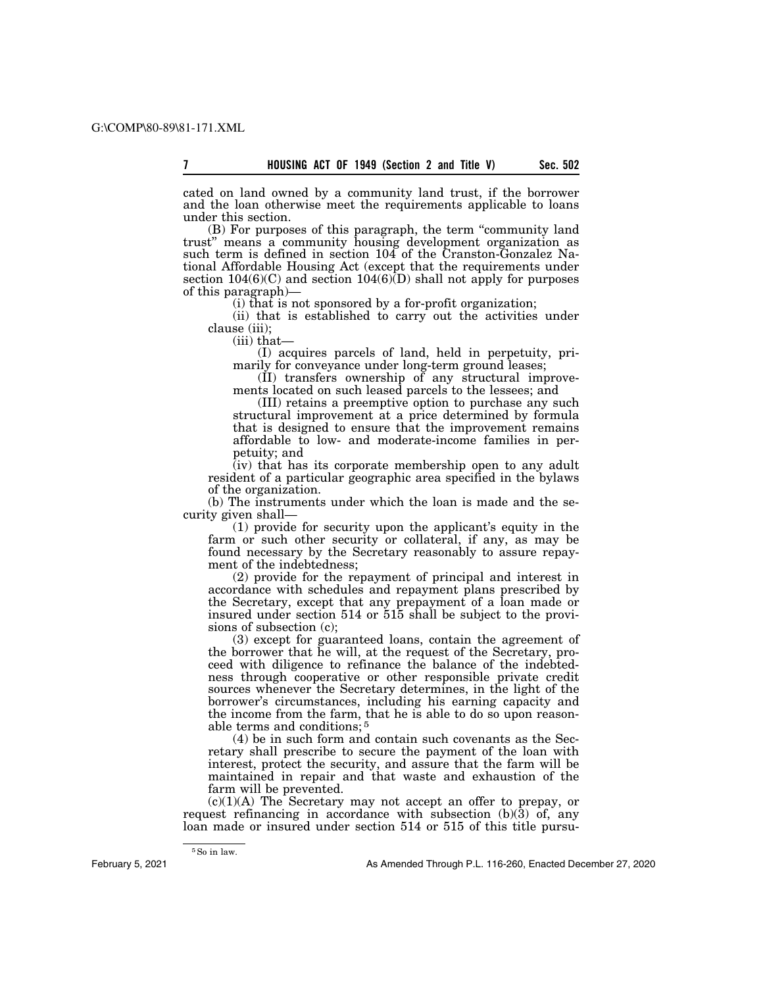cated on land owned by a community land trust, if the borrower and the loan otherwise meet the requirements applicable to loans under this section.

(B) For purposes of this paragraph, the term ''community land trust'' means a community housing development organization as such term is defined in section 104 of the Cranston-Gonzalez National Affordable Housing Act (except that the requirements under section  $104(6)(C)$  and section  $104(6)(D)$  shall not apply for purposes of this paragraph)—

(i) that is not sponsored by a for-profit organization;

(ii) that is established to carry out the activities under clause (iii);

(iii) that—

(I) acquires parcels of land, held in perpetuity, primarily for conveyance under long-term ground leases;

(II) transfers ownership of any structural improvements located on such leased parcels to the lessees; and

(III) retains a preemptive option to purchase any such structural improvement at a price determined by formula that is designed to ensure that the improvement remains affordable to low- and moderate-income families in perpetuity; and

(iv) that has its corporate membership open to any adult resident of a particular geographic area specified in the bylaws of the organization.

(b) The instruments under which the loan is made and the security given shall—

(1) provide for security upon the applicant's equity in the farm or such other security or collateral, if any, as may be found necessary by the Secretary reasonably to assure repayment of the indebtedness;

(2) provide for the repayment of principal and interest in accordance with schedules and repayment plans prescribed by the Secretary, except that any prepayment of a loan made or insured under section 514 or 515 shall be subject to the provisions of subsection (c);

(3) except for guaranteed loans, contain the agreement of the borrower that he will, at the request of the Secretary, proceed with diligence to refinance the balance of the indebtedness through cooperative or other responsible private credit sources whenever the Secretary determines, in the light of the borrower's circumstances, including his earning capacity and the income from the farm, that he is able to do so upon reasonable terms and conditions; 5

(4) be in such form and contain such covenants as the Secretary shall prescribe to secure the payment of the loan with interest, protect the security, and assure that the farm will be maintained in repair and that waste and exhaustion of the farm will be prevented.

 $(c)(1)(A)$  The Secretary may not accept an offer to prepay, or request refinancing in accordance with subsection  $(b)(3)$  of, any loan made or insured under section 514 or 515 of this title pursu-

 $^5\rm{So}$  in law.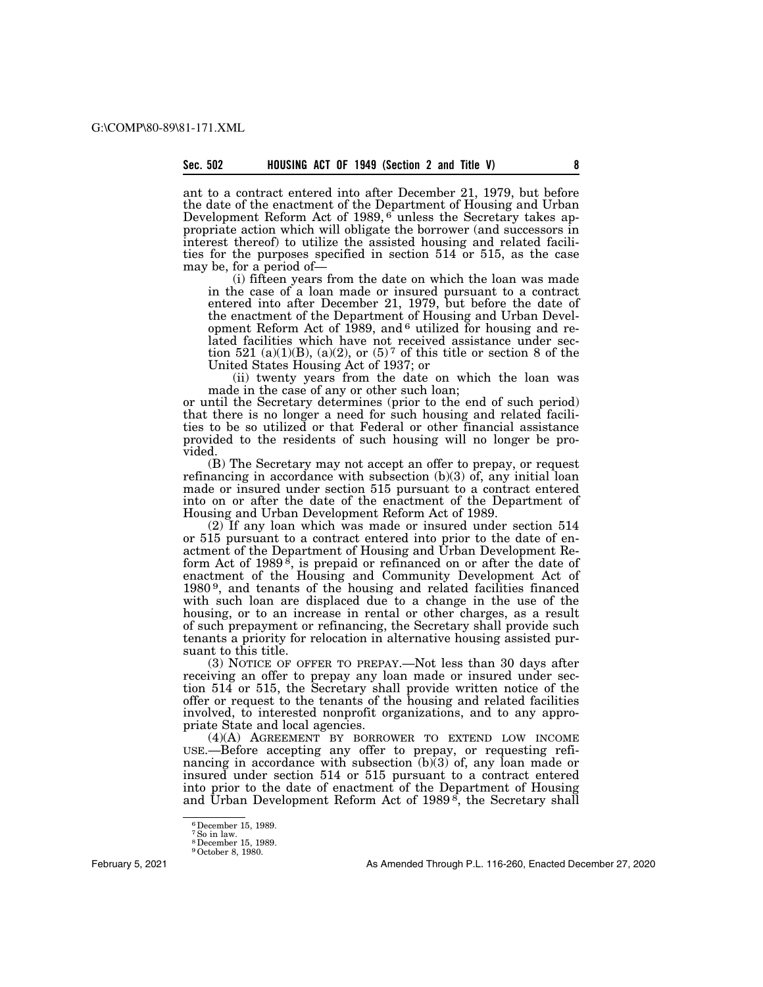ant to a contract entered into after December 21, 1979, but before the date of the enactment of the Department of Housing and Urban Development Reform Act of 1989, <sup>6</sup> unless the Secretary takes appropriate action which will obligate the borrower (and successors in interest thereof) to utilize the assisted housing and related facilities for the purposes specified in section 514 or 515, as the case may be, for a period of—

(i) fifteen years from the date on which the loan was made in the case of a loan made or insured pursuant to a contract entered into after December 21, 1979, but before the date of the enactment of the Department of Housing and Urban Development Reform Act of 1989, and <sup>6</sup> utilized for housing and related facilities which have not received assistance under section 521 (a)(1)(B), (a)(2), or  $(5)^7$  of this title or section 8 of the United States Housing Act of 1937; or

(ii) twenty years from the date on which the loan was made in the case of any or other such loan;

or until the Secretary determines (prior to the end of such period) that there is no longer a need for such housing and related facilities to be so utilized or that Federal or other financial assistance provided to the residents of such housing will no longer be provided.

(B) The Secretary may not accept an offer to prepay, or request refinancing in accordance with subsection (b)(3) of, any initial loan made or insured under section 515 pursuant to a contract entered into on or after the date of the enactment of the Department of Housing and Urban Development Reform Act of 1989.

(2) If any loan which was made or insured under section 514 or 515 pursuant to a contract entered into prior to the date of enactment of the Department of Housing and Urban Development Reform Act of 1989 $\dot{s}$ , is prepaid or refinanced on or after the date of enactment of the Housing and Community Development Act of 1980 9, and tenants of the housing and related facilities financed with such loan are displaced due to a change in the use of the housing, or to an increase in rental or other charges, as a result of such prepayment or refinancing, the Secretary shall provide such tenants a priority for relocation in alternative housing assisted pursuant to this title.

(3) NOTICE OF OFFER TO PREPAY.—Not less than 30 days after receiving an offer to prepay any loan made or insured under section 514 or 515, the Secretary shall provide written notice of the offer or request to the tenants of the housing and related facilities involved, to interested nonprofit organizations, and to any appropriate State and local agencies.

(4)(A) AGREEMENT BY BORROWER TO EXTEND LOW INCOME USE.—Before accepting any offer to prepay, or requesting refinancing in accordance with subsection  $(b)(3)$  of, any loan made or insured under section 514 or 515 pursuant to a contract entered into prior to the date of enactment of the Department of Housing and Urban Development Reform Act of  $1989^{\circ}$ , the Secretary shall

February 5, 2021

<sup>6</sup>December 15, 1989. 7So in law. 8December 15, 1989.

<sup>9</sup>October 8, 1980.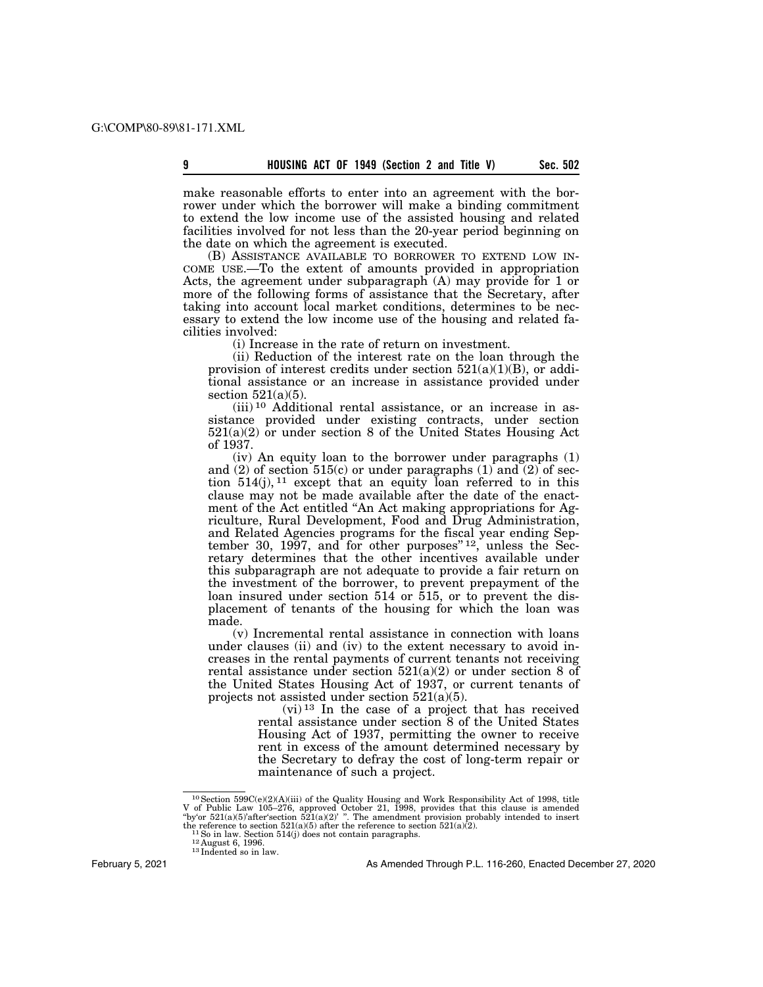make reasonable efforts to enter into an agreement with the borrower under which the borrower will make a binding commitment to extend the low income use of the assisted housing and related facilities involved for not less than the 20-year period beginning on the date on which the agreement is executed.

(B) ASSISTANCE AVAILABLE TO BORROWER TO EXTEND LOW IN-COME USE.—To the extent of amounts provided in appropriation Acts, the agreement under subparagraph (A) may provide for 1 or more of the following forms of assistance that the Secretary, after taking into account local market conditions, determines to be necessary to extend the low income use of the housing and related facilities involved:

(i) Increase in the rate of return on investment.

(ii) Reduction of the interest rate on the loan through the provision of interest credits under section  $521(a)(1)(B)$ , or additional assistance or an increase in assistance provided under section  $521(a)(5)$ .

(iii) 10 Additional rental assistance, or an increase in assistance provided under existing contracts, under section 521(a)(2) or under section 8 of the United States Housing Act of 1937.

(iv) An equity loan to the borrower under paragraphs (1) and  $(2)$  of section 515 $(c)$  or under paragraphs  $(1)$  and  $(2)$  of section  $514(i)$ ,  $11$  except that an equity loan referred to in this clause may not be made available after the date of the enactment of the Act entitled ''An Act making appropriations for Agriculture, Rural Development, Food and Drug Administration, and Related Agencies programs for the fiscal year ending September 30, 1997, and for other purposes"  $12$ , unless the Secretary determines that the other incentives available under this subparagraph are not adequate to provide a fair return on the investment of the borrower, to prevent prepayment of the loan insured under section 514 or 515, or to prevent the displacement of tenants of the housing for which the loan was made.

(v) Incremental rental assistance in connection with loans under clauses (ii) and (iv) to the extent necessary to avoid increases in the rental payments of current tenants not receiving rental assistance under section  $521(a)(2)$  or under section 8 of the United States Housing Act of 1937, or current tenants of projects not assisted under section 521(a)(5).

(vi) 13 In the case of a project that has received rental assistance under section 8 of the United States Housing Act of 1937, permitting the owner to receive rent in excess of the amount determined necessary by the Secretary to defray the cost of long-term repair or maintenance of such a project.

February 5, 2021

<sup>&</sup>lt;sup>10</sup>Section 599C(e)(2)(A)(iii) of the Quality Housing and Work Responsibility Act of 1998, title Law 105–276, approved October 21, 1998, provides that this clause is amended "by'or 521(a)(5)'after'section 521(a)(2)' ". Th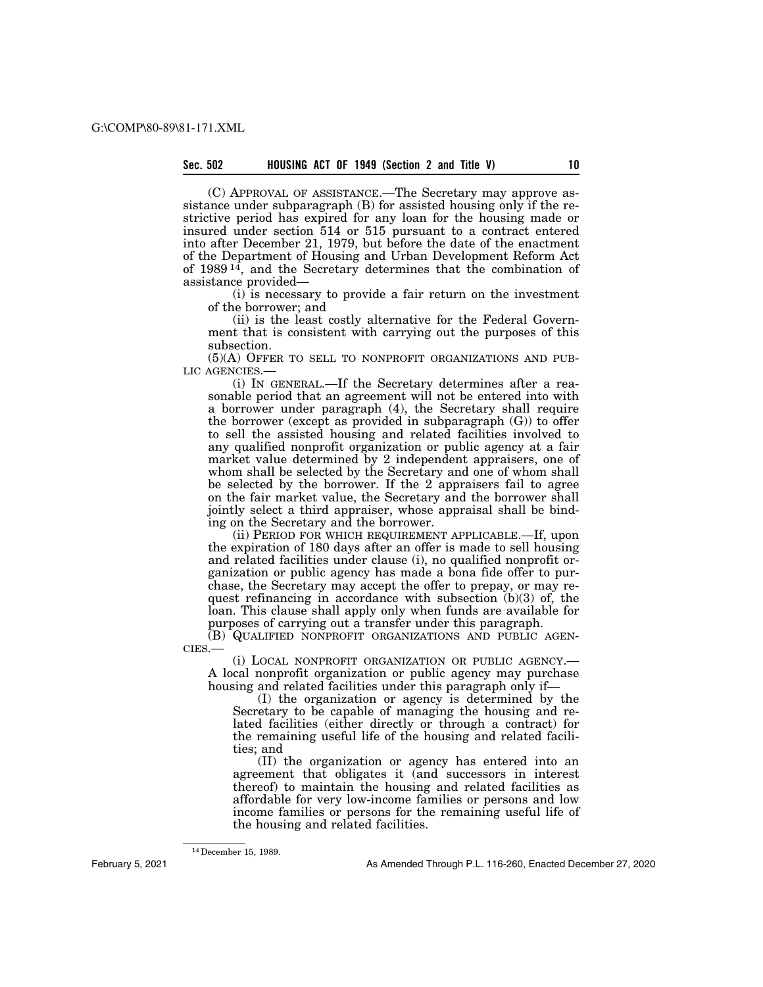(C) APPROVAL OF ASSISTANCE.—The Secretary may approve assistance under subparagraph (B) for assisted housing only if the restrictive period has expired for any loan for the housing made or insured under section 514 or 515 pursuant to a contract entered into after December 21, 1979, but before the date of the enactment of the Department of Housing and Urban Development Reform Act of  $1989<sup>14</sup>$ , and the Secretary determines that the combination of assistance provided—

(i) is necessary to provide a fair return on the investment of the borrower; and

(ii) is the least costly alternative for the Federal Government that is consistent with carrying out the purposes of this subsection.

(5)(A) OFFER TO SELL TO NONPROFIT ORGANIZATIONS AND PUB-LIC AGENCIES.—

(i) IN GENERAL.—If the Secretary determines after a reasonable period that an agreement will not be entered into with a borrower under paragraph (4), the Secretary shall require the borrower (except as provided in subparagraph (G)) to offer to sell the assisted housing and related facilities involved to any qualified nonprofit organization or public agency at a fair market value determined by 2 independent appraisers, one of whom shall be selected by the Secretary and one of whom shall be selected by the borrower. If the 2 appraisers fail to agree on the fair market value, the Secretary and the borrower shall jointly select a third appraiser, whose appraisal shall be binding on the Secretary and the borrower.

(ii) PERIOD FOR WHICH REQUIREMENT APPLICABLE.—If, upon the expiration of 180 days after an offer is made to sell housing and related facilities under clause (i), no qualified nonprofit organization or public agency has made a bona fide offer to purchase, the Secretary may accept the offer to prepay, or may request refinancing in accordance with subsection  $(b)(3)$  of, the loan. This clause shall apply only when funds are available for purposes of carrying out a transfer under this paragraph.

(B) QUALIFIED NONPROFIT ORGANIZATIONS AND PUBLIC AGEN-CIES.—

(i) LOCAL NONPROFIT ORGANIZATION OR PUBLIC AGENCY.— A local nonprofit organization or public agency may purchase housing and related facilities under this paragraph only if—

(I) the organization or agency is determined by the Secretary to be capable of managing the housing and related facilities (either directly or through a contract) for the remaining useful life of the housing and related facilities; and

(II) the organization or agency has entered into an agreement that obligates it (and successors in interest thereof) to maintain the housing and related facilities as affordable for very low-income families or persons and low income families or persons for the remaining useful life of the housing and related facilities.

14December 15, 1989.

February 5, 2021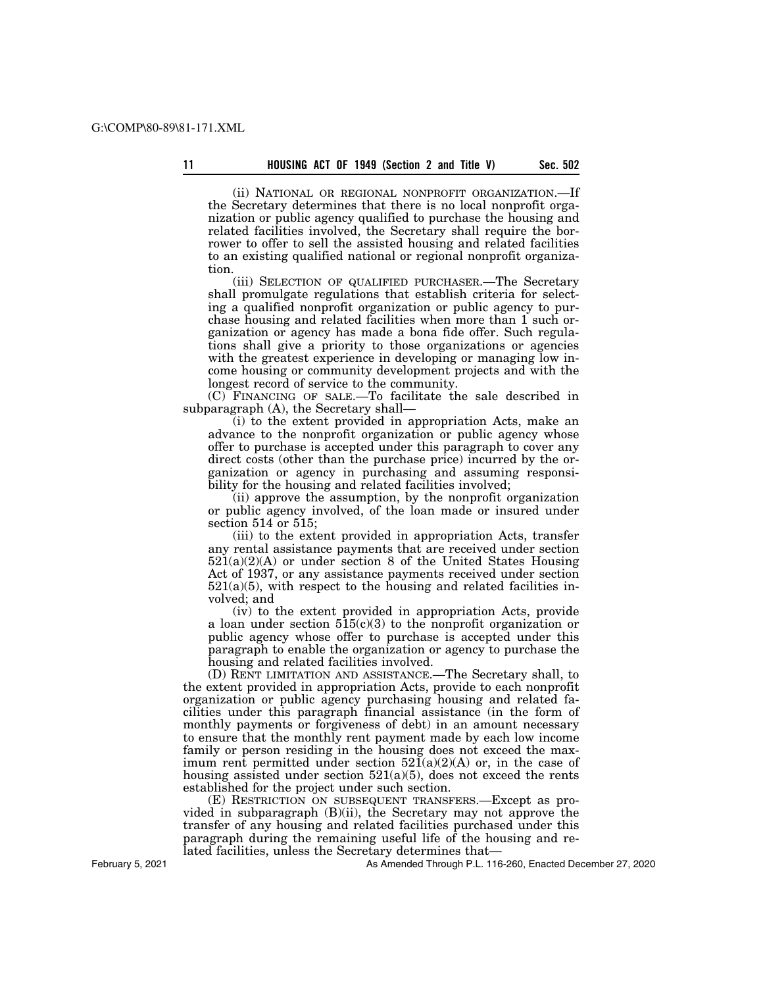(ii) NATIONAL OR REGIONAL NONPROFIT ORGANIZATION.—If the Secretary determines that there is no local nonprofit organization or public agency qualified to purchase the housing and related facilities involved, the Secretary shall require the borrower to offer to sell the assisted housing and related facilities to an existing qualified national or regional nonprofit organization.

(iii) SELECTION OF QUALIFIED PURCHASER.—The Secretary shall promulgate regulations that establish criteria for selecting a qualified nonprofit organization or public agency to purchase housing and related facilities when more than 1 such organization or agency has made a bona fide offer. Such regulations shall give a priority to those organizations or agencies with the greatest experience in developing or managing low income housing or community development projects and with the longest record of service to the community.

(C) FINANCING OF SALE.—To facilitate the sale described in subparagraph (A), the Secretary shall—

(i) to the extent provided in appropriation Acts, make an advance to the nonprofit organization or public agency whose offer to purchase is accepted under this paragraph to cover any direct costs (other than the purchase price) incurred by the organization or agency in purchasing and assuming responsibility for the housing and related facilities involved;

(ii) approve the assumption, by the nonprofit organization or public agency involved, of the loan made or insured under section 514 or 515;

(iii) to the extent provided in appropriation Acts, transfer any rental assistance payments that are received under section  $521(a)(2)(A)$  or under section 8 of the United States Housing Act of 1937, or any assistance payments received under section  $521(a)(5)$ , with respect to the housing and related facilities involved; and

(iv) to the extent provided in appropriation Acts, provide a loan under section  $515(c)(3)$  to the nonprofit organization or public agency whose offer to purchase is accepted under this paragraph to enable the organization or agency to purchase the housing and related facilities involved.

(D) RENT LIMITATION AND ASSISTANCE.—The Secretary shall, to the extent provided in appropriation Acts, provide to each nonprofit organization or public agency purchasing housing and related facilities under this paragraph financial assistance (in the form of monthly payments or forgiveness of debt) in an amount necessary to ensure that the monthly rent payment made by each low income family or person residing in the housing does not exceed the maximum rent permitted under section  $521(a)(2)(A)$  or, in the case of housing assisted under section  $521(a)(5)$ , does not exceed the rents established for the project under such section.

(E) RESTRICTION ON SUBSEQUENT TRANSFERS.—Except as provided in subparagraph (B)(ii), the Secretary may not approve the transfer of any housing and related facilities purchased under this paragraph during the remaining useful life of the housing and related facilities, unless the Secretary determines that—

As Amended Through P.L. 116-260, Enacted December 27, 2020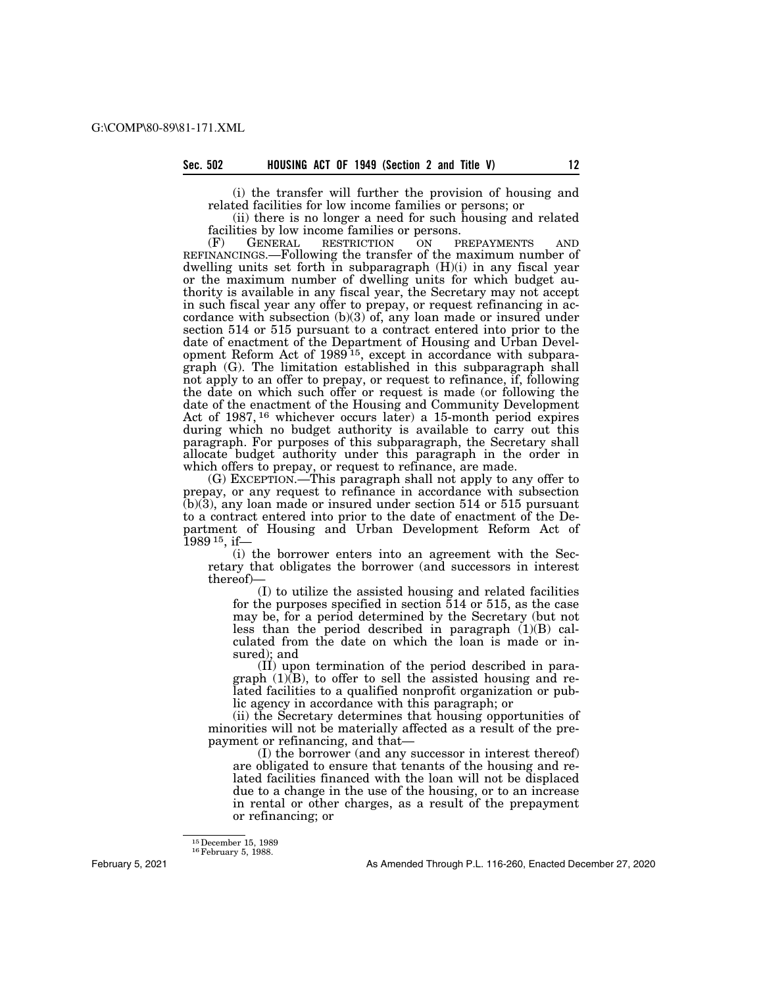(i) the transfer will further the provision of housing and related facilities for low income families or persons; or

(ii) there is no longer a need for such housing and related facilities by low income families or persons.

(F) GENERAL RESTRICTION ON PREPAYMENTS AND REFINANCINGS.—Following the transfer of the maximum number of dwelling units set forth in subparagraph (H)(i) in any fiscal year or the maximum number of dwelling units for which budget authority is available in any fiscal year, the Secretary may not accept in such fiscal year any offer to prepay, or request refinancing in accordance with subsection (b)(3) of, any loan made or insured under section 514 or 515 pursuant to a contract entered into prior to the date of enactment of the Department of Housing and Urban Development Reform Act of 1989<sup>15</sup>, except in accordance with subparagraph (G). The limitation established in this subparagraph shall not apply to an offer to prepay, or request to refinance, if, following the date on which such offer or request is made (or following the date of the enactment of the Housing and Community Development Act of 1987, 16 whichever occurs later) a 15-month period expires during which no budget authority is available to carry out this paragraph. For purposes of this subparagraph, the Secretary shall allocate budget authority under this paragraph in the order in which offers to prepay, or request to refinance, are made.

(G) EXCEPTION.—This paragraph shall not apply to any offer to prepay, or any request to refinance in accordance with subsection  $(b)(3)$ , any loan made or insured under section 514 or 515 pursuant to a contract entered into prior to the date of enactment of the Department of Housing and Urban Development Reform Act of  $1989^{15}$ , if-

(i) the borrower enters into an agreement with the Secretary that obligates the borrower (and successors in interest thereof)—

(I) to utilize the assisted housing and related facilities for the purposes specified in section 514 or 515, as the case may be, for a period determined by the Secretary (but not less than the period described in paragraph (1)(B) calculated from the date on which the loan is made or insured); and

(II) upon termination of the period described in paragraph (1)(B), to offer to sell the assisted housing and related facilities to a qualified nonprofit organization or public agency in accordance with this paragraph; or

(ii) the Secretary determines that housing opportunities of minorities will not be materially affected as a result of the prepayment or refinancing, and that—

(I) the borrower (and any successor in interest thereof) are obligated to ensure that tenants of the housing and related facilities financed with the loan will not be displaced due to a change in the use of the housing, or to an increase in rental or other charges, as a result of the prepayment or refinancing; or

<sup>15</sup> December 15, 1989<br><sup>16</sup> February 5, 1988.

February 5, 2021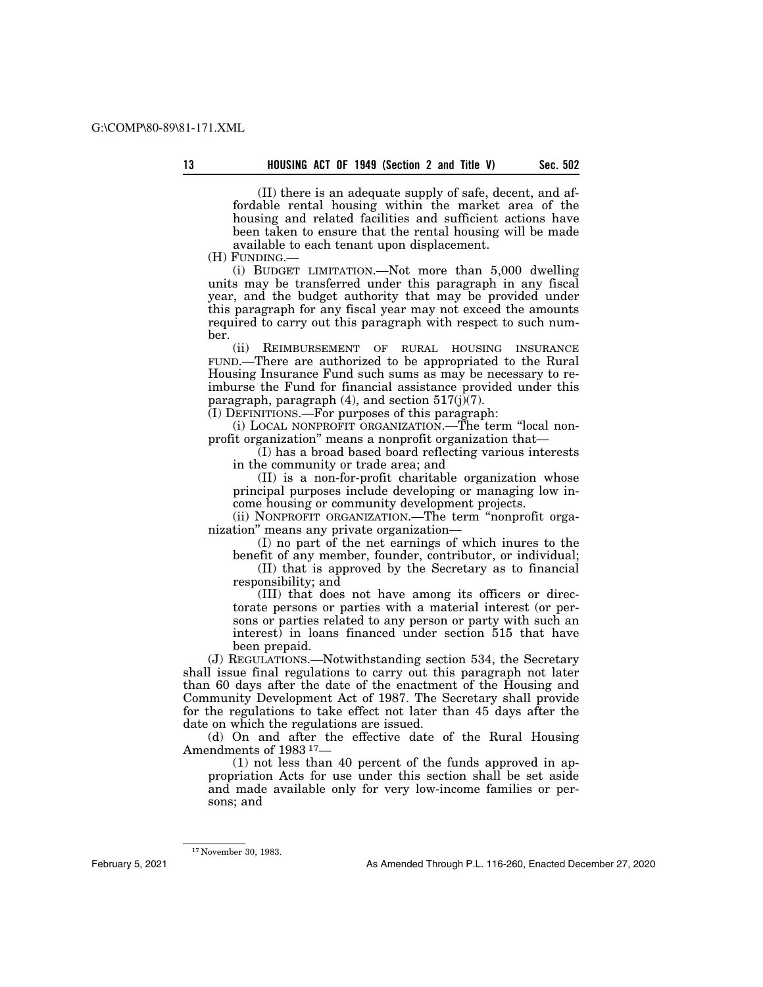(II) there is an adequate supply of safe, decent, and affordable rental housing within the market area of the housing and related facilities and sufficient actions have been taken to ensure that the rental housing will be made available to each tenant upon displacement.

(H) FUNDING.—

(i) BUDGET LIMITATION.—Not more than 5,000 dwelling units may be transferred under this paragraph in any fiscal year, and the budget authority that may be provided under this paragraph for any fiscal year may not exceed the amounts required to carry out this paragraph with respect to such number.

(ii) REIMBURSEMENT OF RURAL HOUSING INSURANCE FUND.—There are authorized to be appropriated to the Rural Housing Insurance Fund such sums as may be necessary to reimburse the Fund for financial assistance provided under this paragraph, paragraph  $(4)$ , and section  $517(j)(7)$ .

 $($ I) DEFINITIONS.—For purposes of this paragraph:

(i) LOCAL NONPROFIT ORGANIZATION.—The term ''local nonprofit organization'' means a nonprofit organization that—

(I) has a broad based board reflecting various interests in the community or trade area; and

(II) is a non-for-profit charitable organization whose principal purposes include developing or managing low income housing or community development projects.

(ii) NONPROFIT ORGANIZATION.—The term ''nonprofit organization'' means any private organization—

(I) no part of the net earnings of which inures to the benefit of any member, founder, contributor, or individual;

(II) that is approved by the Secretary as to financial responsibility; and

(III) that does not have among its officers or directorate persons or parties with a material interest (or persons or parties related to any person or party with such an interest) in loans financed under section 515 that have been prepaid.

(J) REGULATIONS.—Notwithstanding section 534, the Secretary shall issue final regulations to carry out this paragraph not later than 60 days after the date of the enactment of the Housing and Community Development Act of 1987. The Secretary shall provide for the regulations to take effect not later than 45 days after the date on which the regulations are issued.

(d) On and after the effective date of the Rural Housing Amendments of 1983 17—

(1) not less than 40 percent of the funds approved in appropriation Acts for use under this section shall be set aside and made available only for very low-income families or persons; and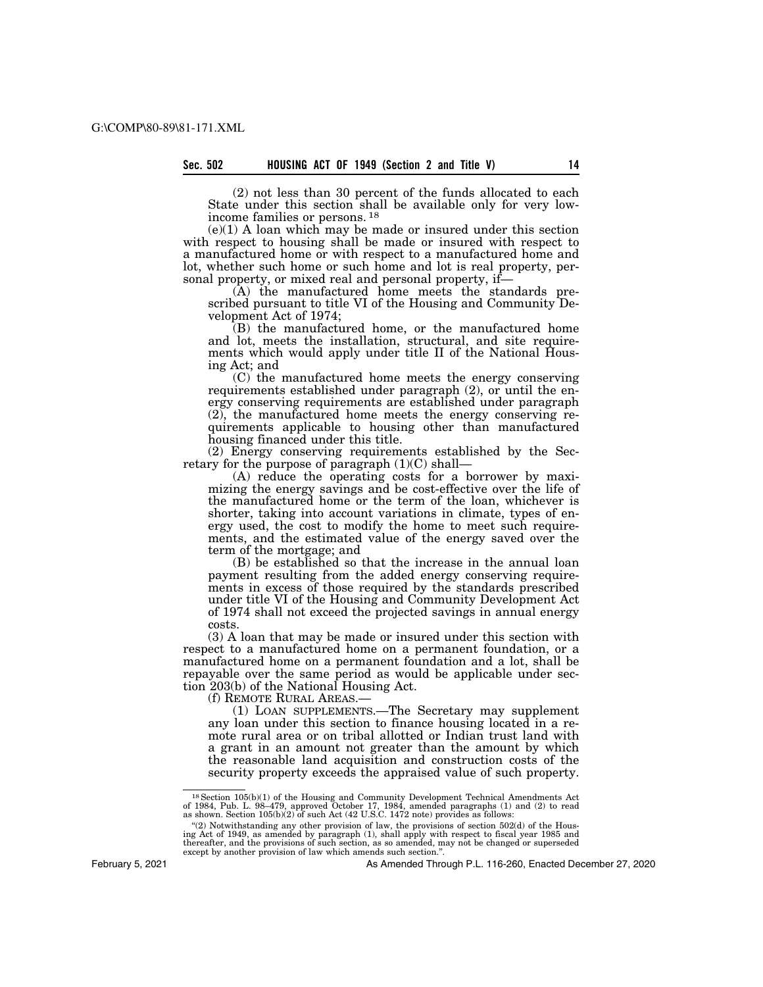(2) not less than 30 percent of the funds allocated to each State under this section shall be available only for very lowincome families or persons. 18

(e)(1) A loan which may be made or insured under this section with respect to housing shall be made or insured with respect to a manufactured home or with respect to a manufactured home and lot, whether such home or such home and lot is real property, personal property, or mixed real and personal property, if-

(A) the manufactured home meets the standards prescribed pursuant to title VI of the Housing and Community Development Act of 1974;

(B) the manufactured home, or the manufactured home and lot, meets the installation, structural, and site requirements which would apply under title II of the National Housing Act; and

(C) the manufactured home meets the energy conserving requirements established under paragraph (2), or until the energy conserving requirements are established under paragraph (2), the manufactured home meets the energy conserving requirements applicable to housing other than manufactured housing financed under this title.

(2) Energy conserving requirements established by the Secretary for the purpose of paragraph  $(1)(C)$  shall-

(A) reduce the operating costs for a borrower by maximizing the energy savings and be cost-effective over the life of the manufactured home or the term of the loan, whichever is shorter, taking into account variations in climate, types of energy used, the cost to modify the home to meet such requirements, and the estimated value of the energy saved over the term of the mortgage; and

(B) be established so that the increase in the annual loan payment resulting from the added energy conserving requirements in excess of those required by the standards prescribed under title VI of the Housing and Community Development Act of 1974 shall not exceed the projected savings in annual energy costs.

(3) A loan that may be made or insured under this section with respect to a manufactured home on a permanent foundation, or a manufactured home on a permanent foundation and a lot, shall be repayable over the same period as would be applicable under section 203(b) of the National Housing Act.<br>(f) REMOTE RURAL AREAS.—

(1) LOAN SUPPLEMENTS.— The Secretary may supplement any loan under this section to finance housing located in a remote rural area or on tribal allotted or Indian trust land with a grant in an amount not greater than the amount by which the reasonable land acquisition and construction costs of the security property exceeds the appraised value of such property.

February 5, 2021

<sup>&</sup>lt;sup>18</sup> Section 105(b)(1) of the Housing and Community Development Technical Amendments Act of 1984, Pub. L. 98–479, approved October 17, 1984, amended paragraphs (1) and (2) to read as shown. Section 105(b)(2) of such Act (

<sup>&</sup>quot; $(2)$  Notwithstanding any other provision of law, the provisions of section 502(d) of the Housing Act of 1949, as amended by paragraph (1), shall apply with respect to fiscal year 1985 and thereafter, and the provisions of such section, as so amended, may not be changed or superseded except by another provision of law which amends such section.''.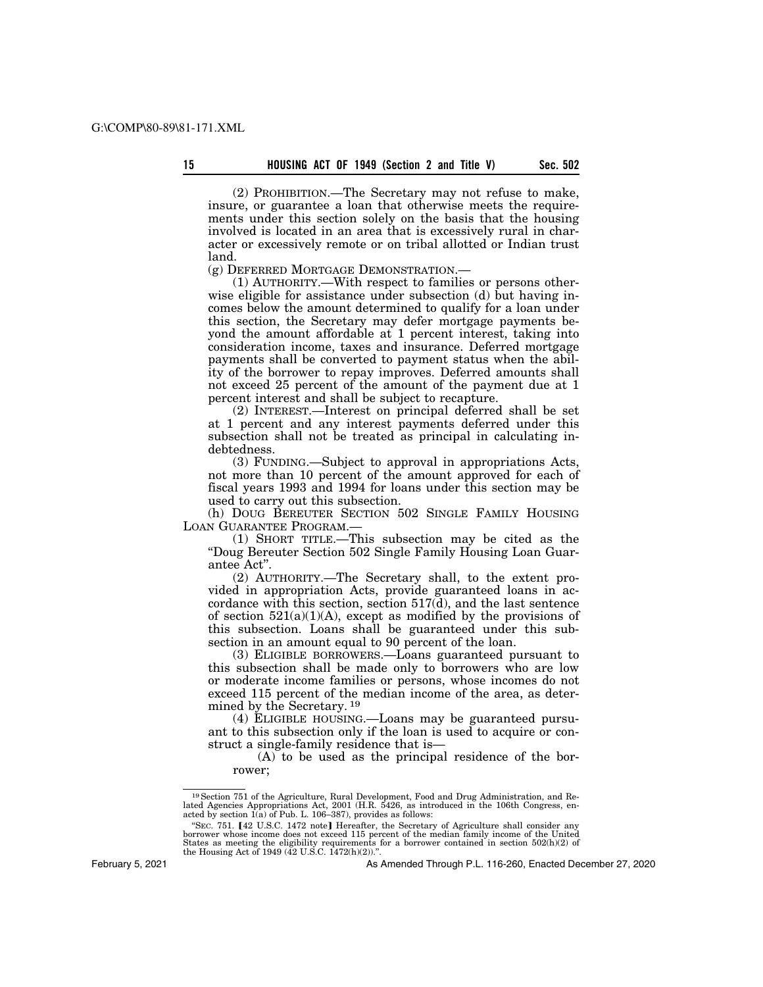land.

(2) PROHIBITION.—The Secretary may not refuse to make, insure, or guarantee a loan that otherwise meets the requirements under this section solely on the basis that the housing involved is located in an area that is excessively rural in character or excessively remote or on tribal allotted or Indian trust

(g) DEFERRED MORTGAGE DEMONSTRATION.—

(1) AUTHORITY.—With respect to families or persons otherwise eligible for assistance under subsection (d) but having incomes below the amount determined to qualify for a loan under this section, the Secretary may defer mortgage payments beyond the amount affordable at 1 percent interest, taking into consideration income, taxes and insurance. Deferred mortgage payments shall be converted to payment status when the ability of the borrower to repay improves. Deferred amounts shall not exceed 25 percent of the amount of the payment due at 1 percent interest and shall be subject to recapture.

(2) INTEREST.—Interest on principal deferred shall be set at 1 percent and any interest payments deferred under this subsection shall not be treated as principal in calculating indebtedness.

(3) FUNDING.—Subject to approval in appropriations Acts, not more than 10 percent of the amount approved for each of fiscal years 1993 and 1994 for loans under this section may be used to carry out this subsection.

(h) DOUG BEREUTER SECTION 502 SINGLE FAMILY HOUSING LOAN GUARANTEE PROGRAM.—

(1) SHORT TITLE.—This subsection may be cited as the ''Doug Bereuter Section 502 Single Family Housing Loan Guarantee Act''.

(2) AUTHORITY.—The Secretary shall, to the extent provided in appropriation Acts, provide guaranteed loans in accordance with this section, section 517(d), and the last sentence of section  $521(a)(1)(A)$ , except as modified by the provisions of this subsection. Loans shall be guaranteed under this subsection in an amount equal to 90 percent of the loan.

(3) ELIGIBLE BORROWERS.—Loans guaranteed pursuant to this subsection shall be made only to borrowers who are low or moderate income families or persons, whose incomes do not exceed 115 percent of the median income of the area, as determined by the Secretary. 19

(4) ELIGIBLE HOUSING.—Loans may be guaranteed pursuant to this subsection only if the loan is used to acquire or construct a single-family residence that is—

(A) to be used as the principal residence of the borrower;

February 5, 2021

<sup>&</sup>lt;sup>19</sup> Section 751 of the Agriculture, Rural Development, Food and Drug Administration, and Re-<br>lated Agencies Appropriations Act, 2001 (H.R. 5426, as introduced in the 106th Congress, enacted by section  $\hat{I}(a)$  of Pub. L. 106–387), provides as follows:

<sup>&</sup>quot;SEC. 751. [42 U.S.C. 1472 note] Hereafter, the Secretary of Agriculture shall consider any borrower whose income does not exceed 115 percent of the median family income of the United<br>States as meeting the eligibility requirements for a borrower contained in section 502(h)(2) of<br>the Housing Act of 1949 (42 U.S.C.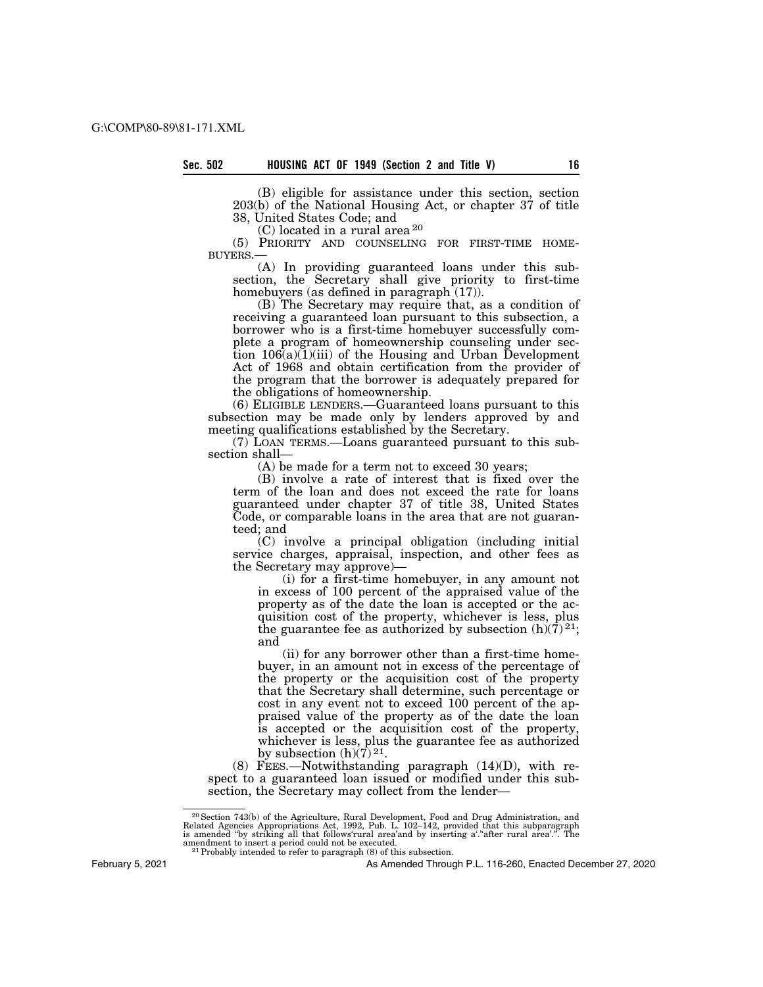(B) eligible for assistance under this section, section 203(b) of the National Housing Act, or chapter 37 of title 38, United States Code; and

(C) located in a rural area 20

(5) PRIORITY AND COUNSELING FOR FIRST-TIME HOME-BUYERS.—

(A) In providing guaranteed loans under this subsection, the Secretary shall give priority to first-time homebuyers (as defined in paragraph  $(17)$ ).

(B) The Secretary may require that, as a condition of receiving a guaranteed loan pursuant to this subsection, a borrower who is a first-time homebuyer successfully complete a program of homeownership counseling under section  $106(a)(1)(iii)$  of the Housing and Urban Development Act of 1968 and obtain certification from the provider of the program that the borrower is adequately prepared for the obligations of homeownership.

(6) ELIGIBLE LENDERS.—Guaranteed loans pursuant to this subsection may be made only by lenders approved by and meeting qualifications established by the Secretary.

(7) LOAN TERMS.—Loans guaranteed pursuant to this subsection shall—

(A) be made for a term not to exceed 30 years;

(B) involve a rate of interest that is fixed over the term of the loan and does not exceed the rate for loans guaranteed under chapter 37 of title 38, United States Code, or comparable loans in the area that are not guaranteed; and

(C) involve a principal obligation (including initial service charges, appraisal, inspection, and other fees as the Secretary may approve)—

(i) for a first-time homebuyer, in any amount not in excess of 100 percent of the appraised value of the property as of the date the loan is accepted or the acquisition cost of the property, whichever is less, plus the guarantee fee as authorized by subsection  $(h)(\bar{7})^{21}$ ; and

(ii) for any borrower other than a first-time homebuyer, in an amount not in excess of the percentage of the property or the acquisition cost of the property that the Secretary shall determine, such percentage or cost in any event not to exceed 100 percent of the appraised value of the property as of the date the loan is accepted or the acquisition cost of the property, whichever is less, plus the guarantee fee as authorized by subsection  $(h)(7)^{21}$ .

(8) FEES.—Notwithstanding paragraph  $(14)(D)$ , with respect to a guaranteed loan issued or modified under this subsection, the Secretary may collect from the lender—

February 5, 2021

<sup>20</sup>Section 743(b) of the Agriculture, Rural Development, Food and Drug Administration, and Related Agencies Appropriations Act, 1992, Pub. L. 102–142, provided that this subparagraph is amended ''by striking all that follows'rural area'and by inserting a'.''after rural area'.''. The amendment to insert a period could not be executed.<br><sup>21</sup>Probably intended to refer to paragraph (8) of this subsection.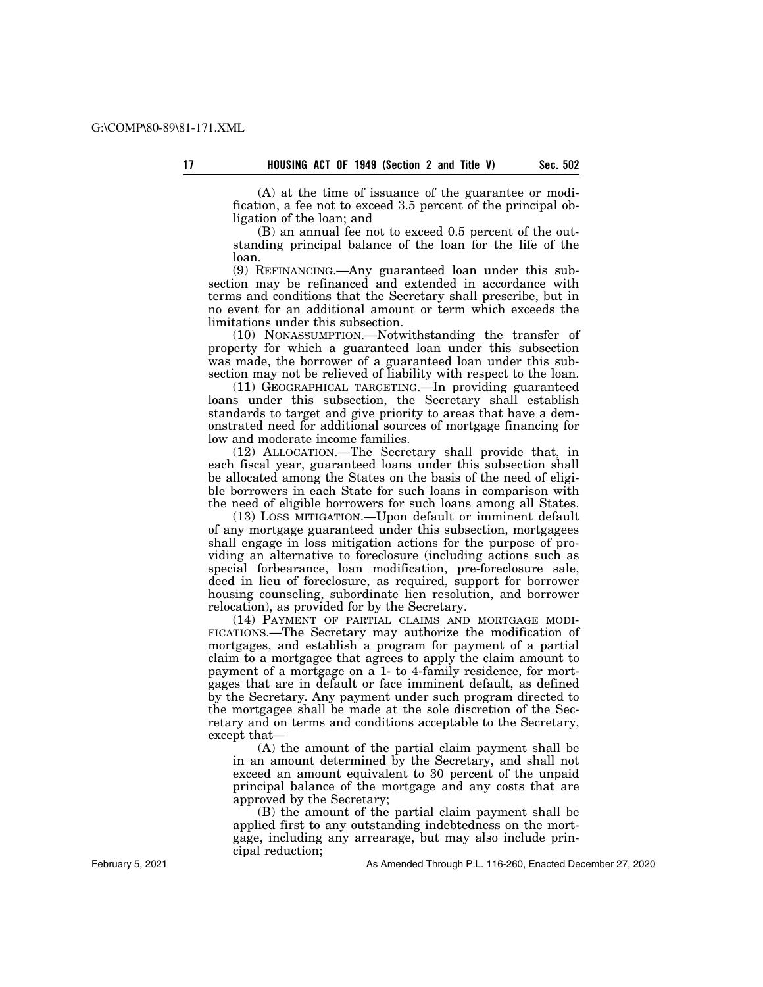(A) at the time of issuance of the guarantee or modification, a fee not to exceed 3.5 percent of the principal obligation of the loan; and

(B) an annual fee not to exceed 0.5 percent of the outstanding principal balance of the loan for the life of the loan.

(9) REFINANCING.—Any guaranteed loan under this subsection may be refinanced and extended in accordance with terms and conditions that the Secretary shall prescribe, but in no event for an additional amount or term which exceeds the limitations under this subsection.

(10) NONASSUMPTION.—Notwithstanding the transfer of property for which a guaranteed loan under this subsection was made, the borrower of a guaranteed loan under this subsection may not be relieved of liability with respect to the loan.

(11) GEOGRAPHICAL TARGETING.—In providing guaranteed loans under this subsection, the Secretary shall establish standards to target and give priority to areas that have a demonstrated need for additional sources of mortgage financing for low and moderate income families.

(12) ALLOCATION.—The Secretary shall provide that, in each fiscal year, guaranteed loans under this subsection shall be allocated among the States on the basis of the need of eligible borrowers in each State for such loans in comparison with the need of eligible borrowers for such loans among all States.

(13) LOSS MITIGATION.—Upon default or imminent default of any mortgage guaranteed under this subsection, mortgagees shall engage in loss mitigation actions for the purpose of providing an alternative to foreclosure (including actions such as special forbearance, loan modification, pre-foreclosure sale, deed in lieu of foreclosure, as required, support for borrower housing counseling, subordinate lien resolution, and borrower relocation), as provided for by the Secretary.

(14) PAYMENT OF PARTIAL CLAIMS AND MORTGAGE MODI-FICATIONS.—The Secretary may authorize the modification of mortgages, and establish a program for payment of a partial claim to a mortgagee that agrees to apply the claim amount to payment of a mortgage on a 1- to 4-family residence, for mortgages that are in default or face imminent default, as defined by the Secretary. Any payment under such program directed to the mortgagee shall be made at the sole discretion of the Secretary and on terms and conditions acceptable to the Secretary, except that—

(A) the amount of the partial claim payment shall be in an amount determined by the Secretary, and shall not exceed an amount equivalent to 30 percent of the unpaid principal balance of the mortgage and any costs that are approved by the Secretary;

(B) the amount of the partial claim payment shall be applied first to any outstanding indebtedness on the mortgage, including any arrearage, but may also include principal reduction;

As Amended Through P.L. 116-260, Enacted December 27, 2020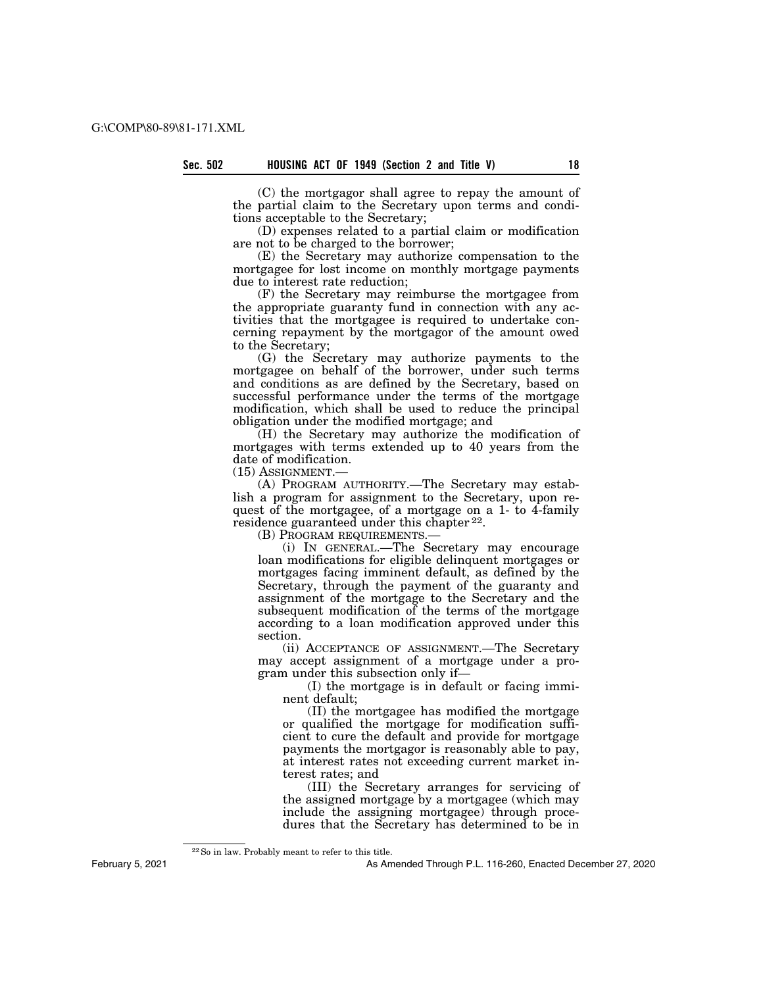(C) the mortgagor shall agree to repay the amount of the partial claim to the Secretary upon terms and conditions acceptable to the Secretary;

(D) expenses related to a partial claim or modification are not to be charged to the borrower;

(E) the Secretary may authorize compensation to the mortgagee for lost income on monthly mortgage payments due to interest rate reduction;

(F) the Secretary may reimburse the mortgagee from the appropriate guaranty fund in connection with any activities that the mortgagee is required to undertake concerning repayment by the mortgagor of the amount owed to the Secretary;

(G) the Secretary may authorize payments to the mortgagee on behalf of the borrower, under such terms and conditions as are defined by the Secretary, based on successful performance under the terms of the mortgage modification, which shall be used to reduce the principal obligation under the modified mortgage; and

(H) the Secretary may authorize the modification of mortgages with terms extended up to 40 years from the date of modification.

(15) ASSIGNMENT.—

(A) PROGRAM AUTHORITY.—The Secretary may establish a program for assignment to the Secretary, upon request of the mortgagee, of a mortgage on a 1- to 4-family residence guaranteed under this chapter 22.

(B) PROGRAM REQUIREMENTS.—

(i) IN GENERAL.—The Secretary may encourage loan modifications for eligible delinquent mortgages or mortgages facing imminent default, as defined by the Secretary, through the payment of the guaranty and assignment of the mortgage to the Secretary and the subsequent modification of the terms of the mortgage according to a loan modification approved under this section.

(ii) ACCEPTANCE OF ASSIGNMENT.—The Secretary may accept assignment of a mortgage under a program under this subsection only if—

(I) the mortgage is in default or facing imminent default;

(II) the mortgagee has modified the mortgage or qualified the mortgage for modification sufficient to cure the default and provide for mortgage payments the mortgagor is reasonably able to pay, at interest rates not exceeding current market interest rates; and

(III) the Secretary arranges for servicing of the assigned mortgage by a mortgagee (which may include the assigning mortgagee) through procedures that the Secretary has determined to be in

As Amended Through P.L. 116-260, Enacted December 27, 2020

<sup>22</sup>So in law. Probably meant to refer to this title.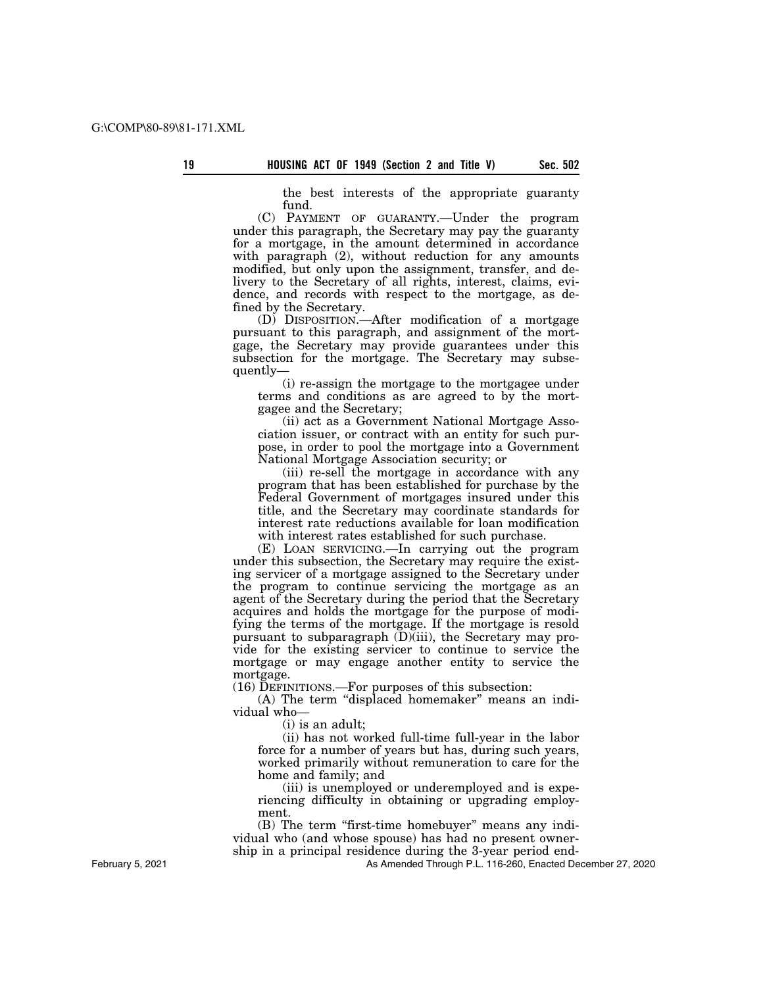the best interests of the appropriate guaranty fund.

(C) PAYMENT OF GUARANTY.—Under the program under this paragraph, the Secretary may pay the guaranty for a mortgage, in the amount determined in accordance with paragraph  $(2)$ , without reduction for any amounts modified, but only upon the assignment, transfer, and delivery to the Secretary of all rights, interest, claims, evidence, and records with respect to the mortgage, as defined by the Secretary.

(D) DISPOSITION.—After modification of a mortgage pursuant to this paragraph, and assignment of the mortgage, the Secretary may provide guarantees under this subsection for the mortgage. The Secretary may subsequently—

(i) re-assign the mortgage to the mortgagee under terms and conditions as are agreed to by the mortgagee and the Secretary;

(ii) act as a Government National Mortgage Association issuer, or contract with an entity for such purpose, in order to pool the mortgage into a Government National Mortgage Association security; or

(iii) re-sell the mortgage in accordance with any program that has been established for purchase by the Federal Government of mortgages insured under this title, and the Secretary may coordinate standards for interest rate reductions available for loan modification with interest rates established for such purchase.

(E) LOAN SERVICING.—In carrying out the program under this subsection, the Secretary may require the existing servicer of a mortgage assigned to the Secretary under the program to continue servicing the mortgage as an agent of the Secretary during the period that the Secretary acquires and holds the mortgage for the purpose of modifying the terms of the mortgage. If the mortgage is resold pursuant to subparagraph  $(D)(iii)$ , the Secretary may provide for the existing servicer to continue to service the mortgage or may engage another entity to service the mortgage.

(16) DEFINITIONS.—For purposes of this subsection:

(A) The term "displaced homemaker" means an individual who—

(i) is an adult;

(ii) has not worked full-time full-year in the labor force for a number of years but has, during such years, worked primarily without remuneration to care for the home and family; and

(iii) is unemployed or underemployed and is experiencing difficulty in obtaining or upgrading employment.

(B) The term ''first-time homebuyer'' means any individual who (and whose spouse) has had no present ownership in a principal residence during the 3-year period end-

As Amended Through P.L. 116-260, Enacted December 27, 2020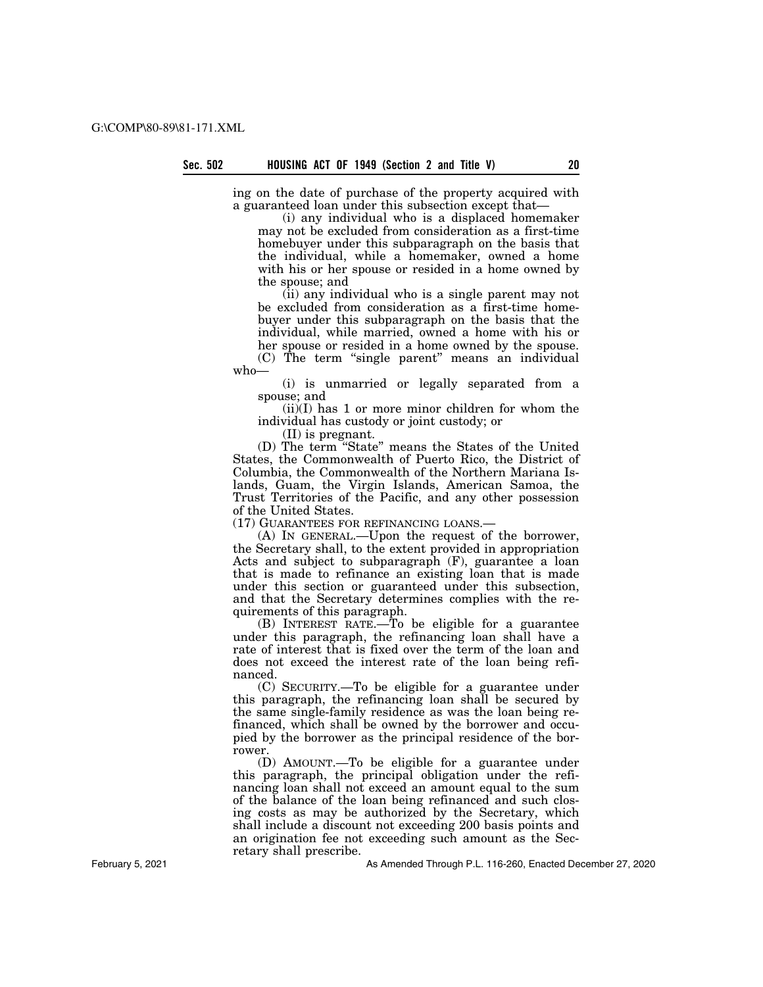ing on the date of purchase of the property acquired with a guaranteed loan under this subsection except that—

(i) any individual who is a displaced homemaker may not be excluded from consideration as a first-time homebuyer under this subparagraph on the basis that the individual, while a homemaker, owned a home with his or her spouse or resided in a home owned by the spouse; and

(ii) any individual who is a single parent may not be excluded from consideration as a first-time homebuyer under this subparagraph on the basis that the individual, while married, owned a home with his or her spouse or resided in a home owned by the spouse.

(C) The term "single parent" means an individual who—

(i) is unmarried or legally separated from a spouse; and

(ii)(I) has 1 or more minor children for whom the individual has custody or joint custody; or

(II) is pregnant.

(D) The term ''State'' means the States of the United States, the Commonwealth of Puerto Rico, the District of Columbia, the Commonwealth of the Northern Mariana Islands, Guam, the Virgin Islands, American Samoa, the Trust Territories of the Pacific, and any other possession of the United States.

(17) GUARANTEES FOR REFINANCING LOANS.—

(A) IN GENERAL.—Upon the request of the borrower, the Secretary shall, to the extent provided in appropriation Acts and subject to subparagraph (F), guarantee a loan that is made to refinance an existing loan that is made under this section or guaranteed under this subsection, and that the Secretary determines complies with the requirements of this paragraph.

(B) INTEREST RATE.—To be eligible for a guarantee under this paragraph, the refinancing loan shall have a rate of interest that is fixed over the term of the loan and does not exceed the interest rate of the loan being refinanced.

(C) SECURITY.—To be eligible for a guarantee under this paragraph, the refinancing loan shall be secured by the same single-family residence as was the loan being refinanced, which shall be owned by the borrower and occupied by the borrower as the principal residence of the borrower.

(D) AMOUNT.—To be eligible for a guarantee under this paragraph, the principal obligation under the refinancing loan shall not exceed an amount equal to the sum of the balance of the loan being refinanced and such closing costs as may be authorized by the Secretary, which shall include a discount not exceeding 200 basis points and an origination fee not exceeding such amount as the Secretary shall prescribe.

As Amended Through P.L. 116-260, Enacted December 27, 2020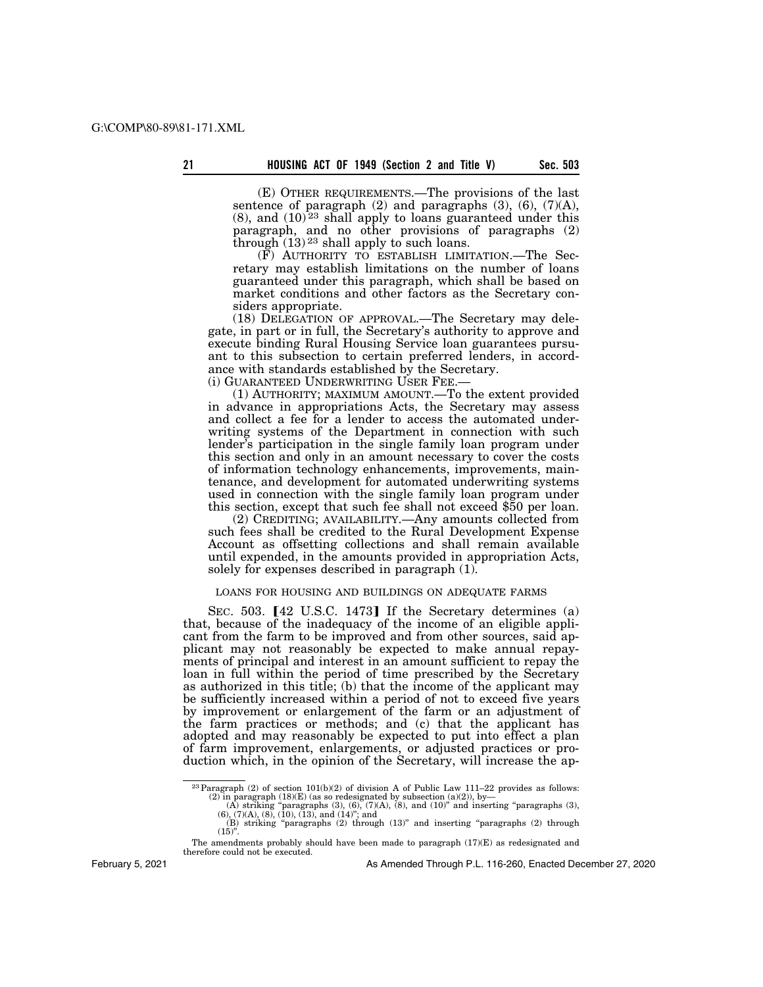(E) OTHER REQUIREMENTS.—The provisions of the last sentence of paragraph (2) and paragraphs (3), (6), (7)(A),  $(8)$ , and  $(10)<sup>23</sup>$  shall apply to loans guaranteed under this paragraph, and no other provisions of paragraphs (2) through  $(13)$ <sup>23</sup> shall apply to such loans.

(F) AUTHORITY TO ESTABLISH LIMITATION.—The Secretary may establish limitations on the number of loans guaranteed under this paragraph, which shall be based on market conditions and other factors as the Secretary considers appropriate.

(18) DELEGATION OF APPROVAL.—The Secretary may delegate, in part or in full, the Secretary's authority to approve and execute binding Rural Housing Service loan guarantees pursuant to this subsection to certain preferred lenders, in accordance with standards established by the Secretary.

(i) GUARANTEED UNDERWRITING USER FEE.—

(1) AUTHORITY; MAXIMUM AMOUNT.—To the extent provided in advance in appropriations Acts, the Secretary may assess and collect a fee for a lender to access the automated underwriting systems of the Department in connection with such lender's participation in the single family loan program under this section and only in an amount necessary to cover the costs of information technology enhancements, improvements, maintenance, and development for automated underwriting systems used in connection with the single family loan program under this section, except that such fee shall not exceed \$50 per loan.

(2) CREDITING; AVAILABILITY.—Any amounts collected from such fees shall be credited to the Rural Development Expense Account as offsetting collections and shall remain available until expended, in the amounts provided in appropriation Acts, solely for expenses described in paragraph (1).

### LOANS FOR HOUSING AND BUILDINGS ON ADEQUATE FARMS

SEC. 503.  $[42 \text{ U.S.C. } 1473]$  If the Secretary determines (a) that, because of the inadequacy of the income of an eligible applicant from the farm to be improved and from other sources, said applicant may not reasonably be expected to make annual repayments of principal and interest in an amount sufficient to repay the loan in full within the period of time prescribed by the Secretary as authorized in this title; (b) that the income of the applicant may be sufficiently increased within a period of not to exceed five years by improvement or enlargement of the farm or an adjustment of the farm practices or methods; and (c) that the applicant has adopted and may reasonably be expected to put into effect a plan of farm improvement, enlargements, or adjusted practices or production which, in the opinion of the Secretary, will increase the ap-

February 5, 2021

<sup>&</sup>lt;sup>23</sup> Paragraph (2) of section 101(b)(2) of division A of Public Law 111–22 provides as follows:<br>
(2) in paragraph (18)(E) (as so redesignated by subsection (a)(2)), by—<br>
(A) striking "paragraphs (3), (6), (7)(A), (8), and

 $(15)$ ".

The amendments probably should have been made to paragraph  $(17)(E)$  as redesignated and therefore could not be executed.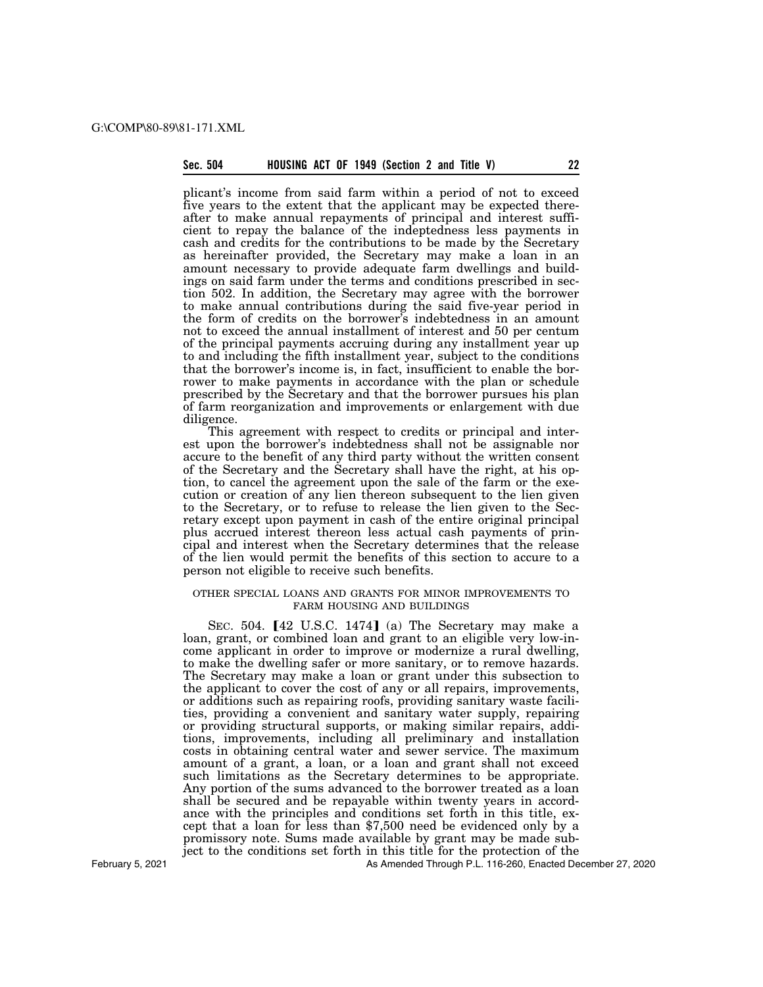# **Sec. 504 HOUSING ACT OF 1949 (Section 2 and Title V) 22**

plicant's income from said farm within a period of not to exceed five years to the extent that the applicant may be expected thereafter to make annual repayments of principal and interest sufficient to repay the balance of the indeptedness less payments in cash and credits for the contributions to be made by the Secretary as hereinafter provided, the Secretary may make a loan in an amount necessary to provide adequate farm dwellings and buildings on said farm under the terms and conditions prescribed in section 502. In addition, the Secretary may agree with the borrower to make annual contributions during the said five-year period in the form of credits on the borrower's indebtedness in an amount not to exceed the annual installment of interest and 50 per centum of the principal payments accruing during any installment year up to and including the fifth installment year, subject to the conditions that the borrower's income is, in fact, insufficient to enable the borrower to make payments in accordance with the plan or schedule prescribed by the Secretary and that the borrower pursues his plan of farm reorganization and improvements or enlargement with due diligence.

This agreement with respect to credits or principal and interest upon the borrower's indebtedness shall not be assignable nor accure to the benefit of any third party without the written consent of the Secretary and the Secretary shall have the right, at his option, to cancel the agreement upon the sale of the farm or the execution or creation of any lien thereon subsequent to the lien given to the Secretary, or to refuse to release the lien given to the Secretary except upon payment in cash of the entire original principal plus accrued interest thereon less actual cash payments of principal and interest when the Secretary determines that the release of the lien would permit the benefits of this section to accure to a person not eligible to receive such benefits.

### OTHER SPECIAL LOANS AND GRANTS FOR MINOR IMPROVEMENTS TO FARM HOUSING AND BUILDINGS

SEC.  $504.$  [42 U.S.C. 1474] (a) The Secretary may make a loan, grant, or combined loan and grant to an eligible very low-income applicant in order to improve or modernize a rural dwelling, to make the dwelling safer or more sanitary, or to remove hazards. The Secretary may make a loan or grant under this subsection to the applicant to cover the cost of any or all repairs, improvements, or additions such as repairing roofs, providing sanitary waste facilities, providing a convenient and sanitary water supply, repairing or providing structural supports, or making similar repairs, additions, improvements, including all preliminary and installation costs in obtaining central water and sewer service. The maximum amount of a grant, a loan, or a loan and grant shall not exceed such limitations as the Secretary determines to be appropriate. Any portion of the sums advanced to the borrower treated as a loan shall be secured and be repayable within twenty years in accordance with the principles and conditions set forth in this title, except that a loan for less than \$7,500 need be evidenced only by a promissory note. Sums made available by grant may be made subject to the conditions set forth in this title for the protection of the

February 5, 2021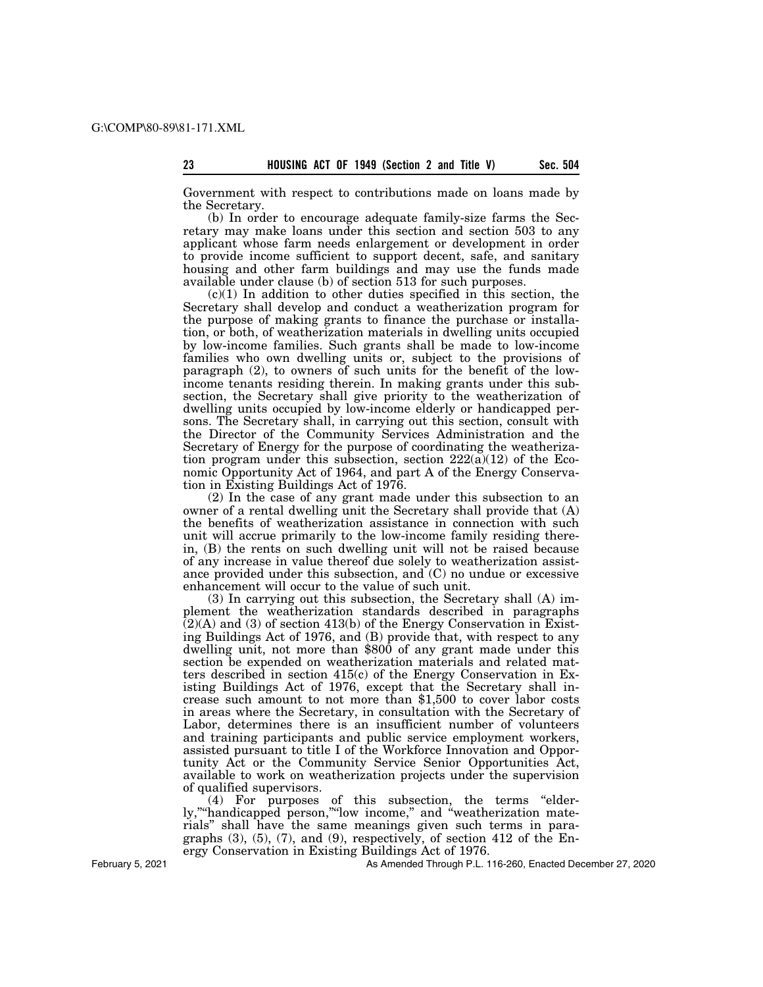Government with respect to contributions made on loans made by the Secretary.

(b) In order to encourage adequate family-size farms the Secretary may make loans under this section and section 503 to any applicant whose farm needs enlargement or development in order to provide income sufficient to support decent, safe, and sanitary housing and other farm buildings and may use the funds made available under clause (b) of section 513 for such purposes.

 $(c)(1)$  In addition to other duties specified in this section, the Secretary shall develop and conduct a weatherization program for the purpose of making grants to finance the purchase or installation, or both, of weatherization materials in dwelling units occupied by low-income families. Such grants shall be made to low-income families who own dwelling units or, subject to the provisions of paragraph (2), to owners of such units for the benefit of the lowincome tenants residing therein. In making grants under this subsection, the Secretary shall give priority to the weatherization of dwelling units occupied by low-income elderly or handicapped persons. The Secretary shall, in carrying out this section, consult with the Director of the Community Services Administration and the Secretary of Energy for the purpose of coordinating the weatherization program under this subsection, section 222(a)(12) of the Economic Opportunity Act of 1964, and part A of the Energy Conservation in Existing Buildings Act of 1976.

(2) In the case of any grant made under this subsection to an owner of a rental dwelling unit the Secretary shall provide that (A) the benefits of weatherization assistance in connection with such unit will accrue primarily to the low-income family residing therein, (B) the rents on such dwelling unit will not be raised because of any increase in value thereof due solely to weatherization assistance provided under this subsection, and  $(C)$  no undue or excessive enhancement will occur to the value of such unit.

(3) In carrying out this subsection, the Secretary shall (A) implement the weatherization standards described in paragraphs  $(2)(A)$  and (3) of section 413(b) of the Energy Conservation in Existing Buildings Act of 1976, and (B) provide that, with respect to any dwelling unit, not more than \$800 of any grant made under this section be expended on weatherization materials and related matters described in section 415(c) of the Energy Conservation in Existing Buildings Act of 1976, except that the Secretary shall increase such amount to not more than \$1,500 to cover labor costs in areas where the Secretary, in consultation with the Secretary of Labor, determines there is an insufficient number of volunteers and training participants and public service employment workers, assisted pursuant to title I of the Workforce Innovation and Opportunity Act or the Community Service Senior Opportunities Act, available to work on weatherization projects under the supervision of qualified supervisors.

(4) For purposes of this subsection, the terms ''elderly,""handicapped person,""low income," and "weatherization materials'' shall have the same meanings given such terms in paragraphs  $(3)$ ,  $(5)$ ,  $(7)$ , and  $(9)$ , respectively, of section 412 of the Energy Conservation in Existing Buildings Act of 1976.

February 5, 2021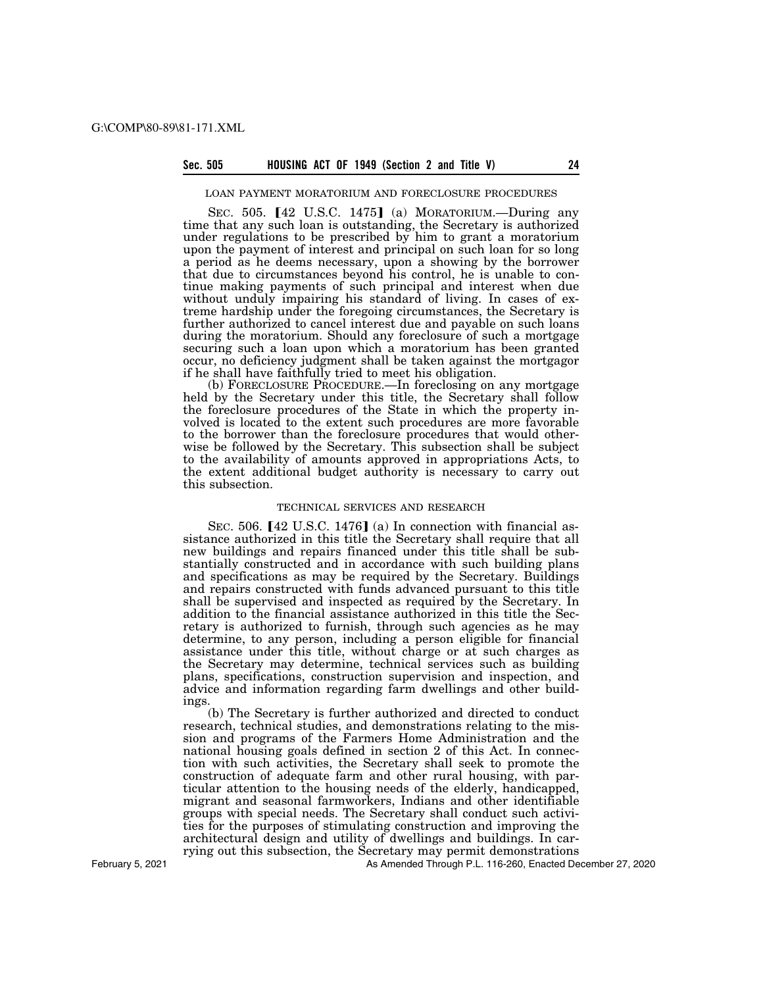#### **Sec. 505 HOUSING ACT OF 1949 (Section 2 and Title V) 24**

#### LOAN PAYMENT MORATORIUM AND FORECLOSURE PROCEDURES

SEC.  $505.$  [42 U.S.C. 1475] (a) MORATORIUM.—During any time that any such loan is outstanding, the Secretary is authorized under regulations to be prescribed by him to grant a moratorium upon the payment of interest and principal on such loan for so long a period as he deems necessary, upon a showing by the borrower that due to circumstances beyond his control, he is unable to continue making payments of such principal and interest when due without unduly impairing his standard of living. In cases of extreme hardship under the foregoing circumstances, the Secretary is further authorized to cancel interest due and payable on such loans during the moratorium. Should any foreclosure of such a mortgage securing such a loan upon which a moratorium has been granted occur, no deficiency judgment shall be taken against the mortgagor if he shall have faithfully tried to meet his obligation.

(b) FORECLOSURE PROCEDURE.—In foreclosing on any mortgage held by the Secretary under this title, the Secretary shall follow the foreclosure procedures of the State in which the property involved is located to the extent such procedures are more favorable to the borrower than the foreclosure procedures that would otherwise be followed by the Secretary. This subsection shall be subject to the availability of amounts approved in appropriations Acts, to the extent additional budget authority is necessary to carry out this subsection.

## TECHNICAL SERVICES AND RESEARCH

SEC. 506.  $[42 \text{ U.S.C. } 1476]$  (a) In connection with financial assistance authorized in this title the Secretary shall require that all new buildings and repairs financed under this title shall be substantially constructed and in accordance with such building plans and specifications as may be required by the Secretary. Buildings and repairs constructed with funds advanced pursuant to this title shall be supervised and inspected as required by the Secretary. In addition to the financial assistance authorized in this title the Secretary is authorized to furnish, through such agencies as he may determine, to any person, including a person eligible for financial assistance under this title, without charge or at such charges as the Secretary may determine, technical services such as building plans, specifications, construction supervision and inspection, and advice and information regarding farm dwellings and other buildings.

(b) The Secretary is further authorized and directed to conduct research, technical studies, and demonstrations relating to the mission and programs of the Farmers Home Administration and the national housing goals defined in section 2 of this Act. In connection with such activities, the Secretary shall seek to promote the construction of adequate farm and other rural housing, with particular attention to the housing needs of the elderly, handicapped, migrant and seasonal farmworkers, Indians and other identifiable groups with special needs. The Secretary shall conduct such activities for the purposes of stimulating construction and improving the architectural design and utility of dwellings and buildings. In carrying out this subsection, the Secretary may permit demonstrations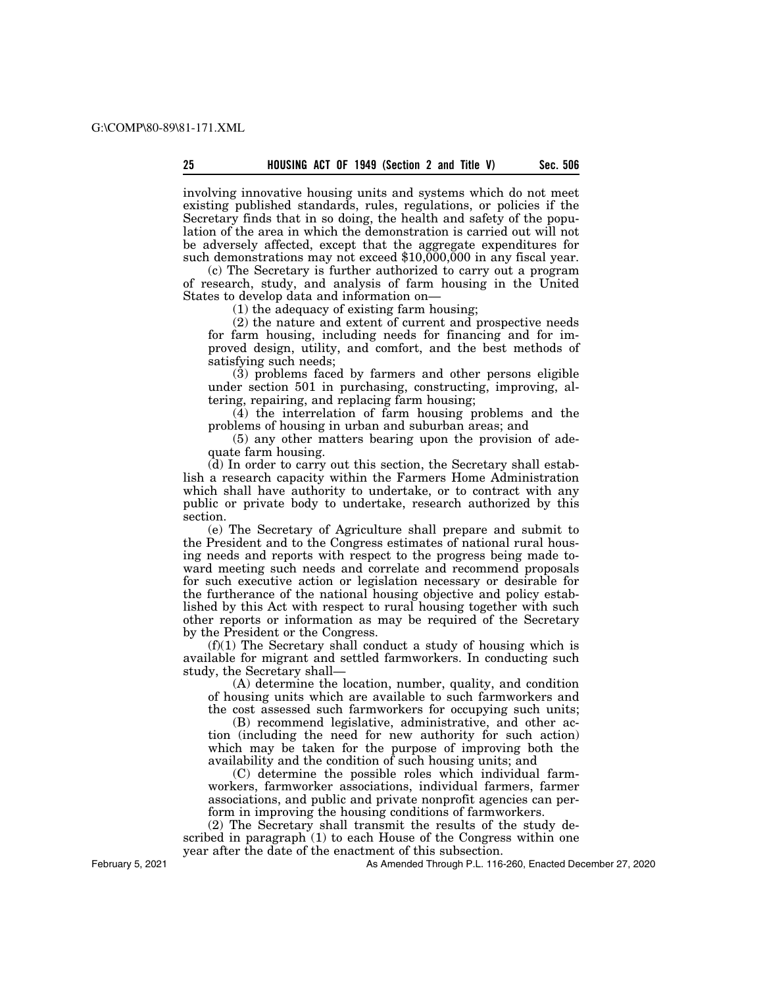involving innovative housing units and systems which do not meet existing published standards, rules, regulations, or policies if the Secretary finds that in so doing, the health and safety of the population of the area in which the demonstration is carried out will not be adversely affected, except that the aggregate expenditures for such demonstrations may not exceed \$10,000,000 in any fiscal year.

(c) The Secretary is further authorized to carry out a program of research, study, and analysis of farm housing in the United States to develop data and information on—

(1) the adequacy of existing farm housing;

(2) the nature and extent of current and prospective needs for farm housing, including needs for financing and for improved design, utility, and comfort, and the best methods of satisfying such needs;

(3) problems faced by farmers and other persons eligible under section 501 in purchasing, constructing, improving, altering, repairing, and replacing farm housing;

 $(4)$  the interrelation of farm housing problems and the problems of housing in urban and suburban areas; and

(5) any other matters bearing upon the provision of adequate farm housing.

(d) In order to carry out this section, the Secretary shall establish a research capacity within the Farmers Home Administration which shall have authority to undertake, or to contract with any public or private body to undertake, research authorized by this section.

(e) The Secretary of Agriculture shall prepare and submit to the President and to the Congress estimates of national rural housing needs and reports with respect to the progress being made toward meeting such needs and correlate and recommend proposals for such executive action or legislation necessary or desirable for the furtherance of the national housing objective and policy established by this Act with respect to rural housing together with such other reports or information as may be required of the Secretary by the President or the Congress.

 $(f)(1)$  The Secretary shall conduct a study of housing which is available for migrant and settled farmworkers. In conducting such study, the Secretary shall—

(A) determine the location, number, quality, and condition of housing units which are available to such farmworkers and the cost assessed such farmworkers for occupying such units;

(B) recommend legislative, administrative, and other action (including the need for new authority for such action) which may be taken for the purpose of improving both the availability and the condition of such housing units; and

(C) determine the possible roles which individual farmworkers, farmworker associations, individual farmers, farmer associations, and public and private nonprofit agencies can perform in improving the housing conditions of farmworkers.

(2) The Secretary shall transmit the results of the study described in paragraph (1) to each House of the Congress within one year after the date of the enactment of this subsection.

February 5, 2021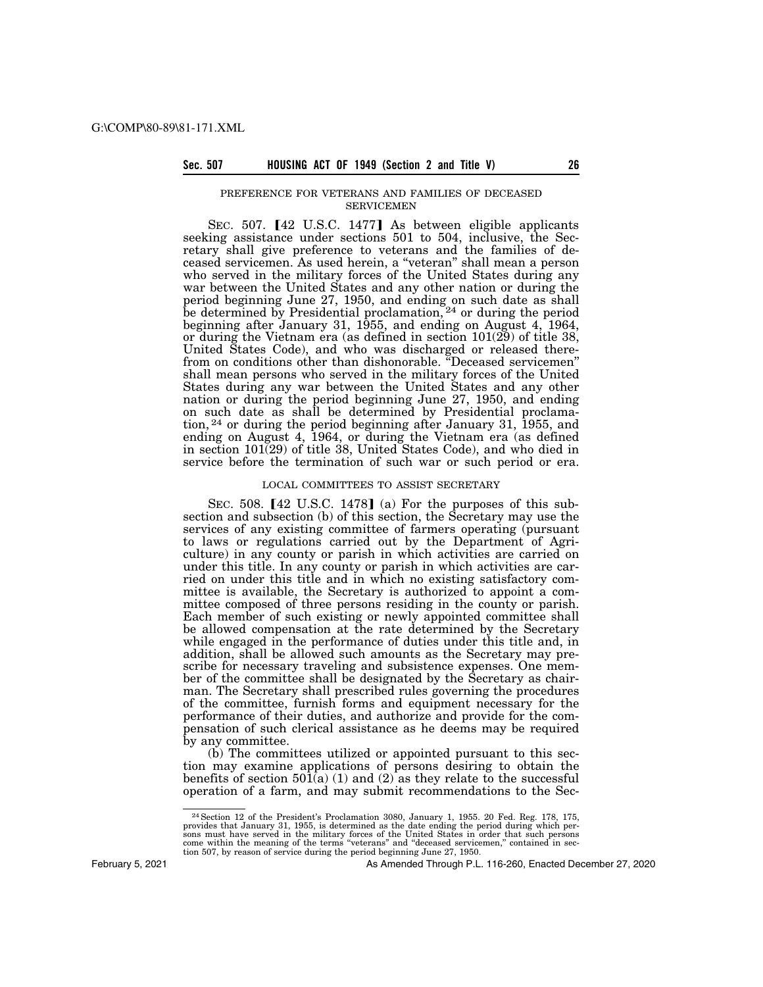## PREFERENCE FOR VETERANS AND FAMILIES OF DECEASED SERVICEMEN

SEC. 507. [42 U.S.C. 1477] As between eligible applicants seeking assistance under sections 501 to 504, inclusive, the Secretary shall give preference to veterans and the families of deceased servicemen. As used herein, a ''veteran'' shall mean a person who served in the military forces of the United States during any war between the United States and any other nation or during the period beginning June 27, 1950, and ending on such date as shall be determined by Presidential proclamation,<sup>24</sup> or during the period beginning after January 31, 1955, and ending on August 4, 1964, or during the Vietnam era (as defined in section 101(29) of title 38, United States Code), and who was discharged or released therefrom on conditions other than dishonorable. ''Deceased servicemen'' shall mean persons who served in the military forces of the United States during any war between the United States and any other nation or during the period beginning June 27, 1950, and ending on such date as shall be determined by Presidential proclamation, 24 or during the period beginning after January 31, 1955, and ending on August 4, 1964, or during the Vietnam era (as defined in section 101(29) of title 38, United States Code), and who died in service before the termination of such war or such period or era.

### LOCAL COMMITTEES TO ASSIST SECRETARY

SEC. 508.  $[42 \text{ U.S.C. } 1478]$  (a) For the purposes of this subsection and subsection (b) of this section, the Secretary may use the services of any existing committee of farmers operating (pursuant to laws or regulations carried out by the Department of Agriculture) in any county or parish in which activities are carried on under this title. In any county or parish in which activities are carried on under this title and in which no existing satisfactory committee is available, the Secretary is authorized to appoint a committee composed of three persons residing in the county or parish. Each member of such existing or newly appointed committee shall be allowed compensation at the rate determined by the Secretary while engaged in the performance of duties under this title and, in addition, shall be allowed such amounts as the Secretary may prescribe for necessary traveling and subsistence expenses. One member of the committee shall be designated by the Secretary as chairman. The Secretary shall prescribed rules governing the procedures of the committee, furnish forms and equipment necessary for the performance of their duties, and authorize and provide for the compensation of such clerical assistance as he deems may be required by any committee.

(b) The committees utilized or appointed pursuant to this section may examine applications of persons desiring to obtain the benefits of section  $501(a)$  (1) and (2) as they relate to the successful operation of a farm, and may submit recommendations to the Sec-

February 5, 2021

<sup>24</sup>Section 12 of the President's Proclamation 3080, January 1, 1955. 20 Fed. Reg. 178, 175, provides that January 31, 1955, is determined as the date ending the period during which per-<br>sons must have served in the military forces of the United States in order that such persons<br>come within the meaning of the term tion 507, by reason of service during the period beginning June 27, 1950.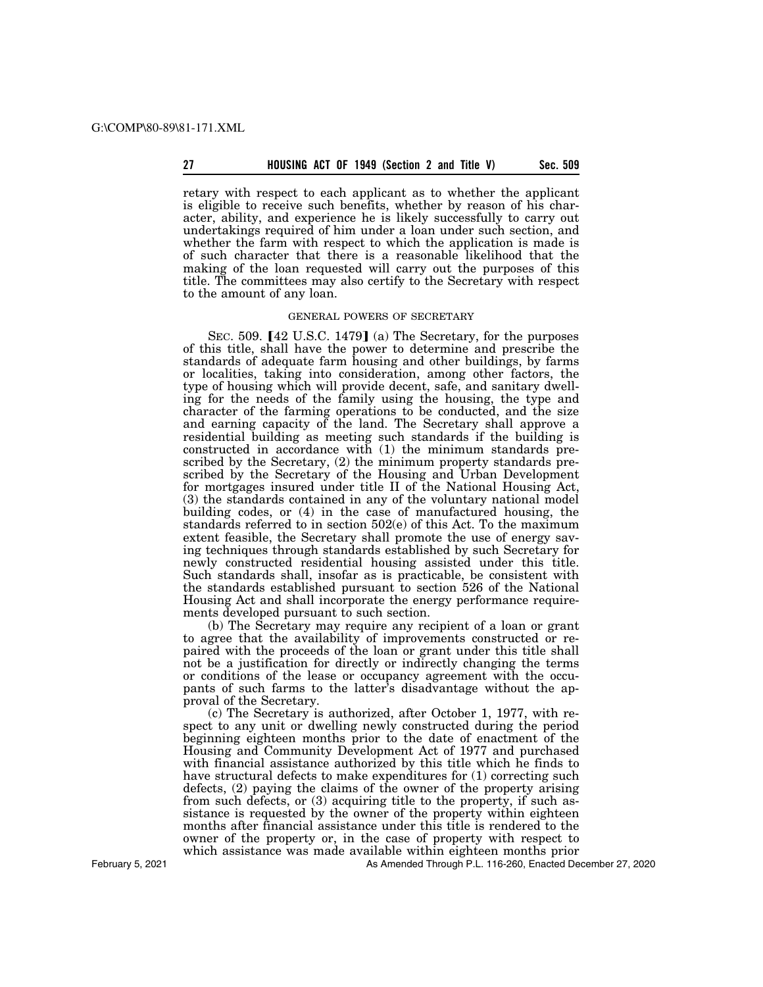#### **27 Sec. 509 HOUSING ACT OF 1949 (Section 2 and Title V)**

retary with respect to each applicant as to whether the applicant is eligible to receive such benefits, whether by reason of his character, ability, and experience he is likely successfully to carry out undertakings required of him under a loan under such section, and whether the farm with respect to which the application is made is of such character that there is a reasonable likelihood that the making of the loan requested will carry out the purposes of this title. The committees may also certify to the Secretary with respect to the amount of any loan.

# GENERAL POWERS OF SECRETARY

SEC. 509.  $[42 \text{ U.S.C. } 1479]$  (a) The Secretary, for the purposes of this title, shall have the power to determine and prescribe the standards of adequate farm housing and other buildings, by farms or localities, taking into consideration, among other factors, the type of housing which will provide decent, safe, and sanitary dwelling for the needs of the family using the housing, the type and character of the farming operations to be conducted, and the size and earning capacity of the land. The Secretary shall approve a residential building as meeting such standards if the building is constructed in accordance with (1) the minimum standards prescribed by the Secretary, (2) the minimum property standards prescribed by the Secretary of the Housing and Urban Development for mortgages insured under title II of the National Housing Act, (3) the standards contained in any of the voluntary national model building codes, or (4) in the case of manufactured housing, the standards referred to in section 502(e) of this Act. To the maximum extent feasible, the Secretary shall promote the use of energy saving techniques through standards established by such Secretary for newly constructed residential housing assisted under this title. Such standards shall, insofar as is practicable, be consistent with the standards established pursuant to section 526 of the National Housing Act and shall incorporate the energy performance requirements developed pursuant to such section.

(b) The Secretary may require any recipient of a loan or grant to agree that the availability of improvements constructed or repaired with the proceeds of the loan or grant under this title shall not be a justification for directly or indirectly changing the terms or conditions of the lease or occupancy agreement with the occupants of such farms to the latter's disadvantage without the approval of the Secretary.

(c) The Secretary is authorized, after October 1, 1977, with respect to any unit or dwelling newly constructed during the period beginning eighteen months prior to the date of enactment of the Housing and Community Development Act of 1977 and purchased with financial assistance authorized by this title which he finds to have structural defects to make expenditures for (1) correcting such defects, (2) paying the claims of the owner of the property arising from such defects, or (3) acquiring title to the property, if such assistance is requested by the owner of the property within eighteen months after financial assistance under this title is rendered to the owner of the property or, in the case of property with respect to which assistance was made available within eighteen months prior

As Amended Through P.L. 116-260, Enacted December 27, 2020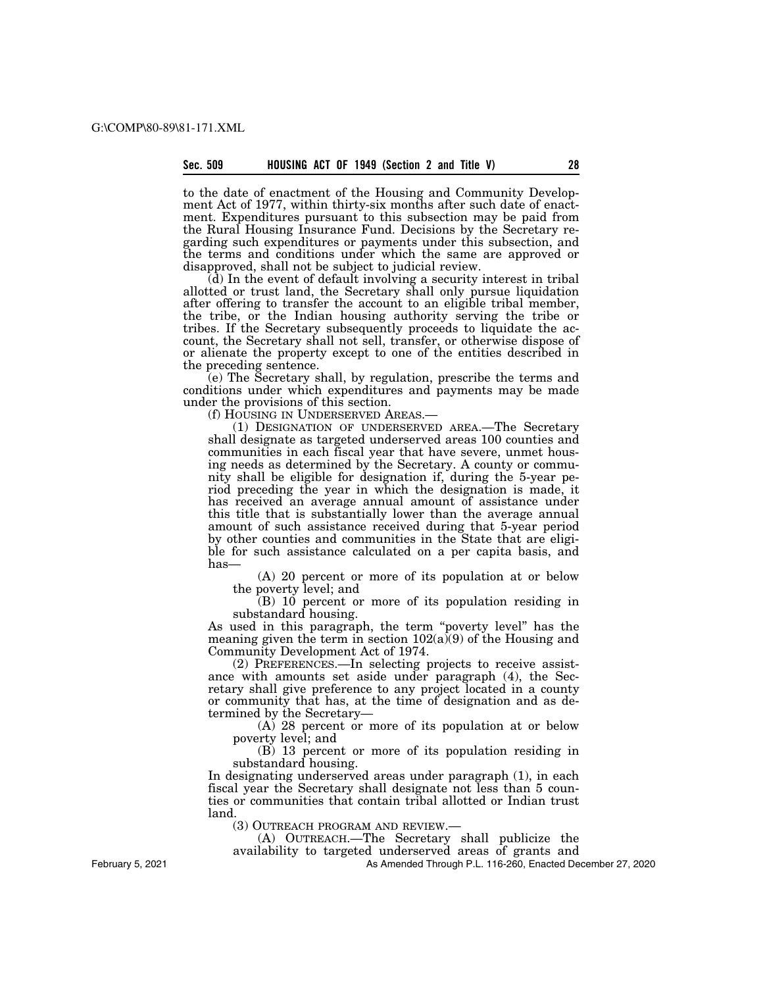to the date of enactment of the Housing and Community Development Act of 1977, within thirty-six months after such date of enactment. Expenditures pursuant to this subsection may be paid from the Rural Housing Insurance Fund. Decisions by the Secretary regarding such expenditures or payments under this subsection, and the terms and conditions under which the same are approved or disapproved, shall not be subject to judicial review.

(d) In the event of default involving a security interest in tribal allotted or trust land, the Secretary shall only pursue liquidation after offering to transfer the account to an eligible tribal member, the tribe, or the Indian housing authority serving the tribe or tribes. If the Secretary subsequently proceeds to liquidate the account, the Secretary shall not sell, transfer, or otherwise dispose of or alienate the property except to one of the entities described in the preceding sentence.

(e) The Secretary shall, by regulation, prescribe the terms and conditions under which expenditures and payments may be made under the provisions of this section.

(f) HOUSING IN UNDERSERVED AREAS.— (1) DESIGNATION OF UNDERSERVED AREA.—The Secretary shall designate as targeted underserved areas 100 counties and communities in each fiscal year that have severe, unmet housing needs as determined by the Secretary. A county or community shall be eligible for designation if, during the 5-year period preceding the year in which the designation is made, it has received an average annual amount of assistance under this title that is substantially lower than the average annual amount of such assistance received during that 5-year period by other counties and communities in the State that are eligible for such assistance calculated on a per capita basis, and has—

(A) 20 percent or more of its population at or below the poverty level; and

 $(B)$  10 percent or more of its population residing in substandard housing.

As used in this paragraph, the term "poverty level" has the meaning given the term in section  $102(a)(9)$  of the Housing and Community Development Act of 1974.

(2) PREFERENCES.—In selecting projects to receive assistance with amounts set aside under paragraph (4), the Secretary shall give preference to any project located in a county or community that has, at the time of designation and as determined by the Secretary—

(A) 28 percent or more of its population at or below poverty level; and

(B) 13 percent or more of its population residing in substandard housing.

In designating underserved areas under paragraph (1), in each fiscal year the Secretary shall designate not less than 5 counties or communities that contain tribal allotted or Indian trust land.

(3) OUTREACH PROGRAM AND REVIEW.—

(A) OUTREACH.—The Secretary shall publicize the availability to targeted underserved areas of grants and

As Amended Through P.L. 116-260, Enacted December 27, 2020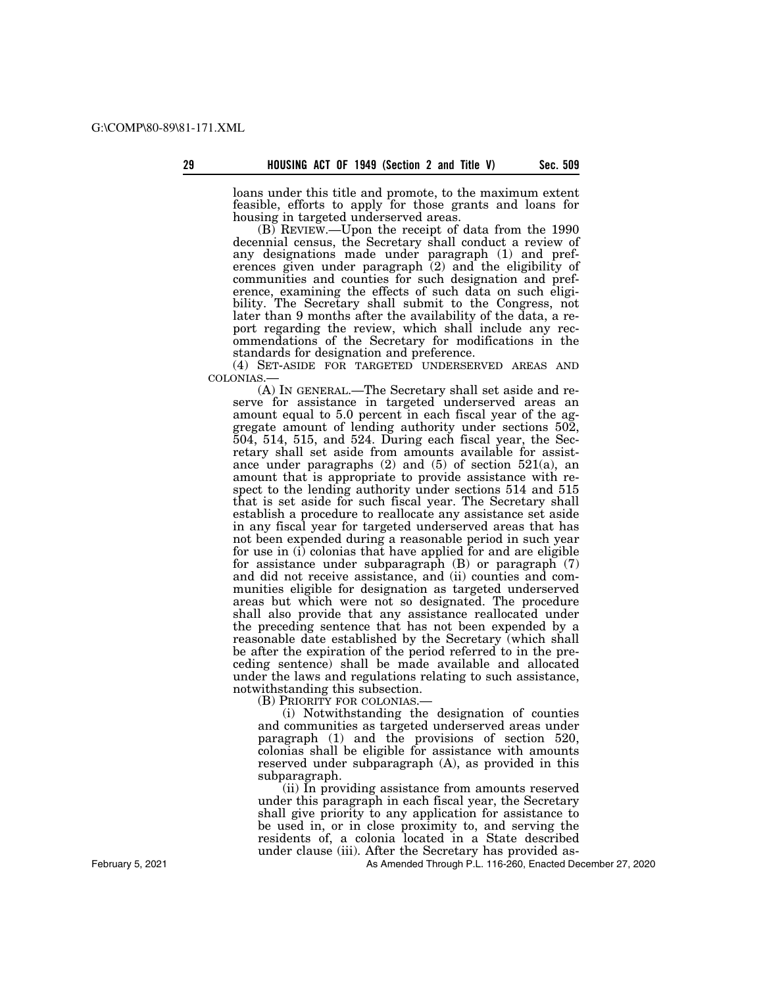loans under this title and promote, to the maximum extent feasible, efforts to apply for those grants and loans for housing in targeted underserved areas.

(B) REVIEW.—Upon the receipt of data from the 1990 decennial census, the Secretary shall conduct a review of any designations made under paragraph (1) and preferences given under paragraph (2) and the eligibility of communities and counties for such designation and preference, examining the effects of such data on such eligibility. The Secretary shall submit to the Congress, not later than 9 months after the availability of the data, a report regarding the review, which shall include any recommendations of the Secretary for modifications in the standards for designation and preference.

(4) SET-ASIDE FOR TARGETED UNDERSERVED AREAS AND COLONIAS.—

(A) IN GENERAL.—The Secretary shall set aside and reserve for assistance in targeted underserved areas an amount equal to 5.0 percent in each fiscal year of the aggregate amount of lending authority under sections 502, 504, 514, 515, and 524. During each fiscal year, the Secretary shall set aside from amounts available for assistance under paragraphs (2) and (5) of section 521(a), an amount that is appropriate to provide assistance with respect to the lending authority under sections 514 and 515 that is set aside for such fiscal year. The Secretary shall establish a procedure to reallocate any assistance set aside in any fiscal year for targeted underserved areas that has not been expended during a reasonable period in such year for use in (i) colonias that have applied for and are eligible for assistance under subparagraph (B) or paragraph (7) and did not receive assistance, and (ii) counties and communities eligible for designation as targeted underserved areas but which were not so designated. The procedure shall also provide that any assistance reallocated under the preceding sentence that has not been expended by a reasonable date established by the Secretary (which shall be after the expiration of the period referred to in the preceding sentence) shall be made available and allocated under the laws and regulations relating to such assistance, notwithstanding this subsection.

(B) PRIORITY FOR COLONIAS.—

(i) Notwithstanding the designation of counties and communities as targeted underserved areas under paragraph (1) and the provisions of section 520, colonias shall be eligible for assistance with amounts reserved under subparagraph (A), as provided in this subparagraph.

(ii) In providing assistance from amounts reserved under this paragraph in each fiscal year, the Secretary shall give priority to any application for assistance to be used in, or in close proximity to, and serving the residents of, a colonia located in a State described under clause (iii). After the Secretary has provided as-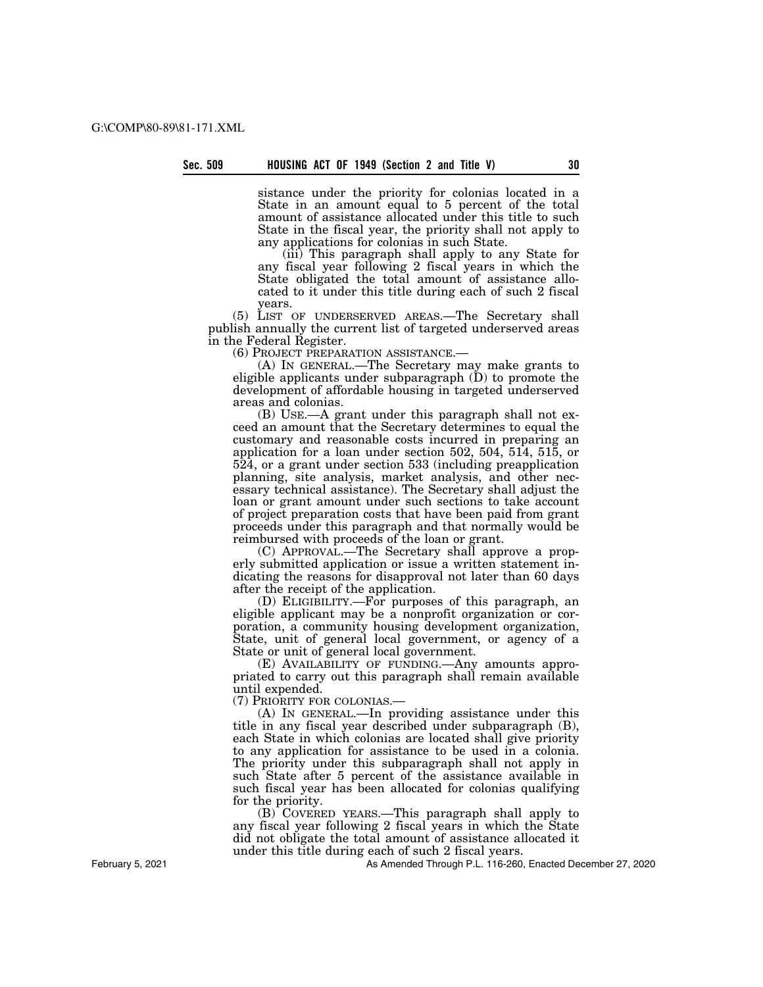sistance under the priority for colonias located in a State in an amount equal to 5 percent of the total amount of assistance allocated under this title to such State in the fiscal year, the priority shall not apply to any applications for colonias in such State.

(iii) This paragraph shall apply to any State for any fiscal year following 2 fiscal years in which the State obligated the total amount of assistance allocated to it under this title during each of such 2 fiscal years.

(5) LIST OF UNDERSERVED AREAS.—The Secretary shall publish annually the current list of targeted underserved areas in the Federal Register.

(6) PROJECT PREPARATION ASSISTANCE.— (A) IN GENERAL.—The Secretary may make grants to eligible applicants under subparagraph (D) to promote the development of affordable housing in targeted underserved areas and colonias.

(B) USE.—A grant under this paragraph shall not exceed an amount that the Secretary determines to equal the customary and reasonable costs incurred in preparing an application for a loan under section 502, 504, 514, 515, or 524, or a grant under section 533 (including preapplication planning, site analysis, market analysis, and other necessary technical assistance). The Secretary shall adjust the loan or grant amount under such sections to take account of project preparation costs that have been paid from grant proceeds under this paragraph and that normally would be reimbursed with proceeds of the loan or grant.

(C) APPROVAL.—The Secretary shall approve a properly submitted application or issue a written statement indicating the reasons for disapproval not later than 60 days after the receipt of the application.

(D) ELIGIBILITY.—For purposes of this paragraph, an eligible applicant may be a nonprofit organization or corporation, a community housing development organization, State, unit of general local government, or agency of a State or unit of general local government.

(E) AVAILABILITY OF FUNDING.—Any amounts appropriated to carry out this paragraph shall remain available until expended.

(7) PRIORITY FOR COLONIAS.—

(A) IN GENERAL.—In providing assistance under this title in any fiscal year described under subparagraph (B), each State in which colonias are located shall give priority to any application for assistance to be used in a colonia. The priority under this subparagraph shall not apply in such State after 5 percent of the assistance available in such fiscal year has been allocated for colonias qualifying for the priority.

(B) COVERED YEARS.—This paragraph shall apply to any fiscal year following 2 fiscal years in which the State did not obligate the total amount of assistance allocated it under this title during each of such 2 fiscal years.

As Amended Through P.L. 116-260, Enacted December 27, 2020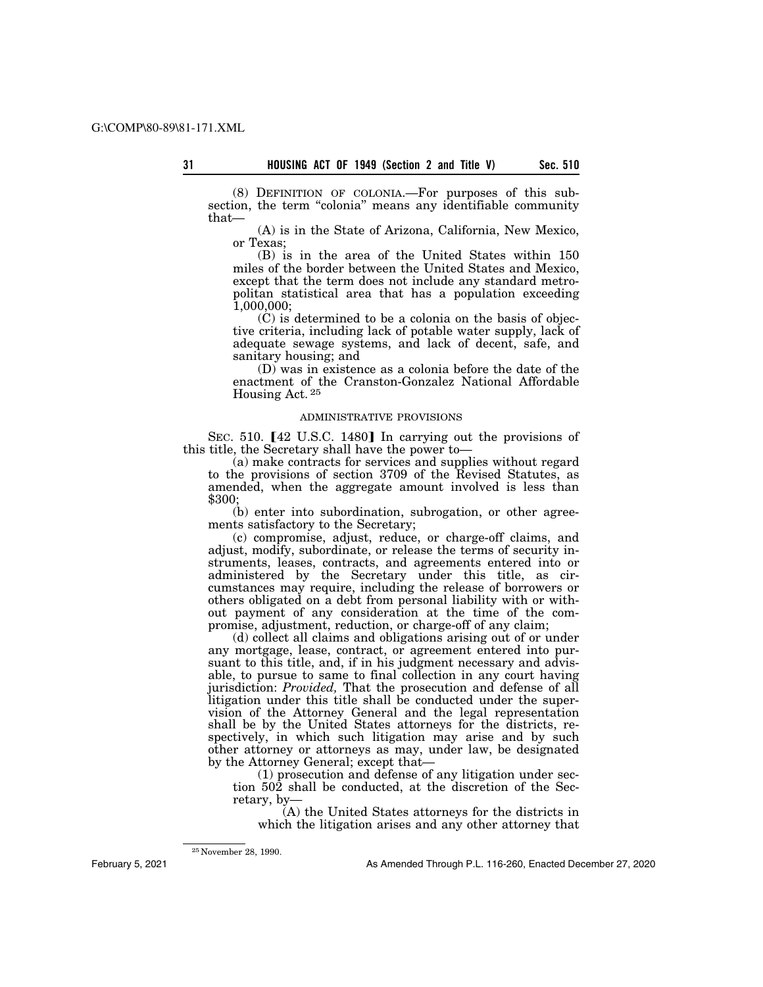(8) DEFINITION OF COLONIA.—For purposes of this subsection, the term "colonia" means any identifiable community that—

(A) is in the State of Arizona, California, New Mexico, or Texas;

(B) is in the area of the United States within 150 miles of the border between the United States and Mexico, except that the term does not include any standard metropolitan statistical area that has a population exceeding 1,000,000;

(C) is determined to be a colonia on the basis of objective criteria, including lack of potable water supply, lack of adequate sewage systems, and lack of decent, safe, and sanitary housing; and

(D) was in existence as a colonia before the date of the enactment of the Cranston-Gonzalez National Affordable Housing Act. 25

# ADMINISTRATIVE PROVISIONS

SEC. 510.  $[42 \text{ U.S.C. } 1480]$  In carrying out the provisions of this title, the Secretary shall have the power to—

(a) make contracts for services and supplies without regard to the provisions of section 3709 of the Revised Statutes, as amended, when the aggregate amount involved is less than \$300;

(b) enter into subordination, subrogation, or other agreements satisfactory to the Secretary;

(c) compromise, adjust, reduce, or charge-off claims, and adjust, modify, subordinate, or release the terms of security instruments, leases, contracts, and agreements entered into or administered by the Secretary under this title, as circumstances may require, including the release of borrowers or others obligated on a debt from personal liability with or without payment of any consideration at the time of the compromise, adjustment, reduction, or charge-off of any claim;

(d) collect all claims and obligations arising out of or under any mortgage, lease, contract, or agreement entered into pursuant to this title, and, if in his judgment necessary and advisable, to pursue to same to final collection in any court having jurisdiction: *Provided,* That the prosecution and defense of all litigation under this title shall be conducted under the supervision of the Attorney General and the legal representation shall be by the United States attorneys for the districts, respectively, in which such litigation may arise and by such other attorney or attorneys as may, under law, be designated by the Attorney General; except that—

(1) prosecution and defense of any litigation under section 502 shall be conducted, at the discretion of the Secretary, by—

(A) the United States attorneys for the districts in which the litigation arises and any other attorney that

February 5, 2021

<sup>25</sup> November 28, 1990.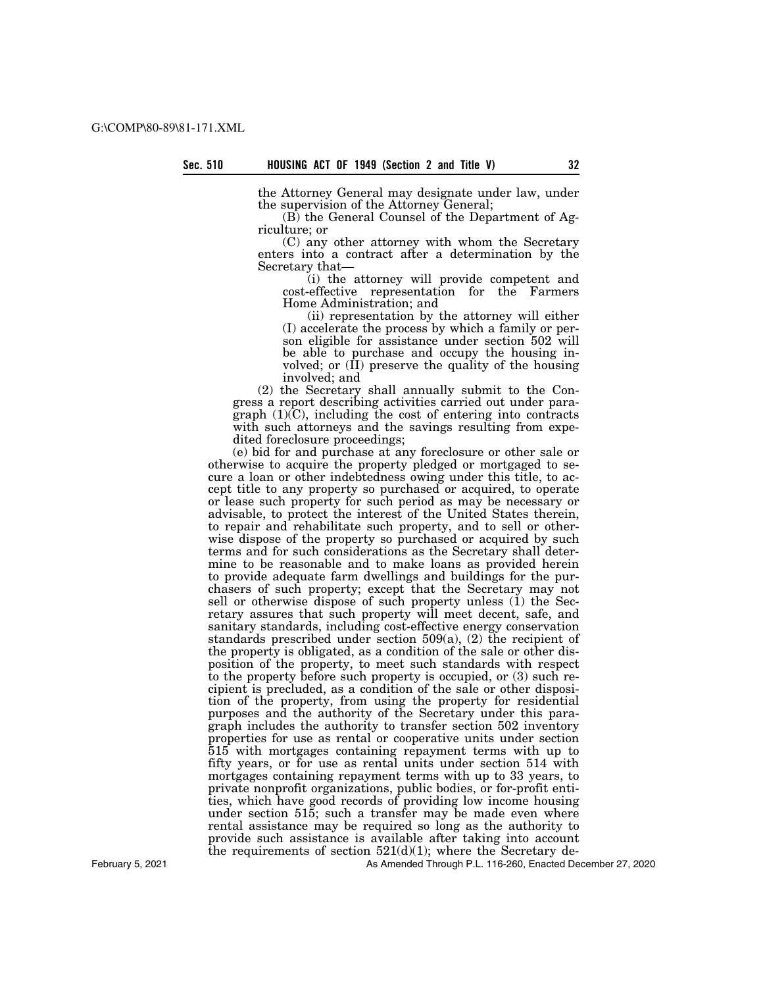the Attorney General may designate under law, under the supervision of the Attorney General;

(B) the General Counsel of the Department of Agriculture; or

(C) any other attorney with whom the Secretary enters into a contract after a determination by the Secretary that—

(i) the attorney will provide competent and cost-effective representation for the Farmers Home Administration; and

(ii) representation by the attorney will either (I) accelerate the process by which a family or person eligible for assistance under section 502 will be able to purchase and occupy the housing involved; or  $(\hat{\Pi})$  preserve the quality of the housing involved; and

(2) the Secretary shall annually submit to the Congress a report describing activities carried out under paragraph (1)(C), including the cost of entering into contracts with such attorneys and the savings resulting from expedited foreclosure proceedings;

(e) bid for and purchase at any foreclosure or other sale or otherwise to acquire the property pledged or mortgaged to secure a loan or other indebtedness owing under this title, to accept title to any property so purchased or acquired, to operate or lease such property for such period as may be necessary or advisable, to protect the interest of the United States therein, to repair and rehabilitate such property, and to sell or otherwise dispose of the property so purchased or acquired by such terms and for such considerations as the Secretary shall determine to be reasonable and to make loans as provided herein to provide adequate farm dwellings and buildings for the purchasers of such property; except that the Secretary may not sell or otherwise dispose of such property unless (1) the Secretary assures that such property will meet decent, safe, and sanitary standards, including cost-effective energy conservation standards prescribed under section  $509(a)$ ,  $(2)$  the recipient of the property is obligated, as a condition of the sale or other disposition of the property, to meet such standards with respect to the property before such property is occupied, or (3) such recipient is precluded, as a condition of the sale or other disposition of the property, from using the property for residential purposes and the authority of the Secretary under this paragraph includes the authority to transfer section 502 inventory properties for use as rental or cooperative units under section 515 with mortgages containing repayment terms with up to fifty years, or for use as rental units under section 514 with mortgages containing repayment terms with up to 33 years, to private nonprofit organizations, public bodies, or for-profit entities, which have good records of providing low income housing under section 515; such a transfer may be made even where rental assistance may be required so long as the authority to provide such assistance is available after taking into account the requirements of section  $521(d)(1)$ ; where the Secretary de-

February 5, 2021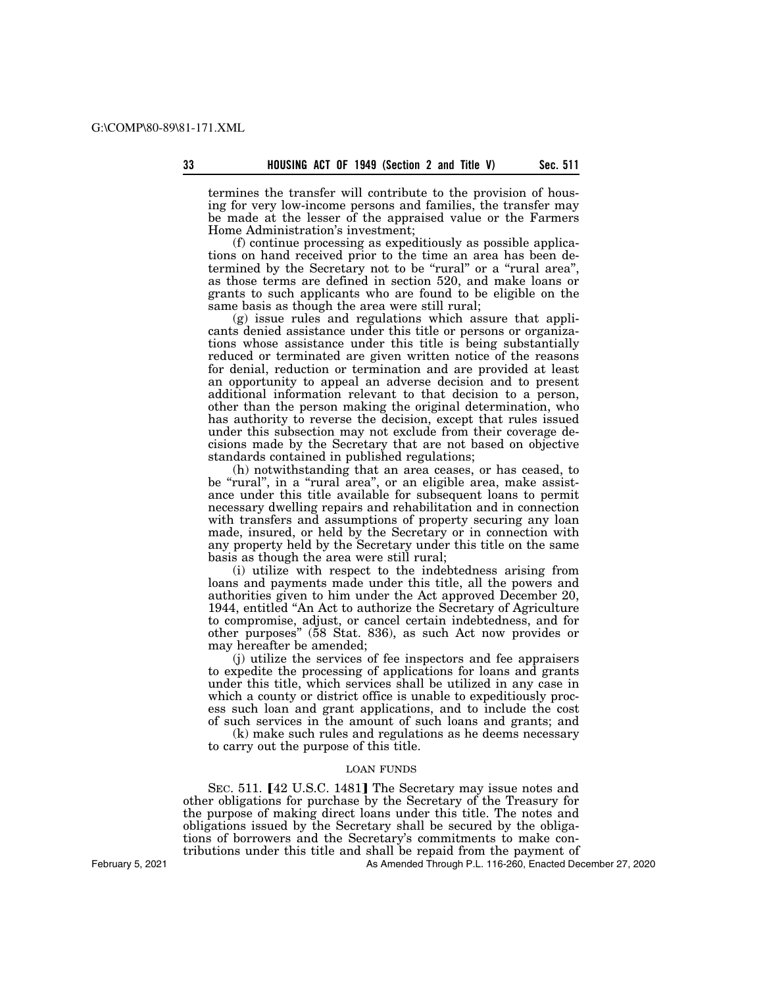termines the transfer will contribute to the provision of housing for very low-income persons and families, the transfer may be made at the lesser of the appraised value or the Farmers Home Administration's investment;

(f) continue processing as expeditiously as possible applications on hand received prior to the time an area has been determined by the Secretary not to be "rural" or a "rural area", as those terms are defined in section 520, and make loans or grants to such applicants who are found to be eligible on the same basis as though the area were still rural;

(g) issue rules and regulations which assure that applicants denied assistance under this title or persons or organizations whose assistance under this title is being substantially reduced or terminated are given written notice of the reasons for denial, reduction or termination and are provided at least an opportunity to appeal an adverse decision and to present additional information relevant to that decision to a person, other than the person making the original determination, who has authority to reverse the decision, except that rules issued under this subsection may not exclude from their coverage decisions made by the Secretary that are not based on objective standards contained in published regulations;

(h) notwithstanding that an area ceases, or has ceased, to be "rural", in a "rural area", or an eligible area, make assistance under this title available for subsequent loans to permit necessary dwelling repairs and rehabilitation and in connection with transfers and assumptions of property securing any loan made, insured, or held by the Secretary or in connection with any property held by the Secretary under this title on the same basis as though the area were still rural;

(i) utilize with respect to the indebtedness arising from loans and payments made under this title, all the powers and authorities given to him under the Act approved December 20, 1944, entitled ''An Act to authorize the Secretary of Agriculture to compromise, adjust, or cancel certain indebtedness, and for other purposes'' (58 Stat. 836), as such Act now provides or may hereafter be amended;

(j) utilize the services of fee inspectors and fee appraisers to expedite the processing of applications for loans and grants under this title, which services shall be utilized in any case in which a county or district office is unable to expeditiously process such loan and grant applications, and to include the cost of such services in the amount of such loans and grants; and

(k) make such rules and regulations as he deems necessary to carry out the purpose of this title.

### LOAN FUNDS

SEC. 511. [42 U.S.C. 1481] The Secretary may issue notes and other obligations for purchase by the Secretary of the Treasury for the purpose of making direct loans under this title. The notes and obligations issued by the Secretary shall be secured by the obligations of borrowers and the Secretary's commitments to make contributions under this title and shall be repaid from the payment of

As Amended Through P.L. 116-260, Enacted December 27, 2020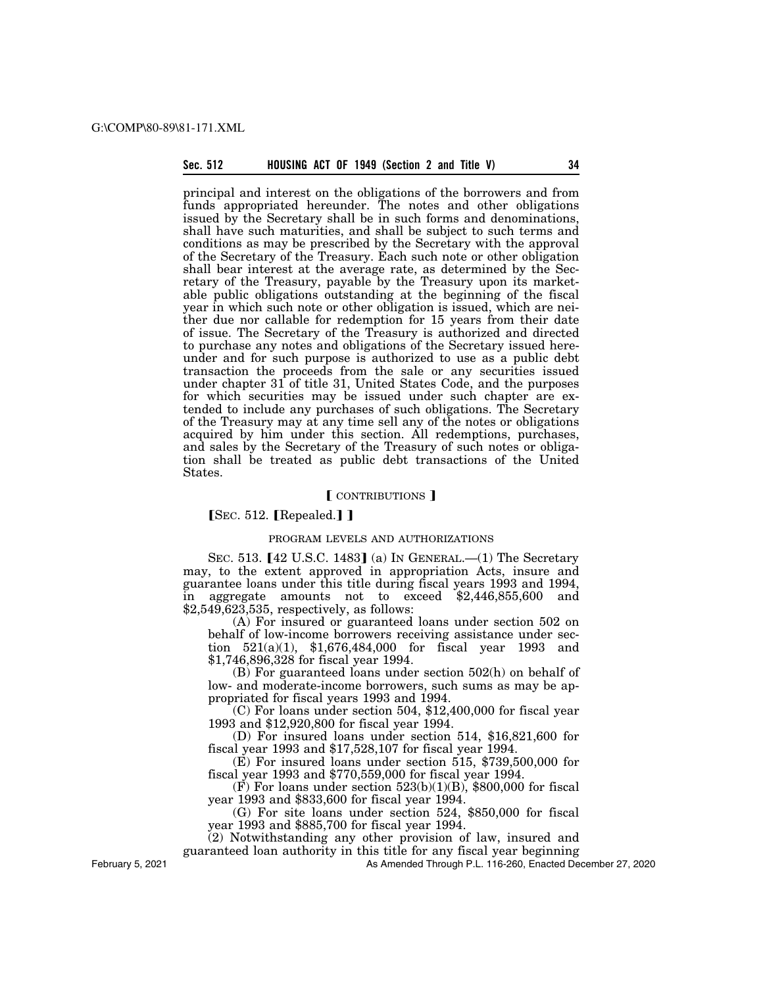# **Sec. 512 HOUSING ACT OF 1949 (Section 2 and Title V) 34**

principal and interest on the obligations of the borrowers and from funds appropriated hereunder. The notes and other obligations issued by the Secretary shall be in such forms and denominations, shall have such maturities, and shall be subject to such terms and conditions as may be prescribed by the Secretary with the approval of the Secretary of the Treasury. Each such note or other obligation shall bear interest at the average rate, as determined by the Secretary of the Treasury, payable by the Treasury upon its marketable public obligations outstanding at the beginning of the fiscal year in which such note or other obligation is issued, which are neither due nor callable for redemption for 15 years from their date of issue. The Secretary of the Treasury is authorized and directed to purchase any notes and obligations of the Secretary issued hereunder and for such purpose is authorized to use as a public debt transaction the proceeds from the sale or any securities issued under chapter 31 of title 31, United States Code, and the purposes for which securities may be issued under such chapter are extended to include any purchases of such obligations. The Secretary of the Treasury may at any time sell any of the notes or obligations acquired by him under this section. All redemptions, purchases, and sales by the Secretary of the Treasury of such notes or obligation shall be treated as public debt transactions of the United States.

# **[CONTRIBUTIONS ]**

# $SEC. 512.$  [Repealed.] ]

## PROGRAM LEVELS AND AUTHORIZATIONS

SEC. 513.  $[42 \text{ U.S.C. } 1483]$  (a) In GENERAL.—(1) The Secretary may, to the extent approved in appropriation Acts, insure and guarantee loans under this title during fiscal years 1993 and 1994, in aggregate amounts not to exceed \$2,446,855,600 and \$2,549,623,535, respectively, as follows:

(A) For insured or guaranteed loans under section 502 on behalf of low-income borrowers receiving assistance under section 521(a)(1), \$1,676,484,000 for fiscal year 1993 and \$1,746,896,328 for fiscal year 1994.

(B) For guaranteed loans under section 502(h) on behalf of low- and moderate-income borrowers, such sums as may be appropriated for fiscal years 1993 and 1994.

(C) For loans under section 504, \$12,400,000 for fiscal year 1993 and \$12,920,800 for fiscal year 1994.

(D) For insured loans under section 514, \$16,821,600 for fiscal year 1993 and \$17,528,107 for fiscal year 1994.

 $(E)$  For insured loans under section 515, \$739,500,000 for fiscal year 1993 and \$770,559,000 for fiscal year 1994.

 $(F)$  For loans under section 523(b)(1)(B), \$800,000 for fiscal year 1993 and \$833,600 for fiscal year 1994.

(G) For site loans under section 524, \$850,000 for fiscal year 1993 and \$885,700 for fiscal year 1994.

(2) Notwithstanding any other provision of law, insured and

guaranteed loan authority in this title for any fiscal year beginning

As Amended Through P.L. 116-260, Enacted December 27, 2020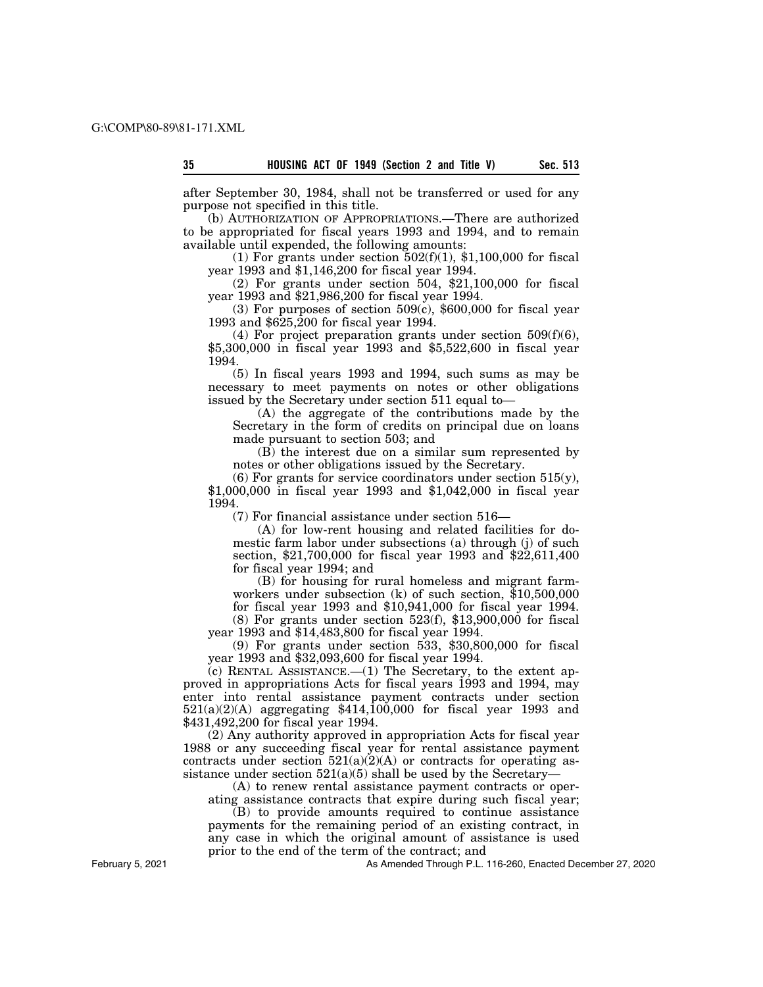after September 30, 1984, shall not be transferred or used for any

purpose not specified in this title. (b) AUTHORIZATION OF APPROPRIATIONS.—There are authorized to be appropriated for fiscal years 1993 and 1994, and to remain available until expended, the following amounts:

(1) For grants under section  $502(f)(1)$ , \$1,100,000 for fiscal year 1993 and \$1,146,200 for fiscal year 1994.

(2) For grants under section 504, \$21,100,000 for fiscal year 1993 and \$21,986,200 for fiscal year 1994.

 $(3)$  For purposes of section  $509(c)$ , \$600,000 for fiscal year 1993 and \$625,200 for fiscal year 1994.

(4) For project preparation grants under section  $509(f)(6)$ , \$5,300,000 in fiscal year 1993 and \$5,522,600 in fiscal year 1994.

(5) In fiscal years 1993 and 1994, such sums as may be necessary to meet payments on notes or other obligations issued by the Secretary under section 511 equal to—

 $(A)$  the aggregate of the contributions made by the Secretary in the form of credits on principal due on loans made pursuant to section 503; and

(B) the interest due on a similar sum represented by notes or other obligations issued by the Secretary.

 $(6)$  For grants for service coordinators under section 515 $(y)$ , \$1,000,000 in fiscal year 1993 and \$1,042,000 in fiscal year 1994.

(7) For financial assistance under section 516—

(A) for low-rent housing and related facilities for domestic farm labor under subsections (a) through (j) of such section, \$21,700,000 for fiscal year 1993 and \$22,611,400 for fiscal year 1994; and

(B) for housing for rural homeless and migrant farmworkers under subsection (k) of such section, \$10,500,000 for fiscal year 1993 and \$10,941,000 for fiscal year 1994.  $(8)$  For grants under section 523 $(f)$ , \$13,900,000 for fiscal

year 1993 and \$14,483,800 for fiscal year 1994. (9) For grants under section 533, \$30,800,000 for fiscal

year 1993 and \$32,093,600 for fiscal year 1994.

(c) RENTAL ASSISTANCE.—(1) The Secretary, to the extent approved in appropriations Acts for fiscal years 1993 and 1994, may enter into rental assistance payment contracts under section 521(a)(2)(A) aggregating \$414,100,000 for fiscal year 1993 and \$431,492,200 for fiscal year 1994.

(2) Any authority approved in appropriation Acts for fiscal year 1988 or any succeeding fiscal year for rental assistance payment contracts under section  $521(a)(2)(A)$  or contracts for operating assistance under section  $521(a)(5)$  shall be used by the Secretary-

(A) to renew rental assistance payment contracts or operating assistance contracts that expire during such fiscal year;

(B) to provide amounts required to continue assistance

payments for the remaining period of an existing contract, in any case in which the original amount of assistance is used prior to the end of the term of the contract; and

As Amended Through P.L. 116-260, Enacted December 27, 2020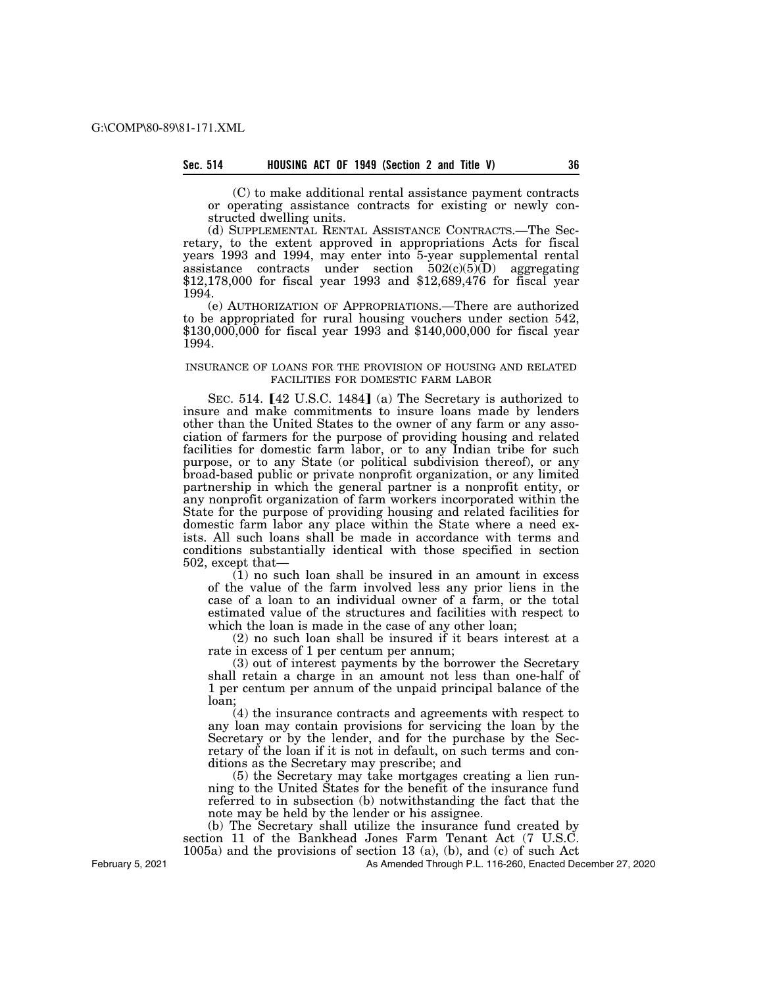# **Sec. 514 HOUSING ACT OF 1949 (Section 2 and Title V) 36**

(C) to make additional rental assistance payment contracts or operating assistance contracts for existing or newly constructed dwelling units.

(d) SUPPLEMENTAL RENTAL ASSISTANCE CONTRACTS.—The Secretary, to the extent approved in appropriations Acts for fiscal years 1993 and 1994, may enter into 5-year supplemental rental assistance contracts under section  $502(c)(5)(D)$  aggregating \$12,178,000 for fiscal year 1993 and \$12,689,476 for fiscal year 1994.

(e) AUTHORIZATION OF APPROPRIATIONS.—There are authorized to be appropriated for rural housing vouchers under section 542, \$130,000,000 for fiscal year 1993 and \$140,000,000 for fiscal year 1994.

# INSURANCE OF LOANS FOR THE PROVISION OF HOUSING AND RELATED FACILITIES FOR DOMESTIC FARM LABOR

SEC. 514.  $[42 \text{ U.S.C. } 1484]$  (a) The Secretary is authorized to insure and make commitments to insure loans made by lenders other than the United States to the owner of any farm or any association of farmers for the purpose of providing housing and related facilities for domestic farm labor, or to any Indian tribe for such purpose, or to any State (or political subdivision thereof), or any broad-based public or private nonprofit organization, or any limited partnership in which the general partner is a nonprofit entity, or any nonprofit organization of farm workers incorporated within the State for the purpose of providing housing and related facilities for domestic farm labor any place within the State where a need exists. All such loans shall be made in accordance with terms and conditions substantially identical with those specified in section 502, except that—

 $(1)$  no such loan shall be insured in an amount in excess of the value of the farm involved less any prior liens in the case of a loan to an individual owner of a farm, or the total estimated value of the structures and facilities with respect to which the loan is made in the case of any other loan;

(2) no such loan shall be insured if it bears interest at a rate in excess of 1 per centum per annum;

(3) out of interest payments by the borrower the Secretary shall retain a charge in an amount not less than one-half of 1 per centum per annum of the unpaid principal balance of the loan;

(4) the insurance contracts and agreements with respect to any loan may contain provisions for servicing the loan by the Secretary or by the lender, and for the purchase by the Secretary of the loan if it is not in default, on such terms and conditions as the Secretary may prescribe; and

(5) the Secretary may take mortgages creating a lien running to the United States for the benefit of the insurance fund referred to in subsection (b) notwithstanding the fact that the note may be held by the lender or his assignee.

(b) The Secretary shall utilize the insurance fund created by section 11 of the Bankhead Jones Farm Tenant Act (7 U.S.C. 1005a) and the provisions of section 13 (a), (b), and (c) of such Act

As Amended Through P.L. 116-260, Enacted December 27, 2020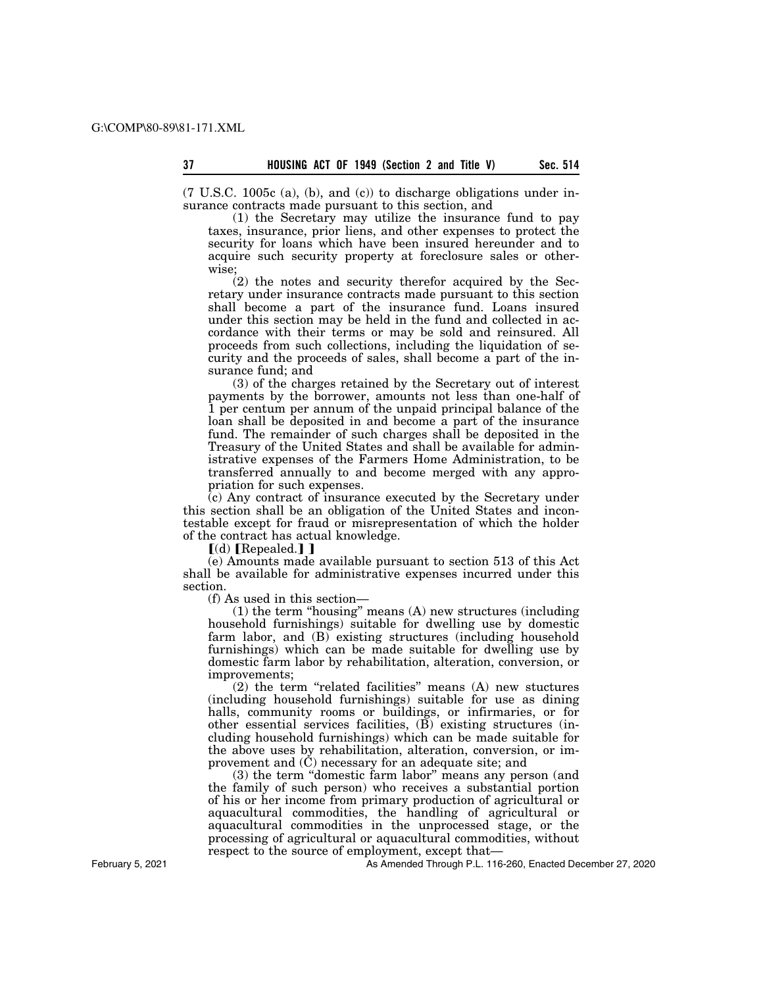$(7 \text{ U.S.C. } 1005c \text{ (a)}, \text{ (b)}, \text{ and } \text{ (c)})$  to discharge obligations under insurance contracts made pursuant to this section, and

(1) the Secretary may utilize the insurance fund to pay taxes, insurance, prior liens, and other expenses to protect the security for loans which have been insured hereunder and to acquire such security property at foreclosure sales or otherwise;

(2) the notes and security therefor acquired by the Secretary under insurance contracts made pursuant to this section shall become a part of the insurance fund. Loans insured under this section may be held in the fund and collected in accordance with their terms or may be sold and reinsured. All proceeds from such collections, including the liquidation of security and the proceeds of sales, shall become a part of the insurance fund; and

(3) of the charges retained by the Secretary out of interest payments by the borrower, amounts not less than one-half of 1 per centum per annum of the unpaid principal balance of the loan shall be deposited in and become a part of the insurance fund. The remainder of such charges shall be deposited in the Treasury of the United States and shall be available for administrative expenses of the Farmers Home Administration, to be transferred annually to and become merged with any appropriation for such expenses.

(c) Any contract of insurance executed by the Secretary under this section shall be an obligation of the United States and incontestable except for fraud or misrepresentation of which the holder of the contract has actual knowledge.

 $\lbrack$ (d) [Repealed.]]

(e) Amounts made available pursuant to section 513 of this Act shall be available for administrative expenses incurred under this section.

(f) As used in this section—

(1) the term ''housing'' means (A) new structures (including household furnishings) suitable for dwelling use by domestic farm labor, and (B) existing structures (including household furnishings) which can be made suitable for dwelling use by domestic farm labor by rehabilitation, alteration, conversion, or improvements;

(2) the term ''related facilities'' means (A) new stuctures (including household furnishings) suitable for use as dining halls, community rooms or buildings, or infirmaries, or for other essential services facilities, (B) existing structures (including household furnishings) which can be made suitable for the above uses by rehabilitation, alteration, conversion, or improvement and  $(\dot{C})$  necessary for an adequate site; and

(3) the term ''domestic farm labor'' means any person (and the family of such person) who receives a substantial portion of his or her income from primary production of agricultural or aquacultural commodities, the handling of agricultural or aquacultural commodities in the unprocessed stage, or the processing of agricultural or aquacultural commodities, without respect to the source of employment, except that—

As Amended Through P.L. 116-260, Enacted December 27, 2020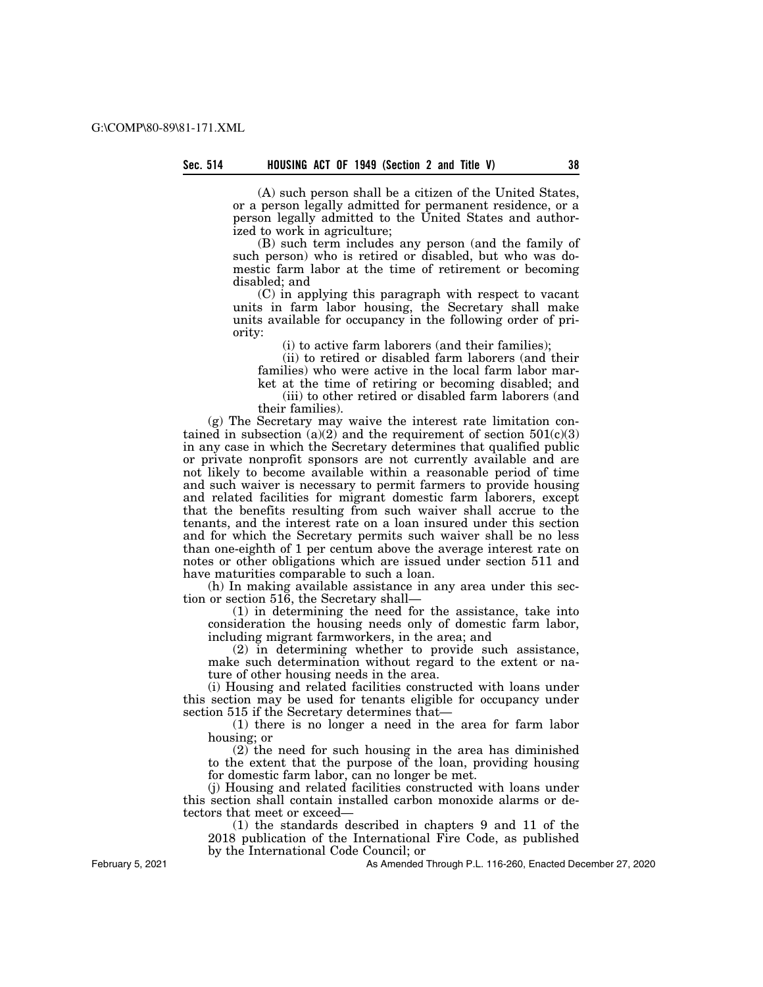(A) such person shall be a citizen of the United States, or a person legally admitted for permanent residence, or a person legally admitted to the United States and authorized to work in agriculture;

(B) such term includes any person (and the family of such person) who is retired or disabled, but who was domestic farm labor at the time of retirement or becoming disabled; and

(C) in applying this paragraph with respect to vacant units in farm labor housing, the Secretary shall make units available for occupancy in the following order of priority:

(i) to active farm laborers (and their families);

(ii) to retired or disabled farm laborers (and their families) who were active in the local farm labor market at the time of retiring or becoming disabled; and

(iii) to other retired or disabled farm laborers (and their families).

(g) The Secretary may waive the interest rate limitation contained in subsection  $(a)(2)$  and the requirement of section  $501(c)(3)$ in any case in which the Secretary determines that qualified public or private nonprofit sponsors are not currently available and are not likely to become available within a reasonable period of time and such waiver is necessary to permit farmers to provide housing and related facilities for migrant domestic farm laborers, except that the benefits resulting from such waiver shall accrue to the tenants, and the interest rate on a loan insured under this section and for which the Secretary permits such waiver shall be no less than one-eighth of 1 per centum above the average interest rate on notes or other obligations which are issued under section 511 and have maturities comparable to such a loan.

(h) In making available assistance in any area under this section or section 516, the Secretary shall—

(1) in determining the need for the assistance, take into consideration the housing needs only of domestic farm labor, including migrant farmworkers, in the area; and

(2) in determining whether to provide such assistance, make such determination without regard to the extent or nature of other housing needs in the area.

(i) Housing and related facilities constructed with loans under this section may be used for tenants eligible for occupancy under section 515 if the Secretary determines that—

(1) there is no longer a need in the area for farm labor housing; or

(2) the need for such housing in the area has diminished to the extent that the purpose of the loan, providing housing for domestic farm labor, can no longer be met.

(j) Housing and related facilities constructed with loans under this section shall contain installed carbon monoxide alarms or detectors that meet or exceed—

(1) the standards described in chapters 9 and 11 of the 2018 publication of the International Fire Code, as published by the International Code Council; or

As Amended Through P.L. 116-260, Enacted December 27, 2020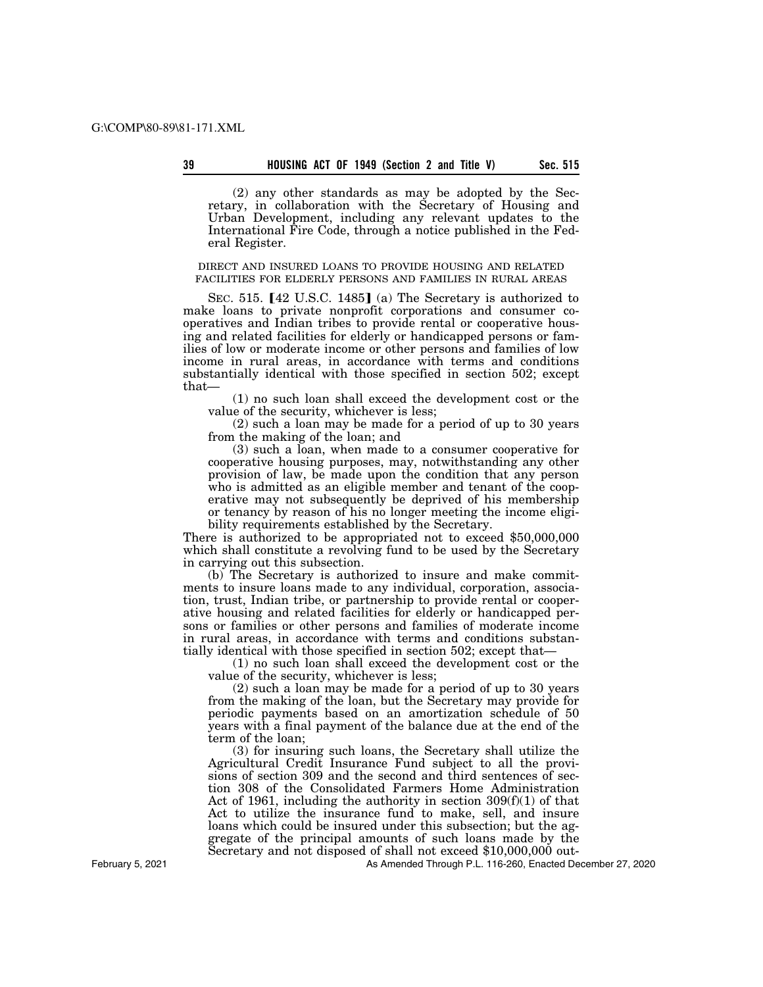(2) any other standards as may be adopted by the Secretary, in collaboration with the Secretary of Housing and Urban Development, including any relevant updates to the International Fire Code, through a notice published in the Federal Register.

DIRECT AND INSURED LOANS TO PROVIDE HOUSING AND RELATED FACILITIES FOR ELDERLY PERSONS AND FAMILIES IN RURAL AREAS

SEC. 515.  $[42 \text{ U.S.C. } 1485]$  (a) The Secretary is authorized to make loans to private nonprofit corporations and consumer cooperatives and Indian tribes to provide rental or cooperative housing and related facilities for elderly or handicapped persons or families of low or moderate income or other persons and families of low income in rural areas, in accordance with terms and conditions substantially identical with those specified in section 502; except that—

(1) no such loan shall exceed the development cost or the value of the security, whichever is less;

(2) such a loan may be made for a period of up to 30 years from the making of the loan; and

(3) such a loan, when made to a consumer cooperative for cooperative housing purposes, may, notwithstanding any other provision of law, be made upon the condition that any person who is admitted as an eligible member and tenant of the cooperative may not subsequently be deprived of his membership or tenancy by reason of his no longer meeting the income eligibility requirements established by the Secretary.

There is authorized to be appropriated not to exceed \$50,000,000 which shall constitute a revolving fund to be used by the Secretary in carrying out this subsection.

(b) The Secretary is authorized to insure and make commitments to insure loans made to any individual, corporation, association, trust, Indian tribe, or partnership to provide rental or cooperative housing and related facilities for elderly or handicapped persons or families or other persons and families of moderate income in rural areas, in accordance with terms and conditions substantially identical with those specified in section 502; except that—

(1) no such loan shall exceed the development cost or the value of the security, whichever is less;

(2) such a loan may be made for a period of up to 30 years from the making of the loan, but the Secretary may provide for periodic payments based on an amortization schedule of 50 years with a final payment of the balance due at the end of the term of the loan;

(3) for insuring such loans, the Secretary shall utilize the Agricultural Credit Insurance Fund subject to all the provisions of section 309 and the second and third sentences of section 308 of the Consolidated Farmers Home Administration Act of 1961, including the authority in section  $309(f)(1)$  of that Act to utilize the insurance fund to make, sell, and insure loans which could be insured under this subsection; but the aggregate of the principal amounts of such loans made by the Secretary and not disposed of shall not exceed \$10,000,000 out-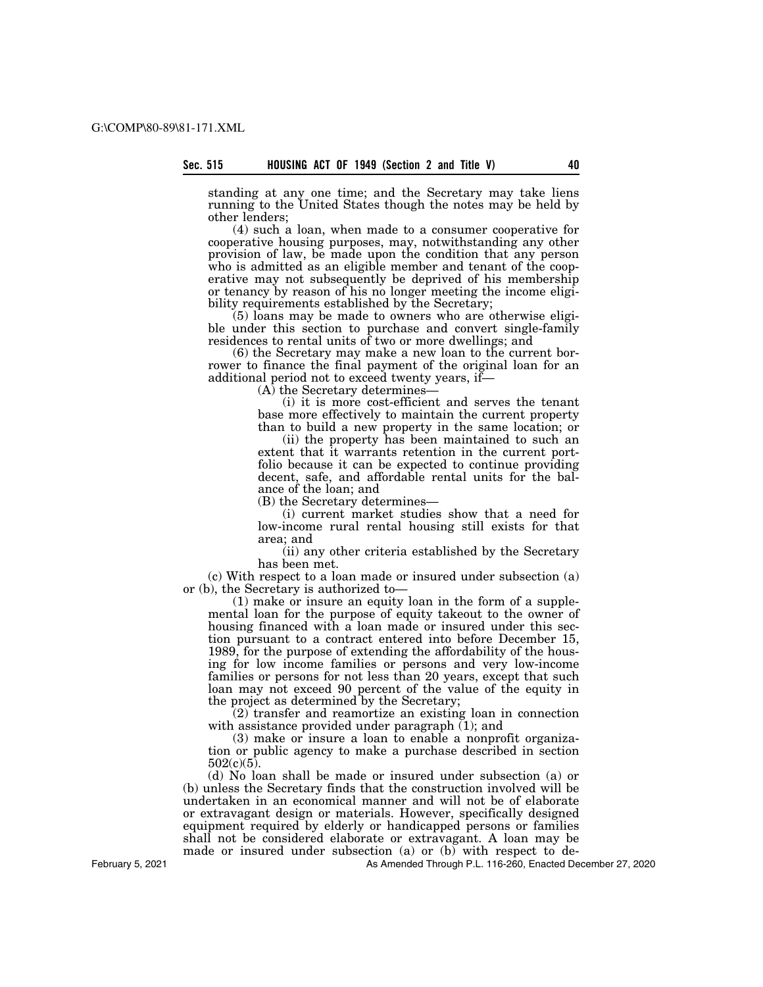standing at any one time; and the Secretary may take liens running to the United States though the notes may be held by other lenders;

(4) such a loan, when made to a consumer cooperative for cooperative housing purposes, may, notwithstanding any other provision of law, be made upon the condition that any person who is admitted as an eligible member and tenant of the cooperative may not subsequently be deprived of his membership or tenancy by reason of his no longer meeting the income eligibility requirements established by the Secretary;

(5) loans may be made to owners who are otherwise eligible under this section to purchase and convert single-family residences to rental units of two or more dwellings; and

(6) the Secretary may make a new loan to the current borrower to finance the final payment of the original loan for an additional period not to exceed twenty years, if—

(A) the Secretary determines—

(i) it is more cost-efficient and serves the tenant base more effectively to maintain the current property than to build a new property in the same location; or

(ii) the property has been maintained to such an extent that it warrants retention in the current portfolio because it can be expected to continue providing decent, safe, and affordable rental units for the balance of the loan; and

(B) the Secretary determines—

(i) current market studies show that a need for low-income rural rental housing still exists for that area; and

(ii) any other criteria established by the Secretary has been met.

(c) With respect to a loan made or insured under subsection (a) or (b), the Secretary is authorized to—

(1) make or insure an equity loan in the form of a supplemental loan for the purpose of equity takeout to the owner of housing financed with a loan made or insured under this section pursuant to a contract entered into before December 15, 1989, for the purpose of extending the affordability of the housing for low income families or persons and very low-income families or persons for not less than 20 years, except that such loan may not exceed 90 percent of the value of the equity in the project as determined by the Secretary;

(2) transfer and reamortize an existing loan in connection with assistance provided under paragraph (1); and

(3) make or insure a loan to enable a nonprofit organization or public agency to make a purchase described in section  $502(c)(5)$ .

(d) No loan shall be made or insured under subsection (a) or (b) unless the Secretary finds that the construction involved will be undertaken in an economical manner and will not be of elaborate or extravagant design or materials. However, specifically designed equipment required by elderly or handicapped persons or families shall not be considered elaborate or extravagant. A loan may be made or insured under subsection (a) or (b) with respect to de-

As Amended Through P.L. 116-260, Enacted December 27, 2020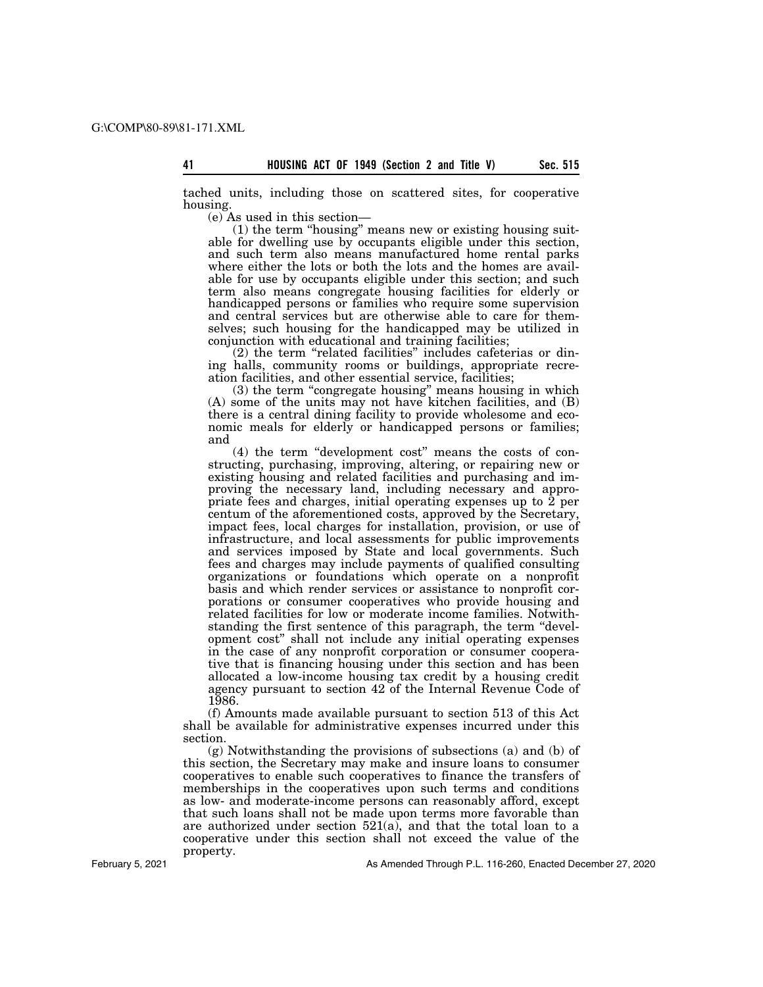tached units, including those on scattered sites, for cooperative housing.

(e) As used in this section—

(1) the term ''housing'' means new or existing housing suitable for dwelling use by occupants eligible under this section, and such term also means manufactured home rental parks where either the lots or both the lots and the homes are available for use by occupants eligible under this section; and such term also means congregate housing facilities for elderly or handicapped persons or families who require some supervision and central services but are otherwise able to care for themselves; such housing for the handicapped may be utilized in conjunction with educational and training facilities;

(2) the term ''related facilities'' includes cafeterias or dining halls, community rooms or buildings, appropriate recreation facilities, and other essential service, facilities;

(3) the term ''congregate housing'' means housing in which (A) some of the units may not have kitchen facilities, and (B) there is a central dining facility to provide wholesome and economic meals for elderly or handicapped persons or families; and

(4) the term ''development cost'' means the costs of constructing, purchasing, improving, altering, or repairing new or existing housing and related facilities and purchasing and improving the necessary land, including necessary and appropriate fees and charges, initial operating expenses up to 2 per centum of the aforementioned costs, approved by the Secretary, impact fees, local charges for installation, provision, or use of infrastructure, and local assessments for public improvements and services imposed by State and local governments. Such fees and charges may include payments of qualified consulting organizations or foundations which operate on a nonprofit basis and which render services or assistance to nonprofit corporations or consumer cooperatives who provide housing and related facilities for low or moderate income families. Notwithstanding the first sentence of this paragraph, the term ''development cost'' shall not include any initial operating expenses in the case of any nonprofit corporation or consumer cooperative that is financing housing under this section and has been allocated a low-income housing tax credit by a housing credit agency pursuant to section 42 of the Internal Revenue Code of 1986.

(f) Amounts made available pursuant to section 513 of this Act shall be available for administrative expenses incurred under this section.

(g) Notwithstanding the provisions of subsections (a) and (b) of this section, the Secretary may make and insure loans to consumer cooperatives to enable such cooperatives to finance the transfers of memberships in the cooperatives upon such terms and conditions as low- and moderate-income persons can reasonably afford, except that such loans shall not be made upon terms more favorable than are authorized under section  $521(a)$ , and that the total loan to a cooperative under this section shall not exceed the value of the property.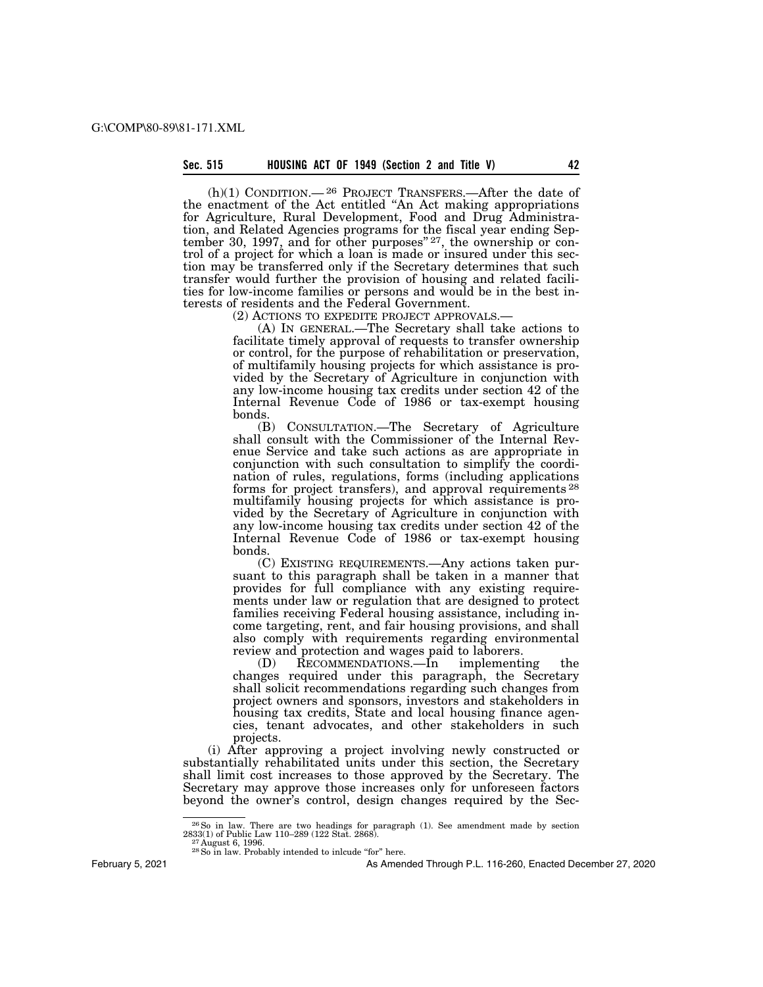$(h)(1)$  CONDITION.—<sup>26</sup> PROJECT TRANSFERS.—After the date of the enactment of the Act entitled ''An Act making appropriations for Agriculture, Rural Development, Food and Drug Administration, and Related Agencies programs for the fiscal year ending September 30, 1997, and for other purposes<sup>"27</sup>, the ownership or control of a project for which a loan is made or insured under this section may be transferred only if the Secretary determines that such transfer would further the provision of housing and related facilities for low-income families or persons and would be in the best interests of residents and the Federal Government.<br>(2) ACTIONS TO EXPEDITE PROJECT APPROVALS.

(A) IN GENERAL.—The Secretary shall take actions to facilitate timely approval of requests to transfer ownership or control, for the purpose of rehabilitation or preservation, of multifamily housing projects for which assistance is provided by the Secretary of Agriculture in conjunction with any low-income housing tax credits under section 42 of the Internal Revenue Code of 1986 or tax-exempt housing bonds.

(B) CONSULTATION.—The Secretary of Agriculture shall consult with the Commissioner of the Internal Revenue Service and take such actions as are appropriate in conjunction with such consultation to simplify the coordination of rules, regulations, forms (including applications forms for project transfers), and approval requirements 28 multifamily housing projects for which assistance is provided by the Secretary of Agriculture in conjunction with any low-income housing tax credits under section 42 of the Internal Revenue Code of 1986 or tax-exempt housing bonds.

(C) EXISTING REQUIREMENTS.—Any actions taken pursuant to this paragraph shall be taken in a manner that provides for full compliance with any existing requirements under law or regulation that are designed to protect families receiving Federal housing assistance, including income targeting, rent, and fair housing provisions, and shall also comply with requirements regarding environmental review and protection and wages paid to laborers.

(D) RECOMMENDATIONS.—In implementing the changes required under this paragraph, the Secretary shall solicit recommendations regarding such changes from project owners and sponsors, investors and stakeholders in housing tax credits, State and local housing finance agencies, tenant advocates, and other stakeholders in such projects.

(i) After approving a project involving newly constructed or substantially rehabilitated units under this section, the Secretary shall limit cost increases to those approved by the Secretary. The Secretary may approve those increases only for unforeseen factors beyond the owner's control, design changes required by the Sec-

February 5, 2021

 $^{26}$  So in law. There are two headings for paragraph (1). See amendment made by section  $^{27}$  August 6, 1996. 27 August 6, 1996. 2888).  $^{27}$  August 6, 1996.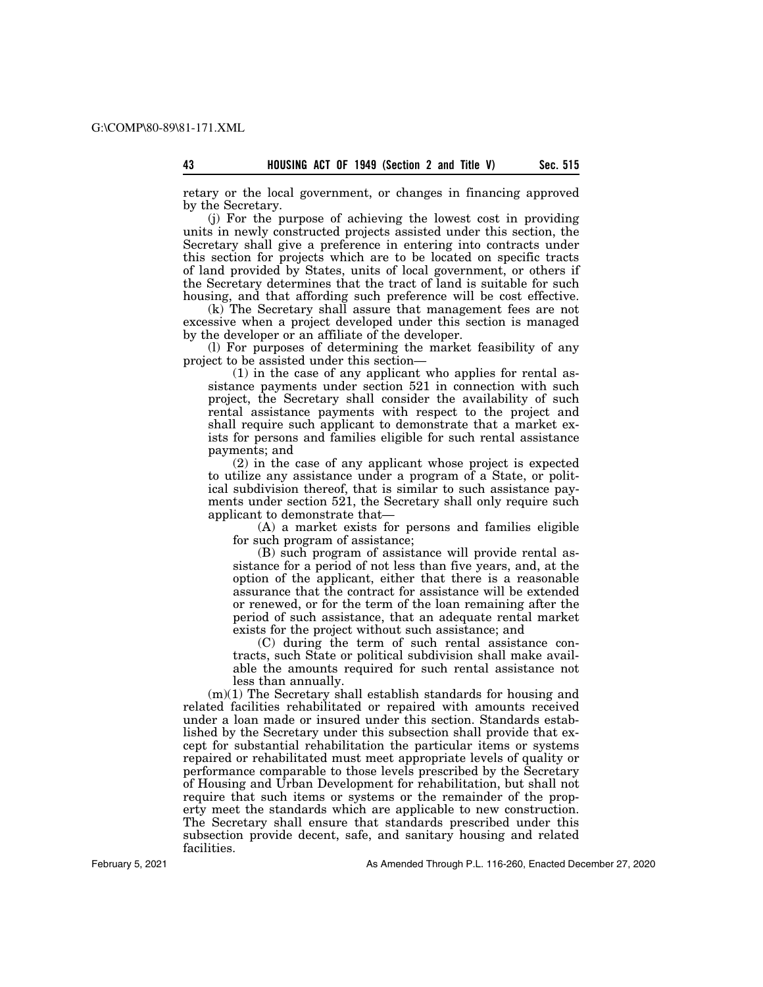retary or the local government, or changes in financing approved by the Secretary.

(j) For the purpose of achieving the lowest cost in providing units in newly constructed projects assisted under this section, the Secretary shall give a preference in entering into contracts under this section for projects which are to be located on specific tracts of land provided by States, units of local government, or others if the Secretary determines that the tract of land is suitable for such housing, and that affording such preference will be cost effective.

(k) The Secretary shall assure that management fees are not excessive when a project developed under this section is managed by the developer or an affiliate of the developer.

(l) For purposes of determining the market feasibility of any project to be assisted under this section—

(1) in the case of any applicant who applies for rental assistance payments under section 521 in connection with such project, the Secretary shall consider the availability of such rental assistance payments with respect to the project and shall require such applicant to demonstrate that a market exists for persons and families eligible for such rental assistance payments; and

(2) in the case of any applicant whose project is expected to utilize any assistance under a program of a State, or political subdivision thereof, that is similar to such assistance payments under section 521, the Secretary shall only require such applicant to demonstrate that—

(A) a market exists for persons and families eligible for such program of assistance;

(B) such program of assistance will provide rental assistance for a period of not less than five years, and, at the option of the applicant, either that there is a reasonable assurance that the contract for assistance will be extended or renewed, or for the term of the loan remaining after the period of such assistance, that an adequate rental market exists for the project without such assistance; and

(C) during the term of such rental assistance contracts, such State or political subdivision shall make available the amounts required for such rental assistance not less than annually.

(m)(1) The Secretary shall establish standards for housing and related facilities rehabilitated or repaired with amounts received under a loan made or insured under this section. Standards established by the Secretary under this subsection shall provide that except for substantial rehabilitation the particular items or systems repaired or rehabilitated must meet appropriate levels of quality or performance comparable to those levels prescribed by the Secretary of Housing and Urban Development for rehabilitation, but shall not require that such items or systems or the remainder of the property meet the standards which are applicable to new construction. The Secretary shall ensure that standards prescribed under this subsection provide decent, safe, and sanitary housing and related facilities.

February 5, 2021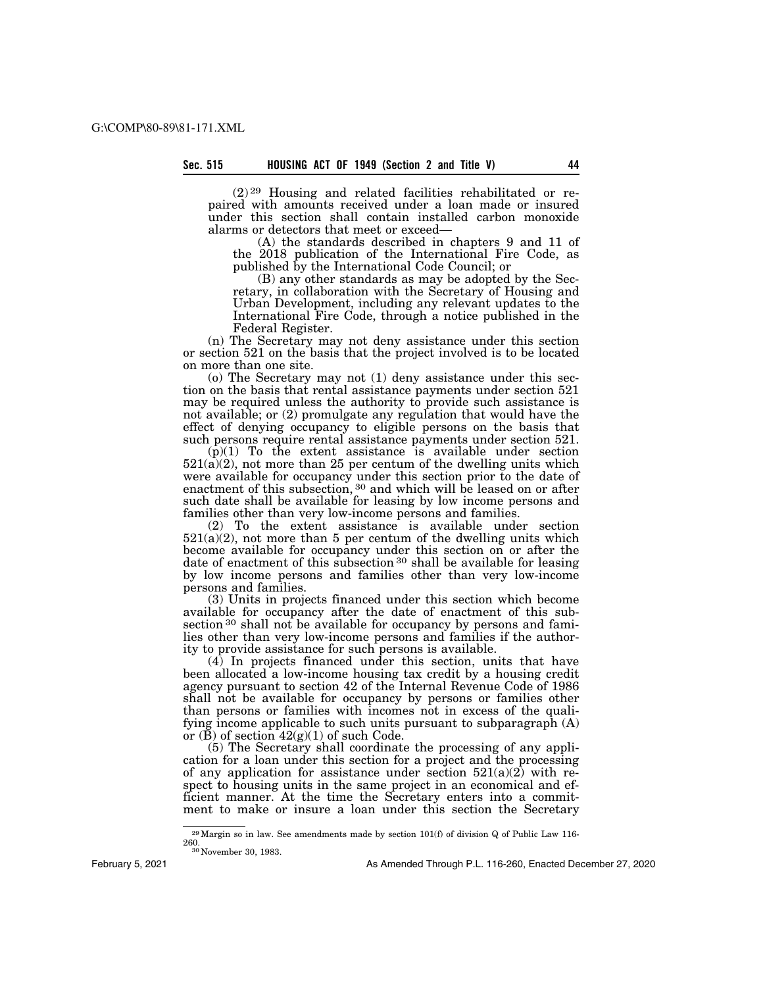(2) 29 Housing and related facilities rehabilitated or repaired with amounts received under a loan made or insured under this section shall contain installed carbon monoxide alarms or detectors that meet or exceed—

(A) the standards described in chapters 9 and 11 of the 2018 publication of the International Fire Code, as published by the International Code Council; or

(B) any other standards as may be adopted by the Secretary, in collaboration with the Secretary of Housing and Urban Development, including any relevant updates to the International Fire Code, through a notice published in the Federal Register.

(n) The Secretary may not deny assistance under this section or section 521 on the basis that the project involved is to be located on more than one site.

(o) The Secretary may not (1) deny assistance under this section on the basis that rental assistance payments under section 521 may be required unless the authority to provide such assistance is not available; or (2) promulgate any regulation that would have the effect of denying occupancy to eligible persons on the basis that such persons require rental assistance payments under section 521.

 $(\vec{p})(1)$  To the extent assistance is available under section  $521(a)(2)$ , not more than 25 per centum of the dwelling units which were available for occupancy under this section prior to the date of enactment of this subsection, <sup>30</sup> and which will be leased on or after such date shall be available for leasing by low income persons and families other than very low-income persons and families.

(2) To the extent assistance is available under section  $521(a)(2)$ , not more than 5 per centum of the dwelling units which become available for occupancy under this section on or after the date of enactment of this subsection 30 shall be available for leasing by low income persons and families other than very low-income persons and families.

(3) Units in projects financed under this section which become available for occupancy after the date of enactment of this subsection <sup>30</sup> shall not be available for occupancy by persons and families other than very low-income persons and families if the authority to provide assistance for such persons is available.

(4) In projects financed under this section, units that have been allocated a low-income housing tax credit by a housing credit agency pursuant to section 42 of the Internal Revenue Code of 1986 shall not be available for occupancy by persons or families other than persons or families with incomes not in excess of the qualifying income applicable to such units pursuant to subparagraph (A) or (B) of section  $42(g)(1)$  of such Code.

(5) The Secretary shall coordinate the processing of any application for a loan under this section for a project and the processing of any application for assistance under section  $521(a)(2)$  with respect to housing units in the same project in an economical and efficient manner. At the time the Secretary enters into a commitment to make or insure a loan under this section the Secretary

<sup>&</sup>lt;sup>29</sup>Margin so in law. See amendments made by section 101(f) of division Q of Public Law 116-260.

<sup>&</sup>lt;sup>30</sup> November 30, 1983.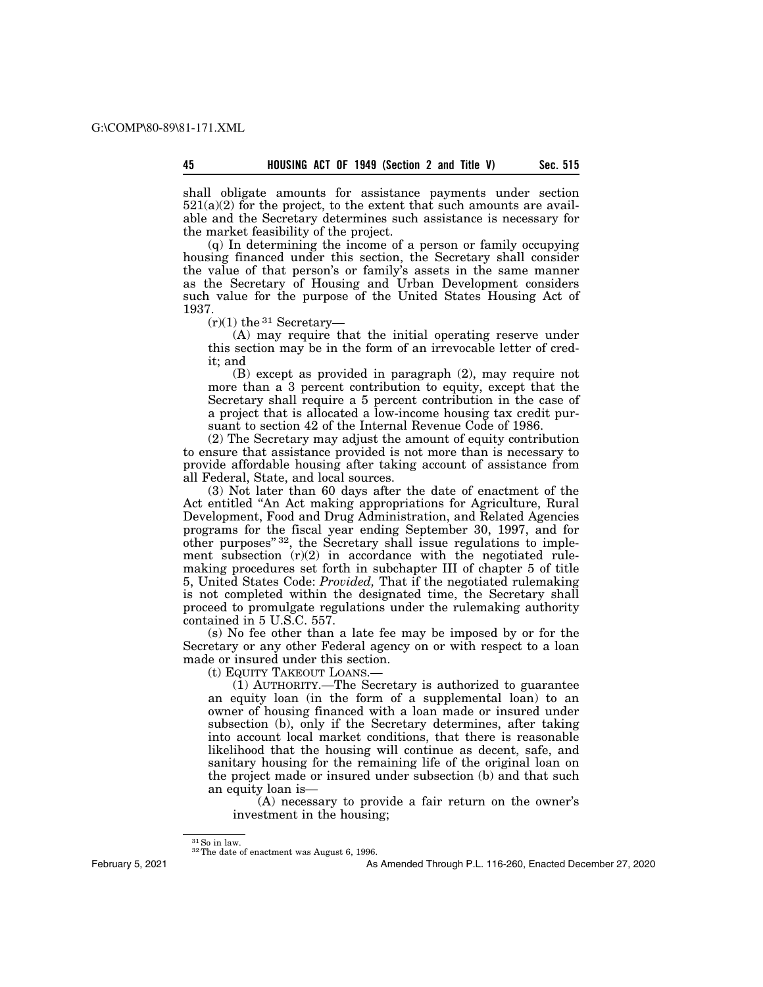shall obligate amounts for assistance payments under section  $521(a)(2)$  for the project, to the extent that such amounts are available and the Secretary determines such assistance is necessary for the market feasibility of the project.

(q) In determining the income of a person or family occupying housing financed under this section, the Secretary shall consider the value of that person's or family's assets in the same manner as the Secretary of Housing and Urban Development considers such value for the purpose of the United States Housing Act of 1937.

 $(r)(1)$  the <sup>31</sup> Secretary-

(A) may require that the initial operating reserve under this section may be in the form of an irrevocable letter of credit; and

(B) except as provided in paragraph (2), may require not more than a 3 percent contribution to equity, except that the Secretary shall require a 5 percent contribution in the case of a project that is allocated a low-income housing tax credit pursuant to section 42 of the Internal Revenue Code of 1986.

(2) The Secretary may adjust the amount of equity contribution to ensure that assistance provided is not more than is necessary to provide affordable housing after taking account of assistance from all Federal, State, and local sources.

(3) Not later than 60 days after the date of enactment of the Act entitled ''An Act making appropriations for Agriculture, Rural Development, Food and Drug Administration, and Related Agencies programs for the fiscal year ending September 30, 1997, and for other purposes"<sup>32</sup>, the Secretary shall issue regulations to implement subsection  $(r)(2)$  in accordance with the negotiated rulemaking procedures set forth in subchapter III of chapter 5 of title 5, United States Code: *Provided,* That if the negotiated rulemaking is not completed within the designated time, the Secretary shall proceed to promulgate regulations under the rulemaking authority contained in 5 U.S.C. 557.

(s) No fee other than a late fee may be imposed by or for the Secretary or any other Federal agency on or with respect to a loan made or insured under this section.

(t) EQUITY TAKEOUT LOANS.—

(1) AUTHORITY.—The Secretary is authorized to guarantee an equity loan (in the form of a supplemental loan) to an owner of housing financed with a loan made or insured under subsection (b), only if the Secretary determines, after taking into account local market conditions, that there is reasonable likelihood that the housing will continue as decent, safe, and sanitary housing for the remaining life of the original loan on the project made or insured under subsection (b) and that such an equity loan is—

(A) necessary to provide a fair return on the owner's investment in the housing;

February 5, 2021

 $^{31}\mathrm{So}$  in law.  $^{32}\mathrm{The}$  date of enactment was August 6, 1996.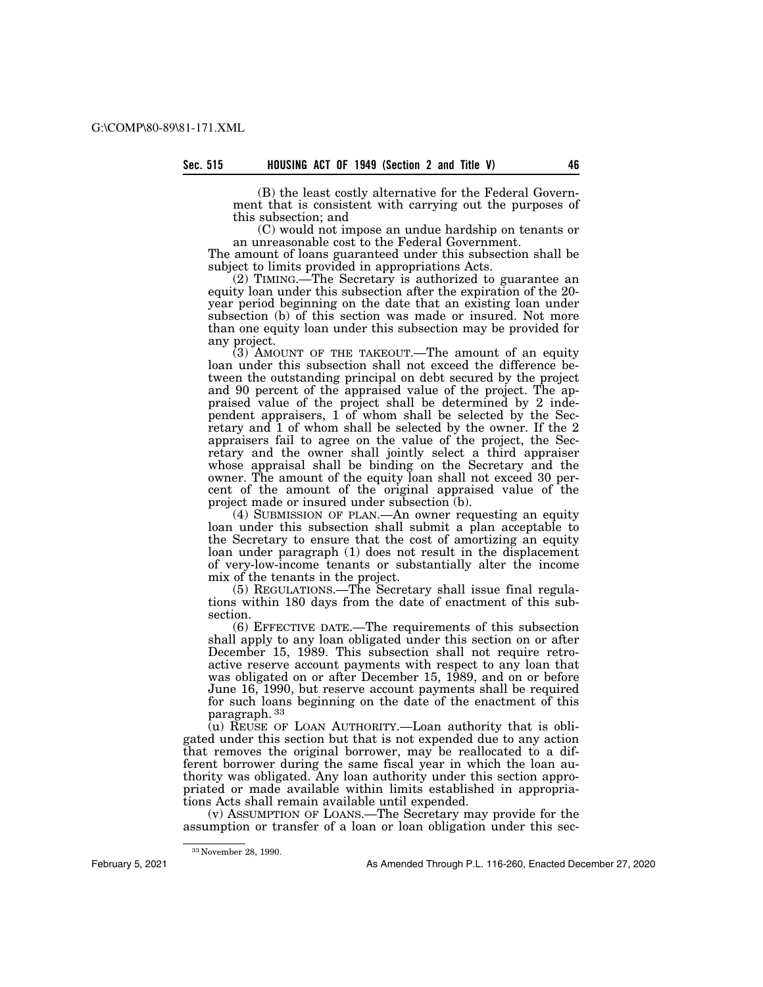(B) the least costly alternative for the Federal Government that is consistent with carrying out the purposes of this subsection; and

(C) would not impose an undue hardship on tenants or an unreasonable cost to the Federal Government.

The amount of loans guaranteed under this subsection shall be subject to limits provided in appropriations Acts.

(2) TIMING.—The Secretary is authorized to guarantee an equity loan under this subsection after the expiration of the 20 year period beginning on the date that an existing loan under subsection (b) of this section was made or insured. Not more than one equity loan under this subsection may be provided for any project.

 $(3)$  AMOUNT OF THE TAKEOUT.—The amount of an equity loan under this subsection shall not exceed the difference between the outstanding principal on debt secured by the project and 90 percent of the appraised value of the project. The appraised value of the project shall be determined by 2 independent appraisers, 1 of whom shall be selected by the Secretary and 1 of whom shall be selected by the owner. If the 2 appraisers fail to agree on the value of the project, the Secretary and the owner shall jointly select a third appraiser whose appraisal shall be binding on the Secretary and the owner. The amount of the equity loan shall not exceed 30 percent of the amount of the original appraised value of the project made or insured under subsection (b).

(4) SUBMISSION OF PLAN.—An owner requesting an equity loan under this subsection shall submit a plan acceptable to the Secretary to ensure that the cost of amortizing an equity loan under paragraph (1) does not result in the displacement of very-low-income tenants or substantially alter the income mix of the tenants in the project.

(5) REGULATIONS.—The Secretary shall issue final regulations within 180 days from the date of enactment of this subsection.

(6) EFFECTIVE DATE.—The requirements of this subsection shall apply to any loan obligated under this section on or after December 15, 1989. This subsection shall not require retroactive reserve account payments with respect to any loan that was obligated on or after December 15, 1989, and on or before June 16, 1990, but reserve account payments shall be required for such loans beginning on the date of the enactment of this paragraph. 33

(u) REUSE OF LOAN AUTHORITY.—Loan authority that is obligated under this section but that is not expended due to any action that removes the original borrower, may be reallocated to a different borrower during the same fiscal year in which the loan authority was obligated. Any loan authority under this section appropriated or made available within limits established in appropriations Acts shall remain available until expended.

(v) ASSUMPTION OF LOANS.—The Secretary may provide for the assumption or transfer of a loan or loan obligation under this sec-

<sup>33</sup> November 28, 1990.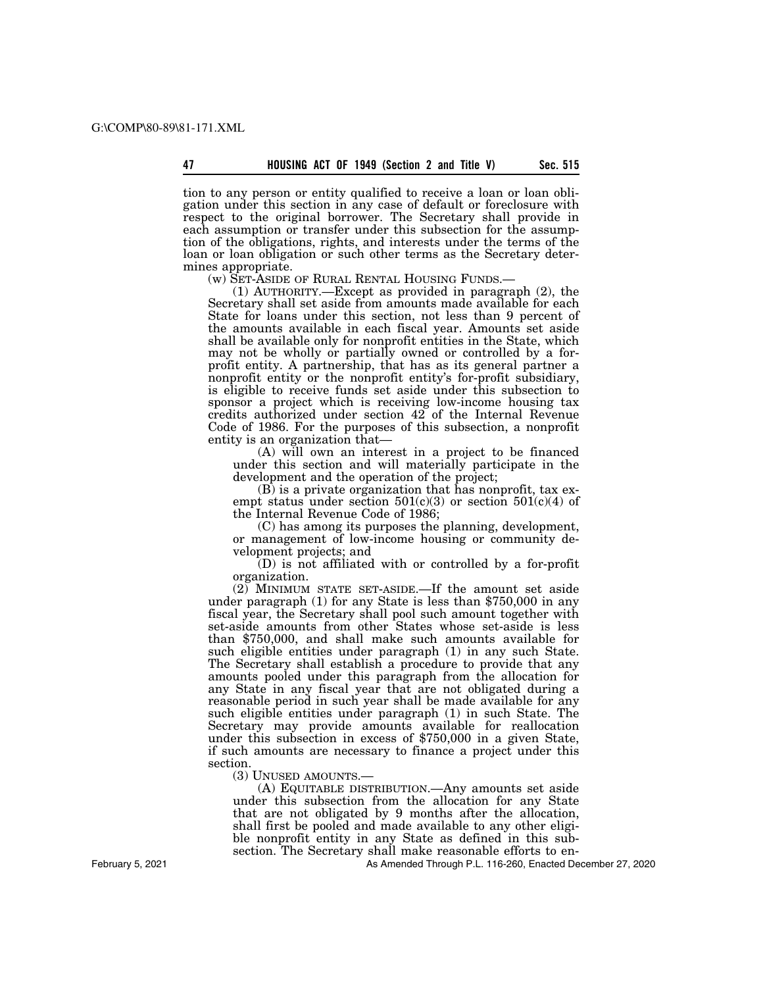tion to any person or entity qualified to receive a loan or loan obligation under this section in any case of default or foreclosure with respect to the original borrower. The Secretary shall provide in each assumption or transfer under this subsection for the assumption of the obligations, rights, and interests under the terms of the loan or loan obligation or such other terms as the Secretary determines appropriate.<br>
(w) SET-ASIDE OF RURAL RENTAL HOUSING FUNDS.—

(1) AUTHORITY.—Except as provided in paragraph  $(2)$ , the Secretary shall set aside from amounts made available for each State for loans under this section, not less than 9 percent of the amounts available in each fiscal year. Amounts set aside shall be available only for nonprofit entities in the State, which may not be wholly or partially owned or controlled by a forprofit entity. A partnership, that has as its general partner a nonprofit entity or the nonprofit entity's for-profit subsidiary, is eligible to receive funds set aside under this subsection to sponsor a project which is receiving low-income housing tax credits authorized under section 42 of the Internal Revenue Code of 1986. For the purposes of this subsection, a nonprofit entity is an organization that—

(A) will own an interest in a project to be financed under this section and will materially participate in the development and the operation of the project;

(B) is a private organization that has nonprofit, tax exempt status under section  $501(c)(3)$  or section  $501(c)(4)$  of the Internal Revenue Code of 1986;

(C) has among its purposes the planning, development, or management of low-income housing or community development projects; and

(D) is not affiliated with or controlled by a for-profit organization.

(2) MINIMUM STATE SET-ASIDE.—If the amount set aside under paragraph (1) for any State is less than \$750,000 in any fiscal year, the Secretary shall pool such amount together with set-aside amounts from other States whose set-aside is less than \$750,000, and shall make such amounts available for such eligible entities under paragraph (1) in any such State. The Secretary shall establish a procedure to provide that any amounts pooled under this paragraph from the allocation for any State in any fiscal year that are not obligated during a reasonable period in such year shall be made available for any such eligible entities under paragraph (1) in such State. The Secretary may provide amounts available for reallocation under this subsection in excess of \$750,000 in a given State, if such amounts are necessary to finance a project under this section.

(3) UNUSED AMOUNTS.—

(A) EQUITABLE DISTRIBUTION.—Any amounts set aside under this subsection from the allocation for any State that are not obligated by 9 months after the allocation, shall first be pooled and made available to any other eligible nonprofit entity in any State as defined in this subsection. The Secretary shall make reasonable efforts to en-

As Amended Through P.L. 116-260, Enacted December 27, 2020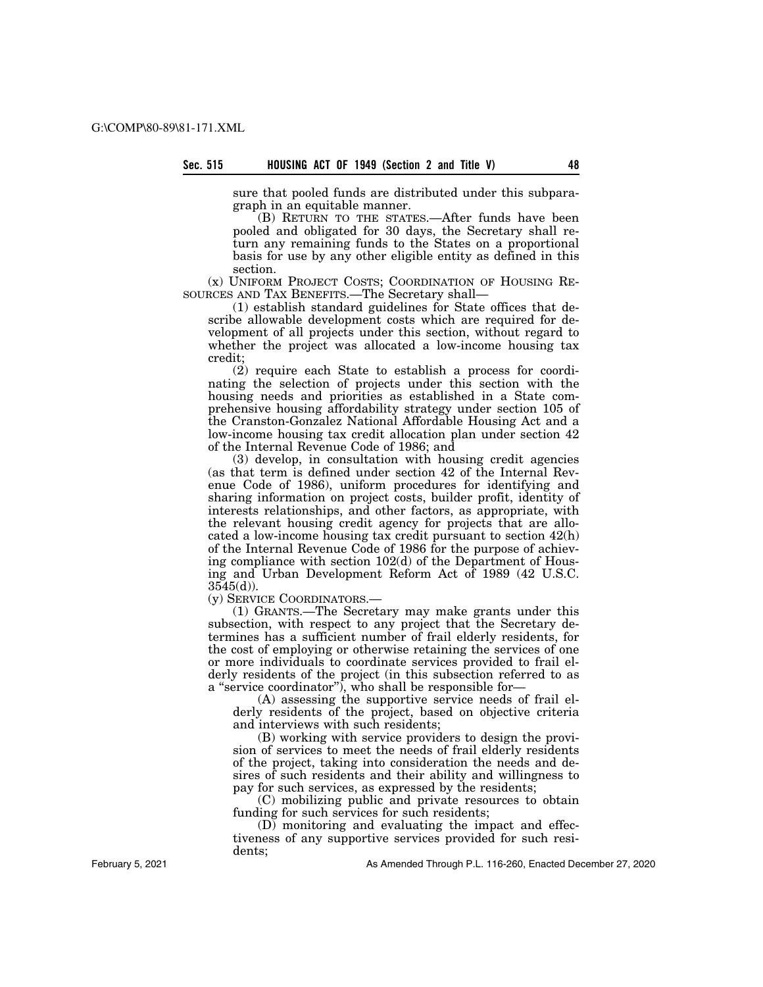sure that pooled funds are distributed under this subparagraph in an equitable manner.

(B) RETURN TO THE STATES.—After funds have been pooled and obligated for 30 days, the Secretary shall return any remaining funds to the States on a proportional basis for use by any other eligible entity as defined in this section.

(x) UNIFORM PROJECT COSTS; COORDINATION OF HOUSING RE-SOURCES AND TAX BENEFITS.—The Secretary shall—

(1) establish standard guidelines for State offices that describe allowable development costs which are required for development of all projects under this section, without regard to whether the project was allocated a low-income housing tax credit;

(2) require each State to establish a process for coordinating the selection of projects under this section with the housing needs and priorities as established in a State comprehensive housing affordability strategy under section 105 of the Cranston-Gonzalez National Affordable Housing Act and a low-income housing tax credit allocation plan under section 42 of the Internal Revenue Code of 1986; and

(3) develop, in consultation with housing credit agencies (as that term is defined under section 42 of the Internal Revenue Code of 1986), uniform procedures for identifying and sharing information on project costs, builder profit, identity of interests relationships, and other factors, as appropriate, with the relevant housing credit agency for projects that are allocated a low-income housing tax credit pursuant to section 42(h) of the Internal Revenue Code of 1986 for the purpose of achieving compliance with section 102(d) of the Department of Housing and Urban Development Reform Act of 1989 (42 U.S.C.  $3545(d)$ ).

(y) SERVICE COORDINATORS.—

(1) GRANTS.—The Secretary may make grants under this subsection, with respect to any project that the Secretary determines has a sufficient number of frail elderly residents, for the cost of employing or otherwise retaining the services of one or more individuals to coordinate services provided to frail elderly residents of the project (in this subsection referred to as a ''service coordinator''), who shall be responsible for—

(A) assessing the supportive service needs of frail elderly residents of the project, based on objective criteria and interviews with such residents;

(B) working with service providers to design the provision of services to meet the needs of frail elderly residents of the project, taking into consideration the needs and desires of such residents and their ability and willingness to pay for such services, as expressed by the residents;

(C) mobilizing public and private resources to obtain funding for such services for such residents;

(D) monitoring and evaluating the impact and effectiveness of any supportive services provided for such residents;

As Amended Through P.L. 116-260, Enacted December 27, 2020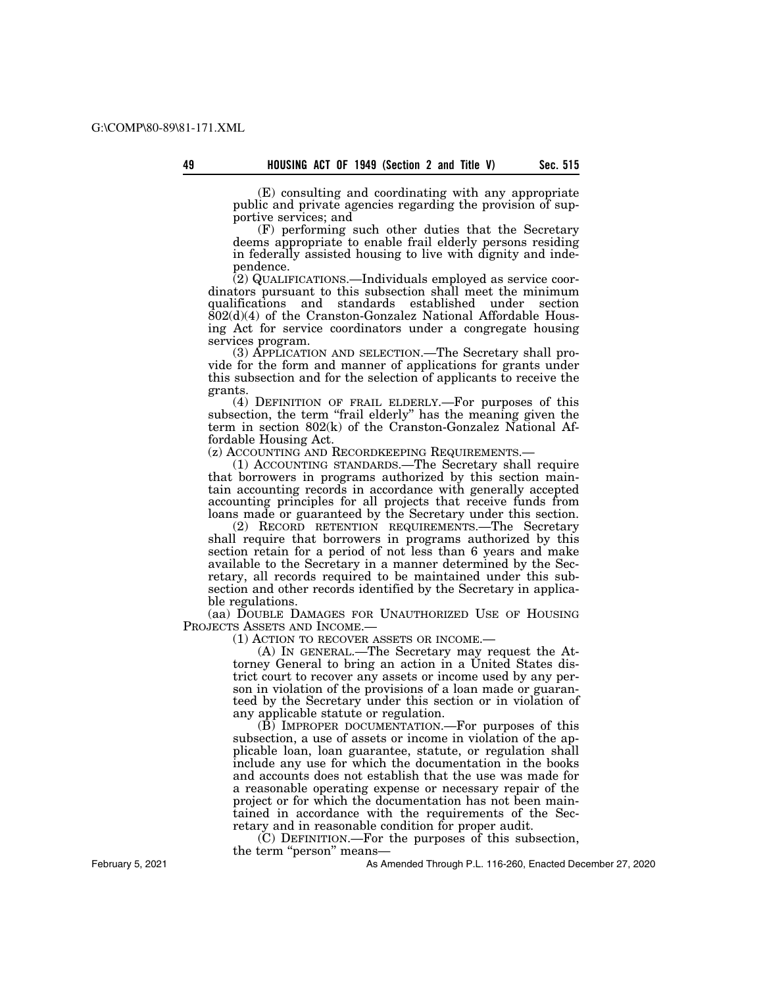(E) consulting and coordinating with any appropriate public and private agencies regarding the provision of supportive services; and

(F) performing such other duties that the Secretary deems appropriate to enable frail elderly persons residing in federally assisted housing to live with dignity and independence.

(2) QUALIFICATIONS.—Individuals employed as service coordinators pursuant to this subsection shall meet the minimum qualifications and standards established under section  $802(d)(4)$  of the Cranston-Gonzalez National Affordable Housing Act for service coordinators under a congregate housing services program.

(3) APPLICATION AND SELECTION.—The Secretary shall provide for the form and manner of applications for grants under this subsection and for the selection of applicants to receive the grants.

(4) DEFINITION OF FRAIL ELDERLY.—For purposes of this subsection, the term "frail elderly" has the meaning given the term in section 802(k) of the Cranston-Gonzalez National Affordable Housing Act.<br>(z) ACCOUNTING AND RECORDKEEPING REQUIREMENTS.-

(1) ACCOUNTING STANDARDS.— The Secretary shall require that borrowers in programs authorized by this section maintain accounting records in accordance with generally accepted accounting principles for all projects that receive funds from loans made or guaranteed by the Secretary under this section.

(2) RECORD RETENTION REQUIREMENTS.—The Secretary shall require that borrowers in programs authorized by this section retain for a period of not less than 6 years and make available to the Secretary in a manner determined by the Secretary, all records required to be maintained under this subsection and other records identified by the Secretary in applicable regulations.

(aa) DOUBLE DAMAGES FOR UNAUTHORIZED USE OF HOUSING PROJECTS ASSETS AND INCOME.—

(1) ACTION TO RECOVER ASSETS OR INCOME.—

(A) IN GENERAL.—The Secretary may request the Attorney General to bring an action in a United States district court to recover any assets or income used by any person in violation of the provisions of a loan made or guaranteed by the Secretary under this section or in violation of any applicable statute or regulation.

(B) IMPROPER DOCUMENTATION.—For purposes of this subsection, a use of assets or income in violation of the applicable loan, loan guarantee, statute, or regulation shall include any use for which the documentation in the books and accounts does not establish that the use was made for a reasonable operating expense or necessary repair of the project or for which the documentation has not been maintained in accordance with the requirements of the Secretary and in reasonable condition for proper audit.

(C) DEFINITION.—For the purposes of this subsection, the term "person" means-

As Amended Through P.L. 116-260, Enacted December 27, 2020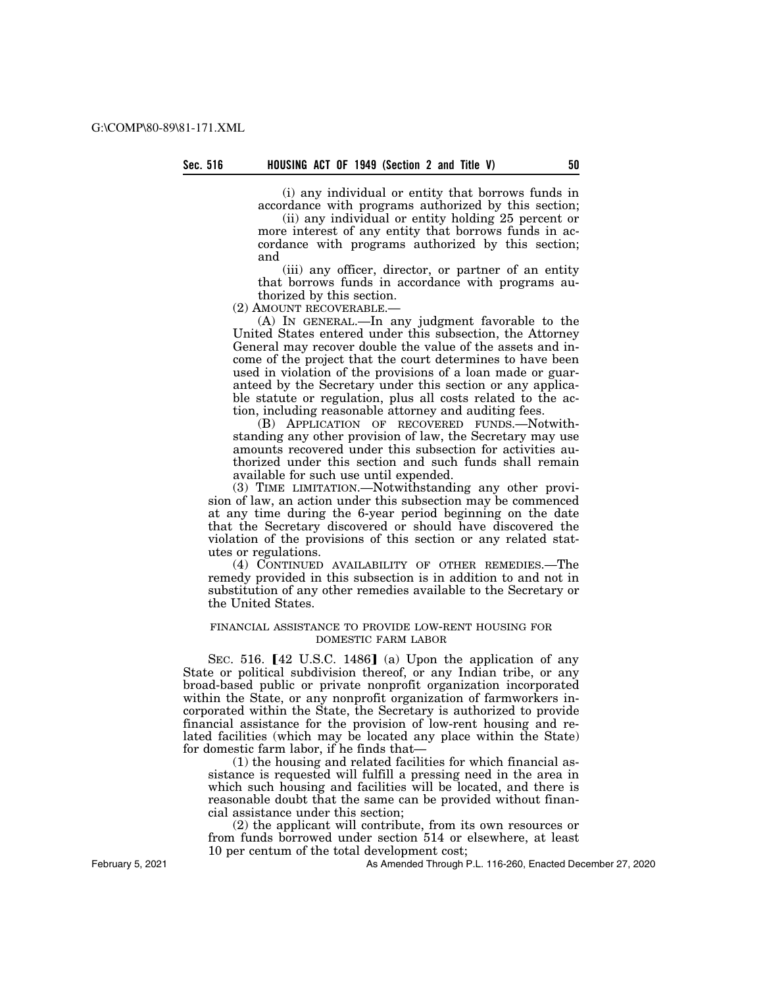(i) any individual or entity that borrows funds in accordance with programs authorized by this section;

(ii) any individual or entity holding 25 percent or more interest of any entity that borrows funds in accordance with programs authorized by this section; and

(iii) any officer, director, or partner of an entity that borrows funds in accordance with programs authorized by this section.

(2) AMOUNT RECOVERABLE.—

(A) IN GENERAL.—In any judgment favorable to the United States entered under this subsection, the Attorney General may recover double the value of the assets and income of the project that the court determines to have been used in violation of the provisions of a loan made or guaranteed by the Secretary under this section or any applicable statute or regulation, plus all costs related to the action, including reasonable attorney and auditing fees.

(B) APPLICATION OF RECOVERED FUNDS.—Notwithstanding any other provision of law, the Secretary may use amounts recovered under this subsection for activities authorized under this section and such funds shall remain available for such use until expended.

(3) TIME LIMITATION.—Notwithstanding any other provision of law, an action under this subsection may be commenced at any time during the 6-year period beginning on the date that the Secretary discovered or should have discovered the violation of the provisions of this section or any related statutes or regulations.

(4) CONTINUED AVAILABILITY OF OTHER REMEDIES.—The remedy provided in this subsection is in addition to and not in substitution of any other remedies available to the Secretary or the United States.

# FINANCIAL ASSISTANCE TO PROVIDE LOW-RENT HOUSING FOR DOMESTIC FARM LABOR

SEC. 516.  $[42 \text{ U.S.C. } 1486]$  (a) Upon the application of any State or political subdivision thereof, or any Indian tribe, or any broad-based public or private nonprofit organization incorporated within the State, or any nonprofit organization of farmworkers incorporated within the State, the Secretary is authorized to provide financial assistance for the provision of low-rent housing and related facilities (which may be located any place within the State) for domestic farm labor, if he finds that—

(1) the housing and related facilities for which financial assistance is requested will fulfill a pressing need in the area in which such housing and facilities will be located, and there is reasonable doubt that the same can be provided without financial assistance under this section;

(2) the applicant will contribute, from its own resources or from funds borrowed under section 514 or elsewhere, at least 10 per centum of the total development cost;

As Amended Through P.L. 116-260, Enacted December 27, 2020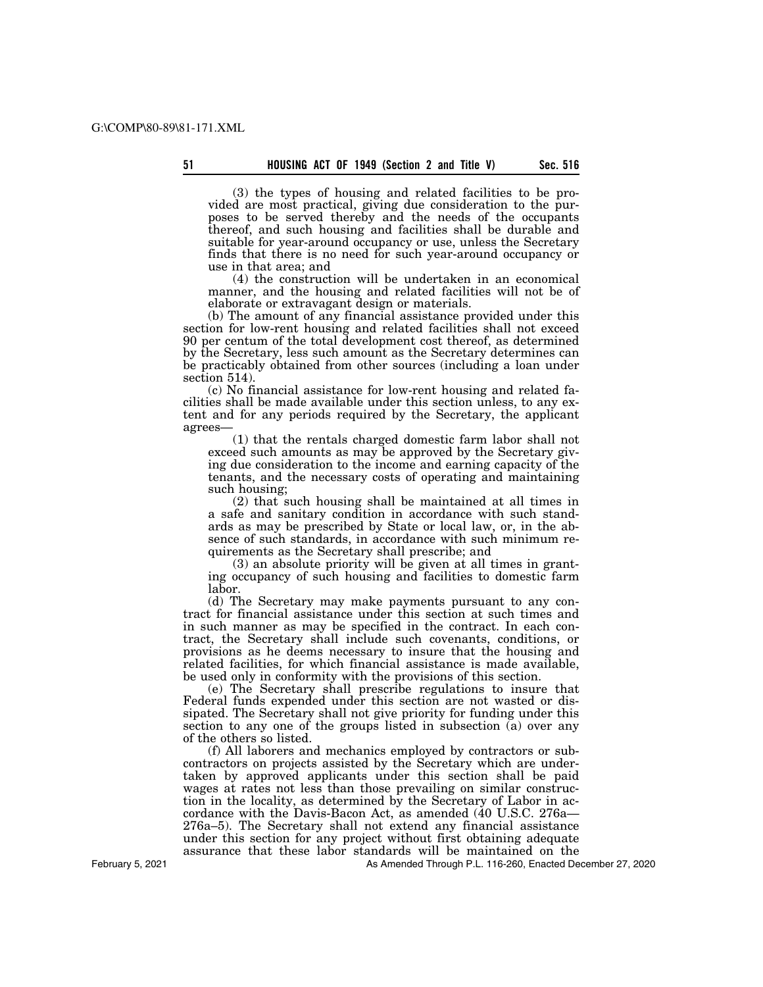(3) the types of housing and related facilities to be provided are most practical, giving due consideration to the purposes to be served thereby and the needs of the occupants thereof, and such housing and facilities shall be durable and suitable for year-around occupancy or use, unless the Secretary finds that there is no need for such year-around occupancy or use in that area; and

(4) the construction will be undertaken in an economical manner, and the housing and related facilities will not be of elaborate or extravagant design or materials.

(b) The amount of any financial assistance provided under this section for low-rent housing and related facilities shall not exceed 90 per centum of the total development cost thereof, as determined by the Secretary, less such amount as the Secretary determines can be practicably obtained from other sources (including a loan under section 514).

(c) No financial assistance for low-rent housing and related facilities shall be made available under this section unless, to any extent and for any periods required by the Secretary, the applicant agrees—

(1) that the rentals charged domestic farm labor shall not exceed such amounts as may be approved by the Secretary giving due consideration to the income and earning capacity of the tenants, and the necessary costs of operating and maintaining such housing;

(2) that such housing shall be maintained at all times in a safe and sanitary condition in accordance with such standards as may be prescribed by State or local law, or, in the absence of such standards, in accordance with such minimum requirements as the Secretary shall prescribe; and

(3) an absolute priority will be given at all times in granting occupancy of such housing and facilities to domestic farm labor.

(d) The Secretary may make payments pursuant to any contract for financial assistance under this section at such times and in such manner as may be specified in the contract. In each contract, the Secretary shall include such covenants, conditions, or provisions as he deems necessary to insure that the housing and related facilities, for which financial assistance is made available, be used only in conformity with the provisions of this section.

(e) The Secretary shall prescribe regulations to insure that Federal funds expended under this section are not wasted or dissipated. The Secretary shall not give priority for funding under this section to any one of the groups listed in subsection (a) over any of the others so listed.

(f) All laborers and mechanics employed by contractors or subcontractors on projects assisted by the Secretary which are undertaken by approved applicants under this section shall be paid wages at rates not less than those prevailing on similar construction in the locality, as determined by the Secretary of Labor in accordance with the Davis-Bacon Act, as amended (40 U.S.C. 276a— 276a–5). The Secretary shall not extend any financial assistance under this section for any project without first obtaining adequate assurance that these labor standards will be maintained on the

As Amended Through P.L. 116-260, Enacted December 27, 2020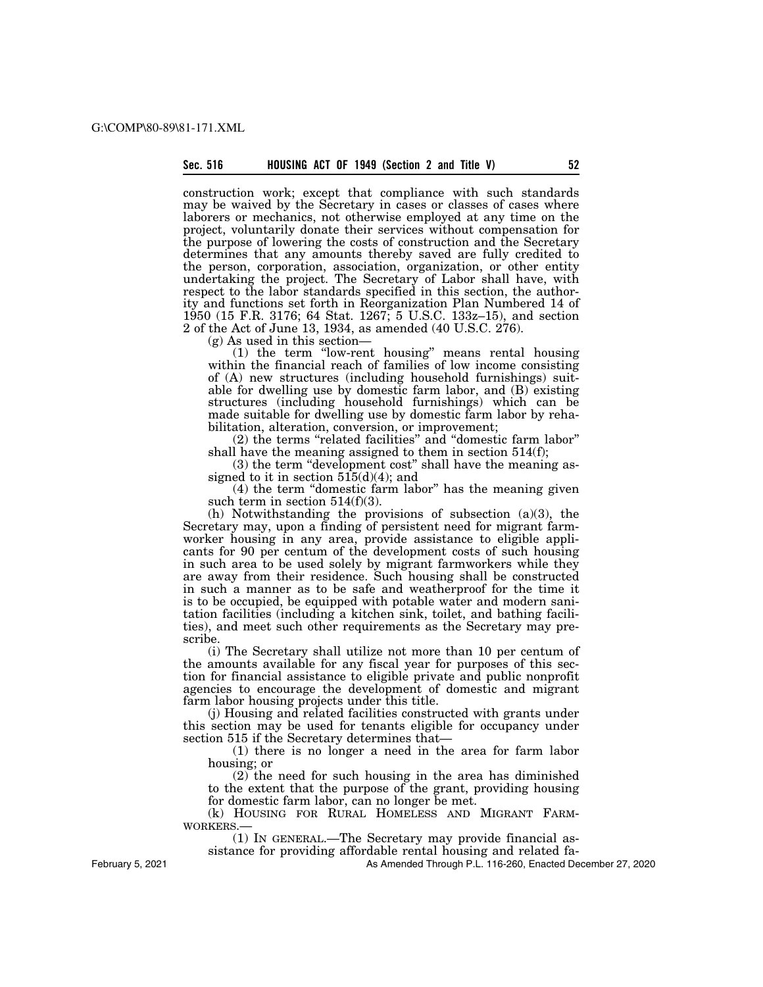construction work; except that compliance with such standards may be waived by the Secretary in cases or classes of cases where laborers or mechanics, not otherwise employed at any time on the project, voluntarily donate their services without compensation for the purpose of lowering the costs of construction and the Secretary determines that any amounts thereby saved are fully credited to the person, corporation, association, organization, or other entity undertaking the project. The Secretary of Labor shall have, with respect to the labor standards specified in this section, the authority and functions set forth in Reorganization Plan Numbered 14 of 1950 (15 F.R. 3176; 64 Stat. 1267; 5 U.S.C. 133z–15), and section 2 of the Act of June 13, 1934, as amended (40 U.S.C. 276).

(g) As used in this section—

(1) the term ''low-rent housing'' means rental housing within the financial reach of families of low income consisting of (A) new structures (including household furnishings) suitable for dwelling use by domestic farm labor, and (B) existing structures (including household furnishings) which can be made suitable for dwelling use by domestic farm labor by rehabilitation, alteration, conversion, or improvement;

(2) the terms ''related facilities'' and ''domestic farm labor'' shall have the meaning assigned to them in section 514(f);

(3) the term ''development cost'' shall have the meaning assigned to it in section  $515(d)(4)$ ; and

(4) the term ''domestic farm labor'' has the meaning given such term in section  $514(f)(3)$ .

(h) Notwithstanding the provisions of subsection (a)(3), the Secretary may, upon a finding of persistent need for migrant farmworker housing in any area, provide assistance to eligible applicants for 90 per centum of the development costs of such housing in such area to be used solely by migrant farmworkers while they are away from their residence. Such housing shall be constructed in such a manner as to be safe and weatherproof for the time it is to be occupied, be equipped with potable water and modern sanitation facilities (including a kitchen sink, toilet, and bathing facilities), and meet such other requirements as the Secretary may prescribe.

(i) The Secretary shall utilize not more than 10 per centum of the amounts available for any fiscal year for purposes of this section for financial assistance to eligible private and public nonprofit agencies to encourage the development of domestic and migrant farm labor housing projects under this title.

(j) Housing and related facilities constructed with grants under this section may be used for tenants eligible for occupancy under section 515 if the Secretary determines that—

(1) there is no longer a need in the area for farm labor housing; or

(2) the need for such housing in the area has diminished to the extent that the purpose of the grant, providing housing for domestic farm labor, can no longer be met.

(k) HOUSING FOR RURAL HOMELESS AND MIGRANT FARM-WORKERS.—

(1) IN GENERAL.—The Secretary may provide financial as-

sistance for providing affordable rental housing and related fa-

As Amended Through P.L. 116-260, Enacted December 27, 2020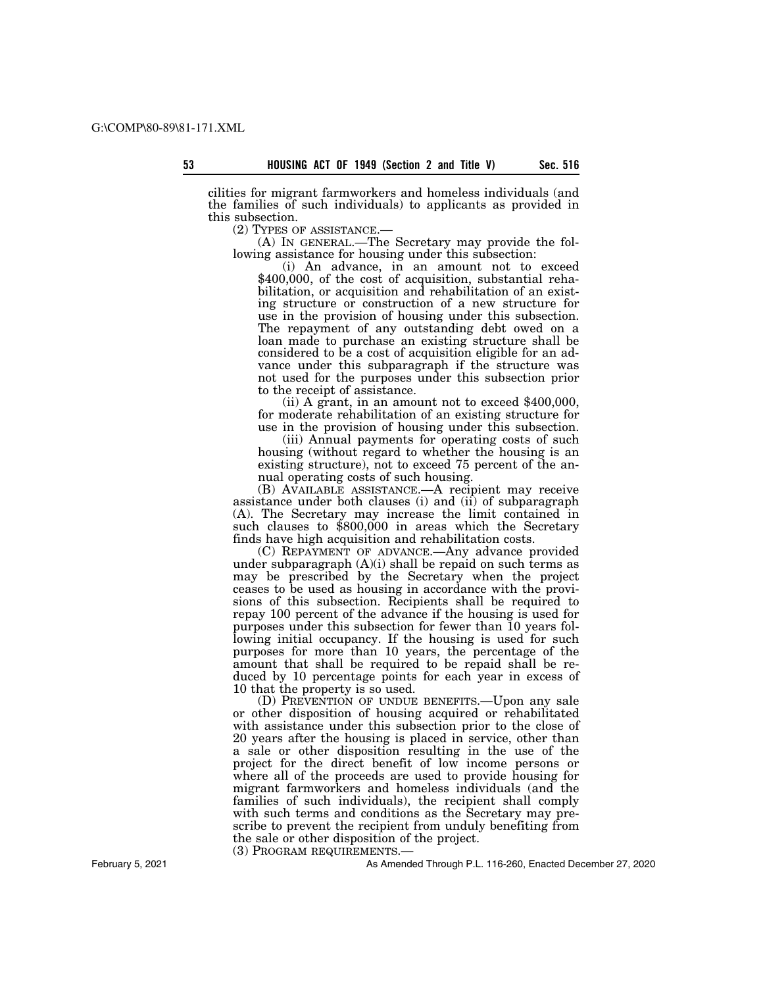cilities for migrant farmworkers and homeless individuals (and the families of such individuals) to applicants as provided in this subsection.

(2) TYPES OF ASSISTANCE.— (A) IN GENERAL.—The Secretary may provide the following assistance for housing under this subsection:

(i) An advance, in an amount not to exceed \$400,000, of the cost of acquisition, substantial rehabilitation, or acquisition and rehabilitation of an existing structure or construction of a new structure for use in the provision of housing under this subsection. The repayment of any outstanding debt owed on a loan made to purchase an existing structure shall be considered to be a cost of acquisition eligible for an advance under this subparagraph if the structure was not used for the purposes under this subsection prior

to the receipt of assistance. (ii) A grant, in an amount not to exceed \$400,000, for moderate rehabilitation of an existing structure for use in the provision of housing under this subsection.

(iii) Annual payments for operating costs of such housing (without regard to whether the housing is an existing structure), not to exceed 75 percent of the annual operating costs of such housing.

(B) AVAILABLE ASSISTANCE.—A recipient may receive assistance under both clauses (i) and (ii) of subparagraph (A). The Secretary may increase the limit contained in such clauses to \$800,000 in areas which the Secretary finds have high acquisition and rehabilitation costs.

(C) REPAYMENT OF ADVANCE.—Any advance provided under subparagraph (A)(i) shall be repaid on such terms as may be prescribed by the Secretary when the project ceases to be used as housing in accordance with the provisions of this subsection. Recipients shall be required to repay 100 percent of the advance if the housing is used for purposes under this subsection for fewer than 10 years following initial occupancy. If the housing is used for such purposes for more than 10 years, the percentage of the amount that shall be required to be repaid shall be reduced by 10 percentage points for each year in excess of 10 that the property is so used.

(D) PREVENTION OF UNDUE BENEFITS.—Upon any sale or other disposition of housing acquired or rehabilitated with assistance under this subsection prior to the close of 20 years after the housing is placed in service, other than a sale or other disposition resulting in the use of the project for the direct benefit of low income persons or where all of the proceeds are used to provide housing for migrant farmworkers and homeless individuals (and the families of such individuals), the recipient shall comply with such terms and conditions as the Secretary may prescribe to prevent the recipient from unduly benefiting from the sale or other disposition of the project.

(3) PROGRAM REQUIREMENTS.—

As Amended Through P.L. 116-260, Enacted December 27, 2020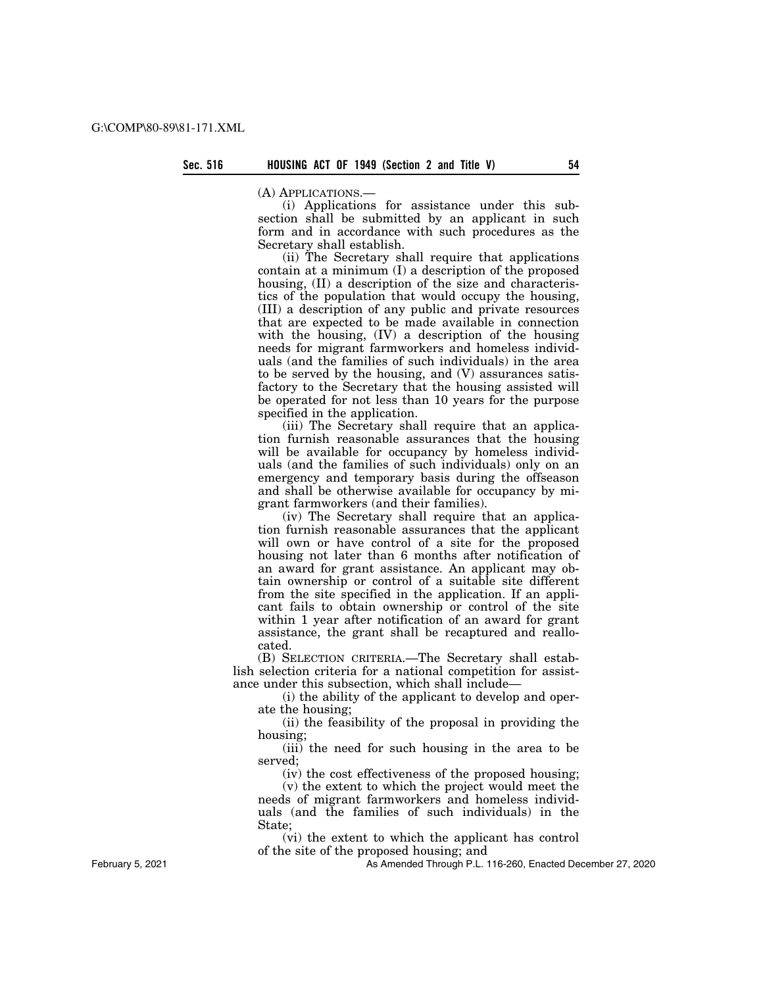(A) APPLICATIONS.—

(i) Applications for assistance under this subsection shall be submitted by an applicant in such form and in accordance with such procedures as the Secretary shall establish.

(ii) The Secretary shall require that applications contain at a minimum (I) a description of the proposed housing, (II) a description of the size and characteristics of the population that would occupy the housing, (III) a description of any public and private resources that are expected to be made available in connection with the housing, (IV) a description of the housing needs for migrant farmworkers and homeless individuals (and the families of such individuals) in the area to be served by the housing, and (V) assurances satisfactory to the Secretary that the housing assisted will be operated for not less than 10 years for the purpose specified in the application.

(iii) The Secretary shall require that an application furnish reasonable assurances that the housing will be available for occupancy by homeless individuals (and the families of such individuals) only on an emergency and temporary basis during the offseason and shall be otherwise available for occupancy by migrant farmworkers (and their families).

(iv) The Secretary shall require that an application furnish reasonable assurances that the applicant will own or have control of a site for the proposed housing not later than 6 months after notification of an award for grant assistance. An applicant may obtain ownership or control of a suitable site different from the site specified in the application. If an applicant fails to obtain ownership or control of the site within 1 year after notification of an award for grant assistance, the grant shall be recaptured and reallocated.

(B) SELECTION CRITERIA.—The Secretary shall establish selection criteria for a national competition for assistance under this subsection, which shall include—

(i) the ability of the applicant to develop and operate the housing;

(ii) the feasibility of the proposal in providing the housing;

(iii) the need for such housing in the area to be served;

(iv) the cost effectiveness of the proposed housing;

(v) the extent to which the project would meet the needs of migrant farmworkers and homeless individuals (and the families of such individuals) in the State;

(vi) the extent to which the applicant has control of the site of the proposed housing; and

As Amended Through P.L. 116-260, Enacted December 27, 2020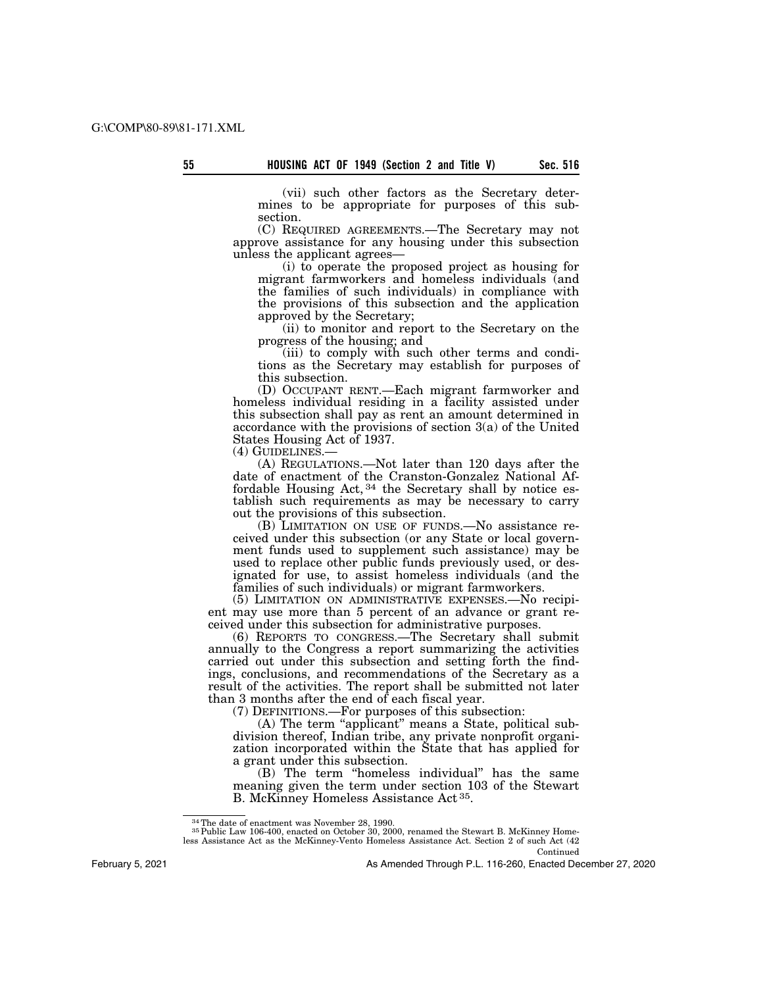(vii) such other factors as the Secretary determines to be appropriate for purposes of this subsection.

(C) REQUIRED AGREEMENTS.—The Secretary may not approve assistance for any housing under this subsection unless the applicant agrees—

(i) to operate the proposed project as housing for migrant farmworkers and homeless individuals (and the families of such individuals) in compliance with the provisions of this subsection and the application approved by the Secretary;

(ii) to monitor and report to the Secretary on the progress of the housing; and

(iii) to comply with such other terms and conditions as the Secretary may establish for purposes of this subsection.

(D) OCCUPANT RENT.—Each migrant farmworker and homeless individual residing in a facility assisted under this subsection shall pay as rent an amount determined in accordance with the provisions of section 3(a) of the United States Housing Act of 1937.<br>(4) GUIDELINES.—

(A) REGULATIONS.—Not later than 120 days after the date of enactment of the Cranston-Gonzalez National Affordable Housing Act, 34 the Secretary shall by notice establish such requirements as may be necessary to carry out the provisions of this subsection.

(B) LIMITATION ON USE OF FUNDS.—No assistance received under this subsection (or any State or local government funds used to supplement such assistance) may be used to replace other public funds previously used, or designated for use, to assist homeless individuals (and the families of such individuals) or migrant farmworkers.

(5) LIMITATION ON ADMINISTRATIVE EXPENSES.—No recipient may use more than 5 percent of an advance or grant received under this subsection for administrative purposes.

(6) REPORTS TO CONGRESS.—The Secretary shall submit annually to the Congress a report summarizing the activities carried out under this subsection and setting forth the findings, conclusions, and recommendations of the Secretary as a result of the activities. The report shall be submitted not later than 3 months after the end of each fiscal year.

(7) DEFINITIONS.—For purposes of this subsection:

(A) The term "applicant" means a State, political subdivision thereof, Indian tribe, any private nonprofit organization incorporated within the State that has applied for a grant under this subsection.

(B) The term ''homeless individual'' has the same meaning given the term under section 103 of the Stewart B. McKinney Homeless Assistance Act 35.

Continued

February 5, 2021

 $^{34}$  The date of enactment was November 28, 1990.  $^{35}$  Public Law 106-400, enacted on October 30, 2000, renamed the Stewart B. McKinney Homeless Assistance Act as the McKinney-Vento Homeless Assistance Act. Section 2 of such Act (42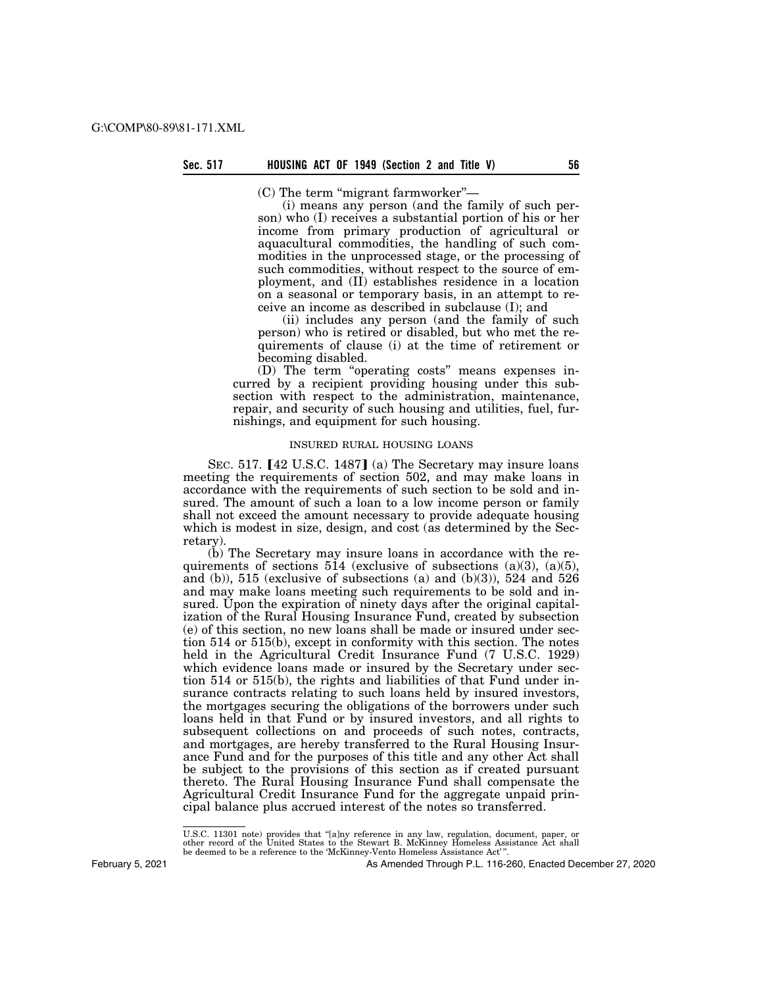$(C)$  The term "migrant farmworker"—

(i) means any person (and the family of such person) who (I) receives a substantial portion of his or her income from primary production of agricultural or aquacultural commodities, the handling of such commodities in the unprocessed stage, or the processing of such commodities, without respect to the source of employment, and (II) establishes residence in a location on a seasonal or temporary basis, in an attempt to receive an income as described in subclause (I); and

(ii) includes any person (and the family of such person) who is retired or disabled, but who met the requirements of clause (i) at the time of retirement or becoming disabled.

(D) The term ''operating costs'' means expenses incurred by a recipient providing housing under this subsection with respect to the administration, maintenance, repair, and security of such housing and utilities, fuel, furnishings, and equipment for such housing.

# INSURED RURAL HOUSING LOANS

SEC. 517.  $[42 \text{ U.S.C. } 1487]$  (a) The Secretary may insure loans meeting the requirements of section 502, and may make loans in accordance with the requirements of such section to be sold and insured. The amount of such a loan to a low income person or family shall not exceed the amount necessary to provide adequate housing which is modest in size, design, and cost (as determined by the Secretary).

(b) The Secretary may insure loans in accordance with the requirements of sections 514 (exclusive of subsections (a)(3), (a)(5), and (b)),  $515$  (exclusive of subsections (a) and (b)(3)),  $524$  and  $526$ and may make loans meeting such requirements to be sold and insured. Upon the expiration of ninety days after the original capitalization of the Rural Housing Insurance Fund, created by subsection (e) of this section, no new loans shall be made or insured under section 514 or 515(b), except in conformity with this section. The notes held in the Agricultural Credit Insurance Fund (7 U.S.C. 1929) which evidence loans made or insured by the Secretary under section 514 or 515(b), the rights and liabilities of that Fund under insurance contracts relating to such loans held by insured investors, the mortgages securing the obligations of the borrowers under such loans held in that Fund or by insured investors, and all rights to subsequent collections on and proceeds of such notes, contracts, and mortgages, are hereby transferred to the Rural Housing Insurance Fund and for the purposes of this title and any other Act shall be subject to the provisions of this section as if created pursuant thereto. The Rural Housing Insurance Fund shall compensate the Agricultural Credit Insurance Fund for the aggregate unpaid principal balance plus accrued interest of the notes so transferred.

February 5, 2021

U.S.C. 11301 note) provides that ''[a]ny reference in any law, regulation, document, paper, or other record of the United States to the Stewart B. McKinney Homeless Assistance Act shall be deemed to be a reference to the 'McKinney-Vento Homeless Assistance Act' ''.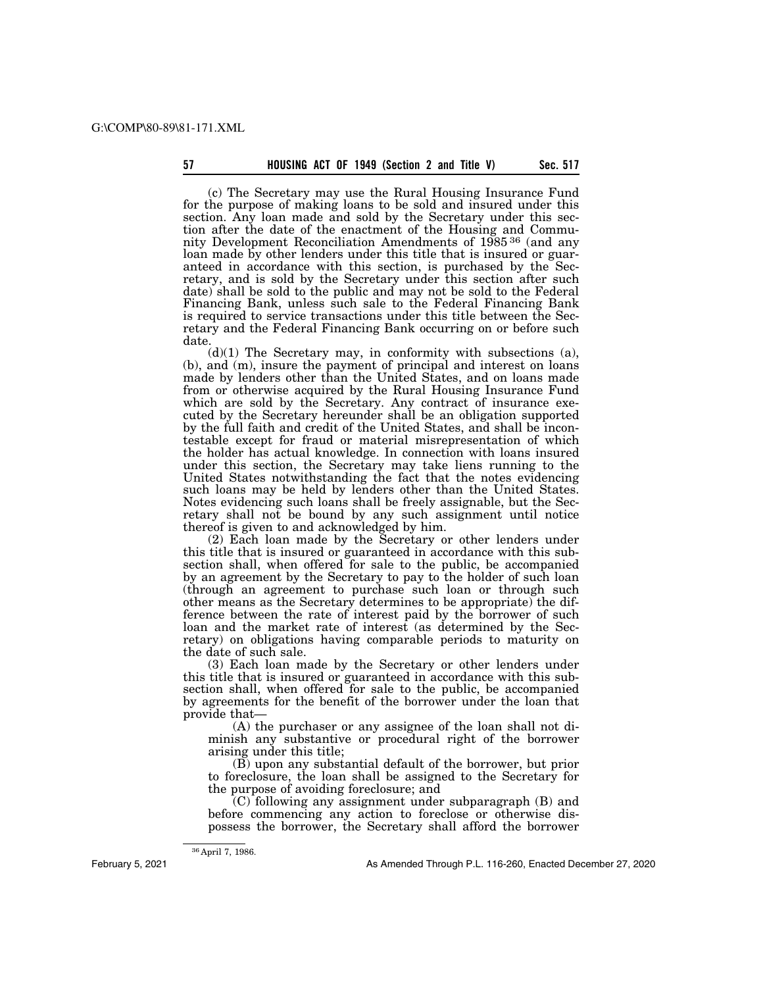(c) The Secretary may use the Rural Housing Insurance Fund for the purpose of making loans to be sold and insured under this section. Any loan made and sold by the Secretary under this section after the date of the enactment of the Housing and Community Development Reconciliation Amendments of 1985 36 (and any loan made by other lenders under this title that is insured or guaranteed in accordance with this section, is purchased by the Secretary, and is sold by the Secretary under this section after such date) shall be sold to the public and may not be sold to the Federal Financing Bank, unless such sale to the Federal Financing Bank is required to service transactions under this title between the Secretary and the Federal Financing Bank occurring on or before such date.

 $(d)(1)$  The Secretary may, in conformity with subsections  $(a)$ , (b), and (m), insure the payment of principal and interest on loans made by lenders other than the United States, and on loans made from or otherwise acquired by the Rural Housing Insurance Fund which are sold by the Secretary. Any contract of insurance executed by the Secretary hereunder shall be an obligation supported by the full faith and credit of the United States, and shall be incontestable except for fraud or material misrepresentation of which the holder has actual knowledge. In connection with loans insured under this section, the Secretary may take liens running to the United States notwithstanding the fact that the notes evidencing such loans may be held by lenders other than the United States. Notes evidencing such loans shall be freely assignable, but the Secretary shall not be bound by any such assignment until notice thereof is given to and acknowledged by him.

(2) Each loan made by the Secretary or other lenders under this title that is insured or guaranteed in accordance with this subsection shall, when offered for sale to the public, be accompanied by an agreement by the Secretary to pay to the holder of such loan (through an agreement to purchase such loan or through such other means as the Secretary determines to be appropriate) the difference between the rate of interest paid by the borrower of such loan and the market rate of interest (as determined by the Secretary) on obligations having comparable periods to maturity on the date of such sale.

(3) Each loan made by the Secretary or other lenders under this title that is insured or guaranteed in accordance with this subsection shall, when offered for sale to the public, be accompanied by agreements for the benefit of the borrower under the loan that provide that—

(A) the purchaser or any assignee of the loan shall not diminish any substantive or procedural right of the borrower arising under this title;

(B) upon any substantial default of the borrower, but prior to foreclosure, the loan shall be assigned to the Secretary for the purpose of avoiding foreclosure; and

(C) following any assignment under subparagraph (B) and before commencing any action to foreclose or otherwise dispossess the borrower, the Secretary shall afford the borrower

February 5, 2021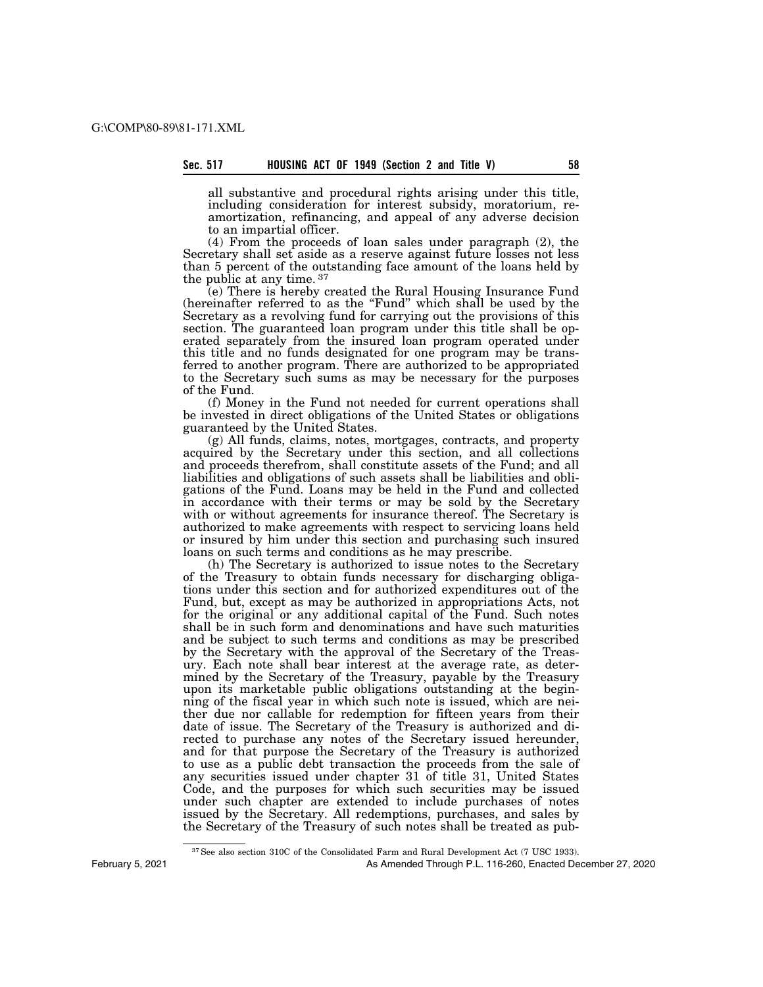all substantive and procedural rights arising under this title, including consideration for interest subsidy, moratorium, reamortization, refinancing, and appeal of any adverse decision to an impartial officer.

(4) From the proceeds of loan sales under paragraph (2), the Secretary shall set aside as a reserve against future losses not less than 5 percent of the outstanding face amount of the loans held by the public at any time. 37

(e) There is hereby created the Rural Housing Insurance Fund (hereinafter referred to as the ''Fund'' which shall be used by the Secretary as a revolving fund for carrying out the provisions of this section. The guaranteed loan program under this title shall be operated separately from the insured loan program operated under this title and no funds designated for one program may be transferred to another program. There are authorized to be appropriated to the Secretary such sums as may be necessary for the purposes of the Fund.

(f) Money in the Fund not needed for current operations shall be invested in direct obligations of the United States or obligations guaranteed by the United States.

(g) All funds, claims, notes, mortgages, contracts, and property acquired by the Secretary under this section, and all collections and proceeds therefrom, shall constitute assets of the Fund; and all liabilities and obligations of such assets shall be liabilities and obligations of the Fund. Loans may be held in the Fund and collected in accordance with their terms or may be sold by the Secretary with or without agreements for insurance thereof. The Secretary is authorized to make agreements with respect to servicing loans held or insured by him under this section and purchasing such insured loans on such terms and conditions as he may prescribe.

(h) The Secretary is authorized to issue notes to the Secretary of the Treasury to obtain funds necessary for discharging obligations under this section and for authorized expenditures out of the Fund, but, except as may be authorized in appropriations Acts, not for the original or any additional capital of the Fund. Such notes shall be in such form and denominations and have such maturities and be subject to such terms and conditions as may be prescribed by the Secretary with the approval of the Secretary of the Treasury. Each note shall bear interest at the average rate, as determined by the Secretary of the Treasury, payable by the Treasury upon its marketable public obligations outstanding at the beginning of the fiscal year in which such note is issued, which are neither due nor callable for redemption for fifteen years from their date of issue. The Secretary of the Treasury is authorized and directed to purchase any notes of the Secretary issued hereunder, and for that purpose the Secretary of the Treasury is authorized to use as a public debt transaction the proceeds from the sale of any securities issued under chapter 31 of title 31, United States Code, and the purposes for which such securities may be issued under such chapter are extended to include purchases of notes issued by the Secretary. All redemptions, purchases, and sales by the Secretary of the Treasury of such notes shall be treated as pub-

37See also section 310C of the Consolidated Farm and Rural Development Act (7 USC 1933).

February 5, 2021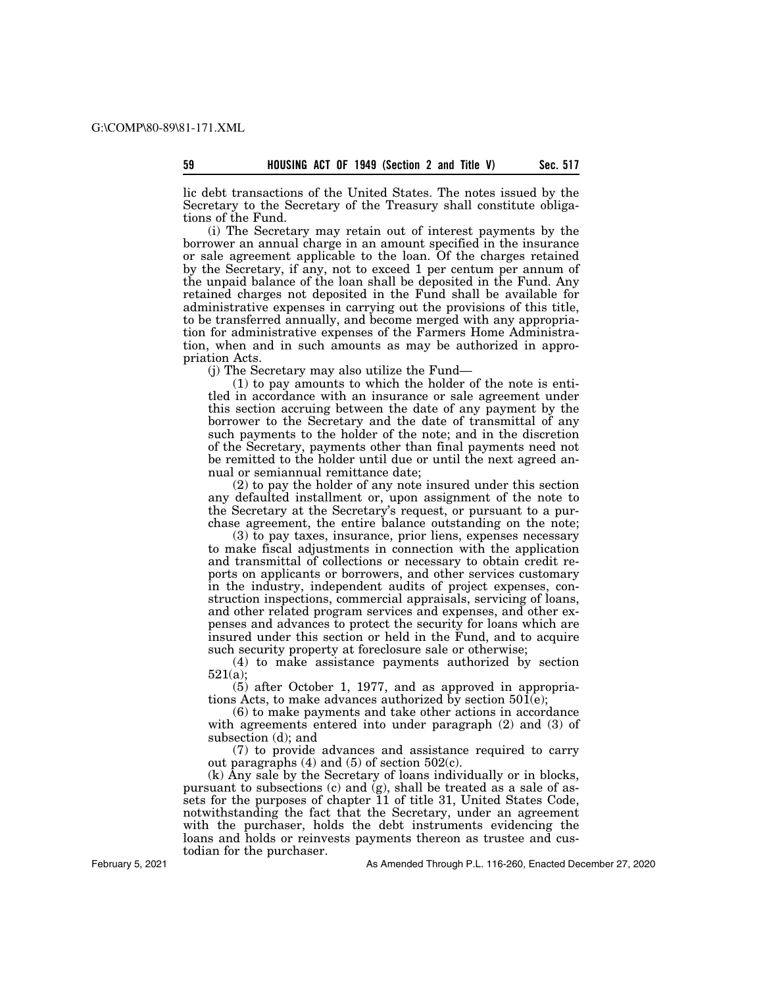lic debt transactions of the United States. The notes issued by the Secretary to the Secretary of the Treasury shall constitute obligations of the Fund.

(i) The Secretary may retain out of interest payments by the borrower an annual charge in an amount specified in the insurance or sale agreement applicable to the loan. Of the charges retained by the Secretary, if any, not to exceed 1 per centum per annum of the unpaid balance of the loan shall be deposited in the Fund. Any retained charges not deposited in the Fund shall be available for administrative expenses in carrying out the provisions of this title, to be transferred annually, and become merged with any appropriation for administrative expenses of the Farmers Home Administration, when and in such amounts as may be authorized in appropriation Acts.

(j) The Secretary may also utilize the Fund—

(1) to pay amounts to which the holder of the note is entitled in accordance with an insurance or sale agreement under this section accruing between the date of any payment by the borrower to the Secretary and the date of transmittal of any such payments to the holder of the note; and in the discretion of the Secretary, payments other than final payments need not be remitted to the holder until due or until the next agreed annual or semiannual remittance date;

(2) to pay the holder of any note insured under this section any defaulted installment or, upon assignment of the note to the Secretary at the Secretary's request, or pursuant to a purchase agreement, the entire balance outstanding on the note;

(3) to pay taxes, insurance, prior liens, expenses necessary to make fiscal adjustments in connection with the application and transmittal of collections or necessary to obtain credit reports on applicants or borrowers, and other services customary in the industry, independent audits of project expenses, construction inspections, commercial appraisals, servicing of loans, and other related program services and expenses, and other expenses and advances to protect the security for loans which are insured under this section or held in the Fund, and to acquire such security property at foreclosure sale or otherwise;

(4) to make assistance payments authorized by section  $521(a);$ 

(5) after October 1, 1977, and as approved in appropriations Acts, to make advances authorized by section 501(e);

(6) to make payments and take other actions in accordance with agreements entered into under paragraph (2) and (3) of subsection (d); and

(7) to provide advances and assistance required to carry out paragraphs  $(4)$  and  $(5)$  of section  $502(c)$ .

(k) Any sale by the Secretary of loans individually or in blocks, pursuant to subsections (c) and (g), shall be treated as a sale of assets for the purposes of chapter 11 of title 31, United States Code, notwithstanding the fact that the Secretary, under an agreement with the purchaser, holds the debt instruments evidencing the loans and holds or reinvests payments thereon as trustee and custodian for the purchaser.

February 5, 2021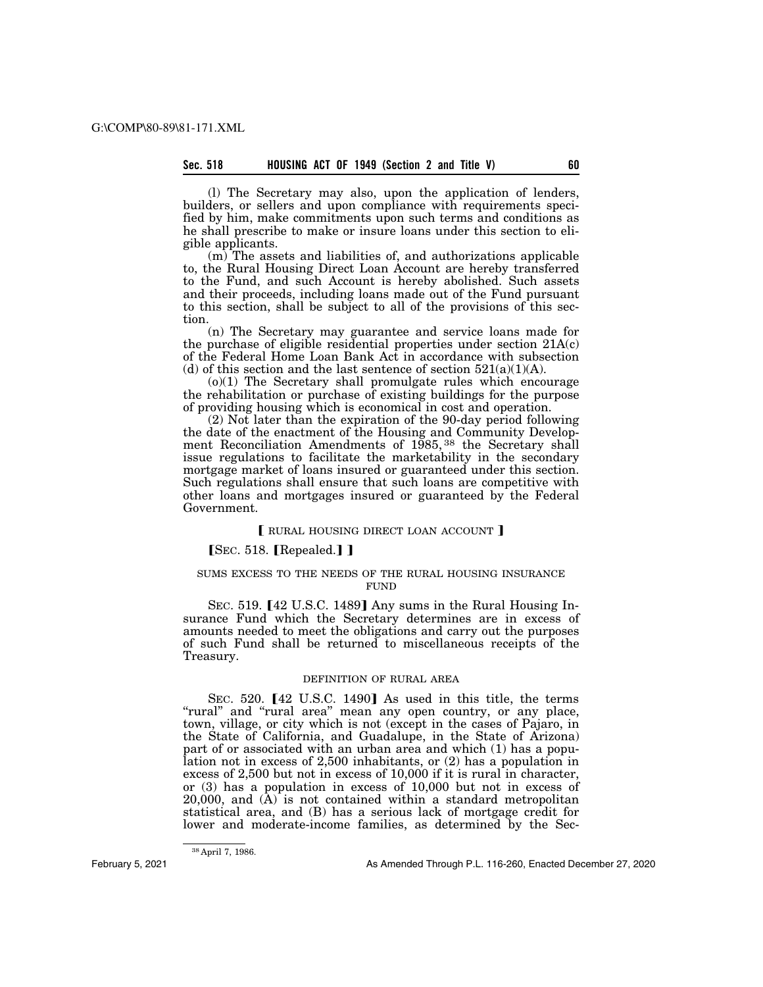(l) The Secretary may also, upon the application of lenders, builders, or sellers and upon compliance with requirements specified by him, make commitments upon such terms and conditions as he shall prescribe to make or insure loans under this section to eligible applicants.

(m) The assets and liabilities of, and authorizations applicable to, the Rural Housing Direct Loan Account are hereby transferred to the Fund, and such Account is hereby abolished. Such assets and their proceeds, including loans made out of the Fund pursuant to this section, shall be subject to all of the provisions of this section.

(n) The Secretary may guarantee and service loans made for the purchase of eligible residential properties under section  $21A(c)$ of the Federal Home Loan Bank Act in accordance with subsection (d) of this section and the last sentence of section  $521(a)(1)(A)$ .

(o)(1) The Secretary shall promulgate rules which encourage the rehabilitation or purchase of existing buildings for the purpose of providing housing which is economical in cost and operation.

(2) Not later than the expiration of the 90-day period following the date of the enactment of the Housing and Community Development Reconciliation Amendments of 1985, 38 the Secretary shall issue regulations to facilitate the marketability in the secondary mortgage market of loans insured or guaranteed under this section. Such regulations shall ensure that such loans are competitive with other loans and mortgages insured or guaranteed by the Federal Government.

# RURAL HOUSING DIRECT LOAN ACCOUNT ]

# $SEC. 518.$  [Repealed.] ]

# SUMS EXCESS TO THE NEEDS OF THE RURAL HOUSING INSURANCE FUND

SEC. 519.  $[42 \text{ U.S.C. } 1489]$  Any sums in the Rural Housing Insurance Fund which the Secretary determines are in excess of amounts needed to meet the obligations and carry out the purposes of such Fund shall be returned to miscellaneous receipts of the Treasury.

# DEFINITION OF RURAL AREA

SEC. 520. [42 U.S.C. 1490] As used in this title, the terms ''rural'' and ''rural area'' mean any open country, or any place, town, village, or city which is not (except in the cases of Pajaro, in the State of California, and Guadalupe, in the State of Arizona) part of or associated with an urban area and which (1) has a population not in excess of 2,500 inhabitants, or (2) has a population in excess of 2,500 but not in excess of 10,000 if it is rural in character, or (3) has a population in excess of 10,000 but not in excess of  $20,000$ , and  $(\overline{A})$  is not contained within a standard metropolitan statistical area, and (B) has a serious lack of mortgage credit for lower and moderate-income families, as determined by the Sec-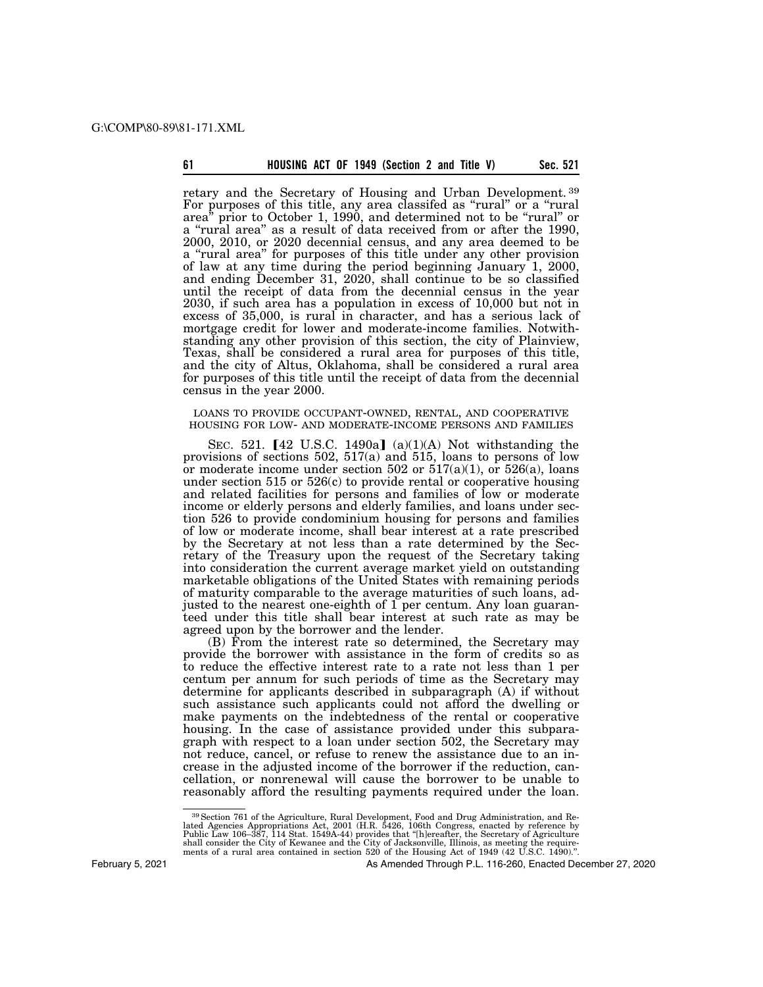|  | 61 | HOUSING ACT OF 1949 (Section 2 and Title V) |  |  |  |  |  |  |  |  | Sec. 521 |
|--|----|---------------------------------------------|--|--|--|--|--|--|--|--|----------|
|--|----|---------------------------------------------|--|--|--|--|--|--|--|--|----------|

retary and the Secretary of Housing and Urban Development. 39 For purposes of this title, any area classifed as "rural" or a "rural" area'' prior to October 1, 1990, and determined not to be ''rural'' or a ''rural area'' as a result of data received from or after the 1990, 2000, 2010, or 2020 decennial census, and any area deemed to be a "rural area" for purposes of this title under any other provision of law at any time during the period beginning January 1, 2000, and ending December 31, 2020, shall continue to be so classified until the receipt of data from the decennial census in the year 2030, if such area has a population in excess of 10,000 but not in excess of 35,000, is rural in character, and has a serious lack of mortgage credit for lower and moderate-income families. Notwithstanding any other provision of this section, the city of Plainview, Texas, shall be considered a rural area for purposes of this title, and the city of Altus, Oklahoma, shall be considered a rural area for purposes of this title until the receipt of data from the decennial census in the year 2000.

LOANS TO PROVIDE OCCUPANT-OWNED, RENTAL, AND COOPERATIVE HOUSING FOR LOW- AND MODERATE-INCOME PERSONS AND FAMILIES

SEC. 521.  $[42 \text{ U.S.C. } 1490a]$  (a)(1)(A) Not withstanding the provisions of sections  $502$ ,  $517(a)$  and  $515$ , loans to persons of low or moderate income under section 502 or  $517(a)(1)$ , or  $526(a)$ , loans under section 515 or 526(c) to provide rental or cooperative housing and related facilities for persons and families of low or moderate income or elderly persons and elderly families, and loans under section 526 to provide condominium housing for persons and families of low or moderate income, shall bear interest at a rate prescribed by the Secretary at not less than a rate determined by the Secretary of the Treasury upon the request of the Secretary taking into consideration the current average market yield on outstanding marketable obligations of the United States with remaining periods of maturity comparable to the average maturities of such loans, adjusted to the nearest one-eighth of 1 per centum. Any loan guaranteed under this title shall bear interest at such rate as may be agreed upon by the borrower and the lender.

(B) From the interest rate so determined, the Secretary may provide the borrower with assistance in the form of credits so as to reduce the effective interest rate to a rate not less than 1 per centum per annum for such periods of time as the Secretary may determine for applicants described in subparagraph (A) if without such assistance such applicants could not afford the dwelling or make payments on the indebtedness of the rental or cooperative housing. In the case of assistance provided under this subparagraph with respect to a loan under section 502, the Secretary may not reduce, cancel, or refuse to renew the assistance due to an increase in the adjusted income of the borrower if the reduction, cancellation, or nonrenewal will cause the borrower to be unable to reasonably afford the resulting payments required under the loan.

<sup>39</sup>Section 761 of the Agriculture, Rural Development, Food and Drug Administration, and Related Agencies Appropriations Act, 2001 (H.R. 5426, 106th Congress, enacted by reference by<br>Public Law 106–387, 114 Stat. 1549A-44) provides that "[h]ereafter, the Secretary of Agriculture<br>shall consider the City of Kewane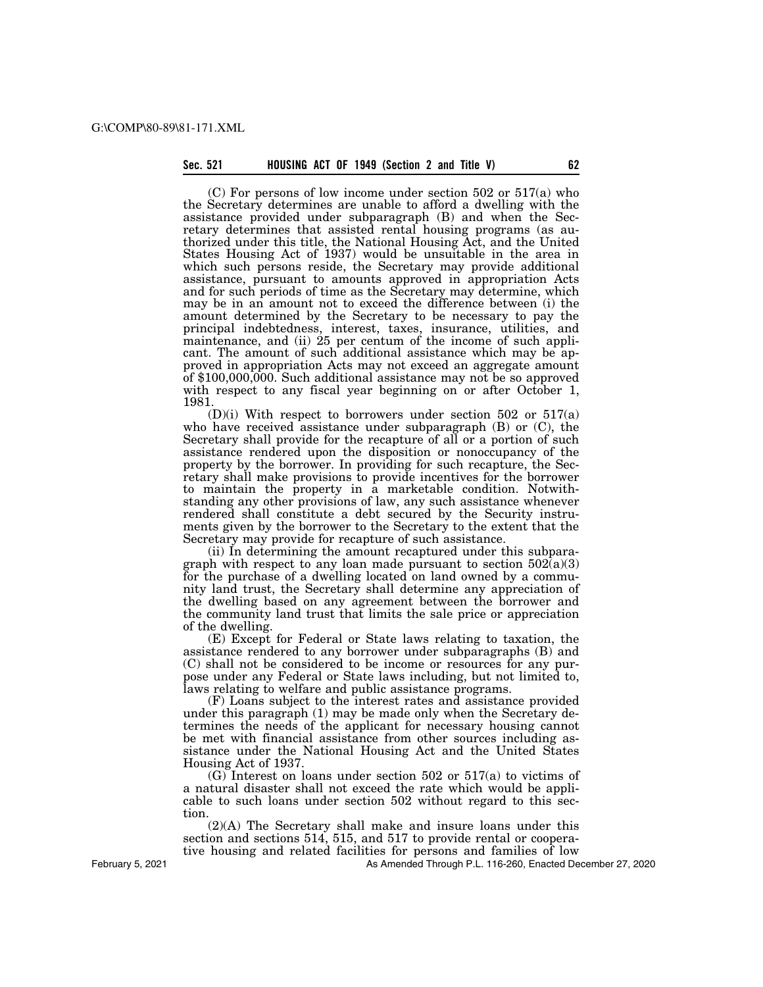(C) For persons of low income under section 502 or 517(a) who the Secretary determines are unable to afford a dwelling with the assistance provided under subparagraph (B) and when the Secretary determines that assisted rental housing programs (as authorized under this title, the National Housing Act, and the United States Housing Act of 1937) would be unsuitable in the area in which such persons reside, the Secretary may provide additional assistance, pursuant to amounts approved in appropriation Acts and for such periods of time as the Secretary may determine, which may be in an amount not to exceed the difference between (i) the amount determined by the Secretary to be necessary to pay the principal indebtedness, interest, taxes, insurance, utilities, and maintenance, and (ii) 25 per centum of the income of such applicant. The amount of such additional assistance which may be approved in appropriation Acts may not exceed an aggregate amount of \$100,000,000. Such additional assistance may not be so approved with respect to any fiscal year beginning on or after October 1, 1981.

 $(D)(i)$  With respect to borrowers under section 502 or 517(a) who have received assistance under subparagraph  $(B)$  or  $(C)$ , the Secretary shall provide for the recapture of all or a portion of such assistance rendered upon the disposition or nonoccupancy of the property by the borrower. In providing for such recapture, the Secretary shall make provisions to provide incentives for the borrower to maintain the property in a marketable condition. Notwithstanding any other provisions of law, any such assistance whenever rendered shall constitute a debt secured by the Security instruments given by the borrower to the Secretary to the extent that the Secretary may provide for recapture of such assistance.

(ii) In determining the amount recaptured under this subparagraph with respect to any loan made pursuant to section  $502(a)(3)$ for the purchase of a dwelling located on land owned by a community land trust, the Secretary shall determine any appreciation of the dwelling based on any agreement between the borrower and the community land trust that limits the sale price or appreciation of the dwelling.

(E) Except for Federal or State laws relating to taxation, the assistance rendered to any borrower under subparagraphs (B) and (C) shall not be considered to be income or resources for any purpose under any Federal or State laws including, but not limited to, laws relating to welfare and public assistance programs.

(F) Loans subject to the interest rates and assistance provided under this paragraph (1) may be made only when the Secretary determines the needs of the applicant for necessary housing cannot be met with financial assistance from other sources including assistance under the National Housing Act and the United States Housing Act of 1937.

(G) Interest on loans under section 502 or 517(a) to victims of a natural disaster shall not exceed the rate which would be applicable to such loans under section 502 without regard to this section.

(2)(A) The Secretary shall make and insure loans under this section and sections 514, 515, and 517 to provide rental or cooperative housing and related facilities for persons and families of low

As Amended Through P.L. 116-260, Enacted December 27, 2020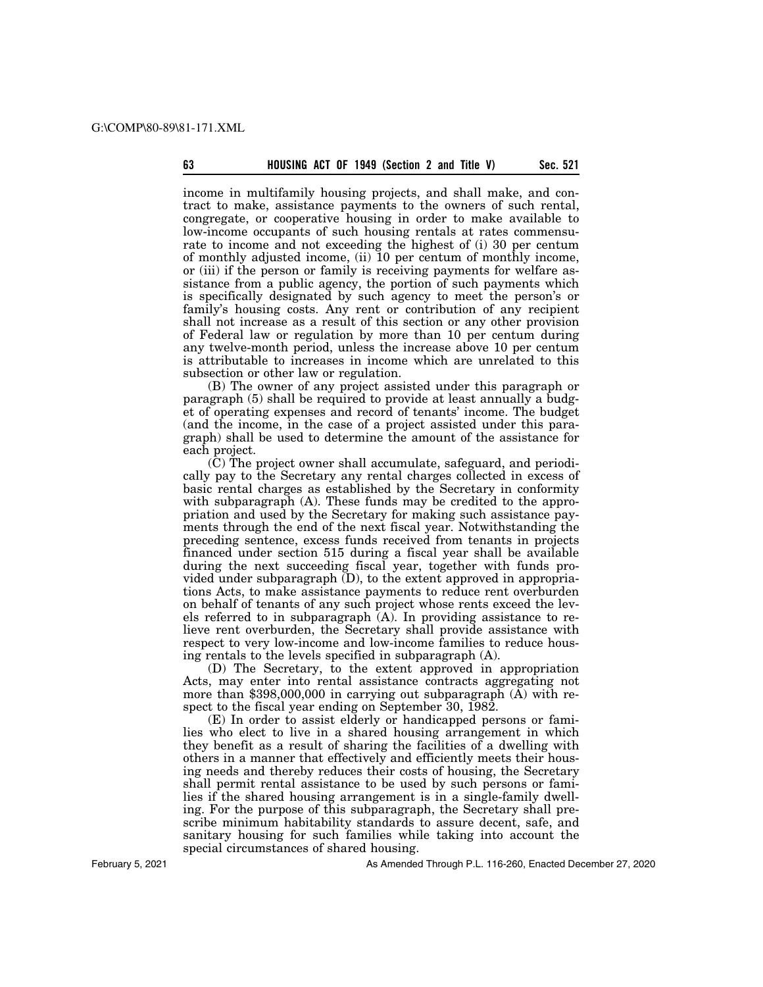income in multifamily housing projects, and shall make, and contract to make, assistance payments to the owners of such rental, congregate, or cooperative housing in order to make available to low-income occupants of such housing rentals at rates commensurate to income and not exceeding the highest of (i) 30 per centum of monthly adjusted income, (ii) 10 per centum of monthly income, or (iii) if the person or family is receiving payments for welfare assistance from a public agency, the portion of such payments which is specifically designated by such agency to meet the person's or family's housing costs. Any rent or contribution of any recipient shall not increase as a result of this section or any other provision of Federal law or regulation by more than 10 per centum during any twelve-month period, unless the increase above 10 per centum is attributable to increases in income which are unrelated to this subsection or other law or regulation.

(B) The owner of any project assisted under this paragraph or paragraph (5) shall be required to provide at least annually a budget of operating expenses and record of tenants' income. The budget (and the income, in the case of a project assisted under this paragraph) shall be used to determine the amount of the assistance for each project.

(C) The project owner shall accumulate, safeguard, and periodically pay to the Secretary any rental charges collected in excess of basic rental charges as established by the Secretary in conformity with subparagraph (A). These funds may be credited to the appropriation and used by the Secretary for making such assistance payments through the end of the next fiscal year. Notwithstanding the preceding sentence, excess funds received from tenants in projects financed under section 515 during a fiscal year shall be available during the next succeeding fiscal year, together with funds provided under subparagraph (D), to the extent approved in appropriations Acts, to make assistance payments to reduce rent overburden on behalf of tenants of any such project whose rents exceed the levels referred to in subparagraph (A). In providing assistance to relieve rent overburden, the Secretary shall provide assistance with respect to very low-income and low-income families to reduce housing rentals to the levels specified in subparagraph (A).

(D) The Secretary, to the extent approved in appropriation Acts, may enter into rental assistance contracts aggregating not more than \$398,000,000 in carrying out subparagraph (A) with respect to the fiscal year ending on September 30, 1982.

(E) In order to assist elderly or handicapped persons or families who elect to live in a shared housing arrangement in which they benefit as a result of sharing the facilities of a dwelling with others in a manner that effectively and efficiently meets their housing needs and thereby reduces their costs of housing, the Secretary shall permit rental assistance to be used by such persons or families if the shared housing arrangement is in a single-family dwelling. For the purpose of this subparagraph, the Secretary shall prescribe minimum habitability standards to assure decent, safe, and sanitary housing for such families while taking into account the special circumstances of shared housing.

February 5, 2021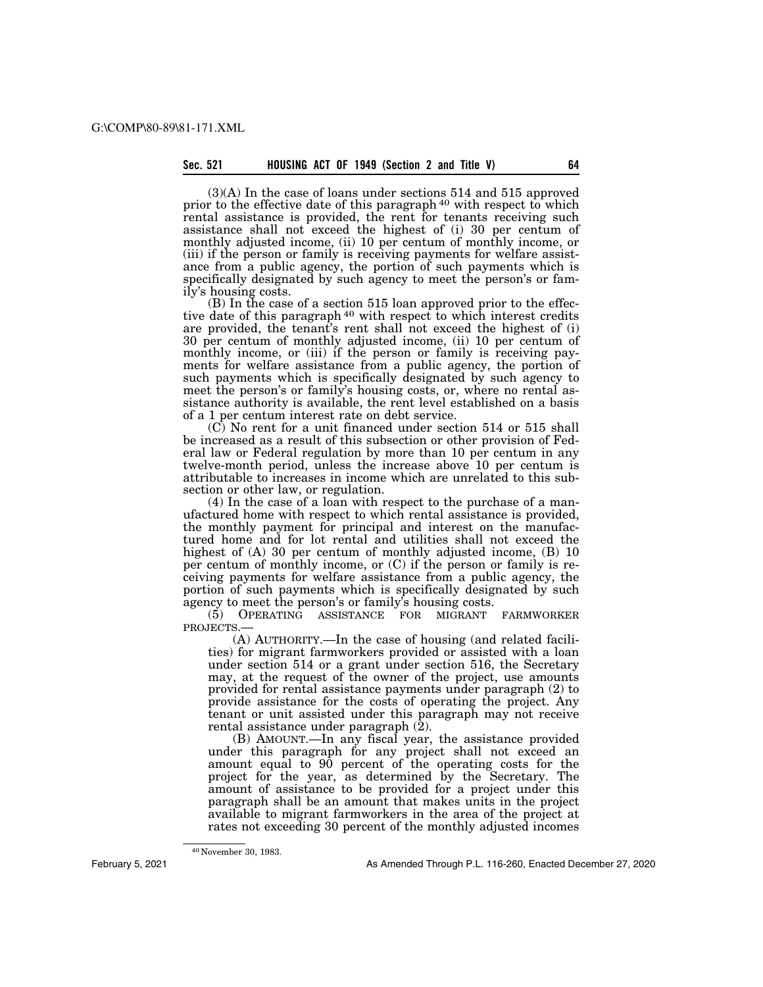(3)(A) In the case of loans under sections 514 and 515 approved prior to the effective date of this paragraph<sup>40</sup> with respect to which rental assistance is provided, the rent for tenants receiving such assistance shall not exceed the highest of (i) 30 per centum of monthly adjusted income, (ii) 10 per centum of monthly income, or (iii) if the person or family is receiving payments for welfare assistance from a public agency, the portion of such payments which is specifically designated by such agency to meet the person's or family's housing costs.

(B) In the case of a section 515 loan approved prior to the effective date of this paragraph<sup>40</sup> with respect to which interest credits are provided, the tenant's rent shall not exceed the highest of (i) 30 per centum of monthly adjusted income, (ii) 10 per centum of monthly income, or (iii) if the person or family is receiving payments for welfare assistance from a public agency, the portion of such payments which is specifically designated by such agency to meet the person's or family's housing costs, or, where no rental assistance authority is available, the rent level established on a basis of a 1 per centum interest rate on debt service.

(C) No rent for a unit financed under section 514 or 515 shall be increased as a result of this subsection or other provision of Federal law or Federal regulation by more than 10 per centum in any twelve-month period, unless the increase above 10 per centum is attributable to increases in income which are unrelated to this subsection or other law, or regulation.

(4) In the case of a loan with respect to the purchase of a manufactured home with respect to which rental assistance is provided, the monthly payment for principal and interest on the manufactured home and for lot rental and utilities shall not exceed the highest of (A) 30 per centum of monthly adjusted income, (B) 10 per centum of monthly income, or (C) if the person or family is receiving payments for welfare assistance from a public agency, the portion of such payments which is specifically designated by such agency to meet the person's or family's housing costs.<br>(5) OPERATING ASSISTANCE FOR MIGRANT

(5) OPERATING ASSISTANCE FOR MIGRANT FARMWORKER PROJECTS.—

(A) AUTHORITY.—In the case of housing (and related facilities) for migrant farmworkers provided or assisted with a loan under section 514 or a grant under section 516, the Secretary may, at the request of the owner of the project, use amounts provided for rental assistance payments under paragraph (2) to provide assistance for the costs of operating the project. Any tenant or unit assisted under this paragraph may not receive rental assistance under paragraph  $(\overline{2})$ .

(B) AMOUNT.—In any fiscal year, the assistance provided under this paragraph for any project shall not exceed an amount equal to 90 percent of the operating costs for the project for the year, as determined by the Secretary. The amount of assistance to be provided for a project under this paragraph shall be an amount that makes units in the project available to migrant farmworkers in the area of the project at rates not exceeding 30 percent of the monthly adjusted incomes

40 November 30, 1983.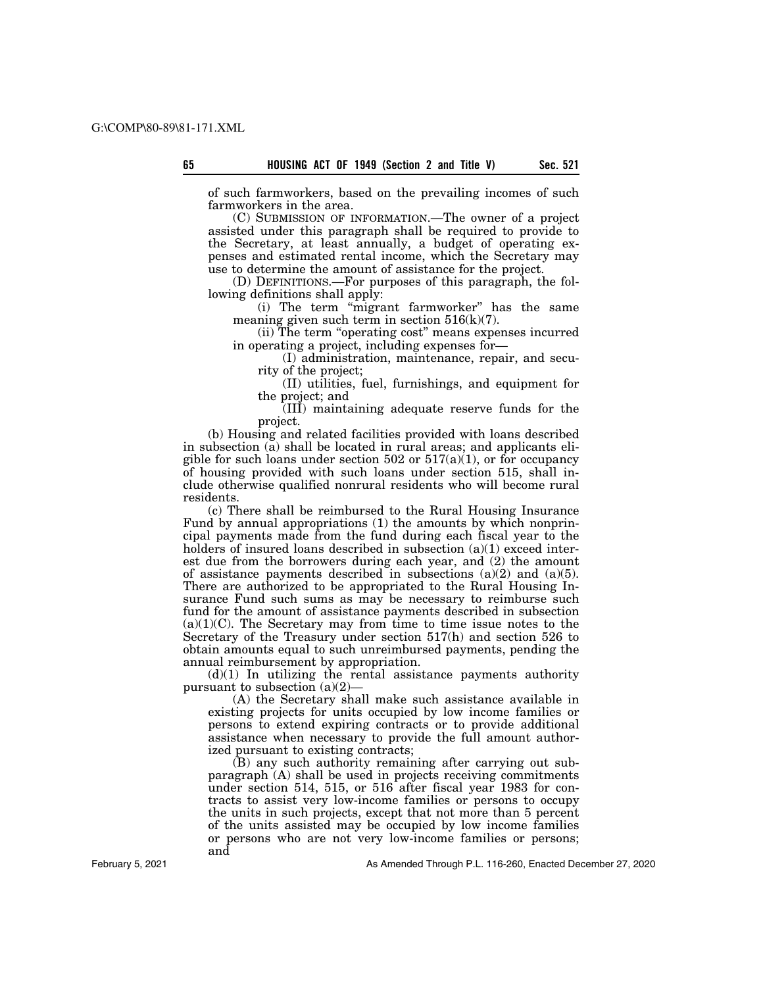of such farmworkers, based on the prevailing incomes of such farmworkers in the area.

(C) SUBMISSION OF INFORMATION.—The owner of a project assisted under this paragraph shall be required to provide to the Secretary, at least annually, a budget of operating expenses and estimated rental income, which the Secretary may use to determine the amount of assistance for the project.

(D) DEFINITIONS.—For purposes of this paragraph, the following definitions shall apply:

(i) The term ''migrant farmworker'' has the same meaning given such term in section  $516(k)(7)$ .

(ii) The term ''operating cost'' means expenses incurred in operating a project, including expenses for—

(I) administration, maintenance, repair, and security of the project;

(II) utilities, fuel, furnishings, and equipment for the project; and

(III) maintaining adequate reserve funds for the project.

(b) Housing and related facilities provided with loans described in subsection (a) shall be located in rural areas; and applicants eligible for such loans under section 502 or  $517(a)(1)$ , or for occupancy of housing provided with such loans under section 515, shall include otherwise qualified nonrural residents who will become rural residents.

(c) There shall be reimbursed to the Rural Housing Insurance Fund by annual appropriations (1) the amounts by which nonprincipal payments made from the fund during each fiscal year to the holders of insured loans described in subsection (a)(1) exceed interest due from the borrowers during each year, and (2) the amount of assistance payments described in subsections  $(a)(2)$  and  $(a)(5)$ . There are authorized to be appropriated to the Rural Housing Insurance Fund such sums as may be necessary to reimburse such fund for the amount of assistance payments described in subsection  $(a)(1)(C)$ . The Secretary may from time to time issue notes to the Secretary of the Treasury under section 517(h) and section 526 to obtain amounts equal to such unreimbursed payments, pending the annual reimbursement by appropriation.

 $(d)(1)$  In utilizing the rental assistance payments authority pursuant to subsection  $(a)(2)$ —

(A) the Secretary shall make such assistance available in existing projects for units occupied by low income families or persons to extend expiring contracts or to provide additional assistance when necessary to provide the full amount authorized pursuant to existing contracts;

(B) any such authority remaining after carrying out subparagraph (A) shall be used in projects receiving commitments under section 514, 515, or 516 after fiscal year 1983 for contracts to assist very low-income families or persons to occupy the units in such projects, except that not more than 5 percent of the units assisted may be occupied by low income families or persons who are not very low-income families or persons; and

February 5, 2021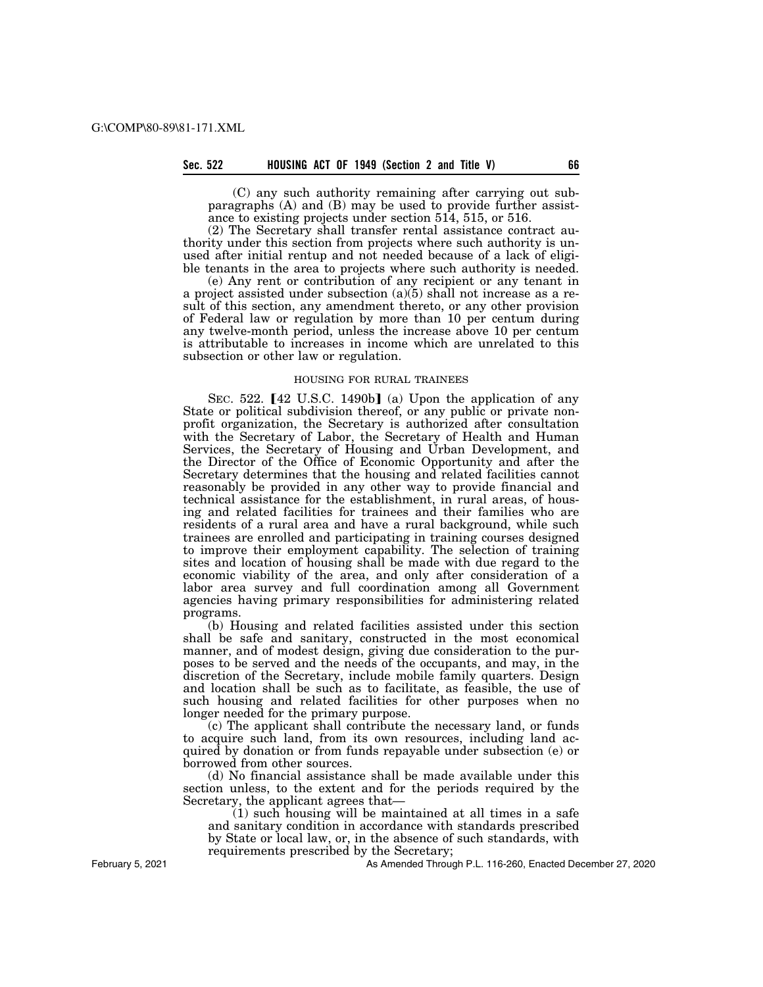# **Sec. 522 HOUSING ACT OF 1949 (Section 2 and Title V) 66**

(C) any such authority remaining after carrying out subparagraphs (A) and (B) may be used to provide further assistance to existing projects under section 514, 515, or 516.

(2) The Secretary shall transfer rental assistance contract authority under this section from projects where such authority is unused after initial rentup and not needed because of a lack of eligible tenants in the area to projects where such authority is needed.

(e) Any rent or contribution of any recipient or any tenant in a project assisted under subsection  $(a)(5)$  shall not increase as a result of this section, any amendment thereto, or any other provision of Federal law or regulation by more than 10 per centum during any twelve-month period, unless the increase above 10 per centum is attributable to increases in income which are unrelated to this subsection or other law or regulation.

# HOUSING FOR RURAL TRAINEES

SEC. 522.  $[42 \text{ U.S.C. } 1490b]$  (a) Upon the application of any State or political subdivision thereof, or any public or private nonprofit organization, the Secretary is authorized after consultation with the Secretary of Labor, the Secretary of Health and Human Services, the Secretary of Housing and Urban Development, and the Director of the Office of Economic Opportunity and after the Secretary determines that the housing and related facilities cannot reasonably be provided in any other way to provide financial and technical assistance for the establishment, in rural areas, of housing and related facilities for trainees and their families who are residents of a rural area and have a rural background, while such trainees are enrolled and participating in training courses designed to improve their employment capability. The selection of training sites and location of housing shall be made with due regard to the economic viability of the area, and only after consideration of a labor area survey and full coordination among all Government agencies having primary responsibilities for administering related programs.

(b) Housing and related facilities assisted under this section shall be safe and sanitary, constructed in the most economical manner, and of modest design, giving due consideration to the purposes to be served and the needs of the occupants, and may, in the discretion of the Secretary, include mobile family quarters. Design and location shall be such as to facilitate, as feasible, the use of such housing and related facilities for other purposes when no longer needed for the primary purpose.

(c) The applicant shall contribute the necessary land, or funds to acquire such land, from its own resources, including land acquired by donation or from funds repayable under subsection (e) or borrowed from other sources.

(d) No financial assistance shall be made available under this section unless, to the extent and for the periods required by the Secretary, the applicant agrees that—

(1) such housing will be maintained at all times in a safe and sanitary condition in accordance with standards prescribed by State or local law, or, in the absence of such standards, with requirements prescribed by the Secretary;

February 5, 2021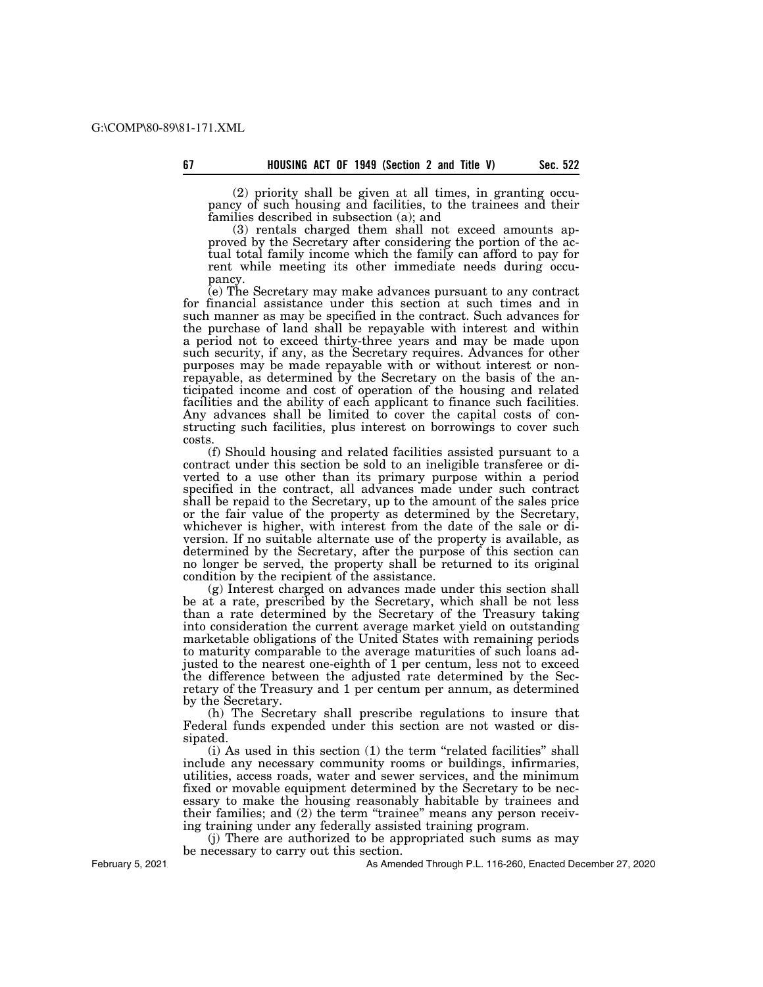(2) priority shall be given at all times, in granting occupancy of such housing and facilities, to the trainees and their families described in subsection (a); and

(3) rentals charged them shall not exceed amounts approved by the Secretary after considering the portion of the actual total family income which the family can afford to pay for rent while meeting its other immediate needs during occupancy.

(e) The Secretary may make advances pursuant to any contract for financial assistance under this section at such times and in such manner as may be specified in the contract. Such advances for the purchase of land shall be repayable with interest and within a period not to exceed thirty-three years and may be made upon such security, if any, as the Secretary requires. Advances for other purposes may be made repayable with or without interest or nonrepayable, as determined by the Secretary on the basis of the anticipated income and cost of operation of the housing and related facilities and the ability of each applicant to finance such facilities. Any advances shall be limited to cover the capital costs of constructing such facilities, plus interest on borrowings to cover such costs.

(f) Should housing and related facilities assisted pursuant to a contract under this section be sold to an ineligible transferee or diverted to a use other than its primary purpose within a period specified in the contract, all advances made under such contract shall be repaid to the Secretary, up to the amount of the sales price or the fair value of the property as determined by the Secretary, whichever is higher, with interest from the date of the sale or diversion. If no suitable alternate use of the property is available, as determined by the Secretary, after the purpose of this section can no longer be served, the property shall be returned to its original condition by the recipient of the assistance.

(g) Interest charged on advances made under this section shall be at a rate, prescribed by the Secretary, which shall be not less than a rate determined by the Secretary of the Treasury taking into consideration the current average market yield on outstanding marketable obligations of the United States with remaining periods to maturity comparable to the average maturities of such loans adjusted to the nearest one-eighth of 1 per centum, less not to exceed the difference between the adjusted rate determined by the Secretary of the Treasury and 1 per centum per annum, as determined by the Secretary.

(h) The Secretary shall prescribe regulations to insure that Federal funds expended under this section are not wasted or dissipated.

(i) As used in this section (1) the term ''related facilities'' shall include any necessary community rooms or buildings, infirmaries, utilities, access roads, water and sewer services, and the minimum fixed or movable equipment determined by the Secretary to be necessary to make the housing reasonably habitable by trainees and their families; and (2) the term "trainee" means any person receiving training under any federally assisted training program.

(j) There are authorized to be appropriated such sums as may be necessary to carry out this section.

As Amended Through P.L. 116-260, Enacted December 27, 2020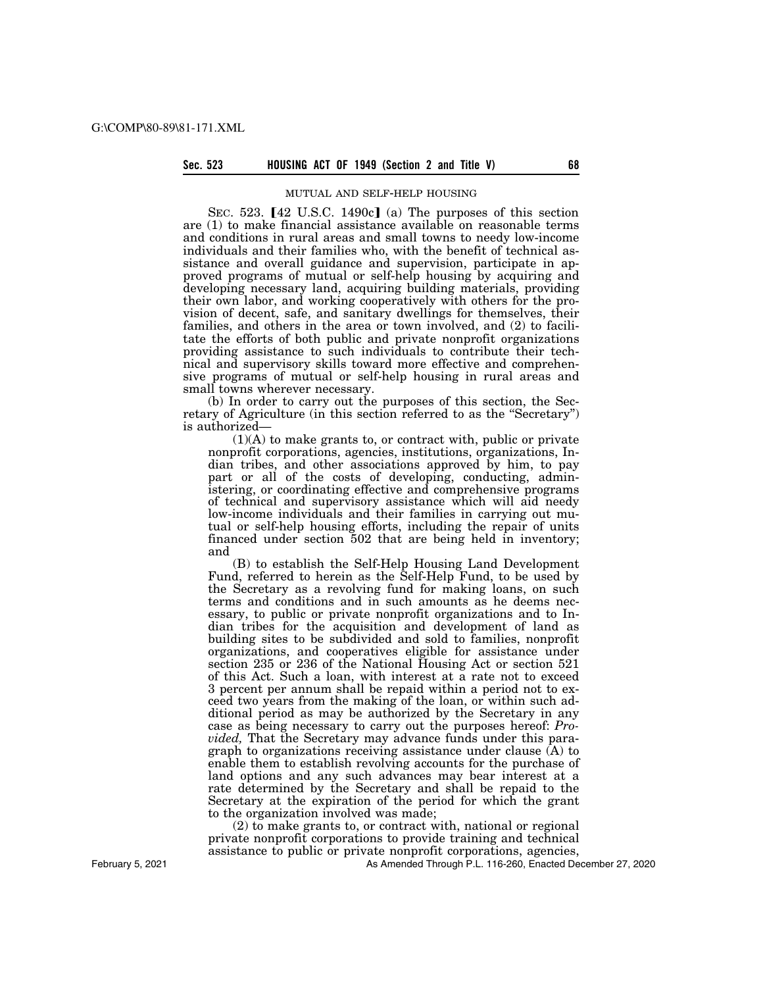#### **Sec. 523 HOUSING ACT OF 1949 (Section 2 and Title V) 68**

#### MUTUAL AND SELF-HELP HOUSING

SEC. 523.  $[42 \text{ U.S.C. } 1490c]$  (a) The purposes of this section are (1) to make financial assistance available on reasonable terms and conditions in rural areas and small towns to needy low-income individuals and their families who, with the benefit of technical assistance and overall guidance and supervision, participate in approved programs of mutual or self-help housing by acquiring and developing necessary land, acquiring building materials, providing their own labor, and working cooperatively with others for the provision of decent, safe, and sanitary dwellings for themselves, their families, and others in the area or town involved, and (2) to facilitate the efforts of both public and private nonprofit organizations providing assistance to such individuals to contribute their technical and supervisory skills toward more effective and comprehensive programs of mutual or self-help housing in rural areas and small towns wherever necessary.

(b) In order to carry out the purposes of this section, the Secretary of Agriculture (in this section referred to as the ''Secretary'') is authorized—

(1)(A) to make grants to, or contract with, public or private nonprofit corporations, agencies, institutions, organizations, Indian tribes, and other associations approved by him, to pay part or all of the costs of developing, conducting, administering, or coordinating effective and comprehensive programs of technical and supervisory assistance which will aid needy low-income individuals and their families in carrying out mutual or self-help housing efforts, including the repair of units financed under section 502 that are being held in inventory; and

(B) to establish the Self-Help Housing Land Development Fund, referred to herein as the Self-Help Fund, to be used by the Secretary as a revolving fund for making loans, on such terms and conditions and in such amounts as he deems necessary, to public or private nonprofit organizations and to Indian tribes for the acquisition and development of land as building sites to be subdivided and sold to families, nonprofit organizations, and cooperatives eligible for assistance under section 235 or 236 of the National Housing Act or section 521 of this Act. Such a loan, with interest at a rate not to exceed 3 percent per annum shall be repaid within a period not to exceed two years from the making of the loan, or within such additional period as may be authorized by the Secretary in any case as being necessary to carry out the purposes hereof: *Provided,* That the Secretary may advance funds under this paragraph to organizations receiving assistance under clause (A) to enable them to establish revolving accounts for the purchase of land options and any such advances may bear interest at a rate determined by the Secretary and shall be repaid to the Secretary at the expiration of the period for which the grant to the organization involved was made;

(2) to make grants to, or contract with, national or regional private nonprofit corporations to provide training and technical assistance to public or private nonprofit corporations, agencies,

As Amended Through P.L. 116-260, Enacted December 27, 2020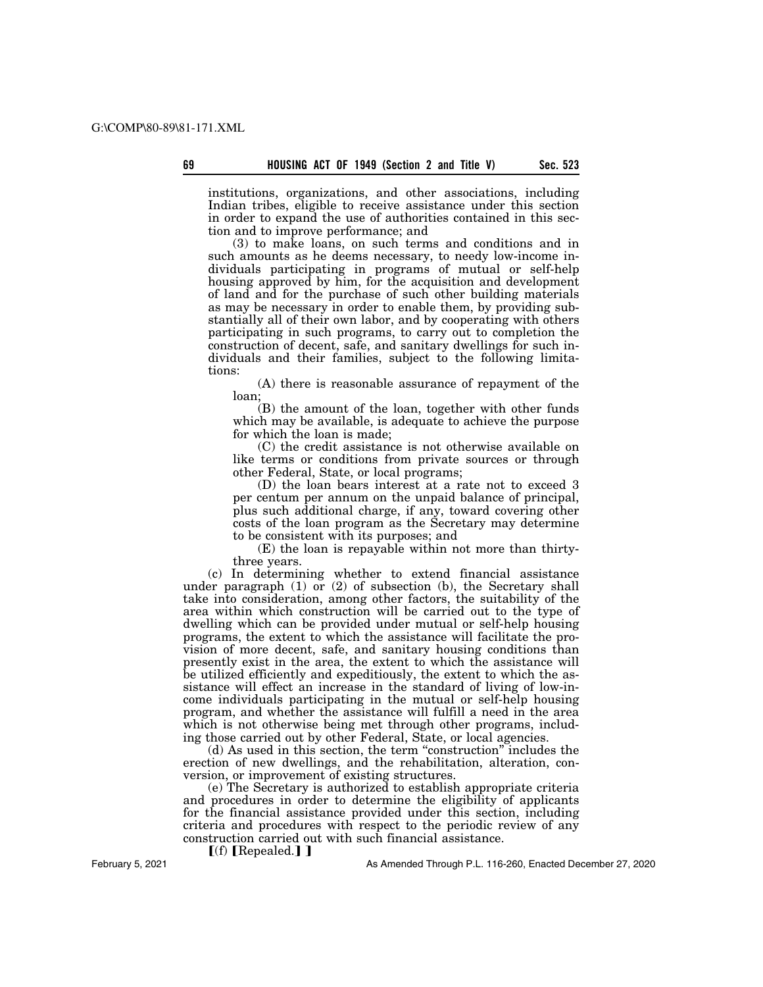institutions, organizations, and other associations, including Indian tribes, eligible to receive assistance under this section in order to expand the use of authorities contained in this section and to improve performance; and

(3) to make loans, on such terms and conditions and in such amounts as he deems necessary, to needy low-income individuals participating in programs of mutual or self-help housing approved by him, for the acquisition and development of land and for the purchase of such other building materials as may be necessary in order to enable them, by providing substantially all of their own labor, and by cooperating with others participating in such programs, to carry out to completion the construction of decent, safe, and sanitary dwellings for such individuals and their families, subject to the following limitations:

(A) there is reasonable assurance of repayment of the loan;

(B) the amount of the loan, together with other funds which may be available, is adequate to achieve the purpose for which the loan is made;

(C) the credit assistance is not otherwise available on like terms or conditions from private sources or through other Federal, State, or local programs;

(D) the loan bears interest at a rate not to exceed 3 per centum per annum on the unpaid balance of principal, plus such additional charge, if any, toward covering other costs of the loan program as the Secretary may determine to be consistent with its purposes; and

(E) the loan is repayable within not more than thirtythree years.

(c) In determining whether to extend financial assistance under paragraph (1) or (2) of subsection (b), the Secretary shall take into consideration, among other factors, the suitability of the area within which construction will be carried out to the type of dwelling which can be provided under mutual or self-help housing programs, the extent to which the assistance will facilitate the provision of more decent, safe, and sanitary housing conditions than presently exist in the area, the extent to which the assistance will be utilized efficiently and expeditiously, the extent to which the assistance will effect an increase in the standard of living of low-income individuals participating in the mutual or self-help housing program, and whether the assistance will fulfill a need in the area which is not otherwise being met through other programs, including those carried out by other Federal, State, or local agencies.

(d) As used in this section, the term ''construction'' includes the erection of new dwellings, and the rehabilitation, alteration, conversion, or improvement of existing structures.

(e) The Secretary is authorized to establish appropriate criteria and procedures in order to determine the eligibility of applicants for the financial assistance provided under this section, including criteria and procedures with respect to the periodic review of any construction carried out with such financial assistance.

 $[(f)$  [Repealed.]]

As Amended Through P.L. 116-260, Enacted December 27, 2020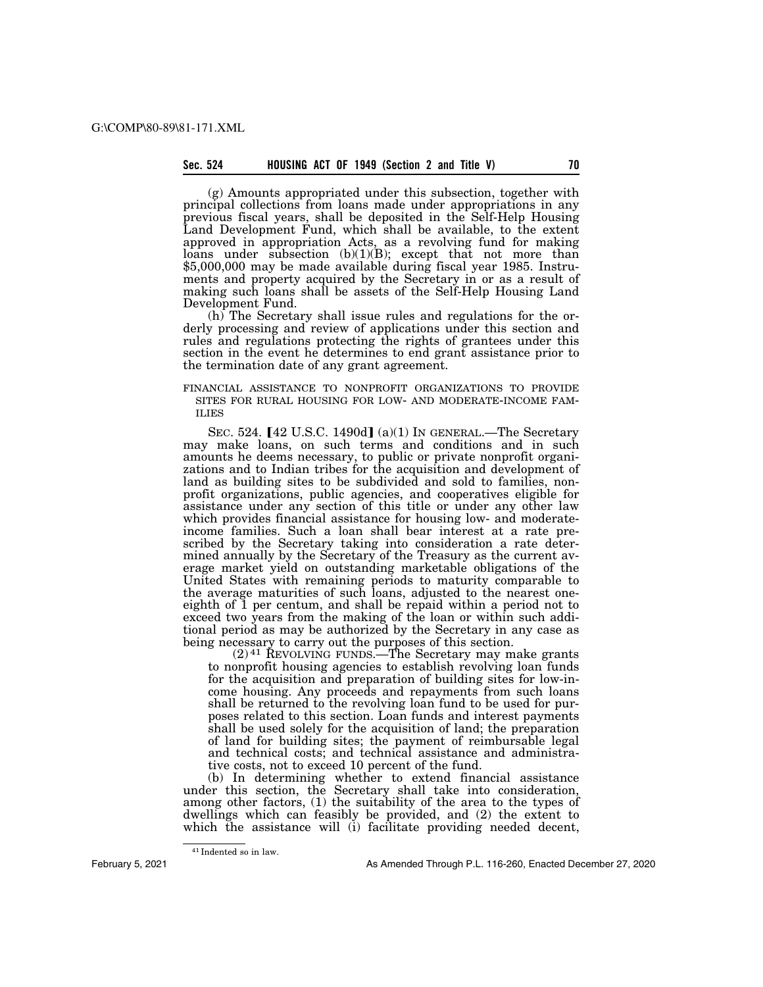# **Sec. 524 HOUSING ACT OF 1949 (Section 2 and Title V) 70**

(g) Amounts appropriated under this subsection, together with principal collections from loans made under appropriations in any previous fiscal years, shall be deposited in the Self-Help Housing Land Development Fund, which shall be available, to the extent approved in appropriation Acts, as a revolving fund for making loans under subsection (b)(1)(B); except that not more than \$5,000,000 may be made available during fiscal year 1985. Instruments and property acquired by the Secretary in or as a result of making such loans shall be assets of the Self-Help Housing Land Development Fund.

(h) The Secretary shall issue rules and regulations for the orderly processing and review of applications under this section and rules and regulations protecting the rights of grantees under this section in the event he determines to end grant assistance prior to the termination date of any grant agreement.

# FINANCIAL ASSISTANCE TO NONPROFIT ORGANIZATIONS TO PROVIDE SITES FOR RURAL HOUSING FOR LOW- AND MODERATE-INCOME FAM- ILIES

SEC. 524.  $[42 \text{ U.S.C. } 1490d]$  (a)(1) In GENERAL.—The Secretary may make loans, on such terms and conditions and in such amounts he deems necessary, to public or private nonprofit organizations and to Indian tribes for the acquisition and development of land as building sites to be subdivided and sold to families, nonprofit organizations, public agencies, and cooperatives eligible for assistance under any section of this title or under any other law which provides financial assistance for housing low- and moderateincome families. Such a loan shall bear interest at a rate prescribed by the Secretary taking into consideration a rate determined annually by the Secretary of the Treasury as the current average market yield on outstanding marketable obligations of the United States with remaining periods to maturity comparable to the average maturities of such loans, adjusted to the nearest oneeighth of 1 per centum, and shall be repaid within a period not to exceed two years from the making of the loan or within such additional period as may be authorized by the Secretary in any case as being necessary to carry out the purposes of this section.

 $(2)$ <sup>41</sup> REVOLVING FUNDS.—The Secretary may make grants to nonprofit housing agencies to establish revolving loan funds for the acquisition and preparation of building sites for low-income housing. Any proceeds and repayments from such loans shall be returned to the revolving loan fund to be used for purposes related to this section. Loan funds and interest payments shall be used solely for the acquisition of land; the preparation of land for building sites; the payment of reimbursable legal and technical costs; and technical assistance and administrative costs, not to exceed 10 percent of the fund.

(b) In determining whether to extend financial assistance under this section, the Secretary shall take into consideration, among other factors, (1) the suitability of the area to the types of dwellings which can feasibly be provided, and (2) the extent to which the assistance will (i) facilitate providing needed decent,

<sup>41</sup> Indented so in law.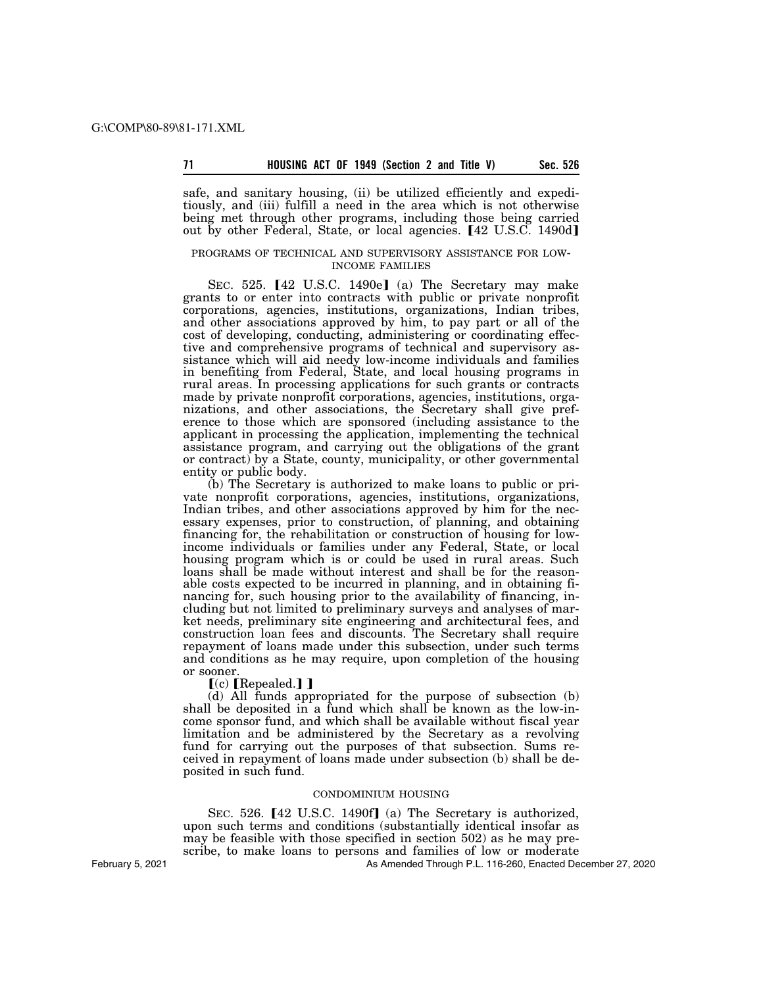safe, and sanitary housing, (ii) be utilized efficiently and expeditiously, and (iii) fulfill a need in the area which is not otherwise being met through other programs, including those being carried out by other Federal, State, or local agencies. [42 U.S.C. 1490d]

# PROGRAMS OF TECHNICAL AND SUPERVISORY ASSISTANCE FOR LOW- INCOME FAMILIES

SEC. 525. [42 U.S.C. 1490e] (a) The Secretary may make grants to or enter into contracts with public or private nonprofit corporations, agencies, institutions, organizations, Indian tribes, and other associations approved by him, to pay part or all of the cost of developing, conducting, administering or coordinating effective and comprehensive programs of technical and supervisory assistance which will aid needy low-income individuals and families in benefiting from Federal, State, and local housing programs in rural areas. In processing applications for such grants or contracts made by private nonprofit corporations, agencies, institutions, organizations, and other associations, the Secretary shall give preference to those which are sponsored (including assistance to the applicant in processing the application, implementing the technical assistance program, and carrying out the obligations of the grant or contract) by a State, county, municipality, or other governmental entity or public body.

(b) The Secretary is authorized to make loans to public or private nonprofit corporations, agencies, institutions, organizations, Indian tribes, and other associations approved by him for the necessary expenses, prior to construction, of planning, and obtaining financing for, the rehabilitation or construction of housing for lowincome individuals or families under any Federal, State, or local housing program which is or could be used in rural areas. Such loans shall be made without interest and shall be for the reasonable costs expected to be incurred in planning, and in obtaining financing for, such housing prior to the availability of financing, including but not limited to preliminary surveys and analyses of market needs, preliminary site engineering and architectural fees, and construction loan fees and discounts. The Secretary shall require repayment of loans made under this subsection, under such terms and conditions as he may require, upon completion of the housing or sooner.

 $(c)$  [Repealed.] ]

(d) All funds appropriated for the purpose of subsection (b) shall be deposited in a fund which shall be known as the low-income sponsor fund, and which shall be available without fiscal year limitation and be administered by the Secretary as a revolving fund for carrying out the purposes of that subsection. Sums received in repayment of loans made under subsection (b) shall be deposited in such fund.

# CONDOMINIUM HOUSING

SEC. 526. [42 U.S.C. 1490f] (a) The Secretary is authorized, upon such terms and conditions (substantially identical insofar as may be feasible with those specified in section 502) as he may prescribe, to make loans to persons and families of low or moderate

As Amended Through P.L. 116-260, Enacted December 27, 2020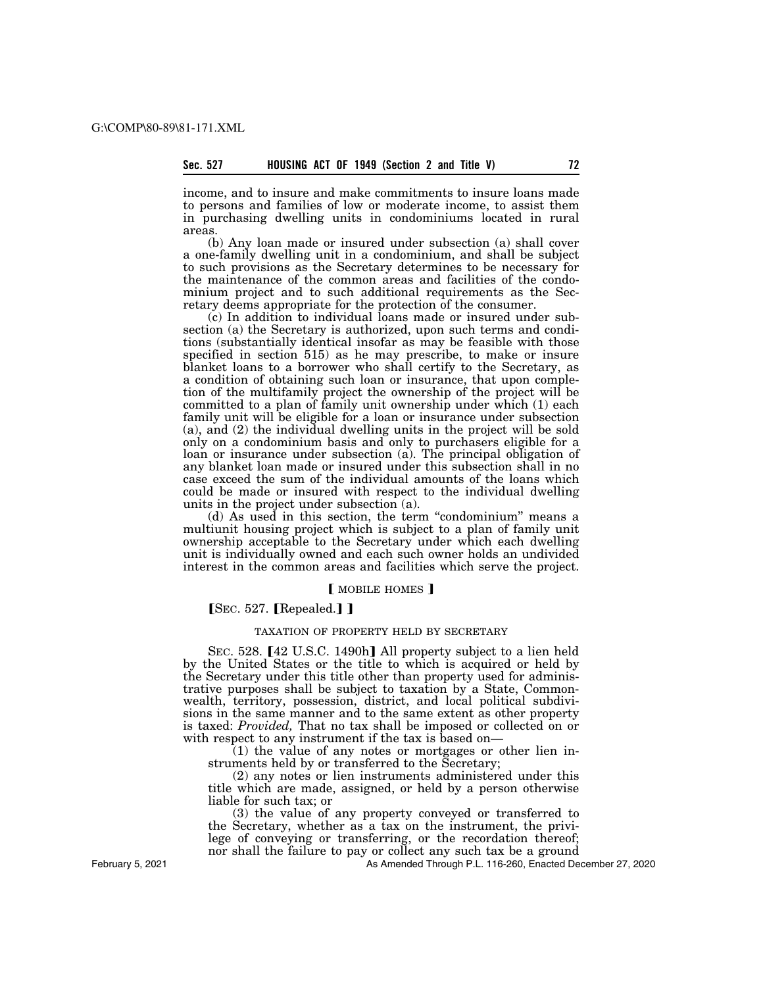income, and to insure and make commitments to insure loans made to persons and families of low or moderate income, to assist them in purchasing dwelling units in condominiums located in rural areas.

(b) Any loan made or insured under subsection (a) shall cover a one-family dwelling unit in a condominium, and shall be subject to such provisions as the Secretary determines to be necessary for the maintenance of the common areas and facilities of the condominium project and to such additional requirements as the Secretary deems appropriate for the protection of the consumer.

(c) In addition to individual loans made or insured under subsection (a) the Secretary is authorized, upon such terms and conditions (substantially identical insofar as may be feasible with those specified in section 515) as he may prescribe, to make or insure blanket loans to a borrower who shall certify to the Secretary, as a condition of obtaining such loan or insurance, that upon completion of the multifamily project the ownership of the project will be committed to a plan of family unit ownership under which (1) each family unit will be eligible for a loan or insurance under subsection (a), and (2) the individual dwelling units in the project will be sold only on a condominium basis and only to purchasers eligible for a loan or insurance under subsection (a). The principal obligation of any blanket loan made or insured under this subsection shall in no case exceed the sum of the individual amounts of the loans which could be made or insured with respect to the individual dwelling units in the project under subsection (a).

(d) As used in this section, the term ''condominium'' means a multiunit housing project which is subject to a plan of family unit ownership acceptable to the Secretary under which each dwelling unit is individually owned and each such owner holds an undivided interest in the common areas and facilities which serve the project.

# [ MOBILE HOMES ]

 $[$ SEC. 527.  $[$ Repealed. $]$ ]

# TAXATION OF PROPERTY HELD BY SECRETARY

SEC. 528. [42 U.S.C. 1490h] All property subject to a lien held by the United States or the title to which is acquired or held by the Secretary under this title other than property used for administrative purposes shall be subject to taxation by a State, Commonwealth, territory, possession, district, and local political subdivisions in the same manner and to the same extent as other property is taxed: *Provided,* That no tax shall be imposed or collected on or with respect to any instrument if the tax is based on—

(1) the value of any notes or mortgages or other lien instruments held by or transferred to the Secretary;

(2) any notes or lien instruments administered under this title which are made, assigned, or held by a person otherwise liable for such tax; or

(3) the value of any property conveyed or transferred to the Secretary, whether as a tax on the instrument, the privilege of conveying or transferring, or the recordation thereof; nor shall the failure to pay or collect any such tax be a ground

As Amended Through P.L. 116-260, Enacted December 27, 2020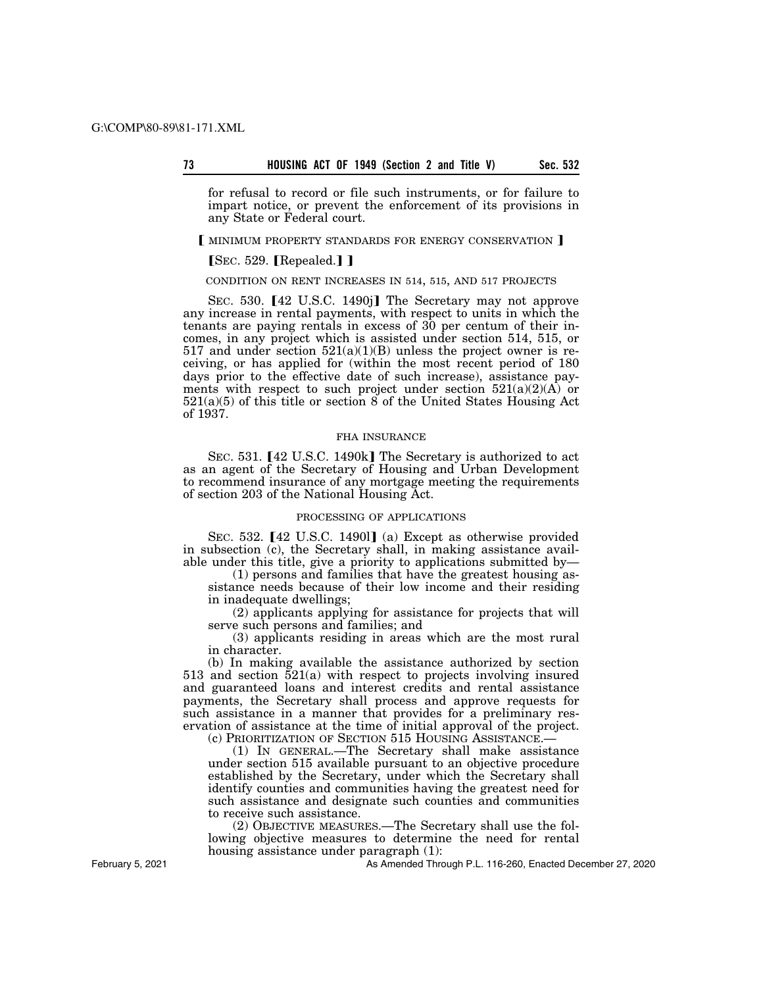for refusal to record or file such instruments, or for failure to impart notice, or prevent the enforcement of its provisions in any State or Federal court.

#### **[ MINIMUM PROPERTY STANDARDS FOR ENERGY CONSERVATION ]**

### $[$ SEC. 529.  $[$ Repealed. $]$ ]

### CONDITION ON RENT INCREASES IN 514, 515, AND 517 PROJECTS

SEC. 530. [42 U.S.C. 1490j] The Secretary may not approve any increase in rental payments, with respect to units in which the tenants are paying rentals in excess of 30 per centum of their incomes, in any project which is assisted under section 514, 515, or 517 and under section  $521(a)(1)(B)$  unless the project owner is receiving, or has applied for (within the most recent period of 180 days prior to the effective date of such increase), assistance payments with respect to such project under section  $521(a)(2)(\overrightarrow{A})$  or 521(a)(5) of this title or section 8 of the United States Housing Act of 1937.

#### FHA INSURANCE

SEC. 531. [42 U.S.C. 1490k] The Secretary is authorized to act as an agent of the Secretary of Housing and Urban Development to recommend insurance of any mortgage meeting the requirements of section 203 of the National Housing Act.

#### PROCESSING OF APPLICATIONS

SEC. 532.  $[42 \text{ U.S.C. } 1490]$  (a) Except as otherwise provided in subsection (c), the Secretary shall, in making assistance available under this title, give a priority to applications submitted by—

(1) persons and families that have the greatest housing assistance needs because of their low income and their residing in inadequate dwellings;

(2) applicants applying for assistance for projects that will serve such persons and families; and

(3) applicants residing in areas which are the most rural in character.

(b) In making available the assistance authorized by section 513 and section  $\overline{521}$ (a) with respect to projects involving insured and guaranteed loans and interest credits and rental assistance payments, the Secretary shall process and approve requests for such assistance in a manner that provides for a preliminary reservation of assistance at the time of initial approval of the project.

(c) PRIORITIZATION OF SECTION 515 HOUSING ASSISTANCE.—

(1) IN GENERAL.—The Secretary shall make assistance under section 515 available pursuant to an objective procedure established by the Secretary, under which the Secretary shall identify counties and communities having the greatest need for such assistance and designate such counties and communities to receive such assistance.

(2) OBJECTIVE MEASURES.—The Secretary shall use the following objective measures to determine the need for rental housing assistance under paragraph  $(1)$ :

As Amended Through P.L. 116-260, Enacted December 27, 2020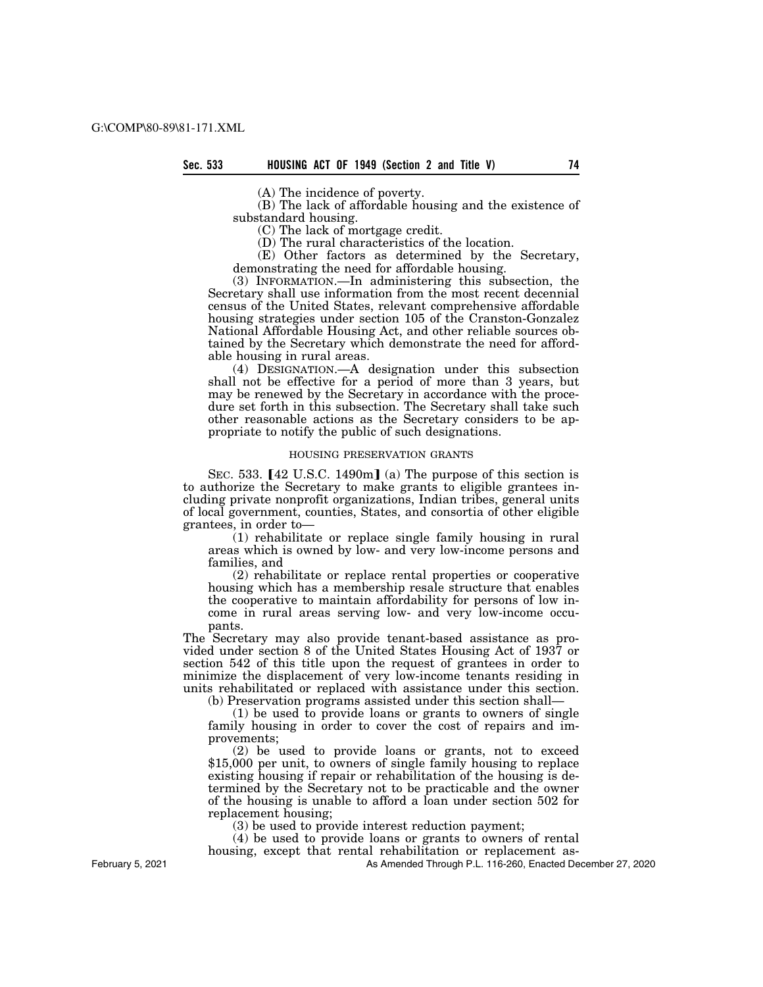(A) The incidence of poverty.

(B) The lack of affordable housing and the existence of substandard housing.

(C) The lack of mortgage credit.

(D) The rural characteristics of the location.

(E) Other factors as determined by the Secretary, demonstrating the need for affordable housing.

(3) INFORMATION.—In administering this subsection, the Secretary shall use information from the most recent decennial census of the United States, relevant comprehensive affordable housing strategies under section 105 of the Cranston-Gonzalez National Affordable Housing Act, and other reliable sources obtained by the Secretary which demonstrate the need for affordable housing in rural areas.

(4) DESIGNATION.—A designation under this subsection shall not be effective for a period of more than 3 years, but may be renewed by the Secretary in accordance with the procedure set forth in this subsection. The Secretary shall take such other reasonable actions as the Secretary considers to be appropriate to notify the public of such designations.

#### HOUSING PRESERVATION GRANTS

SEC. 533.  $[42 \text{ U.S.C. } 1490 \text{ m}]$  (a) The purpose of this section is to authorize the Secretary to make grants to eligible grantees including private nonprofit organizations, Indian tribes, general units of local government, counties, States, and consortia of other eligible grantees, in order to—

(1) rehabilitate or replace single family housing in rural areas which is owned by low- and very low-income persons and families, and

(2) rehabilitate or replace rental properties or cooperative housing which has a membership resale structure that enables the cooperative to maintain affordability for persons of low income in rural areas serving low- and very low-income occupants.

The Secretary may also provide tenant-based assistance as provided under section 8 of the United States Housing Act of 1937 or section 542 of this title upon the request of grantees in order to minimize the displacement of very low-income tenants residing in units rehabilitated or replaced with assistance under this section.

(b) Preservation programs assisted under this section shall—

 $(1)$  be used to provide loans or grants to owners of single family housing in order to cover the cost of repairs and improvements;

(2) be used to provide loans or grants, not to exceed \$15,000 per unit, to owners of single family housing to replace existing housing if repair or rehabilitation of the housing is determined by the Secretary not to be practicable and the owner of the housing is unable to afford a loan under section 502 for replacement housing;

(3) be used to provide interest reduction payment;

(4) be used to provide loans or grants to owners of rental housing, except that rental rehabilitation or replacement as-

As Amended Through P.L. 116-260, Enacted December 27, 2020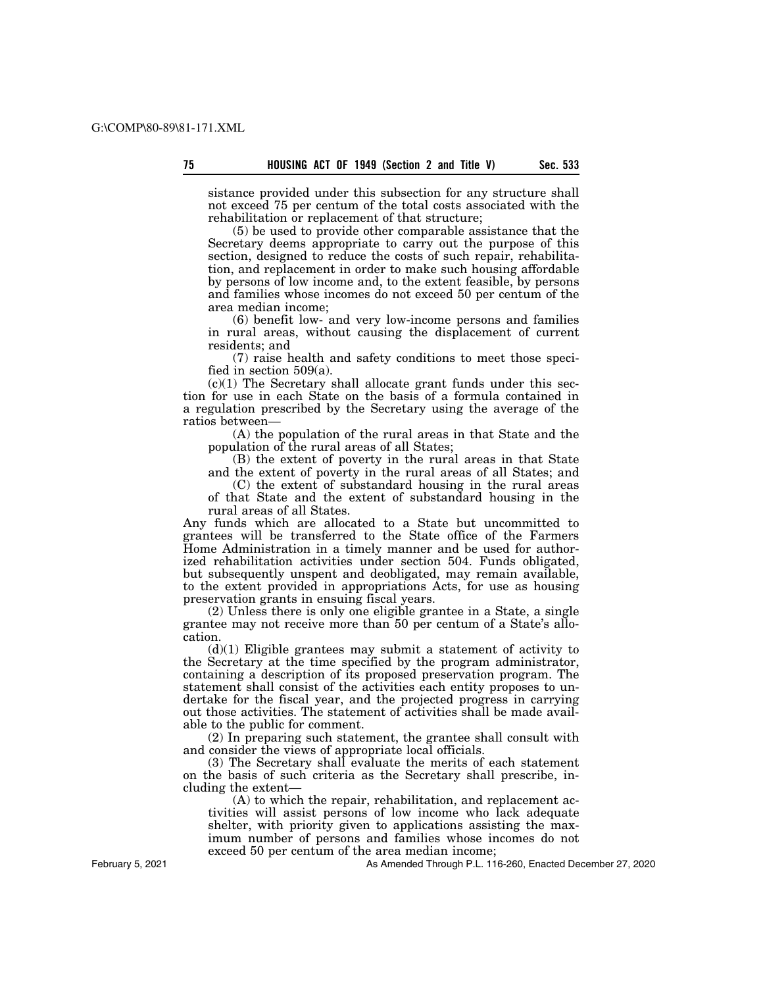sistance provided under this subsection for any structure shall not exceed 75 per centum of the total costs associated with the rehabilitation or replacement of that structure;

(5) be used to provide other comparable assistance that the Secretary deems appropriate to carry out the purpose of this section, designed to reduce the costs of such repair, rehabilitation, and replacement in order to make such housing affordable by persons of low income and, to the extent feasible, by persons and families whose incomes do not exceed 50 per centum of the area median income;

(6) benefit low- and very low-income persons and families in rural areas, without causing the displacement of current residents; and

(7) raise health and safety conditions to meet those specified in section 509(a).

 $(c)(1)$  The Secretary shall allocate grant funds under this section for use in each State on the basis of a formula contained in a regulation prescribed by the Secretary using the average of the ratios between—

(A) the population of the rural areas in that State and the population of the rural areas of all States;

(B) the extent of poverty in the rural areas in that State and the extent of poverty in the rural areas of all States; and

(C) the extent of substandard housing in the rural areas of that State and the extent of substandard housing in the rural areas of all States.

Any funds which are allocated to a State but uncommitted to grantees will be transferred to the State office of the Farmers Home Administration in a timely manner and be used for authorized rehabilitation activities under section 504. Funds obligated, but subsequently unspent and deobligated, may remain available, to the extent provided in appropriations Acts, for use as housing preservation grants in ensuing fiscal years.

(2) Unless there is only one eligible grantee in a State, a single grantee may not receive more than 50 per centum of a State's allocation.

(d)(1) Eligible grantees may submit a statement of activity to the Secretary at the time specified by the program administrator, containing a description of its proposed preservation program. The statement shall consist of the activities each entity proposes to undertake for the fiscal year, and the projected progress in carrying out those activities. The statement of activities shall be made available to the public for comment.

(2) In preparing such statement, the grantee shall consult with and consider the views of appropriate local officials.

(3) The Secretary shall evaluate the merits of each statement on the basis of such criteria as the Secretary shall prescribe, including the extent—

(A) to which the repair, rehabilitation, and replacement activities will assist persons of low income who lack adequate shelter, with priority given to applications assisting the maximum number of persons and families whose incomes do not exceed 50 per centum of the area median income;

February 5, 2021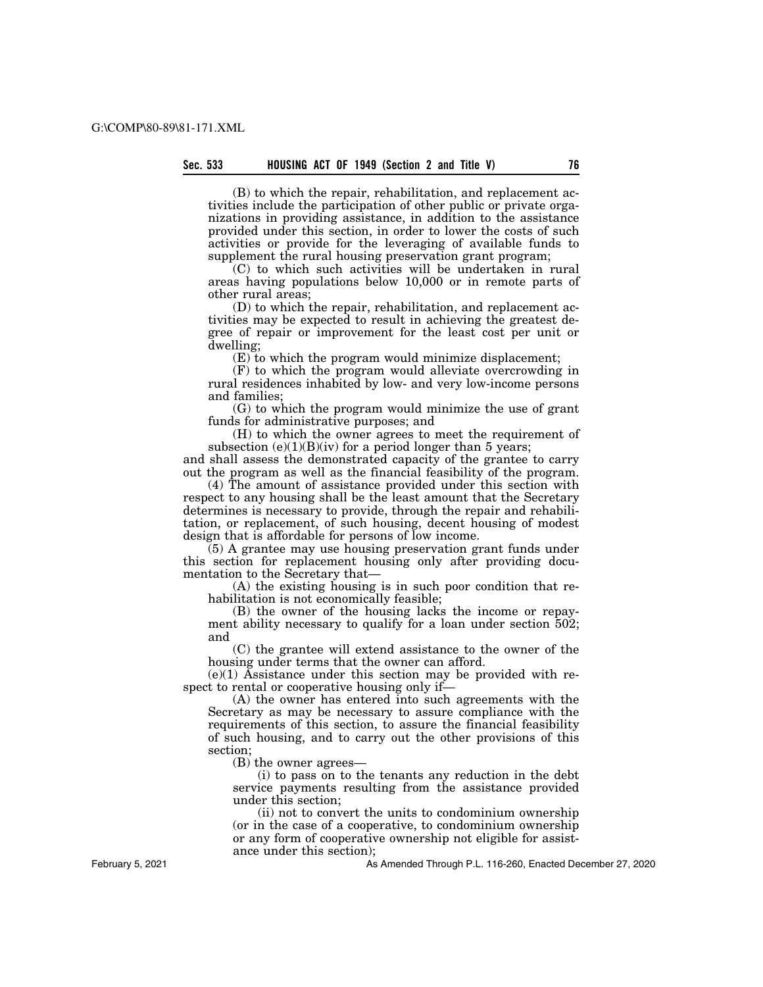(B) to which the repair, rehabilitation, and replacement activities include the participation of other public or private organizations in providing assistance, in addition to the assistance provided under this section, in order to lower the costs of such activities or provide for the leveraging of available funds to supplement the rural housing preservation grant program;

(C) to which such activities will be undertaken in rural areas having populations below 10,000 or in remote parts of other rural areas;

(D) to which the repair, rehabilitation, and replacement activities may be expected to result in achieving the greatest degree of repair or improvement for the least cost per unit or dwelling;

(E) to which the program would minimize displacement;

(F) to which the program would alleviate overcrowding in rural residences inhabited by low- and very low-income persons and families;

(G) to which the program would minimize the use of grant funds for administrative purposes; and

(H) to which the owner agrees to meet the requirement of subsection  $(e)(1)(B)(iv)$  for a period longer than 5 years;

and shall assess the demonstrated capacity of the grantee to carry out the program as well as the financial feasibility of the program.

(4) The amount of assistance provided under this section with respect to any housing shall be the least amount that the Secretary determines is necessary to provide, through the repair and rehabilitation, or replacement, of such housing, decent housing of modest design that is affordable for persons of low income.

(5) A grantee may use housing preservation grant funds under this section for replacement housing only after providing documentation to the Secretary that—

(A) the existing housing is in such poor condition that rehabilitation is not economically feasible;

(B) the owner of the housing lacks the income or repayment ability necessary to qualify for a loan under section  $502$ ; and

(C) the grantee will extend assistance to the owner of the housing under terms that the owner can afford.

 $(e)(1)$  Assistance under this section may be provided with respect to rental or cooperative housing only if—

(A) the owner has entered into such agreements with the Secretary as may be necessary to assure compliance with the requirements of this section, to assure the financial feasibility of such housing, and to carry out the other provisions of this section;

(B) the owner agrees—

(i) to pass on to the tenants any reduction in the debt service payments resulting from the assistance provided under this section;

(ii) not to convert the units to condominium ownership (or in the case of a cooperative, to condominium ownership or any form of cooperative ownership not eligible for assistance under this section);

As Amended Through P.L. 116-260, Enacted December 27, 2020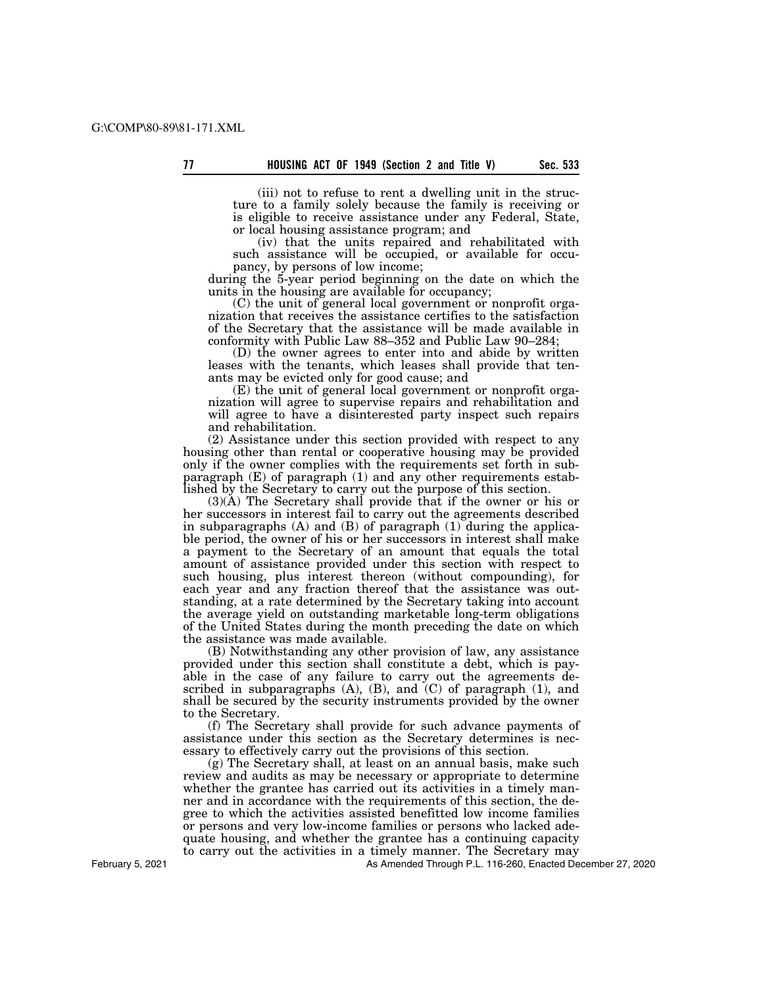(iii) not to refuse to rent a dwelling unit in the structure to a family solely because the family is receiving or is eligible to receive assistance under any Federal, State, or local housing assistance program; and

(iv) that the units repaired and rehabilitated with such assistance will be occupied, or available for occupancy, by persons of low income;

during the 5-year period beginning on the date on which the units in the housing are available for occupancy;

(C) the unit of general local government or nonprofit organization that receives the assistance certifies to the satisfaction of the Secretary that the assistance will be made available in conformity with Public Law 88–352 and Public Law 90–284;

(D) the owner agrees to enter into and abide by written leases with the tenants, which leases shall provide that tenants may be evicted only for good cause; and

(E) the unit of general local government or nonprofit organization will agree to supervise repairs and rehabilitation and will agree to have a disinterested party inspect such repairs and rehabilitation.

(2) Assistance under this section provided with respect to any housing other than rental or cooperative housing may be provided only if the owner complies with the requirements set forth in subparagraph (E) of paragraph (1) and any other requirements established by the Secretary to carry out the purpose of this section.

(3)(A) The Secretary shall provide that if the owner or his or her successors in interest fail to carry out the agreements described in subparagraphs (A) and (B) of paragraph (1) during the applicable period, the owner of his or her successors in interest shall make a payment to the Secretary of an amount that equals the total amount of assistance provided under this section with respect to such housing, plus interest thereon (without compounding), for each year and any fraction thereof that the assistance was outstanding, at a rate determined by the Secretary taking into account the average yield on outstanding marketable long-term obligations of the United States during the month preceding the date on which the assistance was made available.

(B) Notwithstanding any other provision of law, any assistance provided under this section shall constitute a debt, which is payable in the case of any failure to carry out the agreements described in subparagraphs (A), (B), and (C) of paragraph (1), and shall be secured by the security instruments provided by the owner to the Secretary.

(f) The Secretary shall provide for such advance payments of assistance under this section as the Secretary determines is necessary to effectively carry out the provisions of this section.

(g) The Secretary shall, at least on an annual basis, make such review and audits as may be necessary or appropriate to determine whether the grantee has carried out its activities in a timely manner and in accordance with the requirements of this section, the degree to which the activities assisted benefitted low income families or persons and very low-income families or persons who lacked adequate housing, and whether the grantee has a continuing capacity to carry out the activities in a timely manner. The Secretary may

As Amended Through P.L. 116-260, Enacted December 27, 2020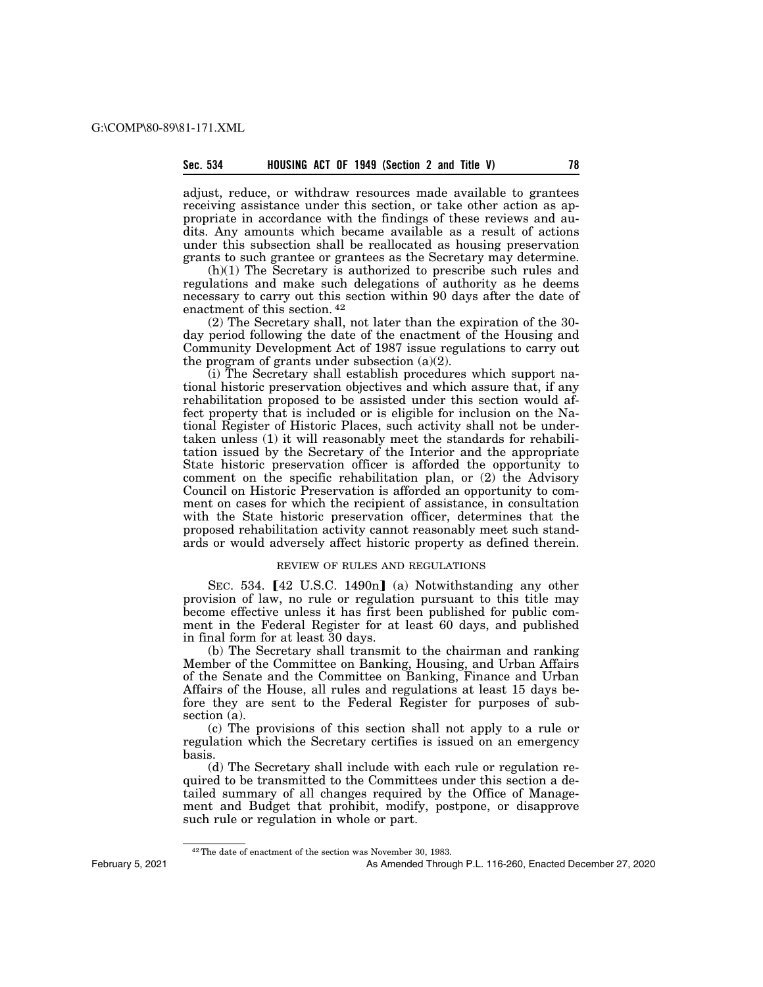adjust, reduce, or withdraw resources made available to grantees receiving assistance under this section, or take other action as appropriate in accordance with the findings of these reviews and audits. Any amounts which became available as a result of actions under this subsection shall be reallocated as housing preservation grants to such grantee or grantees as the Secretary may determine.

(h)(1) The Secretary is authorized to prescribe such rules and regulations and make such delegations of authority as he deems necessary to carry out this section within 90 days after the date of enactment of this section. 42

(2) The Secretary shall, not later than the expiration of the 30 day period following the date of the enactment of the Housing and Community Development Act of 1987 issue regulations to carry out the program of grants under subsection  $(a)(2)$ .

(i) The Secretary shall establish procedures which support national historic preservation objectives and which assure that, if any rehabilitation proposed to be assisted under this section would affect property that is included or is eligible for inclusion on the National Register of Historic Places, such activity shall not be undertaken unless (1) it will reasonably meet the standards for rehabilitation issued by the Secretary of the Interior and the appropriate State historic preservation officer is afforded the opportunity to comment on the specific rehabilitation plan, or (2) the Advisory Council on Historic Preservation is afforded an opportunity to comment on cases for which the recipient of assistance, in consultation with the State historic preservation officer, determines that the proposed rehabilitation activity cannot reasonably meet such standards or would adversely affect historic property as defined therein.

#### REVIEW OF RULES AND REGULATIONS

SEC. 534.  $[42 \text{ U.S.C. } 1490n]$  (a) Notwithstanding any other provision of law, no rule or regulation pursuant to this title may become effective unless it has first been published for public comment in the Federal Register for at least 60 days, and published in final form for at least 30 days.

(b) The Secretary shall transmit to the chairman and ranking Member of the Committee on Banking, Housing, and Urban Affairs of the Senate and the Committee on Banking, Finance and Urban Affairs of the House, all rules and regulations at least 15 days before they are sent to the Federal Register for purposes of subsection (a).

(c) The provisions of this section shall not apply to a rule or regulation which the Secretary certifies is issued on an emergency basis.

(d) The Secretary shall include with each rule or regulation required to be transmitted to the Committees under this section a detailed summary of all changes required by the Office of Management and Budget that prohibit, modify, postpone, or disapprove such rule or regulation in whole or part.

<sup>42</sup>The date of enactment of the section was November 30, 1983.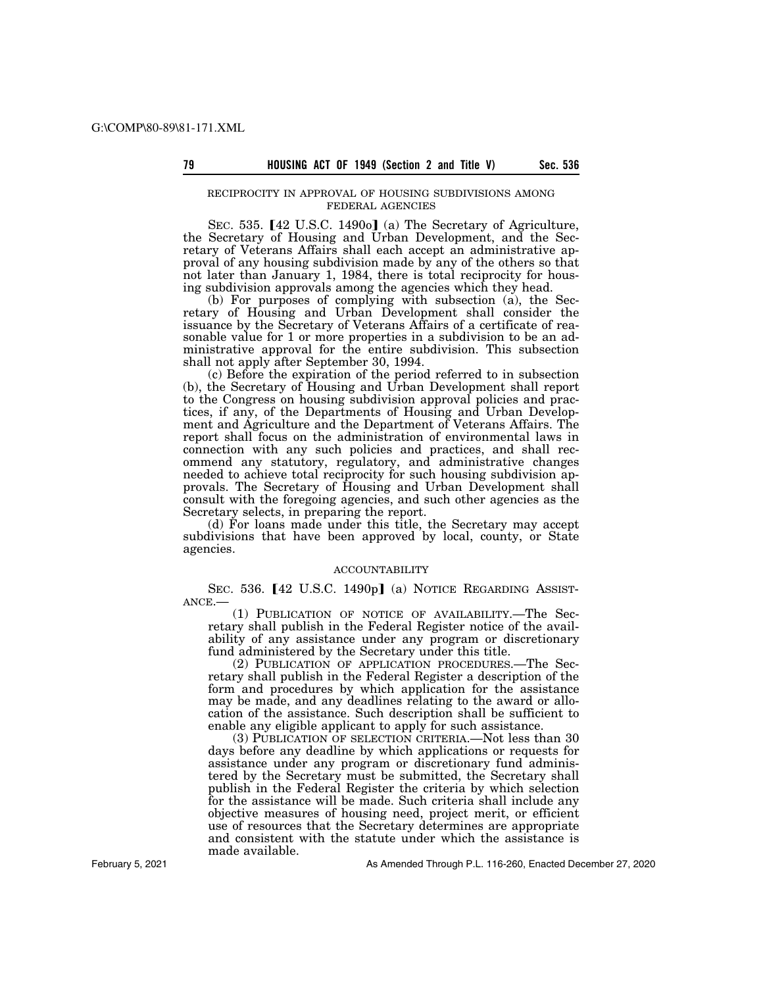### RECIPROCITY IN APPROVAL OF HOUSING SUBDIVISIONS AMONG FEDERAL AGENCIES

SEC. 535.  $[42 \text{ U.S.C. } 1490 \text{o}]$  (a) The Secretary of Agriculture, the Secretary of Housing and Urban Development, and the Secretary of Veterans Affairs shall each accept an administrative approval of any housing subdivision made by any of the others so that not later than January 1, 1984, there is total reciprocity for housing subdivision approvals among the agencies which they head.

(b) For purposes of complying with subsection (a), the Secretary of Housing and Urban Development shall consider the issuance by the Secretary of Veterans Affairs of a certificate of reasonable value for 1 or more properties in a subdivision to be an administrative approval for the entire subdivision. This subsection shall not apply after September 30, 1994.

(c) Before the expiration of the period referred to in subsection (b), the Secretary of Housing and Urban Development shall report to the Congress on housing subdivision approval policies and practices, if any, of the Departments of Housing and Urban Development and Agriculture and the Department of Veterans Affairs. The report shall focus on the administration of environmental laws in connection with any such policies and practices, and shall recommend any statutory, regulatory, and administrative changes needed to achieve total reciprocity for such housing subdivision approvals. The Secretary of Housing and Urban Development shall consult with the foregoing agencies, and such other agencies as the Secretary selects, in preparing the report.

(d) For loans made under this title, the Secretary may accept subdivisions that have been approved by local, county, or State agencies.

#### ACCOUNTABILITY

SEC. 536. [42 U.S.C. 1490p] (a) NOTICE REGARDING ASSIST-ANCE.—

(1) PUBLICATION OF NOTICE OF AVAILABILITY.—The Secretary shall publish in the Federal Register notice of the availability of any assistance under any program or discretionary fund administered by the Secretary under this title.

(2) PUBLICATION OF APPLICATION PROCEDURES.—The Secretary shall publish in the Federal Register a description of the form and procedures by which application for the assistance may be made, and any deadlines relating to the award or allocation of the assistance. Such description shall be sufficient to enable any eligible applicant to apply for such assistance.

(3) PUBLICATION OF SELECTION CRITERIA.—Not less than 30 days before any deadline by which applications or requests for assistance under any program or discretionary fund administered by the Secretary must be submitted, the Secretary shall publish in the Federal Register the criteria by which selection for the assistance will be made. Such criteria shall include any objective measures of housing need, project merit, or efficient use of resources that the Secretary determines are appropriate and consistent with the statute under which the assistance is made available.

February 5, 2021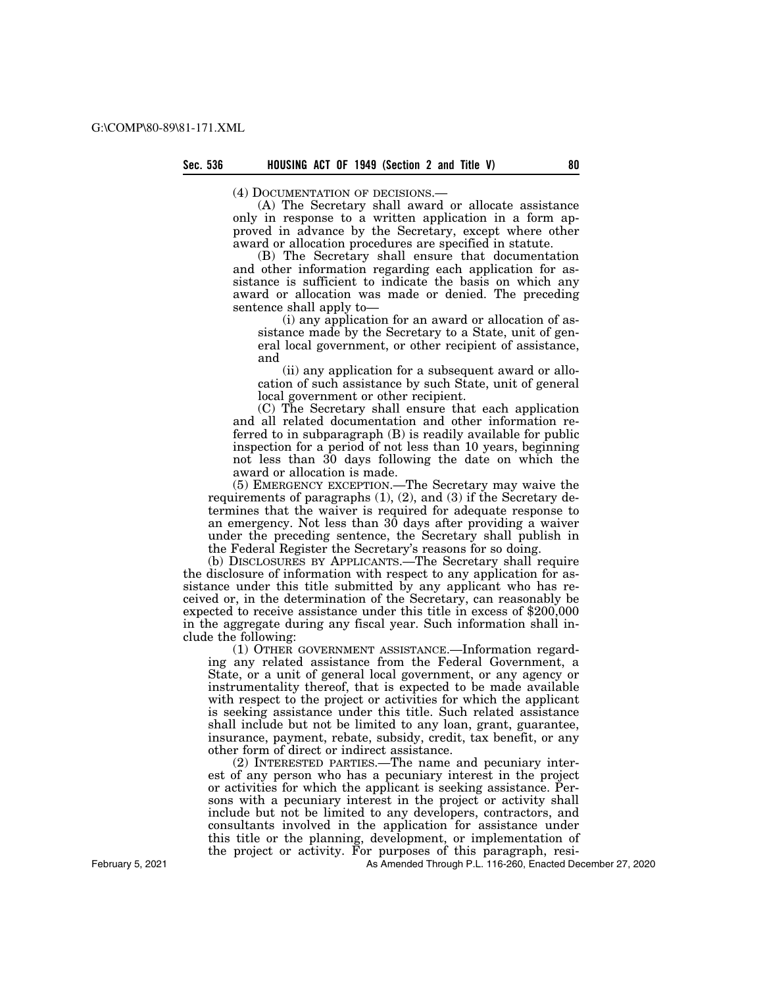(4) DOCUMENTATION OF DECISIONS.—

(A) The Secretary shall award or allocate assistance only in response to a written application in a form approved in advance by the Secretary, except where other award or allocation procedures are specified in statute.

(B) The Secretary shall ensure that documentation and other information regarding each application for assistance is sufficient to indicate the basis on which any award or allocation was made or denied. The preceding sentence shall apply to—

(i) any application for an award or allocation of assistance made by the Secretary to a State, unit of general local government, or other recipient of assistance, and

(ii) any application for a subsequent award or allocation of such assistance by such State, unit of general local government or other recipient.

(C) The Secretary shall ensure that each application and all related documentation and other information referred to in subparagraph (B) is readily available for public inspection for a period of not less than 10 years, beginning not less than 30 days following the date on which the award or allocation is made.

(5) EMERGENCY EXCEPTION.—The Secretary may waive the requirements of paragraphs (1), (2), and (3) if the Secretary determines that the waiver is required for adequate response to an emergency. Not less than 30 days after providing a waiver under the preceding sentence, the Secretary shall publish in the Federal Register the Secretary's reasons for so doing.

(b) DISCLOSURES BY APPLICANTS.—The Secretary shall require the disclosure of information with respect to any application for assistance under this title submitted by any applicant who has received or, in the determination of the Secretary, can reasonably be expected to receive assistance under this title in excess of \$200,000 in the aggregate during any fiscal year. Such information shall include the following:

(1) OTHER GOVERNMENT ASSISTANCE.—Information regarding any related assistance from the Federal Government, a State, or a unit of general local government, or any agency or instrumentality thereof, that is expected to be made available with respect to the project or activities for which the applicant is seeking assistance under this title. Such related assistance shall include but not be limited to any loan, grant, guarantee, insurance, payment, rebate, subsidy, credit, tax benefit, or any other form of direct or indirect assistance.

(2) INTERESTED PARTIES.—The name and pecuniary interest of any person who has a pecuniary interest in the project or activities for which the applicant is seeking assistance. Persons with a pecuniary interest in the project or activity shall include but not be limited to any developers, contractors, and consultants involved in the application for assistance under this title or the planning, development, or implementation of the project or activity. For purposes of this paragraph, resi-

As Amended Through P.L. 116-260, Enacted December 27, 2020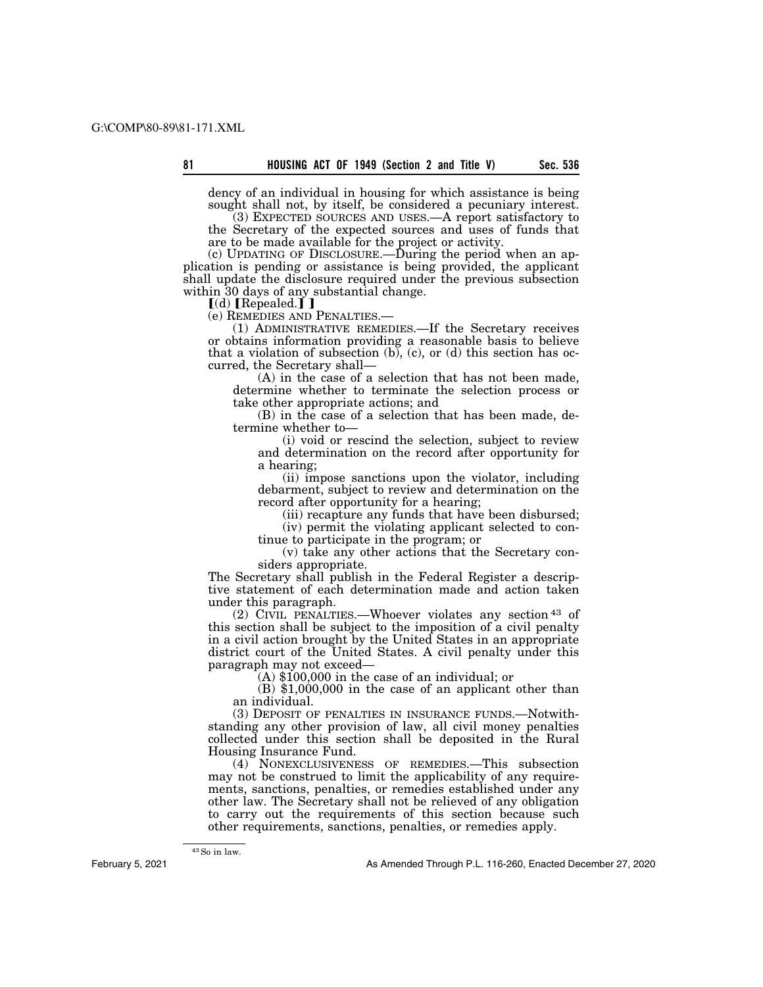dency of an individual in housing for which assistance is being sought shall not, by itself, be considered a pecuniary interest. (3) EXPECTED SOURCES AND USES.—A report satisfactory to

the Secretary of the expected sources and uses of funds that are to be made available for the project or activity.

 $(c)$  UPDATING OF DISCLOSURE.—During the period when an application is pending or assistance is being provided, the applicant shall update the disclosure required under the previous subsection within 30 days of any substantial change.

[(d) [Repealed.] ]<br>(e) REMEDIES AND PENALTIES.—

(1) ADMINISTRATIVE REMEDIES.—If the Secretary receives or obtains information providing a reasonable basis to believe that a violation of subsection  $(b)$ ,  $(c)$ , or  $(d)$  this section has occurred, the Secretary shall—

(A) in the case of a selection that has not been made, determine whether to terminate the selection process or take other appropriate actions; and

(B) in the case of a selection that has been made, determine whether to—

(i) void or rescind the selection, subject to review and determination on the record after opportunity for a hearing;

(ii) impose sanctions upon the violator, including debarment, subject to review and determination on the record after opportunity for a hearing;

(iii) recapture any funds that have been disbursed;

(iv) permit the violating applicant selected to continue to participate in the program; or

(v) take any other actions that the Secretary considers appropriate.

The Secretary shall publish in the Federal Register a descriptive statement of each determination made and action taken under this paragraph.

(2) CIVIL PENALTIES.—Whoever violates any section 43 of this section shall be subject to the imposition of a civil penalty in a civil action brought by the United States in an appropriate district court of the United States. A civil penalty under this

 $(A)$  \$100,000 in the case of an individual; or

(B) \$1,000,000 in the case of an applicant other than an individual.

(3) DEPOSIT OF PENALTIES IN INSURANCE FUNDS.—Notwithstanding any other provision of law, all civil money penalties collected under this section shall be deposited in the Rural Housing Insurance Fund.

(4) NONEXCLUSIVENESS OF REMEDIES.—This subsection may not be construed to limit the applicability of any requirements, sanctions, penalties, or remedies established under any other law. The Secretary shall not be relieved of any obligation to carry out the requirements of this section because such other requirements, sanctions, penalties, or remedies apply.

February 5, 2021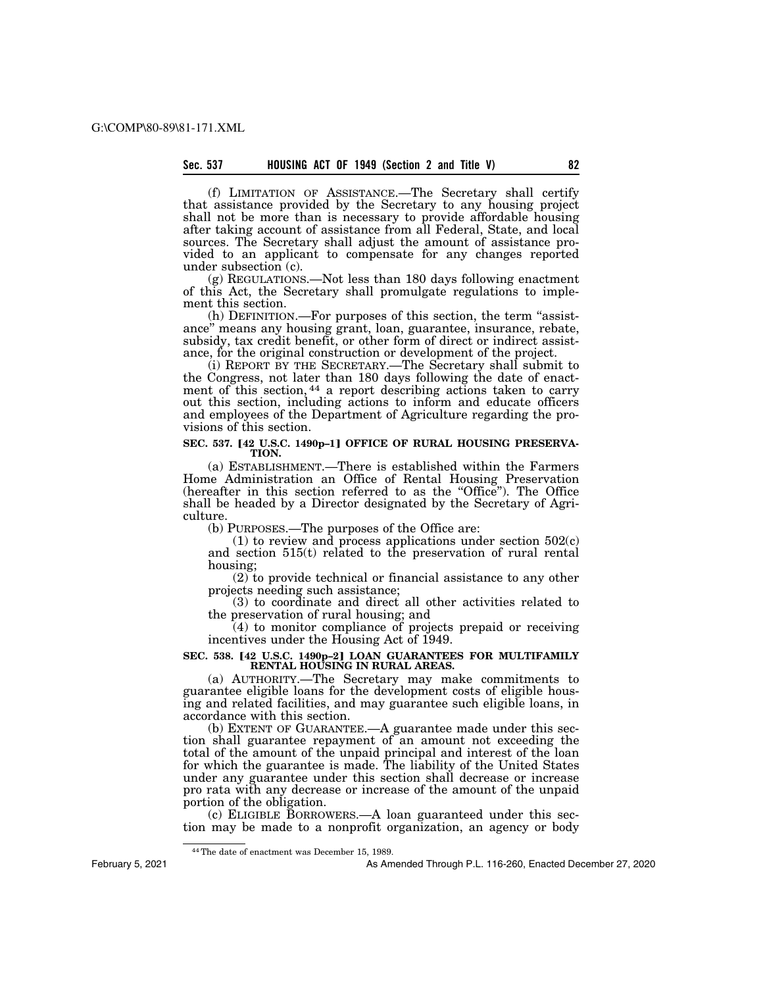(f) LIMITATION OF ASSISTANCE.—The Secretary shall certify that assistance provided by the Secretary to any housing project shall not be more than is necessary to provide affordable housing after taking account of assistance from all Federal, State, and local sources. The Secretary shall adjust the amount of assistance provided to an applicant to compensate for any changes reported under subsection (c).

(g) REGULATIONS.—Not less than 180 days following enactment of this Act, the Secretary shall promulgate regulations to implement this section.

(h) DEFINITION.—For purposes of this section, the term ''assistance'' means any housing grant, loan, guarantee, insurance, rebate, subsidy, tax credit benefit, or other form of direct or indirect assistance, for the original construction or development of the project.

(i) REPORT BY THE SECRETARY.—The Secretary shall submit to the Congress, not later than 180 days following the date of enactment of this section, <sup>44</sup> a report describing actions taken to carry out this section, including actions to inform and educate officers and employees of the Department of Agriculture regarding the provisions of this section.

# **SEC. 537. [42 U.S.C. 1490p-1] OFFICE OF RURAL HOUSING PRESERVA-<br>
TION.**

(a) ESTABLISHMENT.—There is established within the Farmers Home Administration an Office of Rental Housing Preservation (hereafter in this section referred to as the ''Office''). The Office shall be headed by a Director designated by the Secretary of Agriculture.

(b) PURPOSES.—The purposes of the Office are:

(1) to review and process applications under section  $502(c)$ and section 515(t) related to the preservation of rural rental housing;

(2) to provide technical or financial assistance to any other projects needing such assistance;

(3) to coordinate and direct all other activities related to the preservation of rural housing; and

(4) to monitor compliance of projects prepaid or receiving incentives under the Housing Act of 1949.

# SEC. 538. **[42 U.S.C. 1490p-2] LOAN GUARANTEES FOR MULTIFAMILY RENTAL HOUSING IN RURAL AREAS.**

(a) AUTHORITY.—The Secretary may make commitments to guarantee eligible loans for the development costs of eligible housing and related facilities, and may guarantee such eligible loans, in accordance with this section.

(b) EXTENT OF GUARANTEE.—A guarantee made under this section shall guarantee repayment of an amount not exceeding the total of the amount of the unpaid principal and interest of the loan for which the guarantee is made. The liability of the United States under any guarantee under this section shall decrease or increase pro rata with any decrease or increase of the amount of the unpaid portion of the obligation.

(c) ELIGIBLE BORROWERS.—A loan guaranteed under this section may be made to a nonprofit organization, an agency or body

February 5, 2021

<sup>44</sup>The date of enactment was December 15, 1989.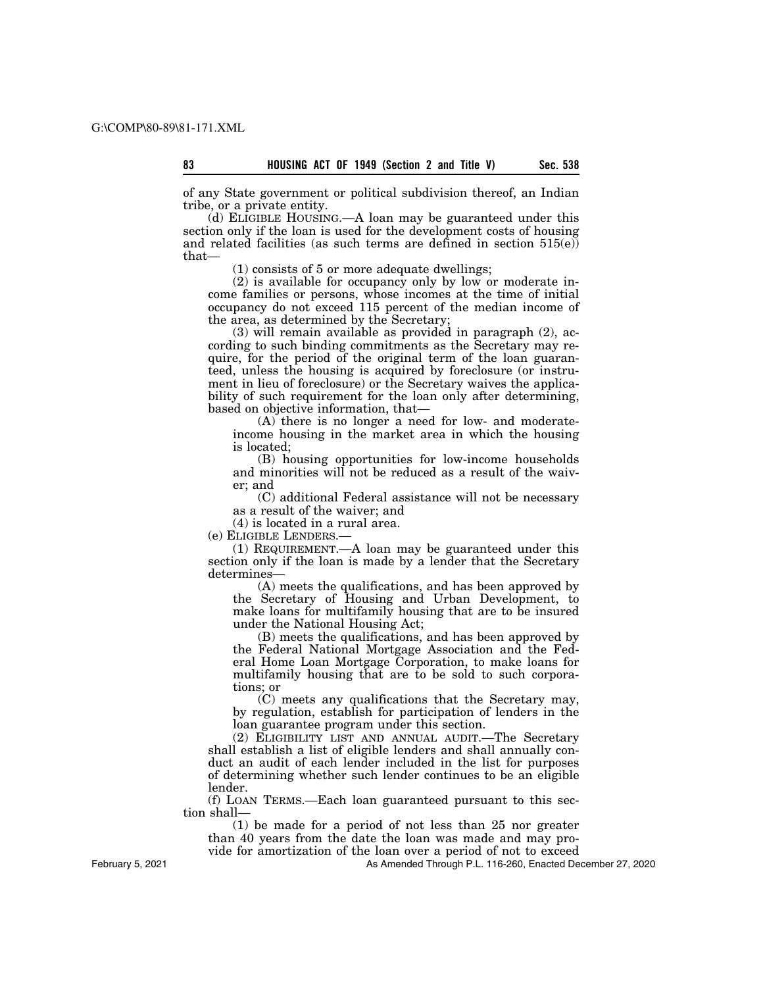of any State government or political subdivision thereof, an Indian tribe, or a private entity.

(d) ELIGIBLE HOUSING.—A loan may be guaranteed under this section only if the loan is used for the development costs of housing and related facilities (as such terms are defined in section  $515(e)$ ) that—

(1) consists of 5 or more adequate dwellings;

(2) is available for occupancy only by low or moderate income families or persons, whose incomes at the time of initial occupancy do not exceed 115 percent of the median income of the area, as determined by the Secretary;

(3) will remain available as provided in paragraph (2), according to such binding commitments as the Secretary may require, for the period of the original term of the loan guaranteed, unless the housing is acquired by foreclosure (or instrument in lieu of foreclosure) or the Secretary waives the applicability of such requirement for the loan only after determining, based on objective information, that—

(A) there is no longer a need for low- and moderateincome housing in the market area in which the housing is located;

(B) housing opportunities for low-income households and minorities will not be reduced as a result of the waiver; and

(C) additional Federal assistance will not be necessary as a result of the waiver; and

(4) is located in a rural area.

(e) ELIGIBLE LENDERS.—

(1) REQUIREMENT.—A loan may be guaranteed under this section only if the loan is made by a lender that the Secretary determines—

(A) meets the qualifications, and has been approved by the Secretary of Housing and Urban Development, to make loans for multifamily housing that are to be insured under the National Housing Act;

(B) meets the qualifications, and has been approved by the Federal National Mortgage Association and the Federal Home Loan Mortgage Corporation, to make loans for multifamily housing that are to be sold to such corporations; or

(C) meets any qualifications that the Secretary may, by regulation, establish for participation of lenders in the loan guarantee program under this section.

(2) ELIGIBILITY LIST AND ANNUAL AUDIT.—The Secretary shall establish a list of eligible lenders and shall annually conduct an audit of each lender included in the list for purposes of determining whether such lender continues to be an eligible lender.

(f) LOAN TERMS.—Each loan guaranteed pursuant to this section shall—

(1) be made for a period of not less than 25 nor greater than 40 years from the date the loan was made and may pro-

vide for amortization of the loan over a period of not to exceed

As Amended Through P.L. 116-260, Enacted December 27, 2020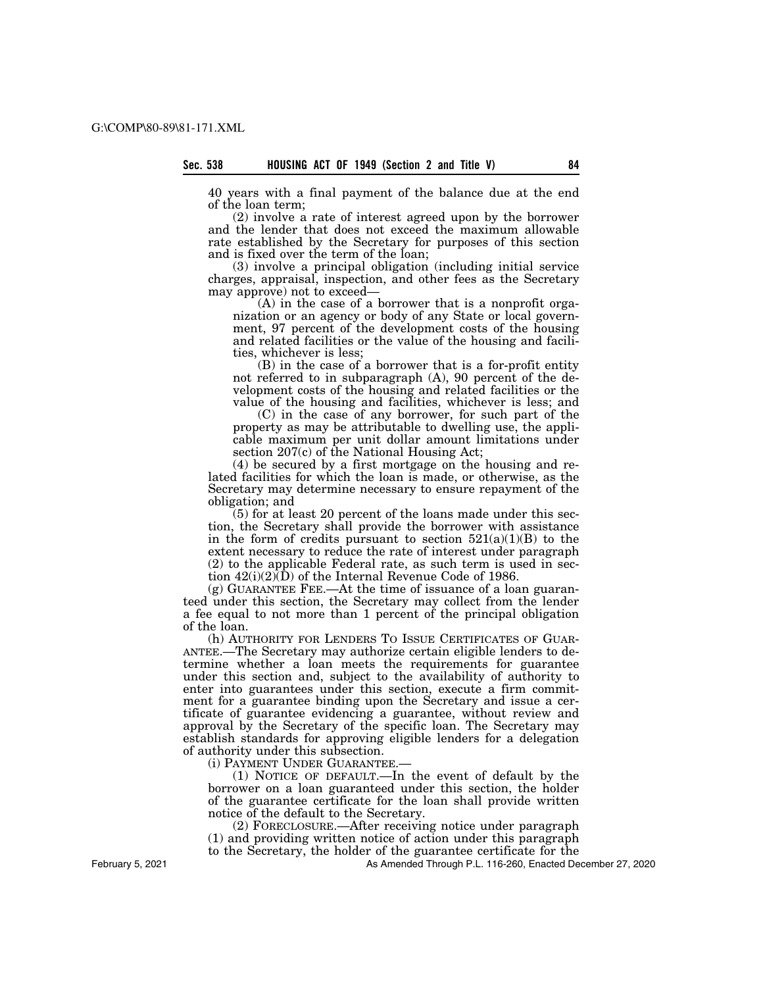40 years with a final payment of the balance due at the end of the loan term;

(2) involve a rate of interest agreed upon by the borrower and the lender that does not exceed the maximum allowable rate established by the Secretary for purposes of this section and is fixed over the term of the loan;

(3) involve a principal obligation (including initial service charges, appraisal, inspection, and other fees as the Secretary may approve) not to exceed—

(A) in the case of a borrower that is a nonprofit organization or an agency or body of any State or local government, 97 percent of the development costs of the housing and related facilities or the value of the housing and facilities, whichever is less;

(B) in the case of a borrower that is a for-profit entity not referred to in subparagraph (A), 90 percent of the development costs of the housing and related facilities or the value of the housing and facilities, whichever is less; and

(C) in the case of any borrower, for such part of the property as may be attributable to dwelling use, the applicable maximum per unit dollar amount limitations under section 207(c) of the National Housing Act;

(4) be secured by a first mortgage on the housing and related facilities for which the loan is made, or otherwise, as the Secretary may determine necessary to ensure repayment of the obligation; and

(5) for at least 20 percent of the loans made under this section, the Secretary shall provide the borrower with assistance in the form of credits pursuant to section  $521(a)(1)(B)$  to the extent necessary to reduce the rate of interest under paragraph (2) to the applicable Federal rate, as such term is used in section  $42(i)(2)\overline{(D)}$  of the Internal Revenue Code of 1986.

(g) GUARANTEE FEE.—At the time of issuance of a loan guaranteed under this section, the Secretary may collect from the lender a fee equal to not more than 1 percent of the principal obligation of the loan.

(h) AUTHORITY FOR LENDERS TO ISSUE CERTIFICATES OF GUAR-ANTEE.—The Secretary may authorize certain eligible lenders to determine whether a loan meets the requirements for guarantee under this section and, subject to the availability of authority to enter into guarantees under this section, execute a firm commitment for a guarantee binding upon the Secretary and issue a certificate of guarantee evidencing a guarantee, without review and approval by the Secretary of the specific loan. The Secretary may establish standards for approving eligible lenders for a delegation of authority under this subsection.

(i) PAYMENT UNDER GUARANTEE.—

(1) NOTICE OF DEFAULT.—In the event of default by the borrower on a loan guaranteed under this section, the holder of the guarantee certificate for the loan shall provide written notice of the default to the Secretary.

(2) FORECLOSURE.—After receiving notice under paragraph (1) and providing written notice of action under this paragraph to the Secretary, the holder of the guarantee certificate for the

As Amended Through P.L. 116-260, Enacted December 27, 2020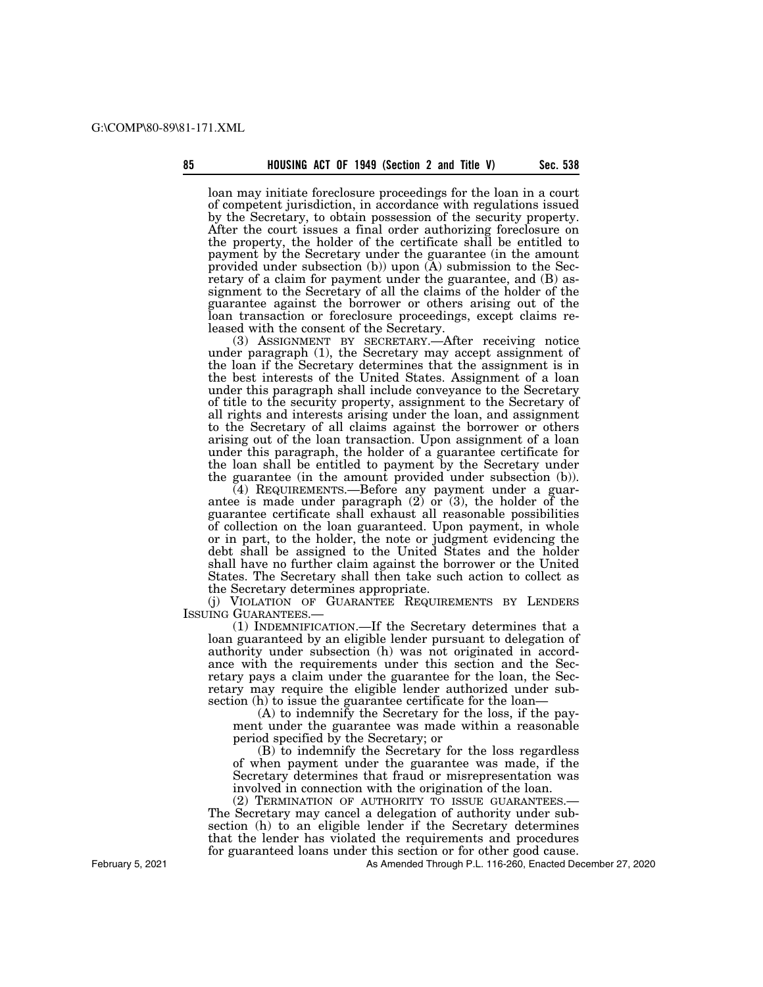loan may initiate foreclosure proceedings for the loan in a court of competent jurisdiction, in accordance with regulations issued by the Secretary, to obtain possession of the security property. After the court issues a final order authorizing foreclosure on the property, the holder of the certificate shall be entitled to payment by the Secretary under the guarantee (in the amount provided under subsection (b)) upon  $(A)$  submission to the Secretary of a claim for payment under the guarantee, and (B) assignment to the Secretary of all the claims of the holder of the guarantee against the borrower or others arising out of the loan transaction or foreclosure proceedings, except claims released with the consent of the Secretary.

(3) ASSIGNMENT BY SECRETARY.—After receiving notice under paragraph (1), the Secretary may accept assignment of the loan if the Secretary determines that the assignment is in the best interests of the United States. Assignment of a loan under this paragraph shall include conveyance to the Secretary of title to the security property, assignment to the Secretary of all rights and interests arising under the loan, and assignment to the Secretary of all claims against the borrower or others arising out of the loan transaction. Upon assignment of a loan under this paragraph, the holder of a guarantee certificate for the loan shall be entitled to payment by the Secretary under the guarantee (in the amount provided under subsection (b)).

(4) REQUIREMENTS.—Before any payment under a guarantee is made under paragraph  $(2)$  or  $(3)$ , the holder of the guarantee certificate shall exhaust all reasonable possibilities of collection on the loan guaranteed. Upon payment, in whole or in part, to the holder, the note or judgment evidencing the debt shall be assigned to the United States and the holder shall have no further claim against the borrower or the United States. The Secretary shall then take such action to collect as the Secretary determines appropriate.

(j) VIOLATION OF GUARANTEE REQUIREMENTS BY LENDERS ISSUING GUARANTEES.—

(1) INDEMNIFICATION.—If the Secretary determines that a loan guaranteed by an eligible lender pursuant to delegation of authority under subsection (h) was not originated in accordance with the requirements under this section and the Secretary pays a claim under the guarantee for the loan, the Secretary may require the eligible lender authorized under subsection (h) to issue the guarantee certificate for the loan—

(A) to indemnify the Secretary for the loss, if the payment under the guarantee was made within a reasonable period specified by the Secretary; or

(B) to indemnify the Secretary for the loss regardless of when payment under the guarantee was made, if the Secretary determines that fraud or misrepresentation was involved in connection with the origination of the loan.

(2) TERMINATION OF AUTHORITY TO ISSUE GUARANTEES.— The Secretary may cancel a delegation of authority under subsection (h) to an eligible lender if the Secretary determines that the lender has violated the requirements and procedures for guaranteed loans under this section or for other good cause.

As Amended Through P.L. 116-260, Enacted December 27, 2020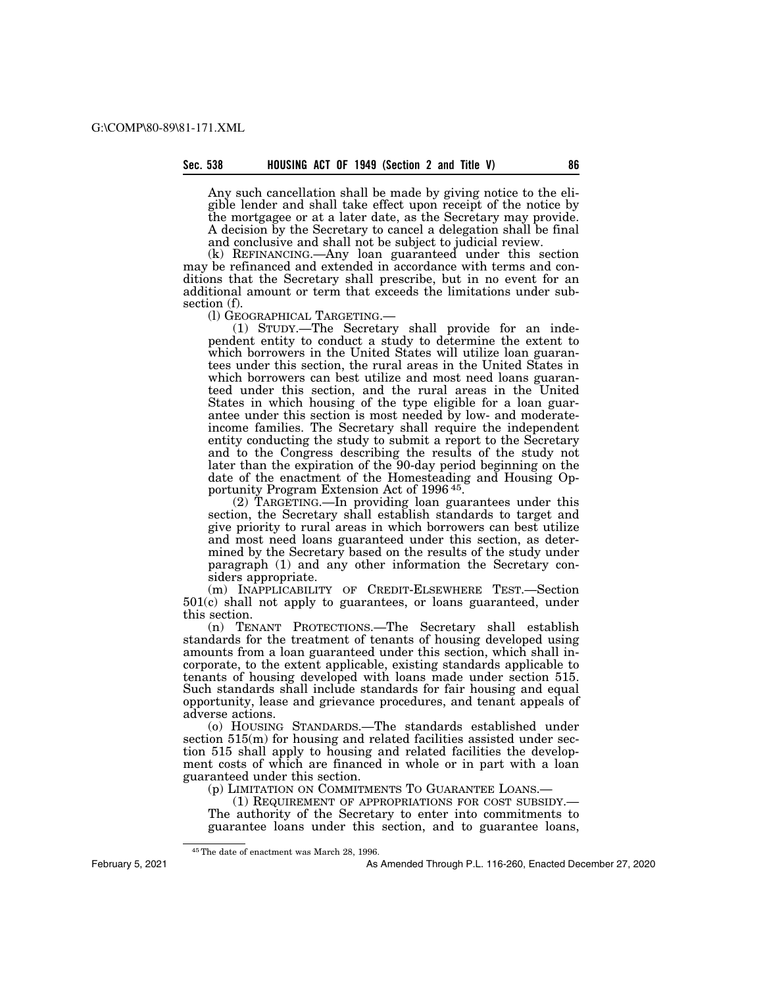Any such cancellation shall be made by giving notice to the eligible lender and shall take effect upon receipt of the notice by the mortgagee or at a later date, as the Secretary may provide. A decision by the Secretary to cancel a delegation shall be final and conclusive and shall not be subject to judicial review.

(k) REFINANCING.—Any loan guaranteed under this section may be refinanced and extended in accordance with terms and conditions that the Secretary shall prescribe, but in no event for an additional amount or term that exceeds the limitations under subsection (f).<br>(1) GEOGRAPHICAL TARGETING.—

(l) GEOGRAPHICAL TARGETING.— (1) STUDY.—The Secretary shall provide for an independent entity to conduct a study to determine the extent to which borrowers in the United States will utilize loan guarantees under this section, the rural areas in the United States in which borrowers can best utilize and most need loans guaranteed under this section, and the rural areas in the United States in which housing of the type eligible for a loan guarantee under this section is most needed by low- and moderateincome families. The Secretary shall require the independent entity conducting the study to submit a report to the Secretary and to the Congress describing the results of the study not later than the expiration of the 90-day period beginning on the date of the enactment of the Homesteading and Housing Opportunity Program Extension Act of 1996 45.

(2) TARGETING.—In providing loan guarantees under this section, the Secretary shall establish standards to target and give priority to rural areas in which borrowers can best utilize and most need loans guaranteed under this section, as determined by the Secretary based on the results of the study under paragraph (1) and any other information the Secretary considers appropriate.

(m) INAPPLICABILITY OF CREDIT-ELSEWHERE TEST.—Section 501(c) shall not apply to guarantees, or loans guaranteed, under this section.

(n) TENANT PROTECTIONS.—The Secretary shall establish standards for the treatment of tenants of housing developed using amounts from a loan guaranteed under this section, which shall incorporate, to the extent applicable, existing standards applicable to tenants of housing developed with loans made under section 515. Such standards shall include standards for fair housing and equal opportunity, lease and grievance procedures, and tenant appeals of adverse actions.

(o) HOUSING STANDARDS.—The standards established under section 515(m) for housing and related facilities assisted under section 515 shall apply to housing and related facilities the development costs of which are financed in whole or in part with a loan guaranteed under this section.

(p) LIMITATION ON COMMITMENTS TO GUARANTEE LOANS.—

(1) REQUIREMENT OF APPROPRIATIONS FOR COST SUBSIDY.— The authority of the Secretary to enter into commitments to guarantee loans under this section, and to guarantee loans,

45The date of enactment was March 28, 1996.

February 5, 2021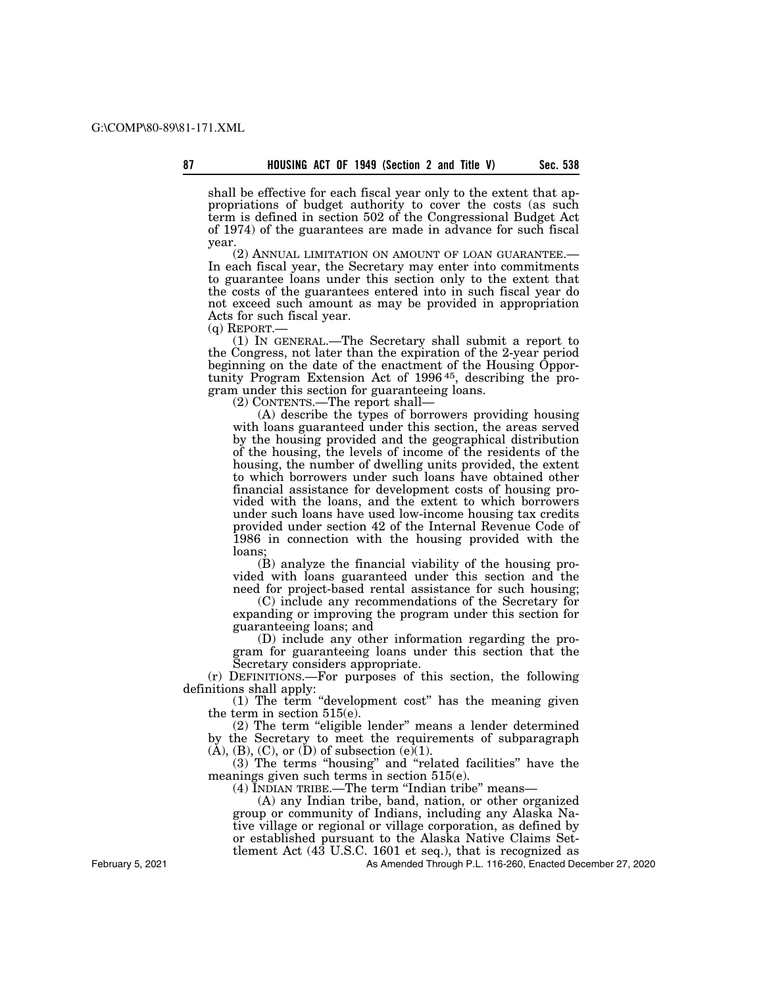shall be effective for each fiscal year only to the extent that appropriations of budget authority to cover the costs (as such term is defined in section 502 of the Congressional Budget Act of 1974) of the guarantees are made in advance for such fiscal year.

(2) ANNUAL LIMITATION ON AMOUNT OF LOAN GUARANTEE.— In each fiscal year, the Secretary may enter into commitments to guarantee loans under this section only to the extent that the costs of the guarantees entered into in such fiscal year do not exceed such amount as may be provided in appropriation Acts for such fiscal year.<br>(q) REPORT.—

 $(1)$  In GENERAL.—The Secretary shall submit a report to the Congress, not later than the expiration of the 2-year period beginning on the date of the enactment of the Housing Opportunity Program Extension Act of 1996<sup>45</sup>, describing the program under this section for guaranteeing loans.

(2) CONTENTS.—The report shall—

(A) describe the types of borrowers providing housing with loans guaranteed under this section, the areas served by the housing provided and the geographical distribution of the housing, the levels of income of the residents of the housing, the number of dwelling units provided, the extent to which borrowers under such loans have obtained other financial assistance for development costs of housing provided with the loans, and the extent to which borrowers under such loans have used low-income housing tax credits provided under section 42 of the Internal Revenue Code of 1986 in connection with the housing provided with the loans;

(B) analyze the financial viability of the housing provided with loans guaranteed under this section and the need for project-based rental assistance for such housing;

(C) include any recommendations of the Secretary for expanding or improving the program under this section for guaranteeing loans; and

(D) include any other information regarding the program for guaranteeing loans under this section that the Secretary considers appropriate.

(r) DEFINITIONS.—For purposes of this section, the following definitions shall apply:

(1) The term ''development cost'' has the meaning given the term in section 515(e).

(2) The term "eligible lender" means a lender determined by the Secretary to meet the requirements of subparagraph  $(A)$ ,  $(B)$ ,  $(C)$ , or  $(D)$  of subsection  $(e)(1)$ .

(3) The terms ''housing'' and ''related facilities'' have the meanings given such terms in section 515(e).

(4) INDIAN TRIBE.—The term ''Indian tribe'' means—

(A) any Indian tribe, band, nation, or other organized group or community of Indians, including any Alaska Native village or regional or village corporation, as defined by or established pursuant to the Alaska Native Claims Settlement Act (43 U.S.C. 1601 et seq.), that is recognized as

As Amended Through P.L. 116-260, Enacted December 27, 2020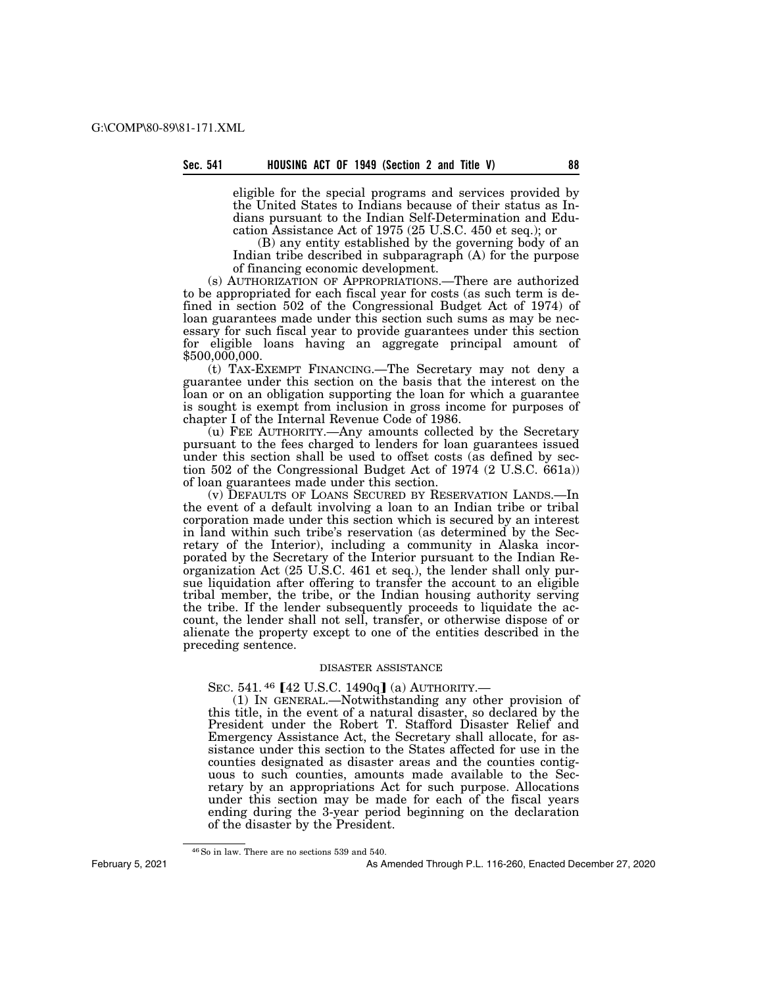eligible for the special programs and services provided by the United States to Indians because of their status as Indians pursuant to the Indian Self-Determination and Education Assistance Act of 1975 (25 U.S.C. 450 et seq.); or

(B) any entity established by the governing body of an Indian tribe described in subparagraph (A) for the purpose of financing economic development.

(s) AUTHORIZATION OF APPROPRIATIONS.—There are authorized to be appropriated for each fiscal year for costs (as such term is defined in section 502 of the Congressional Budget Act of 1974) of loan guarantees made under this section such sums as may be necessary for such fiscal year to provide guarantees under this section for eligible loans having an aggregate principal amount of \$500,000,000.

(t) TAX-EXEMPT FINANCING.—The Secretary may not deny a guarantee under this section on the basis that the interest on the loan or on an obligation supporting the loan for which a guarantee is sought is exempt from inclusion in gross income for purposes of chapter I of the Internal Revenue Code of 1986.

(u) FEE AUTHORITY.—Any amounts collected by the Secretary pursuant to the fees charged to lenders for loan guarantees issued under this section shall be used to offset costs (as defined by section 502 of the Congressional Budget Act of 1974 (2 U.S.C. 661a)) of loan guarantees made under this section.

(v) DEFAULTS OF LOANS SECURED BY RESERVATION LANDS.—In the event of a default involving a loan to an Indian tribe or tribal corporation made under this section which is secured by an interest in land within such tribe's reservation (as determined by the Secretary of the Interior), including a community in Alaska incorporated by the Secretary of the Interior pursuant to the Indian Reorganization Act (25 U.S.C. 461 et seq.), the lender shall only pursue liquidation after offering to transfer the account to an eligible tribal member, the tribe, or the Indian housing authority serving the tribe. If the lender subsequently proceeds to liquidate the account, the lender shall not sell, transfer, or otherwise dispose of or alienate the property except to one of the entities described in the preceding sentence.

#### DISASTER ASSISTANCE

SEC. 541. <sup>46</sup> [42 U.S.C. 1490q] (a) AUTHORITY.—

(1) IN GENERAL.—Notwithstanding any other provision of this title, in the event of a natural disaster, so declared by the President under the Robert T. Stafford Disaster Relief and Emergency Assistance Act, the Secretary shall allocate, for assistance under this section to the States affected for use in the counties designated as disaster areas and the counties contiguous to such counties, amounts made available to the Secretary by an appropriations Act for such purpose. Allocations under this section may be made for each of the fiscal years ending during the 3-year period beginning on the declaration of the disaster by the President.

<sup>46</sup>So in law. There are no sections 539 and 540.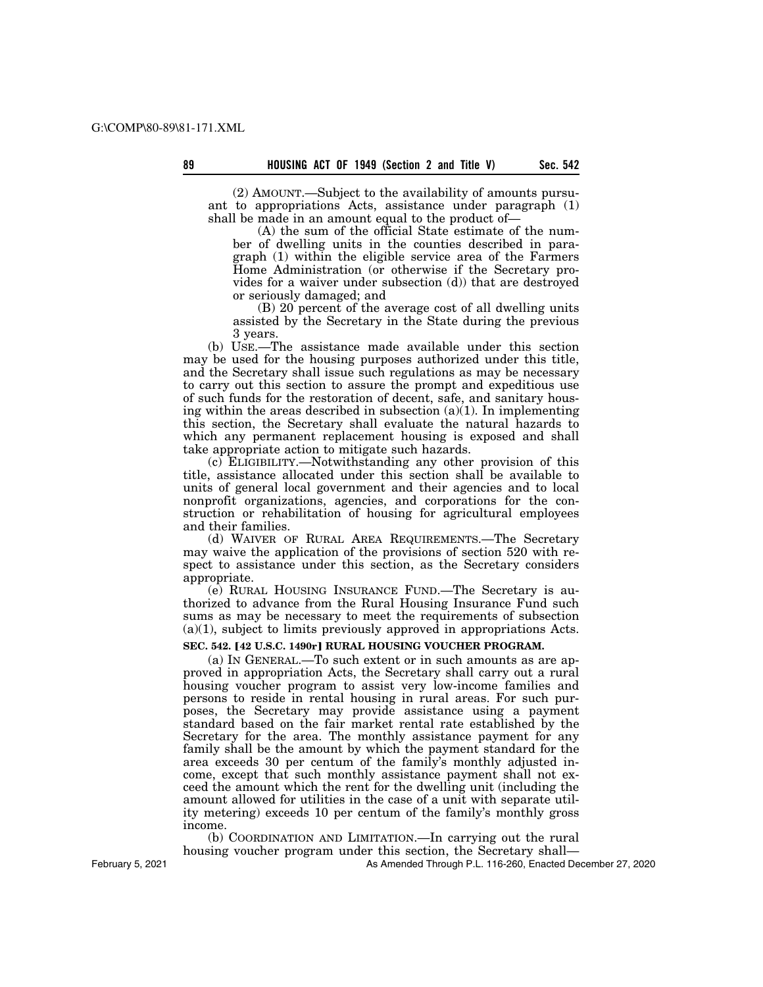(2) AMOUNT.—Subject to the availability of amounts pursuant to appropriations Acts, assistance under paragraph (1) shall be made in an amount equal to the product of—

(A) the sum of the official State estimate of the number of dwelling units in the counties described in paragraph (1) within the eligible service area of the Farmers Home Administration (or otherwise if the Secretary provides for a waiver under subsection (d)) that are destroyed or seriously damaged; and

(B) 20 percent of the average cost of all dwelling units assisted by the Secretary in the State during the previous 3 years.

(b) USE.—The assistance made available under this section may be used for the housing purposes authorized under this title, and the Secretary shall issue such regulations as may be necessary to carry out this section to assure the prompt and expeditious use of such funds for the restoration of decent, safe, and sanitary housing within the areas described in subsection  $(a)(1)$ . In implementing this section, the Secretary shall evaluate the natural hazards to which any permanent replacement housing is exposed and shall take appropriate action to mitigate such hazards.

(c) ELIGIBILITY.—Notwithstanding any other provision of this title, assistance allocated under this section shall be available to units of general local government and their agencies and to local nonprofit organizations, agencies, and corporations for the construction or rehabilitation of housing for agricultural employees and their families.

(d) WAIVER OF RURAL AREA REQUIREMENTS.—The Secretary may waive the application of the provisions of section 520 with respect to assistance under this section, as the Secretary considers appropriate.

(e) RURAL HOUSING INSURANCE FUND.—The Secretary is authorized to advance from the Rural Housing Insurance Fund such sums as may be necessary to meet the requirements of subsection (a)(1), subject to limits previously approved in appropriations Acts.

## **SEC. 542. [42 U.S.C. 1490r] RURAL HOUSING VOUCHER PROGRAM.**

(a) IN GENERAL.—To such extent or in such amounts as are approved in appropriation Acts, the Secretary shall carry out a rural housing voucher program to assist very low-income families and persons to reside in rental housing in rural areas. For such purposes, the Secretary may provide assistance using a payment standard based on the fair market rental rate established by the Secretary for the area. The monthly assistance payment for any family shall be the amount by which the payment standard for the area exceeds 30 per centum of the family's monthly adjusted income, except that such monthly assistance payment shall not exceed the amount which the rent for the dwelling unit (including the amount allowed for utilities in the case of a unit with separate utility metering) exceeds 10 per centum of the family's monthly gross income.

(b) COORDINATION AND LIMITATION.—In carrying out the rural housing voucher program under this section, the Secretary shall—

As Amended Through P.L. 116-260, Enacted December 27, 2020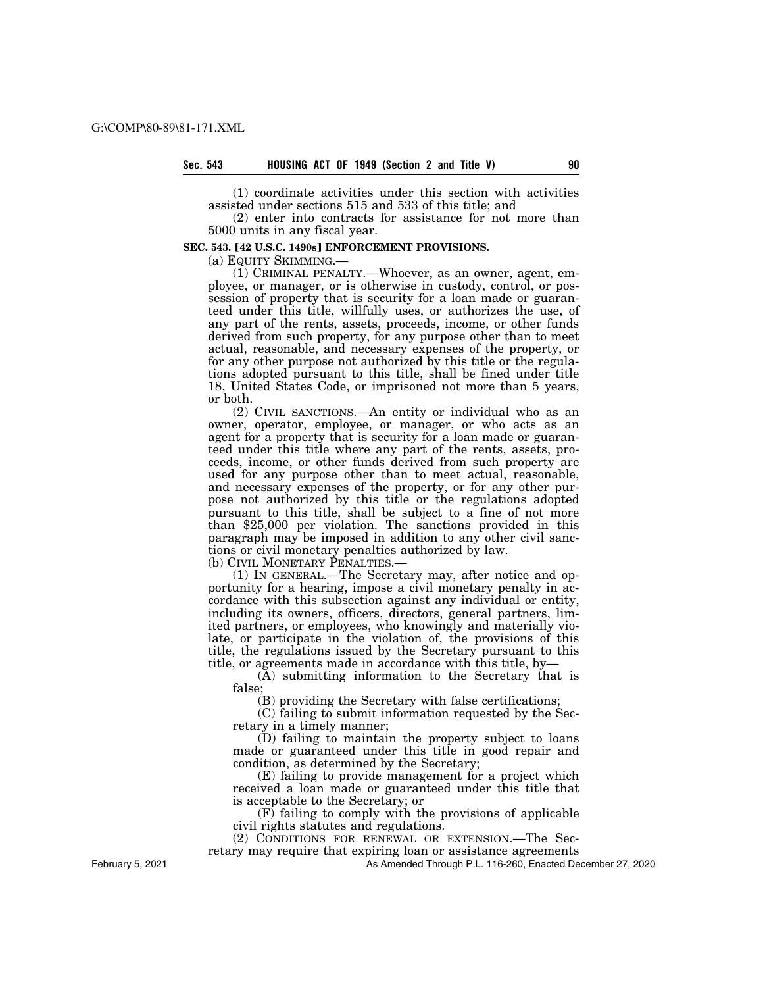(1) coordinate activities under this section with activities assisted under sections 515 and 533 of this title; and

(2) enter into contracts for assistance for not more than 5000 units in any fiscal year.

#### **SEC. 543. [42 U.S.C. 1490s] ENFORCEMENT PROVISIONS.**

(a) EQUITY SKIMMING.—

(1) CRIMINAL PENALTY.—Whoever, as an owner, agent, employee, or manager, or is otherwise in custody, control, or possession of property that is security for a loan made or guaranteed under this title, willfully uses, or authorizes the use, of any part of the rents, assets, proceeds, income, or other funds derived from such property, for any purpose other than to meet actual, reasonable, and necessary expenses of the property, or for any other purpose not authorized by this title or the regulations adopted pursuant to this title, shall be fined under title 18, United States Code, or imprisoned not more than 5 years, or both.

(2) CIVIL SANCTIONS.—An entity or individual who as an owner, operator, employee, or manager, or who acts as an agent for a property that is security for a loan made or guaranteed under this title where any part of the rents, assets, proceeds, income, or other funds derived from such property are used for any purpose other than to meet actual, reasonable, and necessary expenses of the property, or for any other purpose not authorized by this title or the regulations adopted pursuant to this title, shall be subject to a fine of not more than \$25,000 per violation. The sanctions provided in this paragraph may be imposed in addition to any other civil sanctions or civil monetary penalties authorized by law.

(b) CIVIL MONETARY PENALTIES.—

(1) IN GENERAL.—The Secretary may, after notice and opportunity for a hearing, impose a civil monetary penalty in accordance with this subsection against any individual or entity, including its owners, officers, directors, general partners, limited partners, or employees, who knowingly and materially violate, or participate in the violation of, the provisions of this title, the regulations issued by the Secretary pursuant to this title, or agreements made in accordance with this title, by—

(A) submitting information to the Secretary that is false;

(B) providing the Secretary with false certifications;

(C) failing to submit information requested by the Secretary in a timely manner;

(D) failing to maintain the property subject to loans made or guaranteed under this title in good repair and condition, as determined by the Secretary;

(E) failing to provide management for a project which received a loan made or guaranteed under this title that is acceptable to the Secretary; or

 $(F)$  failing to comply with the provisions of applicable civil rights statutes and regulations.

(2) CONDITIONS FOR RENEWAL OR EXTENSION.—The Sec-

retary may require that expiring loan or assistance agreements

As Amended Through P.L. 116-260, Enacted December 27, 2020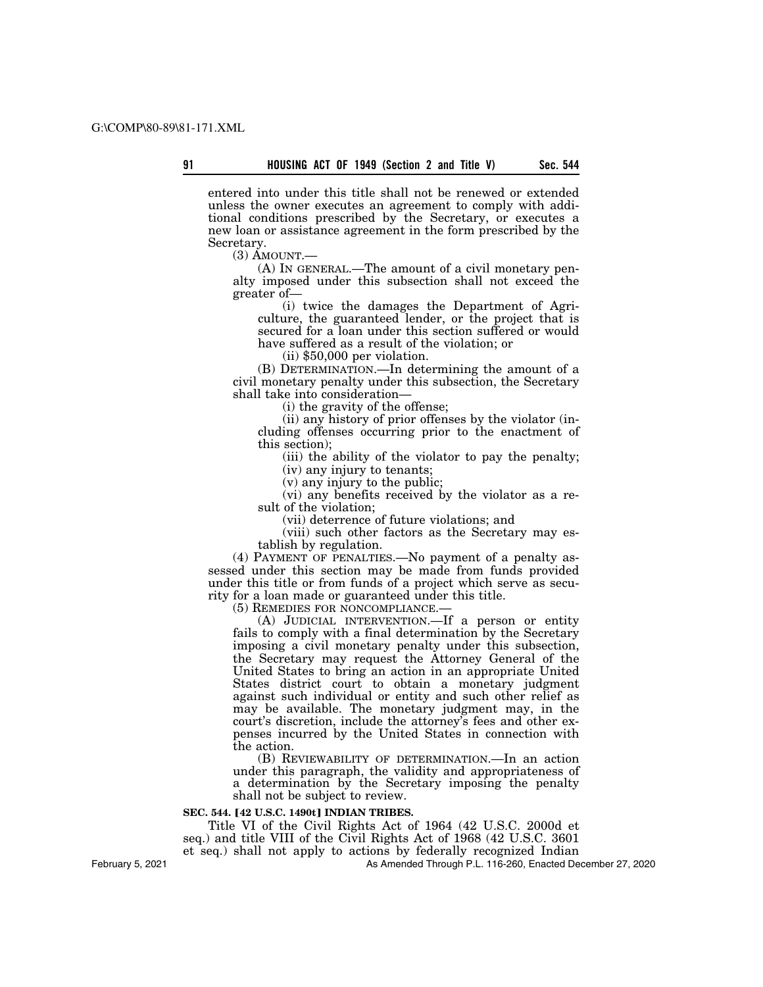entered into under this title shall not be renewed or extended unless the owner executes an agreement to comply with additional conditions prescribed by the Secretary, or executes a new loan or assistance agreement in the form prescribed by the Secretary.

 $(3)$  AMOUNT. $-$ 

(A) IN GENERAL.—The amount of a civil monetary penalty imposed under this subsection shall not exceed the greater of—

(i) twice the damages the Department of Agriculture, the guaranteed lender, or the project that is secured for a loan under this section suffered or would have suffered as a result of the violation; or

(ii) \$50,000 per violation.

(B) DETERMINATION.—In determining the amount of a civil monetary penalty under this subsection, the Secretary shall take into consideration—

(i) the gravity of the offense;

(ii) any history of prior offenses by the violator (including offenses occurring prior to the enactment of this section);

(iii) the ability of the violator to pay the penalty; (iv) any injury to tenants;

(v) any injury to the public;

(vi) any benefits received by the violator as a result of the violation;

(vii) deterrence of future violations; and

(viii) such other factors as the Secretary may establish by regulation.

(4) PAYMENT OF PENALTIES.—No payment of a penalty assessed under this section may be made from funds provided under this title or from funds of a project which serve as security for a loan made or guaranteed under this title.

(5) REMEDIES FOR NONCOMPLIANCE.—

(A) JUDICIAL INTERVENTION.—If a person or entity fails to comply with a final determination by the Secretary imposing a civil monetary penalty under this subsection, the Secretary may request the Attorney General of the United States to bring an action in an appropriate United States district court to obtain a monetary judgment against such individual or entity and such other relief as may be available. The monetary judgment may, in the court's discretion, include the attorney's fees and other expenses incurred by the United States in connection with the action.

(B) REVIEWABILITY OF DETERMINATION.—In an action under this paragraph, the validity and appropriateness of a determination by the Secretary imposing the penalty shall not be subject to review.

#### **SEC. 544. [42 U.S.C. 1490t] INDIAN TRIBES.**

Title VI of the Civil Rights Act of 1964 (42 U.S.C. 2000d et seq.) and title VIII of the Civil Rights Act of 1968 (42 U.S.C. 3601 et seq.) shall not apply to actions by federally recognized Indian

As Amended Through P.L. 116-260, Enacted December 27, 2020